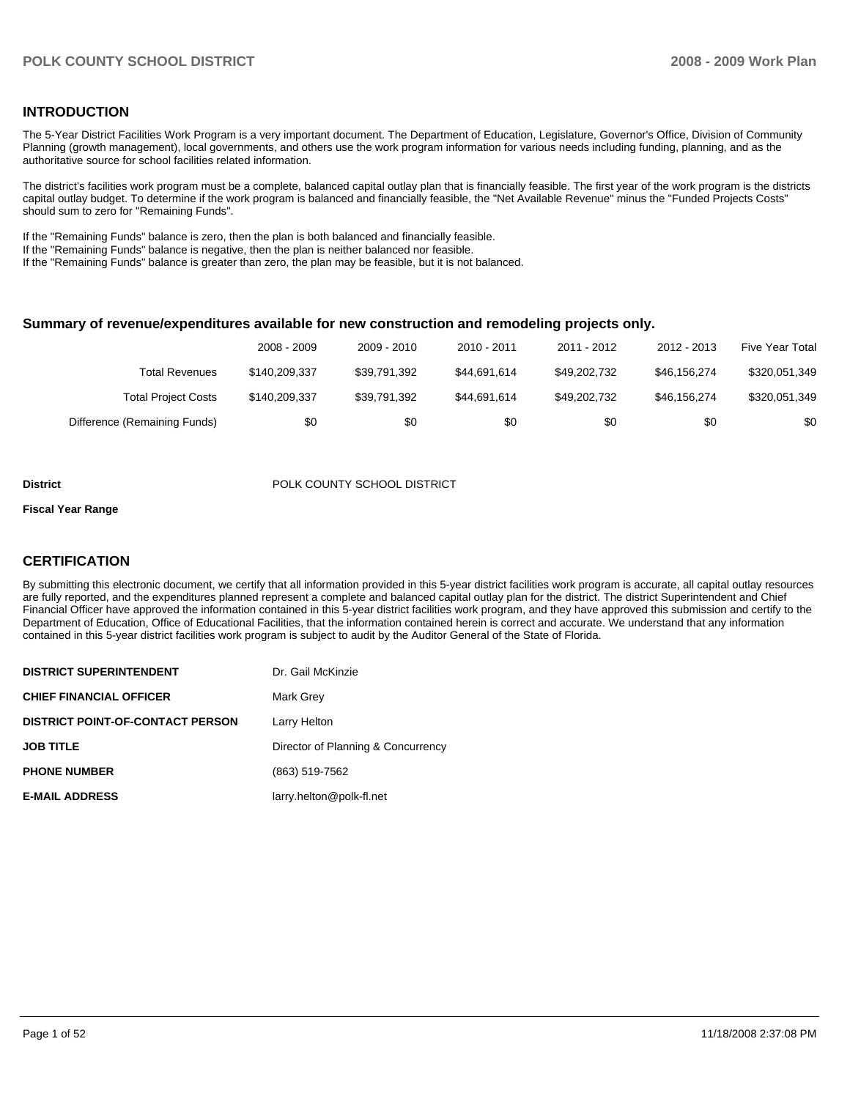#### **INTRODUCTION**

The 5-Year District Facilities Work Program is a very important document. The Department of Education, Legislature, Governor's Office, Division of Community Planning (growth management), local governments, and others use the work program information for various needs including funding, planning, and as the authoritative source for school facilities related information.

The district's facilities work program must be a complete, balanced capital outlay plan that is financially feasible. The first year of the work program is the districts capital outlay budget. To determine if the work program is balanced and financially feasible, the "Net Available Revenue" minus the "Funded Projects Costs" should sum to zero for "Remaining Funds".

If the "Remaining Funds" balance is zero, then the plan is both balanced and financially feasible.

If the "Remaining Funds" balance is negative, then the plan is neither balanced nor feasible.

If the "Remaining Funds" balance is greater than zero, the plan may be feasible, but it is not balanced.

#### **Summary of revenue/expenditures available for new construction and remodeling projects only.**

|                              | 2008 - 2009   | 2009 - 2010  | 2010 - 2011  | 2011 - 2012  | 2012 - 2013  | <b>Five Year Total</b> |
|------------------------------|---------------|--------------|--------------|--------------|--------------|------------------------|
| Total Revenues               | \$140,209,337 | \$39.791.392 | \$44.691.614 | \$49,202,732 | \$46.156.274 | \$320,051,349          |
| <b>Total Project Costs</b>   | \$140,209,337 | \$39.791.392 | \$44.691.614 | \$49,202,732 | \$46.156.274 | \$320,051,349          |
| Difference (Remaining Funds) | \$0           | \$0          | \$0          | \$0          | \$0          | \$0                    |

#### **District** POLK COUNTY SCHOOL DISTRICT

#### **Fiscal Year Range**

#### **CERTIFICATION**

By submitting this electronic document, we certify that all information provided in this 5-year district facilities work program is accurate, all capital outlay resources are fully reported, and the expenditures planned represent a complete and balanced capital outlay plan for the district. The district Superintendent and Chief Financial Officer have approved the information contained in this 5-year district facilities work program, and they have approved this submission and certify to the Department of Education, Office of Educational Facilities, that the information contained herein is correct and accurate. We understand that any information contained in this 5-year district facilities work program is subject to audit by the Auditor General of the State of Florida.

| <b>DISTRICT SUPERINTENDENT</b>          | Dr. Gail McKinzie                  |
|-----------------------------------------|------------------------------------|
| <b>CHIEF FINANCIAL OFFICER</b>          | Mark Grey                          |
| <b>DISTRICT POINT-OF-CONTACT PERSON</b> | Larry Helton                       |
| <b>JOB TITLE</b>                        | Director of Planning & Concurrency |
| <b>PHONE NUMBER</b>                     | (863) 519-7562                     |
| <b>E-MAIL ADDRESS</b>                   | larry.helton@polk-fl.net           |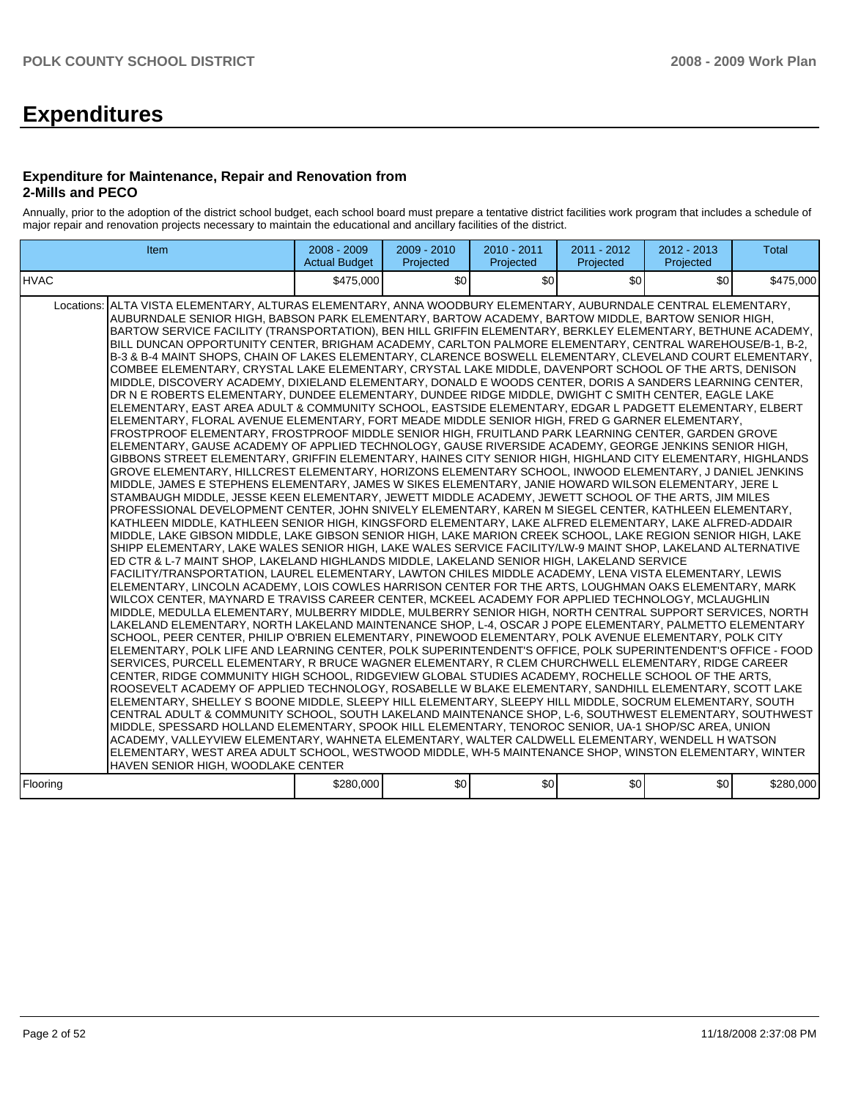# **Expenditures**

#### **Expenditure for Maintenance, Repair and Renovation from 2-Mills and PECO**

Annually, prior to the adoption of the district school budget, each school board must prepare a tentative district facilities work program that includes a schedule of major repair and renovation projects necessary to maintain the educational and ancillary facilities of the district.

| Item                                                                                                                                                                                                                                                                                                                                                                                                                                                                                                                                                                                                                                                                                                                                                                                                                                                                                                                                                                                                                                                                                                                                                                                                                                                                                                                                                                                                                                                                                                                                                                                                                                                                                                                                                                                                                                                                                                                                                                                                                                                                                                                                                                                                                                                                                                                                                                                                                                                                                                                                                                                                                                                                                                                                                                                                                                                                                                                                                                                                                                                                                                                                                                                                                                                                                                                                                                                                                                                                                                                                                                                                                                                                                                                                                                                                                                                                                                                                                                                                        | $2008 - 2009$<br><b>Actual Budget</b> | 2009 - 2010<br>Projected | 2010 - 2011<br>Projected | $2011 - 2012$<br>Projected | 2012 - 2013<br>Projected | <b>Total</b> |
|-------------------------------------------------------------------------------------------------------------------------------------------------------------------------------------------------------------------------------------------------------------------------------------------------------------------------------------------------------------------------------------------------------------------------------------------------------------------------------------------------------------------------------------------------------------------------------------------------------------------------------------------------------------------------------------------------------------------------------------------------------------------------------------------------------------------------------------------------------------------------------------------------------------------------------------------------------------------------------------------------------------------------------------------------------------------------------------------------------------------------------------------------------------------------------------------------------------------------------------------------------------------------------------------------------------------------------------------------------------------------------------------------------------------------------------------------------------------------------------------------------------------------------------------------------------------------------------------------------------------------------------------------------------------------------------------------------------------------------------------------------------------------------------------------------------------------------------------------------------------------------------------------------------------------------------------------------------------------------------------------------------------------------------------------------------------------------------------------------------------------------------------------------------------------------------------------------------------------------------------------------------------------------------------------------------------------------------------------------------------------------------------------------------------------------------------------------------------------------------------------------------------------------------------------------------------------------------------------------------------------------------------------------------------------------------------------------------------------------------------------------------------------------------------------------------------------------------------------------------------------------------------------------------------------------------------------------------------------------------------------------------------------------------------------------------------------------------------------------------------------------------------------------------------------------------------------------------------------------------------------------------------------------------------------------------------------------------------------------------------------------------------------------------------------------------------------------------------------------------------------------------------------------------------------------------------------------------------------------------------------------------------------------------------------------------------------------------------------------------------------------------------------------------------------------------------------------------------------------------------------------------------------------------------------------------------------------------------------------------------------------------|---------------------------------------|--------------------------|--------------------------|----------------------------|--------------------------|--------------|
| IHVAC                                                                                                                                                                                                                                                                                                                                                                                                                                                                                                                                                                                                                                                                                                                                                                                                                                                                                                                                                                                                                                                                                                                                                                                                                                                                                                                                                                                                                                                                                                                                                                                                                                                                                                                                                                                                                                                                                                                                                                                                                                                                                                                                                                                                                                                                                                                                                                                                                                                                                                                                                                                                                                                                                                                                                                                                                                                                                                                                                                                                                                                                                                                                                                                                                                                                                                                                                                                                                                                                                                                                                                                                                                                                                                                                                                                                                                                                                                                                                                                                       | \$475,000                             | \$0                      | \$0                      | \$0                        | \$0                      | \$475,000    |
| Locations: ALTA VISTA ELEMENTARY, ALTURAS ELEMENTARY, ANNA WOODBURY ELEMENTARY, AUBURNDALE CENTRAL ELEMENTARY,<br>AUBURNDALE SENIOR HIGH, BABSON PARK ELEMENTARY, BARTOW ACADEMY, BARTOW MIDDLE, BARTOW SENIOR HIGH,<br>BARTOW SERVICE FACILITY (TRANSPORTATION), BEN HILL GRIFFIN ELEMENTARY, BERKLEY ELEMENTARY, BETHUNE ACADEMY,<br>BILL DUNCAN OPPORTUNITY CENTER, BRIGHAM ACADEMY, CARLTON PALMORE ELEMENTARY, CENTRAL WAREHOUSE/B-1, B-2,<br>lB-3 & B-4 MAINT SHOPS. CHAIN OF LAKES ELEMENTARY. CLARENCE BOSWELL ELEMENTARY. CLEVELAND COURT ELEMENTARY. ا<br>COMBEE ELEMENTARY, CRYSTAL LAKE ELEMENTARY, CRYSTAL LAKE MIDDLE, DAVENPORT SCHOOL OF THE ARTS, DENISON<br>MIDDLE, DISCOVERY ACADEMY, DIXIELAND ELEMENTARY, DONALD E WOODS CENTER, DORIS A SANDERS LEARNING CENTER,<br>DR N E ROBERTS ELEMENTARY, DUNDEE ELEMENTARY, DUNDEE RIDGE MIDDLE, DWIGHT C SMITH CENTER, EAGLE LAKE<br>ELEMENTARY, EAST AREA ADULT & COMMUNITY SCHOOL, EASTSIDE ELEMENTARY, EDGAR L PADGETT ELEMENTARY, ELBERT<br>ELEMENTARY, FLORAL AVENUE ELEMENTARY, FORT MEADE MIDDLE SENIOR HIGH, FRED G GARNER ELEMENTARY,<br>FROSTPROOF ELEMENTARY, FROSTPROOF MIDDLE SENIOR HIGH, FRUITLAND PARK LEARNING CENTER, GARDEN GROVE<br>ELEMENTARY, GAUSE ACADEMY OF APPLIED TECHNOLOGY, GAUSE RIVERSIDE ACADEMY, GEORGE JENKINS SENIOR HIGH,<br>GIBBONS STREET ELEMENTARY, GRIFFIN ELEMENTARY, HAINES CITY SENIOR HIGH, HIGHLAND CITY ELEMENTARY, HIGHLANDS<br>GROVE ELEMENTARY, HILLCREST ELEMENTARY, HORIZONS ELEMENTARY SCHOOL, INWOOD ELEMENTARY, J DANIEL JENKINS<br>MIDDLE, JAMES E STEPHENS ELEMENTARY, JAMES W SIKES ELEMENTARY, JANIE HOWARD WILSON ELEMENTARY, JERE L<br>STAMBAUGH MIDDLE, JESSE KEEN ELEMENTARY, JEWETT MIDDLE ACADEMY, JEWETT SCHOOL OF THE ARTS, JIM MILES<br>PROFESSIONAL DEVELOPMENT CENTER, JOHN SNIVELY ELEMENTARY, KAREN M SIEGEL CENTER, KATHLEEN ELEMENTARY.<br>KATHLEEN MIDDLE, KATHLEEN SENIOR HIGH, KINGSFORD ELEMENTARY, LAKE ALFRED ELEMENTARY, LAKE ALFRED-ADDAIR<br>MIDDLE, LAKE GIBSON MIDDLE, LAKE GIBSON SENIOR HIGH, LAKE MARION CREEK SCHOOL, LAKE REGION SENIOR HIGH, LAKE<br>SHIPP ELEMENTARY, LAKE WALES SENIOR HIGH, LAKE WALES SERVICE FACILITY/LW-9 MAINT SHOP, LAKELAND ALTERNATIVE<br>ED CTR & L-7 MAINT SHOP, LAKELAND HIGHLANDS MIDDLE, LAKELAND SENIOR HIGH, LAKELAND SERVICE<br>FACILITY/TRANSPORTATION, LAUREL ELEMENTARY, LAWTON CHILES MIDDLE ACADEMY, LENA VISTA ELEMENTARY, LEWIS<br>ELEMENTARY, LINCOLN ACADEMY, LOIS COWLES HARRISON CENTER FOR THE ARTS, LOUGHMAN OAKS ELEMENTARY, MARK<br>WILCOX CENTER, MAYNARD E TRAVISS CAREER CENTER, MCKEEL ACADEMY FOR APPLIED TECHNOLOGY, MCLAUGHLIN<br>MIDDLE, MEDULLA ELEMENTARY, MULBERRY MIDDLE, MULBERRY SENIOR HIGH, NORTH CENTRAL SUPPORT SERVICES, NORTH<br>ILAKELAND ELEMENTARY. NORTH LAKELAND MAINTENANCE SHOP. L-4. OSCAR J POPE ELEMENTARY. PALMETTO ELEMENTARY<br>SCHOOL, PEER CENTER, PHILIP O'BRIEN ELEMENTARY, PINEWOOD ELEMENTARY, POLK AVENUE ELEMENTARY, POLK CITY<br>ELEMENTARY, POLK LIFE AND LEARNING CENTER, POLK SUPERINTENDENT'S OFFICE, POLK SUPERINTENDENT'S OFFICE - FOOD<br>SERVICES, PURCELL ELEMENTARY, R BRUCE WAGNER ELEMENTARY, R CLEM CHURCHWELL ELEMENTARY, RIDGE CAREER<br>CENTER, RIDGE COMMUNITY HIGH SCHOOL, RIDGEVIEW GLOBAL STUDIES ACADEMY, ROCHELLE SCHOOL OF THE ARTS,<br>ROOSEVELT ACADEMY OF APPLIED TECHNOLOGY, ROSABELLE W BLAKE ELEMENTARY, SANDHILL ELEMENTARY, SCOTT LAKE<br>ELEMENTARY, SHELLEY S BOONE MIDDLE, SLEEPY HILL ELEMENTARY, SLEEPY HILL MIDDLE, SOCRUM ELEMENTARY, SOUTH<br>CENTRAL ADULT & COMMUNITY SCHOOL, SOUTH LAKELAND MAINTENANCE SHOP, L-6, SOUTHWEST ELEMENTARY, SOUTHWEST<br>MIDDLE, SPESSARD HOLLAND ELEMENTARY, SPOOK HILL ELEMENTARY, TENOROC SENIOR, UA-1 SHOP/SC AREA, UNION<br>ACADEMY, VALLEYVIEW ELEMENTARY, WAHNETA ELEMENTARY, WALTER CALDWELL ELEMENTARY, WENDELL H WATSON<br>ELEMENTARY, WEST AREA ADULT SCHOOL, WESTWOOD MIDDLE, WH-5 MAINTENANCE SHOP, WINSTON ELEMENTARY, WINTER<br>HAVEN SENIOR HIGH. WOODLAKE CENTER |                                       |                          |                          |                            |                          |              |
| Flooring                                                                                                                                                                                                                                                                                                                                                                                                                                                                                                                                                                                                                                                                                                                                                                                                                                                                                                                                                                                                                                                                                                                                                                                                                                                                                                                                                                                                                                                                                                                                                                                                                                                                                                                                                                                                                                                                                                                                                                                                                                                                                                                                                                                                                                                                                                                                                                                                                                                                                                                                                                                                                                                                                                                                                                                                                                                                                                                                                                                                                                                                                                                                                                                                                                                                                                                                                                                                                                                                                                                                                                                                                                                                                                                                                                                                                                                                                                                                                                                                    | \$280,000                             | \$0                      | \$0                      | \$0                        | \$0                      | \$280,000    |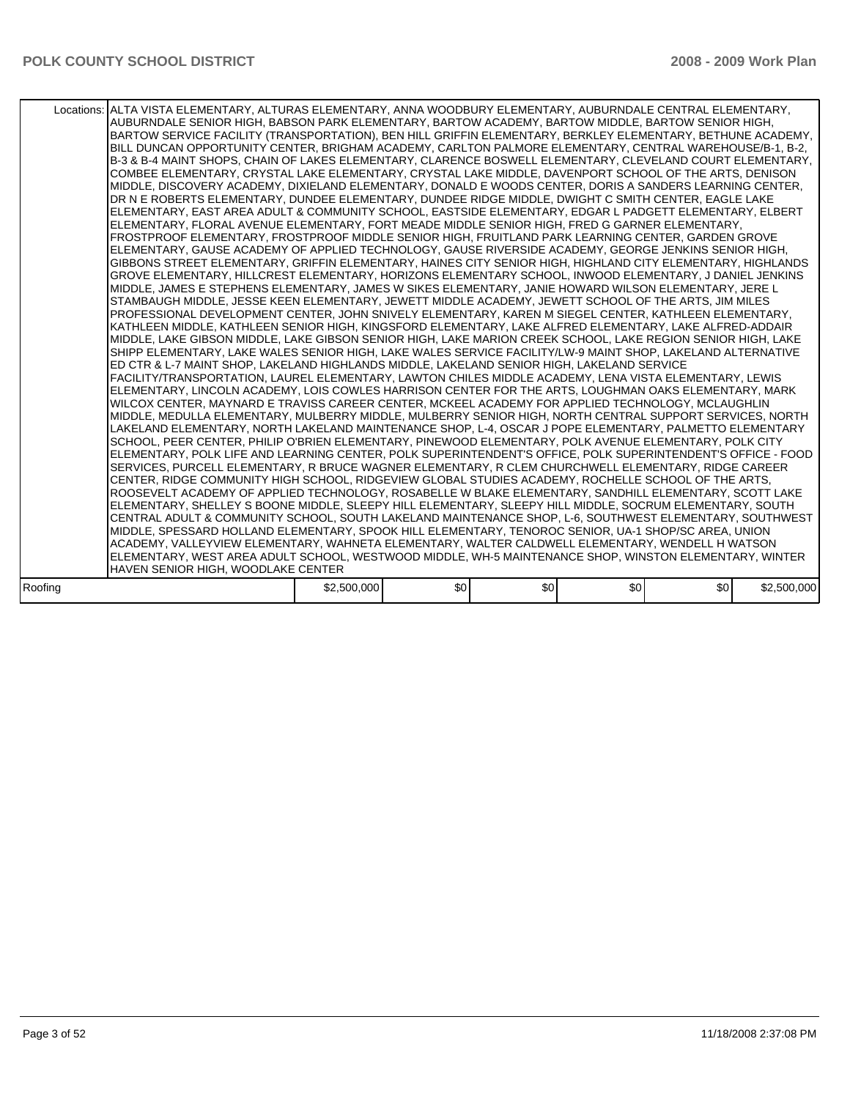|         | Locations: ALTA VISTA ELEMENTARY, ALTURAS ELEMENTARY, ANNA WOODBURY ELEMENTARY, AUBURNDALE CENTRAL ELEMENTARY,<br>AUBURNDALE SENIOR HIGH, BABSON PARK ELEMENTARY, BARTOW ACADEMY, BARTOW MIDDLE, BARTOW SENIOR HIGH,<br>BARTOW SERVICE FACILITY (TRANSPORTATION), BEN HILL GRIFFIN ELEMENTARY, BERKLEY ELEMENTARY, BETHUNE ACADEMY,<br>BILL DUNCAN OPPORTUNITY CENTER, BRIGHAM ACADEMY, CARLTON PALMORE ELEMENTARY, CENTRAL WAREHOUSE/B-1, B-2,<br>B-3 & B-4 MAINT SHOPS, CHAIN OF LAKES ELEMENTARY, CLARENCE BOSWELL ELEMENTARY, CLEVELAND COURT ELEMENTARY,<br>COMBEE ELEMENTARY, CRYSTAL LAKE ELEMENTARY, CRYSTAL LAKE MIDDLE, DAVENPORT SCHOOL OF THE ARTS, DENISON<br>MIDDLE, DISCOVERY ACADEMY, DIXIELAND ELEMENTARY, DONALD E WOODS CENTER, DORIS A SANDERS LEARNING CENTER,<br>DR N E ROBERTS ELEMENTARY. DUNDEE ELEMENTARY. DUNDEE RIDGE MIDDLE. DWIGHT C SMITH CENTER. EAGLE LAKE<br>ELEMENTARY. EAST AREA ADULT & COMMUNITY SCHOOL. EASTSIDE ELEMENTARY. EDGAR L PADGETT ELEMENTARY. ELBERT<br>ELEMENTARY, FLORAL AVENUE ELEMENTARY, FORT MEADE MIDDLE SENIOR HIGH, FRED G GARNER ELEMENTARY,<br>FROSTPROOF ELEMENTARY, FROSTPROOF MIDDLE SENIOR HIGH, FRUITLAND PARK LEARNING CENTER, GARDEN GROVE<br>ELEMENTARY, GAUSE ACADEMY OF APPLIED TECHNOLOGY, GAUSE RIVERSIDE ACADEMY, GEORGE JENKINS SENIOR HIGH,<br>GIBBONS STREET ELEMENTARY, GRIFFIN ELEMENTARY, HAINES CITY SENIOR HIGH, HIGHLAND CITY ELEMENTARY, HIGHLANDS<br>GROVE ELEMENTARY, HILLCREST ELEMENTARY, HORIZONS ELEMENTARY SCHOOL, INWOOD ELEMENTARY, J DANIEL JENKINS<br>MIDDLE, JAMES E STEPHENS ELEMENTARY, JAMES W SIKES ELEMENTARY, JANIE HOWARD WILSON ELEMENTARY, JERE L<br>STAMBAUGH MIDDLE. JESSE KEEN ELEMENTARY. JEWETT MIDDLE ACADEMY. JEWETT SCHOOL OF THE ARTS. JIM MILES<br>PROFESSIONAL DEVELOPMENT CENTER, JOHN SNIVELY ELEMENTARY, KAREN M SIEGEL CENTER, KATHLEEN ELEMENTARY,<br>KATHLEEN MIDDLE, KATHLEEN SENIOR HIGH, KINGSFORD ELEMENTARY, LAKE ALFRED ELEMENTARY, LAKE ALFRED-ADDAIR<br>MIDDLE, LAKE GIBSON MIDDLE, LAKE GIBSON SENIOR HIGH, LAKE MARION CREEK SCHOOL, LAKE REGION SENIOR HIGH, LAKE<br>SHIPP ELEMENTARY, LAKE WALES SENIOR HIGH, LAKE WALES SERVICE FACILITY/LW-9 MAINT SHOP, LAKELAND ALTERNATIVE<br>ED CTR & L-7 MAINT SHOP, LAKELAND HIGHLANDS MIDDLE, LAKELAND SENIOR HIGH, LAKELAND SERVICE<br>FACILITY/TRANSPORTATION. LAUREL ELEMENTARY. LAWTON CHILES MIDDLE ACADEMY. LENA VISTA ELEMENTARY. LEWIS<br>ELEMENTARY, LINCOLN ACADEMY, LOIS COWLES HARRISON CENTER FOR THE ARTS, LOUGHMAN OAKS ELEMENTARY, MARK<br>WILCOX CENTER, MAYNARD E TRAVISS CAREER CENTER, MCKEEL ACADEMY FOR APPLIED TECHNOLOGY, MCLAUGHLIN<br>MIDDLE, MEDULLA ELEMENTARY, MULBERRY MIDDLE, MULBERRY SENIOR HIGH, NORTH CENTRAL SUPPORT SERVICES, NORTH<br>LAKELAND ELEMENTARY, NORTH LAKELAND MAINTENANCE SHOP, L-4, OSCAR J POPE ELEMENTARY, PALMETTO ELEMENTARY<br>SCHOOL, PEER CENTER, PHILIP O'BRIEN ELEMENTARY, PINEWOOD ELEMENTARY, POLK AVENUE ELEMENTARY, POLK CITY<br>ELEMENTARY, POLK LIFE AND LEARNING CENTER, POLK SUPERINTENDENT'S OFFICE, POLK SUPERINTENDENT'S OFFICE - FOOD<br>SERVICES. PURCELL ELEMENTARY. R BRUCE WAGNER ELEMENTARY. R CLEM CHURCHWELL ELEMENTARY. RIDGE CAREER<br>CENTER, RIDGE COMMUNITY HIGH SCHOOL, RIDGEVIEW GLOBAL STUDIES ACADEMY, ROCHELLE SCHOOL OF THE ARTS,<br>ROOSEVELT ACADEMY OF APPLIED TECHNOLOGY, ROSABELLE W BLAKE ELEMENTARY, SANDHILL ELEMENTARY, SCOTT LAKE<br>ELEMENTARY, SHELLEY S BOONE MIDDLE, SLEEPY HILL ELEMENTARY, SLEEPY HILL MIDDLE, SOCRUM ELEMENTARY, SOUTH<br>CENTRAL ADULT & COMMUNITY SCHOOL, SOUTH LAKELAND MAINTENANCE SHOP, L-6, SOUTHWEST ELEMENTARY, SOUTHWEST<br>MIDDLE, SPESSARD HOLLAND ELEMENTARY, SPOOK HILL ELEMENTARY, TENOROC SENIOR, UA-1 SHOP/SC AREA, UNION<br>ACADEMY, VALLEYVIEW ELEMENTARY, WAHNETA ELEMENTARY, WALTER CALDWELL ELEMENTARY, WENDELL H WATSON<br>ELEMENTARY, WEST AREA ADULT SCHOOL, WESTWOOD MIDDLE, WH-5 MAINTENANCE SHOP, WINSTON ELEMENTARY, WINTER |             |     |     |                  |     |             |
|---------|-------------------------------------------------------------------------------------------------------------------------------------------------------------------------------------------------------------------------------------------------------------------------------------------------------------------------------------------------------------------------------------------------------------------------------------------------------------------------------------------------------------------------------------------------------------------------------------------------------------------------------------------------------------------------------------------------------------------------------------------------------------------------------------------------------------------------------------------------------------------------------------------------------------------------------------------------------------------------------------------------------------------------------------------------------------------------------------------------------------------------------------------------------------------------------------------------------------------------------------------------------------------------------------------------------------------------------------------------------------------------------------------------------------------------------------------------------------------------------------------------------------------------------------------------------------------------------------------------------------------------------------------------------------------------------------------------------------------------------------------------------------------------------------------------------------------------------------------------------------------------------------------------------------------------------------------------------------------------------------------------------------------------------------------------------------------------------------------------------------------------------------------------------------------------------------------------------------------------------------------------------------------------------------------------------------------------------------------------------------------------------------------------------------------------------------------------------------------------------------------------------------------------------------------------------------------------------------------------------------------------------------------------------------------------------------------------------------------------------------------------------------------------------------------------------------------------------------------------------------------------------------------------------------------------------------------------------------------------------------------------------------------------------------------------------------------------------------------------------------------------------------------------------------------------------------------------------------------------------------------------------------------------------------------------------------------------------------------------------------------------------------------------------------------------------------------------------------------------------------------------------------------------------------------------------------------------------------------------------------------------------------------------------------------------------------------------------------------------------------------------------------------------------------------------------------------------------------------------------------------------------------------------------------------------------------------------------------------|-------------|-----|-----|------------------|-----|-------------|
|         | HAVEN SENIOR HIGH, WOODLAKE CENTER                                                                                                                                                                                                                                                                                                                                                                                                                                                                                                                                                                                                                                                                                                                                                                                                                                                                                                                                                                                                                                                                                                                                                                                                                                                                                                                                                                                                                                                                                                                                                                                                                                                                                                                                                                                                                                                                                                                                                                                                                                                                                                                                                                                                                                                                                                                                                                                                                                                                                                                                                                                                                                                                                                                                                                                                                                                                                                                                                                                                                                                                                                                                                                                                                                                                                                                                                                                                                                                                                                                                                                                                                                                                                                                                                                                                                                                                                                                                |             |     |     |                  |     |             |
| Roofing |                                                                                                                                                                                                                                                                                                                                                                                                                                                                                                                                                                                                                                                                                                                                                                                                                                                                                                                                                                                                                                                                                                                                                                                                                                                                                                                                                                                                                                                                                                                                                                                                                                                                                                                                                                                                                                                                                                                                                                                                                                                                                                                                                                                                                                                                                                                                                                                                                                                                                                                                                                                                                                                                                                                                                                                                                                                                                                                                                                                                                                                                                                                                                                                                                                                                                                                                                                                                                                                                                                                                                                                                                                                                                                                                                                                                                                                                                                                                                                   | \$2,500,000 | \$0 | \$0 | \$0 <sub>1</sub> | \$0 | \$2,500,000 |
|         |                                                                                                                                                                                                                                                                                                                                                                                                                                                                                                                                                                                                                                                                                                                                                                                                                                                                                                                                                                                                                                                                                                                                                                                                                                                                                                                                                                                                                                                                                                                                                                                                                                                                                                                                                                                                                                                                                                                                                                                                                                                                                                                                                                                                                                                                                                                                                                                                                                                                                                                                                                                                                                                                                                                                                                                                                                                                                                                                                                                                                                                                                                                                                                                                                                                                                                                                                                                                                                                                                                                                                                                                                                                                                                                                                                                                                                                                                                                                                                   |             |     |     |                  |     |             |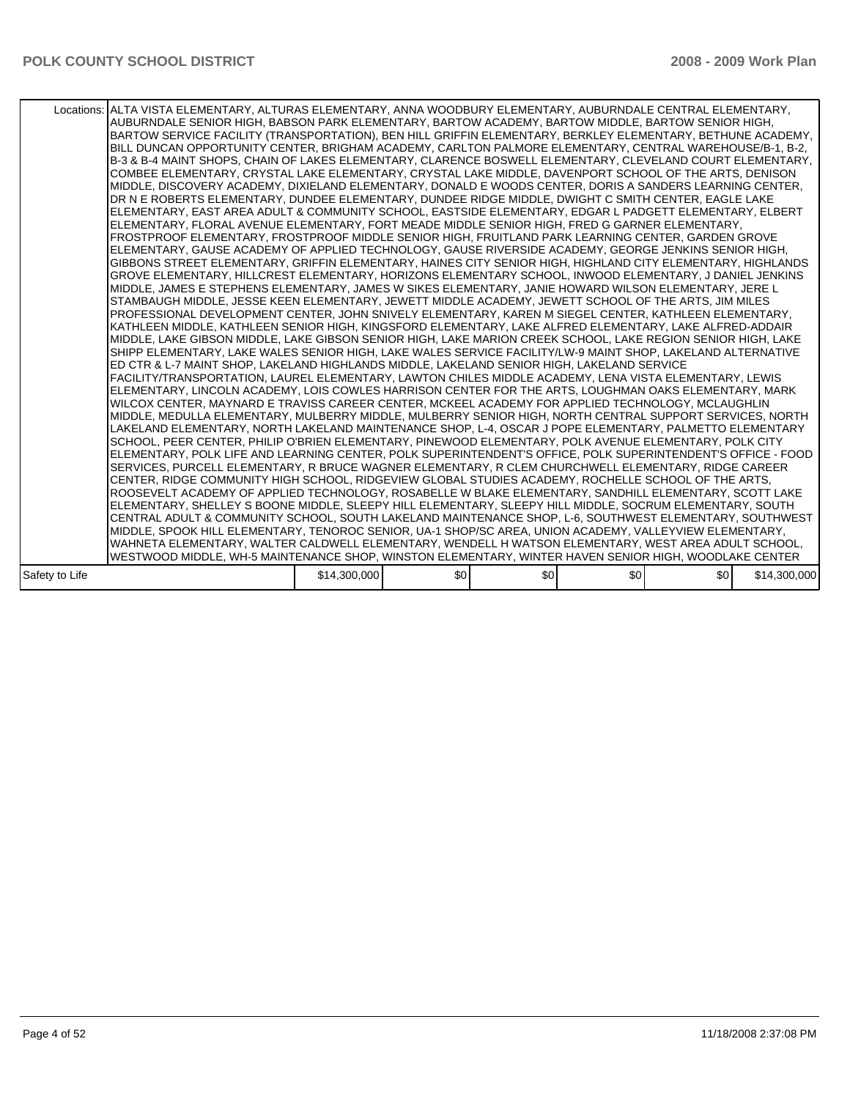|                | Locations: ALTA VISTA ELEMENTARY, ALTURAS ELEMENTARY, ANNA WOODBURY ELEMENTARY, AUBURNDALE CENTRAL ELEMENTARY,<br>AUBURNDALE SENIOR HIGH, BABSON PARK ELEMENTARY, BARTOW ACADEMY, BARTOW MIDDLE, BARTOW SENIOR HIGH,<br>BARTOW SERVICE FACILITY (TRANSPORTATION), BEN HILL GRIFFIN ELEMENTARY, BERKLEY ELEMENTARY, BETHUNE ACADEMY,<br>BILL DUNCAN OPPORTUNITY CENTER, BRIGHAM ACADEMY, CARLTON PALMORE ELEMENTARY, CENTRAL WAREHOUSE/B-1, B-2,<br>B-3 & B-4 MAINT SHOPS, CHAIN OF LAKES ELEMENTARY, CLARENCE BOSWELL ELEMENTARY, CLEVELAND COURT ELEMENTARY,<br>COMBEE ELEMENTARY, CRYSTAL LAKE ELEMENTARY, CRYSTAL LAKE MIDDLE, DAVENPORT SCHOOL OF THE ARTS, DENISON<br>MIDDLE, DISCOVERY ACADEMY, DIXIELAND ELEMENTARY, DONALD E WOODS CENTER, DORIS A SANDERS LEARNING CENTER.<br>DR N E ROBERTS ELEMENTARY, DUNDEE ELEMENTARY, DUNDEE RIDGE MIDDLE, DWIGHT C SMITH CENTER, EAGLE LAKE<br>IELEMENTARY. EAST AREA ADULT & COMMUNITY SCHOOL. EASTSIDE ELEMENTARY. EDGAR L PADGETT ELEMENTARY. ELBERT<br>ELEMENTARY, FLORAL AVENUE ELEMENTARY, FORT MEADE MIDDLE SENIOR HIGH, FRED G GARNER ELEMENTARY,<br>FROSTPROOF ELEMENTARY. FROSTPROOF MIDDLE SENIOR HIGH. FRUITLAND PARK LEARNING CENTER. GARDEN GROVE<br>ELEMENTARY, GAUSE ACADEMY OF APPLIED TECHNOLOGY, GAUSE RIVERSIDE ACADEMY, GEORGE JENKINS SENIOR HIGH,<br>GIBBONS STREET ELEMENTARY. GRIFFIN ELEMENTARY. HAINES CITY SENIOR HIGH. HIGHLAND CITY ELEMENTARY. HIGHLANDS<br>GROVE ELEMENTARY, HILLCREST ELEMENTARY, HORIZONS ELEMENTARY SCHOOL, INWOOD ELEMENTARY, J DANIEL JENKINS<br>MIDDLE, JAMES E STEPHENS ELEMENTARY, JAMES W SIKES ELEMENTARY, JANIE HOWARD WILSON ELEMENTARY, JERE L<br>STAMBAUGH MIDDLE, JESSE KEEN ELEMENTARY, JEWETT MIDDLE ACADEMY, JEWETT SCHOOL OF THE ARTS, JIM MILES<br>PROFESSIONAL DEVELOPMENT CENTER, JOHN SNIVELY ELEMENTARY, KAREN M SIEGEL CENTER, KATHLEEN ELEMENTARY,<br>KATHLEEN MIDDLE, KATHLEEN SENIOR HIGH, KINGSFORD ELEMENTARY, LAKE ALFRED ELEMENTARY, LAKE ALFRED-ADDAIR<br>MIDDLE, LAKE GIBSON MIDDLE, LAKE GIBSON SENIOR HIGH, LAKE MARION CREEK SCHOOL, LAKE REGION SENIOR HIGH, LAKE<br>SHIPP ELEMENTARY, LAKE WALES SENIOR HIGH, LAKE WALES SERVICE FACILITY/LW-9 MAINT SHOP, LAKELAND ALTERNATIVE<br>ED CTR & L-7 MAINT SHOP, LAKELAND HIGHLANDS MIDDLE, LAKELAND SENIOR HIGH, LAKELAND SERVICE<br>FACILITY/TRANSPORTATION, LAUREL ELEMENTARY, LAWTON CHILES MIDDLE ACADEMY, LENA VISTA ELEMENTARY, LEWIS<br>ELEMENTARY, LINCOLN ACADEMY, LOIS COWLES HARRISON CENTER FOR THE ARTS, LOUGHMAN OAKS ELEMENTARY, MARK<br>WILCOX CENTER, MAYNARD E TRAVISS CAREER CENTER, MCKEEL ACADEMY FOR APPLIED TECHNOLOGY, MCLAUGHLIN<br>MIDDLE, MEDULLA ELEMENTARY, MULBERRY MIDDLE, MULBERRY SENIOR HIGH, NORTH CENTRAL SUPPORT SERVICES, NORTH<br>LAKELAND ELEMENTARY, NORTH LAKELAND MAINTENANCE SHOP, L-4, OSCAR J POPE ELEMENTARY, PALMETTO ELEMENTARY<br>SCHOOL, PEER CENTER, PHILIP O'BRIEN ELEMENTARY, PINEWOOD ELEMENTARY, POLK AVENUE ELEMENTARY, POLK CITY<br>ELEMENTARY, POLK LIFE AND LEARNING CENTER, POLK SUPERINTENDENT'S OFFICE, POLK SUPERINTENDENT'S OFFICE - FOOD<br>SERVICES, PURCELL ELEMENTARY, R BRUCE WAGNER ELEMENTARY, R CLEM CHURCHWELL ELEMENTARY, RIDGE CAREER<br>CENTER, RIDGE COMMUNITY HIGH SCHOOL, RIDGEVIEW GLOBAL STUDIES ACADEMY, ROCHELLE SCHOOL OF THE ARTS,<br>ROOSEVELT ACADEMY OF APPLIED TECHNOLOGY, ROSABELLE W BLAKE ELEMENTARY, SANDHILL ELEMENTARY, SCOTT LAKE<br>ELEMENTARY, SHELLEY S BOONE MIDDLE, SLEEPY HILL ELEMENTARY, SLEEPY HILL MIDDLE, SOCRUM ELEMENTARY, SOUTH<br>CENTRAL ADULT & COMMUNITY SCHOOL, SOUTH LAKELAND MAINTENANCE SHOP, L-6, SOUTHWEST ELEMENTARY, SOUTHWEST<br>MIDDLE, SPOOK HILL ELEMENTARY, TENOROC SENIOR, UA-1 SHOP/SC AREA, UNION ACADEMY, VALLEYVIEW ELEMENTARY,<br>WAHNETA ELEMENTARY, WALTER CALDWELL ELEMENTARY, WENDELL H WATSON ELEMENTARY, WEST AREA ADULT SCHOOL, |              |     |     |     |     |              |
|----------------|-----------------------------------------------------------------------------------------------------------------------------------------------------------------------------------------------------------------------------------------------------------------------------------------------------------------------------------------------------------------------------------------------------------------------------------------------------------------------------------------------------------------------------------------------------------------------------------------------------------------------------------------------------------------------------------------------------------------------------------------------------------------------------------------------------------------------------------------------------------------------------------------------------------------------------------------------------------------------------------------------------------------------------------------------------------------------------------------------------------------------------------------------------------------------------------------------------------------------------------------------------------------------------------------------------------------------------------------------------------------------------------------------------------------------------------------------------------------------------------------------------------------------------------------------------------------------------------------------------------------------------------------------------------------------------------------------------------------------------------------------------------------------------------------------------------------------------------------------------------------------------------------------------------------------------------------------------------------------------------------------------------------------------------------------------------------------------------------------------------------------------------------------------------------------------------------------------------------------------------------------------------------------------------------------------------------------------------------------------------------------------------------------------------------------------------------------------------------------------------------------------------------------------------------------------------------------------------------------------------------------------------------------------------------------------------------------------------------------------------------------------------------------------------------------------------------------------------------------------------------------------------------------------------------------------------------------------------------------------------------------------------------------------------------------------------------------------------------------------------------------------------------------------------------------------------------------------------------------------------------------------------------------------------------------------------------------------------------------------------------------------------------------------------------------------------------------------------------------------------------------------------------------------------------------------------------------------------------------------------------------------------------------------------------------------------------------------------------------------------------------------------------------------------------------------------------------------------------------------------------|--------------|-----|-----|-----|-----|--------------|
|                | WESTWOOD MIDDLE, WH-5 MAINTENANCE SHOP, WINSTON ELEMENTARY, WINTER HAVEN SENIOR HIGH, WOODLAKE CENTER                                                                                                                                                                                                                                                                                                                                                                                                                                                                                                                                                                                                                                                                                                                                                                                                                                                                                                                                                                                                                                                                                                                                                                                                                                                                                                                                                                                                                                                                                                                                                                                                                                                                                                                                                                                                                                                                                                                                                                                                                                                                                                                                                                                                                                                                                                                                                                                                                                                                                                                                                                                                                                                                                                                                                                                                                                                                                                                                                                                                                                                                                                                                                                                                                                                                                                                                                                                                                                                                                                                                                                                                                                                                                                                                                           |              |     |     |     |     |              |
| Safety to Life |                                                                                                                                                                                                                                                                                                                                                                                                                                                                                                                                                                                                                                                                                                                                                                                                                                                                                                                                                                                                                                                                                                                                                                                                                                                                                                                                                                                                                                                                                                                                                                                                                                                                                                                                                                                                                                                                                                                                                                                                                                                                                                                                                                                                                                                                                                                                                                                                                                                                                                                                                                                                                                                                                                                                                                                                                                                                                                                                                                                                                                                                                                                                                                                                                                                                                                                                                                                                                                                                                                                                                                                                                                                                                                                                                                                                                                                                 | \$14,300,000 | \$0 | \$0 | \$0 | \$0 | \$14,300,000 |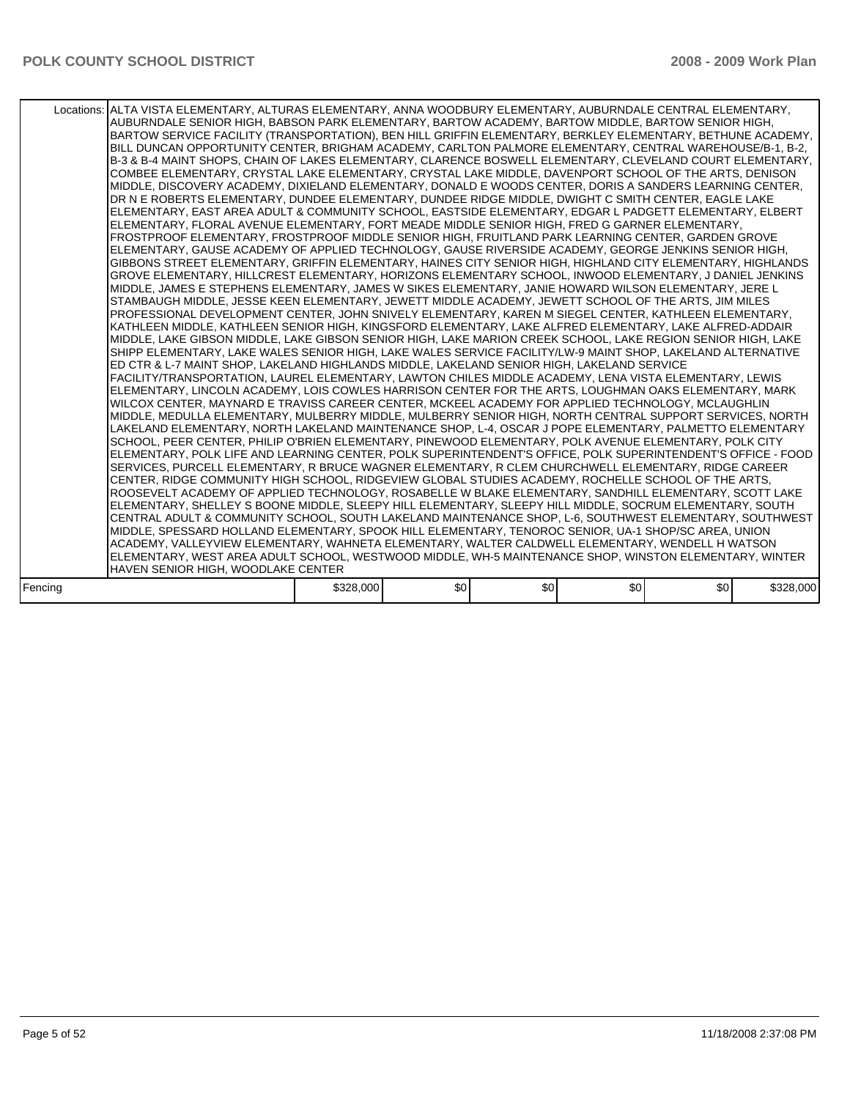|         | Locations: ALTA VISTA ELEMENTARY, ALTURAS ELEMENTARY, ANNA WOODBURY ELEMENTARY, AUBURNDALE CENTRAL ELEMENTARY,<br>AUBURNDALE SENIOR HIGH, BABSON PARK ELEMENTARY, BARTOW ACADEMY, BARTOW MIDDLE, BARTOW SENIOR HIGH,<br>BARTOW SERVICE FACILITY (TRANSPORTATION), BEN HILL GRIFFIN ELEMENTARY, BERKLEY ELEMENTARY, BETHUNE ACADEMY,<br>BILL DUNCAN OPPORTUNITY CENTER, BRIGHAM ACADEMY, CARLTON PALMORE ELEMENTARY, CENTRAL WAREHOUSE/B-1, B-2,<br>B-3 & B-4 MAINT SHOPS, CHAIN OF LAKES ELEMENTARY, CLARENCE BOSWELL ELEMENTARY, CLEVELAND COURT ELEMENTARY,<br>COMBEE ELEMENTARY, CRYSTAL LAKE ELEMENTARY, CRYSTAL LAKE MIDDLE, DAVENPORT SCHOOL OF THE ARTS, DENISON<br>MIDDLE, DISCOVERY ACADEMY, DIXIELAND ELEMENTARY, DONALD E WOODS CENTER, DORIS A SANDERS LEARNING CENTER,<br>DR N E ROBERTS ELEMENTARY, DUNDEE ELEMENTARY, DUNDEE RIDGE MIDDLE, DWIGHT C SMITH CENTER, EAGLE LAKE<br>ELEMENTARY. EAST AREA ADULT & COMMUNITY SCHOOL. EASTSIDE ELEMENTARY. EDGAR L PADGETT ELEMENTARY. ELBERT<br>ELEMENTARY, FLORAL AVENUE ELEMENTARY, FORT MEADE MIDDLE SENIOR HIGH, FRED G GARNER ELEMENTARY,<br>FROSTPROOF ELEMENTARY, FROSTPROOF MIDDLE SENIOR HIGH, FRUITLAND PARK LEARNING CENTER, GARDEN GROVE<br>ELEMENTARY, GAUSE ACADEMY OF APPLIED TECHNOLOGY, GAUSE RIVERSIDE ACADEMY, GEORGE JENKINS SENIOR HIGH,<br>GIBBONS STREET ELEMENTARY, GRIFFIN ELEMENTARY, HAINES CITY SENIOR HIGH, HIGHLAND CITY ELEMENTARY, HIGHLANDS<br>GROVE ELEMENTARY, HILLCREST ELEMENTARY, HORIZONS ELEMENTARY SCHOOL, INWOOD ELEMENTARY, J DANIEL JENKINS<br>MIDDLE, JAMES E STEPHENS ELEMENTARY, JAMES W SIKES ELEMENTARY, JANIE HOWARD WILSON ELEMENTARY, JERE L<br>STAMBAUGH MIDDLE, JESSE KEEN ELEMENTARY, JEWETT MIDDLE ACADEMY, JEWETT SCHOOL OF THE ARTS, JIM MILES<br>PROFESSIONAL DEVELOPMENT CENTER, JOHN SNIVELY ELEMENTARY, KAREN M SIEGEL CENTER, KATHLEEN ELEMENTARY,<br>KATHLEEN MIDDLE. KATHLEEN SENIOR HIGH, KINGSFORD ELEMENTARY, LAKE ALFRED ELEMENTARY, LAKE ALFRED-ADDAIR<br>MIDDLE, LAKE GIBSON MIDDLE, LAKE GIBSON SENIOR HIGH, LAKE MARION CREEK SCHOOL, LAKE REGION SENIOR HIGH, LAKE<br>SHIPP ELEMENTARY. LAKE WALES SENIOR HIGH, LAKE WALES SERVICE FACILITY/LW-9 MAINT SHOP, LAKELAND ALTERNATIVE<br>ED CTR & L-7 MAINT SHOP, LAKELAND HIGHLANDS MIDDLE, LAKELAND SENIOR HIGH, LAKELAND SERVICE<br>FACILITY/TRANSPORTATION, LAUREL ELEMENTARY, LAWTON CHILES MIDDLE ACADEMY, LENA VISTA ELEMENTARY, LEWIS<br>ELEMENTARY, LINCOLN ACADEMY, LOIS COWLES HARRISON CENTER FOR THE ARTS, LOUGHMAN OAKS ELEMENTARY, MARK<br>WILCOX CENTER, MAYNARD E TRAVISS CAREER CENTER, MCKEEL ACADEMY FOR APPLIED TECHNOLOGY, MCLAUGHLIN<br>MIDDLE, MEDULLA ELEMENTARY, MULBERRY MIDDLE, MULBERRY SENIOR HIGH, NORTH CENTRAL SUPPORT SERVICES, NORTH<br>LAKELAND ELEMENTARY, NORTH LAKELAND MAINTENANCE SHOP, L-4, OSCAR J POPE ELEMENTARY, PALMETTO ELEMENTARY<br>SCHOOL, PEER CENTER, PHILIP O'BRIEN ELEMENTARY, PINEWOOD ELEMENTARY, POLK AVENUE ELEMENTARY, POLK CITY<br>ELEMENTARY, POLK LIFE AND LEARNING CENTER, POLK SUPERINTENDENT'S OFFICE, POLK SUPERINTENDENT'S OFFICE - FOOD<br>SERVICES, PURCELL ELEMENTARY, R BRUCE WAGNER ELEMENTARY, R CLEM CHURCHWELL ELEMENTARY, RIDGE CAREER<br>CENTER, RIDGE COMMUNITY HIGH SCHOOL, RIDGEVIEW GLOBAL STUDIES ACADEMY, ROCHELLE SCHOOL OF THE ARTS,<br>ROOSEVELT ACADEMY OF APPLIED TECHNOLOGY. ROSABELLE W BLAKE ELEMENTARY. SANDHILL ELEMENTARY. SCOTT LAKE<br>ELEMENTARY, SHELLEY S BOONE MIDDLE, SLEEPY HILL ELEMENTARY, SLEEPY HILL MIDDLE, SOCRUM ELEMENTARY, SOUTH<br>CENTRAL ADULT & COMMUNITY SCHOOL, SOUTH LAKELAND MAINTENANCE SHOP, L-6, SOUTHWEST ELEMENTARY, SOUTHWEST<br>MIDDLE, SPESSARD HOLLAND ELEMENTARY, SPOOK HILL ELEMENTARY, TENOROC SENIOR, UA-1 SHOP/SC AREA, UNION<br>ACADEMY, VALLEYVIEW ELEMENTARY, WAHNETA ELEMENTARY, WALTER CALDWELL ELEMENTARY, WENDELL H WATSON<br>ELEMENTARY, WEST AREA ADULT SCHOOL, WESTWOOD MIDDLE, WH-5 MAINTENANCE SHOP, WINSTON ELEMENTARY, WINTER<br>HAVEN SENIOR HIGH, WOODLAKE CENTER |           |     |     |                  |     |           |
|---------|---------------------------------------------------------------------------------------------------------------------------------------------------------------------------------------------------------------------------------------------------------------------------------------------------------------------------------------------------------------------------------------------------------------------------------------------------------------------------------------------------------------------------------------------------------------------------------------------------------------------------------------------------------------------------------------------------------------------------------------------------------------------------------------------------------------------------------------------------------------------------------------------------------------------------------------------------------------------------------------------------------------------------------------------------------------------------------------------------------------------------------------------------------------------------------------------------------------------------------------------------------------------------------------------------------------------------------------------------------------------------------------------------------------------------------------------------------------------------------------------------------------------------------------------------------------------------------------------------------------------------------------------------------------------------------------------------------------------------------------------------------------------------------------------------------------------------------------------------------------------------------------------------------------------------------------------------------------------------------------------------------------------------------------------------------------------------------------------------------------------------------------------------------------------------------------------------------------------------------------------------------------------------------------------------------------------------------------------------------------------------------------------------------------------------------------------------------------------------------------------------------------------------------------------------------------------------------------------------------------------------------------------------------------------------------------------------------------------------------------------------------------------------------------------------------------------------------------------------------------------------------------------------------------------------------------------------------------------------------------------------------------------------------------------------------------------------------------------------------------------------------------------------------------------------------------------------------------------------------------------------------------------------------------------------------------------------------------------------------------------------------------------------------------------------------------------------------------------------------------------------------------------------------------------------------------------------------------------------------------------------------------------------------------------------------------------------------------------------------------------------------------------------------------------------------------------------------------------------------------------------------------------------------------------------------------------------------------------------------------------------------|-----------|-----|-----|------------------|-----|-----------|
| Fencina |                                                                                                                                                                                                                                                                                                                                                                                                                                                                                                                                                                                                                                                                                                                                                                                                                                                                                                                                                                                                                                                                                                                                                                                                                                                                                                                                                                                                                                                                                                                                                                                                                                                                                                                                                                                                                                                                                                                                                                                                                                                                                                                                                                                                                                                                                                                                                                                                                                                                                                                                                                                                                                                                                                                                                                                                                                                                                                                                                                                                                                                                                                                                                                                                                                                                                                                                                                                                                                                                                                                                                                                                                                                                                                                                                                                                                                                                                                                                                                                                         | \$328,000 | \$0 | \$0 | \$0 <sub>1</sub> | \$0 | \$328,000 |
|         |                                                                                                                                                                                                                                                                                                                                                                                                                                                                                                                                                                                                                                                                                                                                                                                                                                                                                                                                                                                                                                                                                                                                                                                                                                                                                                                                                                                                                                                                                                                                                                                                                                                                                                                                                                                                                                                                                                                                                                                                                                                                                                                                                                                                                                                                                                                                                                                                                                                                                                                                                                                                                                                                                                                                                                                                                                                                                                                                                                                                                                                                                                                                                                                                                                                                                                                                                                                                                                                                                                                                                                                                                                                                                                                                                                                                                                                                                                                                                                                                         |           |     |     |                  |     |           |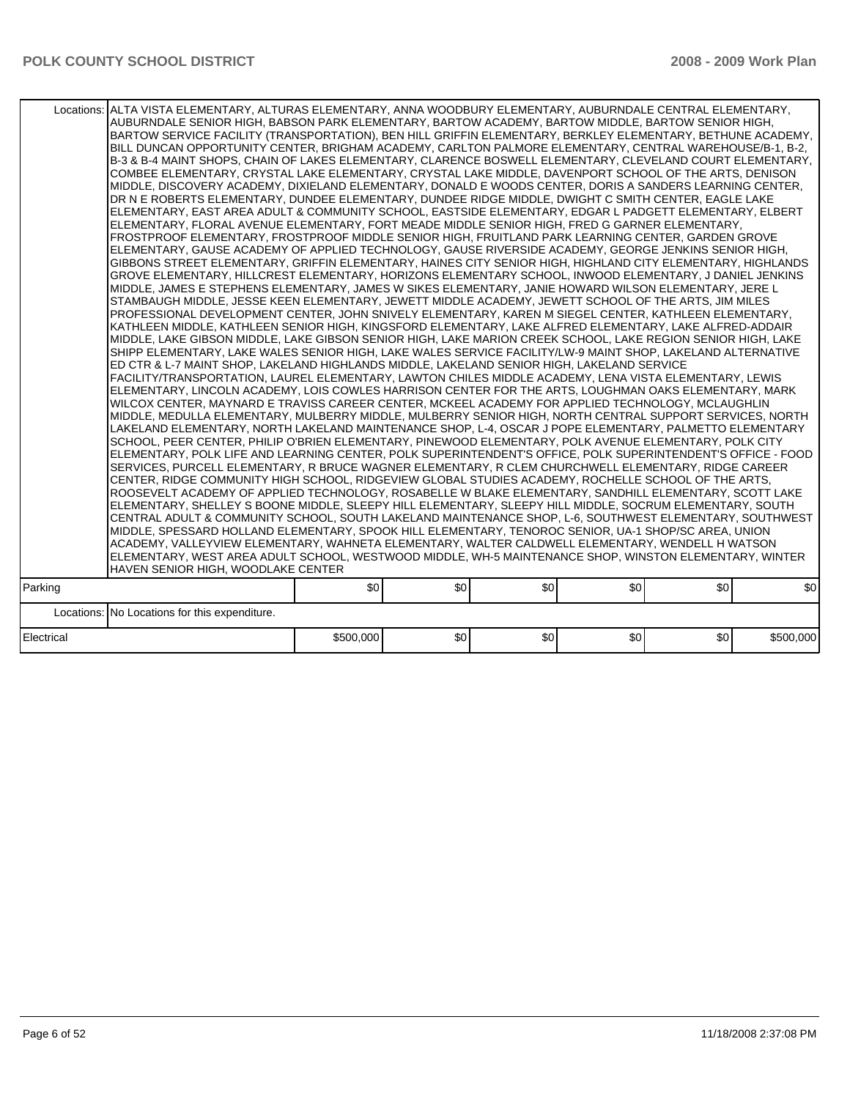|            | Locations: ALTA VISTA ELEMENTARY, ALTURAS ELEMENTARY, ANNA WOODBURY ELEMENTARY, AUBURNDALE CENTRAL ELEMENTARY,<br>AUBURNDALE SENIOR HIGH, BABSON PARK ELEMENTARY, BARTOW ACADEMY, BARTOW MIDDLE, BARTOW SENIOR HIGH,<br>BARTOW SERVICE FACILITY (TRANSPORTATION), BEN HILL GRIFFIN ELEMENTARY, BERKLEY ELEMENTARY, BETHUNE ACADEMY,<br>BILL DUNCAN OPPORTUNITY CENTER, BRIGHAM ACADEMY, CARLTON PALMORE ELEMENTARY, CENTRAL WAREHOUSE/B-1, B-2,<br>B-3 & B-4 MAINT SHOPS, CHAIN OF LAKES ELEMENTARY, CLARENCE BOSWELL ELEMENTARY, CLEVELAND COURT ELEMENTARY,<br>COMBEE ELEMENTARY, CRYSTAL LAKE ELEMENTARY, CRYSTAL LAKE MIDDLE, DAVENPORT SCHOOL OF THE ARTS, DENISON<br>MIDDLE, DISCOVERY ACADEMY, DIXIELAND ELEMENTARY, DONALD E WOODS CENTER, DORIS A SANDERS LEARNING CENTER,<br>DR N E ROBERTS ELEMENTARY, DUNDEE ELEMENTARY, DUNDEE RIDGE MIDDLE, DWIGHT C SMITH CENTER, EAGLE LAKE<br>ELEMENTARY, EAST AREA ADULT & COMMUNITY SCHOOL, EASTSIDE ELEMENTARY, EDGAR L PADGETT ELEMENTARY, ELBERT<br>ELEMENTARY, FLORAL AVENUE ELEMENTARY, FORT MEADE MIDDLE SENIOR HIGH, FRED G GARNER ELEMENTARY,<br>FROSTPROOF ELEMENTARY, FROSTPROOF MIDDLE SENIOR HIGH, FRUITLAND PARK LEARNING CENTER, GARDEN GROVE<br>ELEMENTARY, GAUSE ACADEMY OF APPLIED TECHNOLOGY, GAUSE RIVERSIDE ACADEMY, GEORGE JENKINS SENIOR HIGH,<br>GIBBONS STREET ELEMENTARY, GRIFFIN ELEMENTARY, HAINES CITY SENIOR HIGH, HIGHLAND CITY ELEMENTARY, HIGHLANDS<br>GROVE ELEMENTARY, HILLCREST ELEMENTARY, HORIZONS ELEMENTARY SCHOOL, INWOOD ELEMENTARY, J DANIEL JENKINS<br>MIDDLE, JAMES E STEPHENS ELEMENTARY, JAMES W SIKES ELEMENTARY, JANIE HOWARD WILSON ELEMENTARY, JERE L<br>STAMBAUGH MIDDLE, JESSE KEEN ELEMENTARY, JEWETT MIDDLE ACADEMY, JEWETT SCHOOL OF THE ARTS, JIM MILES<br>PROFESSIONAL DEVELOPMENT CENTER, JOHN SNIVELY ELEMENTARY, KAREN M SIEGEL CENTER, KATHLEEN ELEMENTARY,<br>KATHLEEN MIDDLE, KATHLEEN SENIOR HIGH, KINGSFORD ELEMENTARY, LAKE ALFRED ELEMENTARY, LAKE ALFRED-ADDAIR<br>MIDDLE, LAKE GIBSON MIDDLE, LAKE GIBSON SENIOR HIGH, LAKE MARION CREEK SCHOOL, LAKE REGION SENIOR HIGH, LAKE<br>SHIPP ELEMENTARY, LAKE WALES SENIOR HIGH, LAKE WALES SERVICE FACILITY/LW-9 MAINT SHOP, LAKELAND ALTERNATIVE<br>ED CTR & L-7 MAINT SHOP, LAKELAND HIGHLANDS MIDDLE, LAKELAND SENIOR HIGH, LAKELAND SERVICE<br>FACILITY/TRANSPORTATION, LAUREL ELEMENTARY, LAWTON CHILES MIDDLE ACADEMY, LENA VISTA ELEMENTARY, LEWIS<br>ELEMENTARY, LINCOLN ACADEMY, LOIS COWLES HARRISON CENTER FOR THE ARTS, LOUGHMAN OAKS ELEMENTARY, MARK<br>WILCOX CENTER. MAYNARD E TRAVISS CAREER CENTER. MCKEEL ACADEMY FOR APPLIED TECHNOLOGY. MCLAUGHLIN<br>MIDDLE, MEDULLA ELEMENTARY, MULBERRY MIDDLE, MULBERRY SENIOR HIGH, NORTH CENTRAL SUPPORT SERVICES, NORTH<br>LAKELAND ELEMENTARY, NORTH LAKELAND MAINTENANCE SHOP, L-4, OSCAR J POPE ELEMENTARY, PALMETTO ELEMENTARY<br>SCHOOL, PEER CENTER, PHILIP O'BRIEN ELEMENTARY, PINEWOOD ELEMENTARY, POLK AVENUE ELEMENTARY, POLK CITY<br>ELEMENTARY, POLK LIFE AND LEARNING CENTER, POLK SUPERINTENDENT'S OFFICE, POLK SUPERINTENDENT'S OFFICE - FOOD<br>SERVICES, PURCELL ELEMENTARY, R BRUCE WAGNER ELEMENTARY, R CLEM CHURCHWELL ELEMENTARY, RIDGE CAREER<br>CENTER, RIDGE COMMUNITY HIGH SCHOOL, RIDGEVIEW GLOBAL STUDIES ACADEMY, ROCHELLE SCHOOL OF THE ARTS,<br>ROOSEVELT ACADEMY OF APPLIED TECHNOLOGY, ROSABELLE W BLAKE ELEMENTARY, SANDHILL ELEMENTARY, SCOTT LAKE<br>ELEMENTARY, SHELLEY S BOONE MIDDLE, SLEEPY HILL ELEMENTARY, SLEEPY HILL MIDDLE, SOCRUM ELEMENTARY, SOUTH<br>CENTRAL ADULT & COMMUNITY SCHOOL, SOUTH LAKELAND MAINTENANCE SHOP, L-6, SOUTHWEST ELEMENTARY, SOUTHWEST<br>MIDDLE, SPESSARD HOLLAND ELEMENTARY, SPOOK HILL ELEMENTARY, TENOROC SENIOR, UA-1 SHOP/SC AREA, UNION<br>ACADEMY, VALLEYVIEW ELEMENTARY, WAHNETA ELEMENTARY, WALTER CALDWELL ELEMENTARY, WENDELL H WATSON<br>ELEMENTARY, WEST AREA ADULT SCHOOL, WESTWOOD MIDDLE, WH-5 MAINTENANCE SHOP, WINSTON ELEMENTARY, WINTER<br>HAVEN SENIOR HIGH, WOODLAKE CENTER |           |     |     |     |     |           |
|------------|---------------------------------------------------------------------------------------------------------------------------------------------------------------------------------------------------------------------------------------------------------------------------------------------------------------------------------------------------------------------------------------------------------------------------------------------------------------------------------------------------------------------------------------------------------------------------------------------------------------------------------------------------------------------------------------------------------------------------------------------------------------------------------------------------------------------------------------------------------------------------------------------------------------------------------------------------------------------------------------------------------------------------------------------------------------------------------------------------------------------------------------------------------------------------------------------------------------------------------------------------------------------------------------------------------------------------------------------------------------------------------------------------------------------------------------------------------------------------------------------------------------------------------------------------------------------------------------------------------------------------------------------------------------------------------------------------------------------------------------------------------------------------------------------------------------------------------------------------------------------------------------------------------------------------------------------------------------------------------------------------------------------------------------------------------------------------------------------------------------------------------------------------------------------------------------------------------------------------------------------------------------------------------------------------------------------------------------------------------------------------------------------------------------------------------------------------------------------------------------------------------------------------------------------------------------------------------------------------------------------------------------------------------------------------------------------------------------------------------------------------------------------------------------------------------------------------------------------------------------------------------------------------------------------------------------------------------------------------------------------------------------------------------------------------------------------------------------------------------------------------------------------------------------------------------------------------------------------------------------------------------------------------------------------------------------------------------------------------------------------------------------------------------------------------------------------------------------------------------------------------------------------------------------------------------------------------------------------------------------------------------------------------------------------------------------------------------------------------------------------------------------------------------------------------------------------------------------------------------------------------------------------------------------------------------------------------------------------------------------------------------|-----------|-----|-----|-----|-----|-----------|
| Parking    |                                                                                                                                                                                                                                                                                                                                                                                                                                                                                                                                                                                                                                                                                                                                                                                                                                                                                                                                                                                                                                                                                                                                                                                                                                                                                                                                                                                                                                                                                                                                                                                                                                                                                                                                                                                                                                                                                                                                                                                                                                                                                                                                                                                                                                                                                                                                                                                                                                                                                                                                                                                                                                                                                                                                                                                                                                                                                                                                                                                                                                                                                                                                                                                                                                                                                                                                                                                                                                                                                                                                                                                                                                                                                                                                                                                                                                                                                                                                                                                                         | \$0       | \$0 | \$0 | \$0 | \$0 | \$0       |
|            | Locations: No Locations for this expenditure.                                                                                                                                                                                                                                                                                                                                                                                                                                                                                                                                                                                                                                                                                                                                                                                                                                                                                                                                                                                                                                                                                                                                                                                                                                                                                                                                                                                                                                                                                                                                                                                                                                                                                                                                                                                                                                                                                                                                                                                                                                                                                                                                                                                                                                                                                                                                                                                                                                                                                                                                                                                                                                                                                                                                                                                                                                                                                                                                                                                                                                                                                                                                                                                                                                                                                                                                                                                                                                                                                                                                                                                                                                                                                                                                                                                                                                                                                                                                                           |           |     |     |     |     |           |
|            |                                                                                                                                                                                                                                                                                                                                                                                                                                                                                                                                                                                                                                                                                                                                                                                                                                                                                                                                                                                                                                                                                                                                                                                                                                                                                                                                                                                                                                                                                                                                                                                                                                                                                                                                                                                                                                                                                                                                                                                                                                                                                                                                                                                                                                                                                                                                                                                                                                                                                                                                                                                                                                                                                                                                                                                                                                                                                                                                                                                                                                                                                                                                                                                                                                                                                                                                                                                                                                                                                                                                                                                                                                                                                                                                                                                                                                                                                                                                                                                                         |           |     |     |     |     |           |
| Electrical |                                                                                                                                                                                                                                                                                                                                                                                                                                                                                                                                                                                                                                                                                                                                                                                                                                                                                                                                                                                                                                                                                                                                                                                                                                                                                                                                                                                                                                                                                                                                                                                                                                                                                                                                                                                                                                                                                                                                                                                                                                                                                                                                                                                                                                                                                                                                                                                                                                                                                                                                                                                                                                                                                                                                                                                                                                                                                                                                                                                                                                                                                                                                                                                                                                                                                                                                                                                                                                                                                                                                                                                                                                                                                                                                                                                                                                                                                                                                                                                                         | \$500,000 | \$0 | \$0 | \$0 | \$0 | \$500,000 |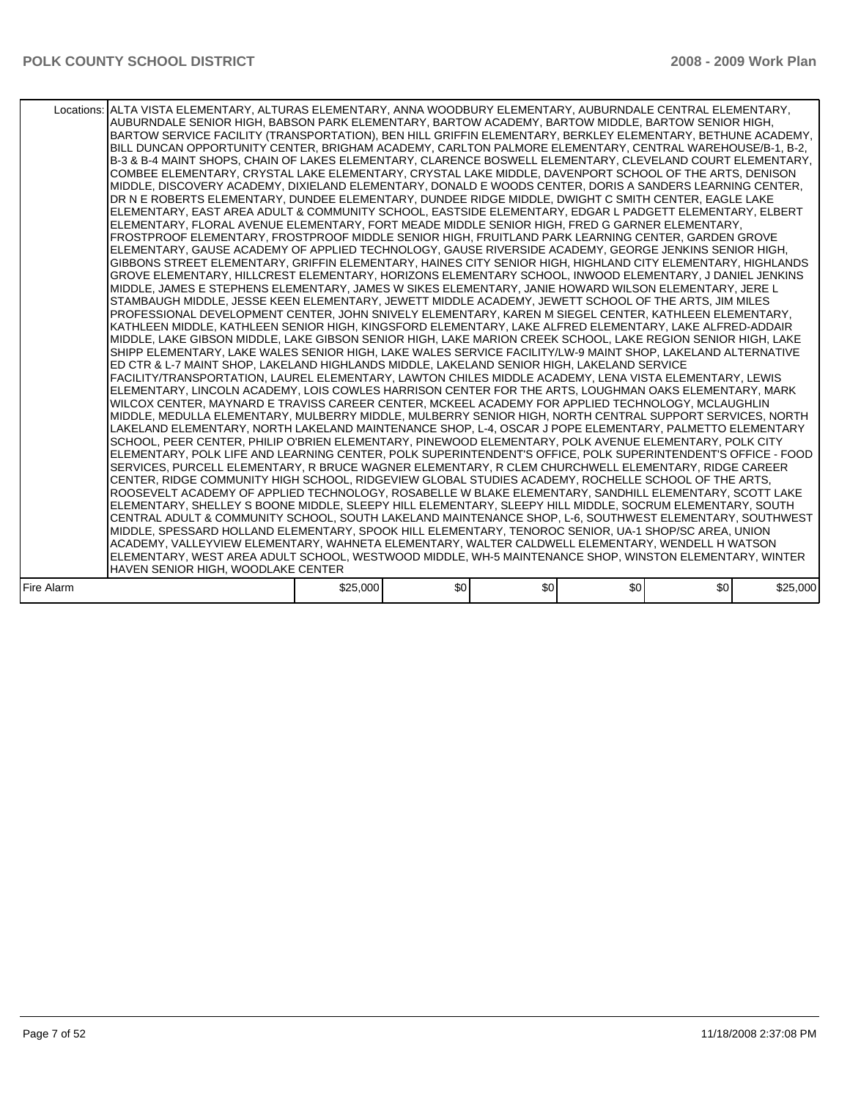| Locations: ALTA VISTA ELEMENTARY, ALTURAS ELEMENTARY, ANNA WOODBURY ELEMENTARY, AUBURNDALE CENTRAL ELEMENTARY,<br>AUBURNDALE SENIOR HIGH, BABSON PARK ELEMENTARY, BARTOW ACADEMY, BARTOW MIDDLE, BARTOW SENIOR HIGH,<br>BARTOW SERVICE FACILITY (TRANSPORTATION), BEN HILL GRIFFIN ELEMENTARY, BERKLEY ELEMENTARY, BETHUNE ACADEMY,<br>BILL DUNCAN OPPORTUNITY CENTER, BRIGHAM ACADEMY, CARLTON PALMORE ELEMENTARY, CENTRAL WAREHOUSE/B-1, B-2,<br>B-3 & B-4 MAINT SHOPS, CHAIN OF LAKES ELEMENTARY, CLARENCE BOSWELL ELEMENTARY, CLEVELAND COURT ELEMENTARY,<br>COMBEE ELEMENTARY, CRYSTAL LAKE ELEMENTARY, CRYSTAL LAKE MIDDLE, DAVENPORT SCHOOL OF THE ARTS, DENISON<br>MIDDLE, DISCOVERY ACADEMY, DIXIELAND ELEMENTARY, DONALD E WOODS CENTER, DORIS A SANDERS LEARNING CENTER,<br>DR N E ROBERTS ELEMENTARY, DUNDEE ELEMENTARY, DUNDEE RIDGE MIDDLE, DWIGHT C SMITH CENTER, EAGLE LAKE<br>ELEMENTARY. EAST AREA ADULT & COMMUNITY SCHOOL. EASTSIDE ELEMENTARY. EDGAR L PADGETT ELEMENTARY. ELBERT<br>ELEMENTARY, FLORAL AVENUE ELEMENTARY, FORT MEADE MIDDLE SENIOR HIGH, FRED G GARNER ELEMENTARY,<br>FROSTPROOF ELEMENTARY, FROSTPROOF MIDDLE SENIOR HIGH, FRUITLAND PARK LEARNING CENTER, GARDEN GROVE<br>ELEMENTARY, GAUSE ACADEMY OF APPLIED TECHNOLOGY, GAUSE RIVERSIDE ACADEMY, GEORGE JENKINS SENIOR HIGH,<br>GIBBONS STREET ELEMENTARY, GRIFFIN ELEMENTARY, HAINES CITY SENIOR HIGH, HIGHLAND CITY ELEMENTARY, HIGHLANDS<br>GROVE ELEMENTARY, HILLCREST ELEMENTARY, HORIZONS ELEMENTARY SCHOOL, INWOOD ELEMENTARY, J DANIEL JENKINS<br>MIDDLE, JAMES E STEPHENS ELEMENTARY, JAMES W SIKES ELEMENTARY, JANIE HOWARD WILSON ELEMENTARY, JERE L<br>STAMBAUGH MIDDLE, JESSE KEEN ELEMENTARY, JEWETT MIDDLE ACADEMY, JEWETT SCHOOL OF THE ARTS, JIM MILES<br>PROFESSIONAL DEVELOPMENT CENTER, JOHN SNIVELY ELEMENTARY, KAREN M SIEGEL CENTER, KATHLEEN ELEMENTARY,<br>KATHLEEN MIDDLE, KATHLEEN SENIOR HIGH, KINGSFORD ELEMENTARY, LAKE ALFRED ELEMENTARY, LAKE ALFRED-ADDAIR<br>MIDDLE, LAKE GIBSON MIDDLE, LAKE GIBSON SENIOR HIGH, LAKE MARION CREEK SCHOOL, LAKE REGION SENIOR HIGH, LAKE<br>SHIPP ELEMENTARY. LAKE WALES SENIOR HIGH, LAKE WALES SERVICE FACILITY/LW-9 MAINT SHOP, LAKELAND ALTERNATIVE<br>ED CTR & L-7 MAINT SHOP, LAKELAND HIGHLANDS MIDDLE, LAKELAND SENIOR HIGH, LAKELAND SERVICE<br>FACILITY/TRANSPORTATION, LAUREL ELEMENTARY, LAWTON CHILES MIDDLE ACADEMY, LENA VISTA ELEMENTARY, LEWIS<br>ELEMENTARY, LINCOLN ACADEMY, LOIS COWLES HARRISON CENTER FOR THE ARTS, LOUGHMAN OAKS ELEMENTARY, MARK<br>WILCOX CENTER, MAYNARD E TRAVISS CAREER CENTER, MCKEEL ACADEMY FOR APPLIED TECHNOLOGY, MCLAUGHLIN<br>MIDDLE, MEDULLA ELEMENTARY, MULBERRY MIDDLE, MULBERRY SENIOR HIGH, NORTH CENTRAL SUPPORT SERVICES, NORTH<br>LAKELAND ELEMENTARY, NORTH LAKELAND MAINTENANCE SHOP, L-4, OSCAR J POPE ELEMENTARY, PALMETTO ELEMENTARY<br>SCHOOL, PEER CENTER, PHILIP O'BRIEN ELEMENTARY, PINEWOOD ELEMENTARY, POLK AVENUE ELEMENTARY, POLK CITY<br>ELEMENTARY, POLK LIFE AND LEARNING CENTER, POLK SUPERINTENDENT'S OFFICE, POLK SUPERINTENDENT'S OFFICE - FOOD<br>SERVICES, PURCELL ELEMENTARY, R BRUCE WAGNER ELEMENTARY, R CLEM CHURCHWELL ELEMENTARY, RIDGE CAREER<br>CENTER, RIDGE COMMUNITY HIGH SCHOOL, RIDGEVIEW GLOBAL STUDIES ACADEMY, ROCHELLE SCHOOL OF THE ARTS,<br>ROOSEVELT ACADEMY OF APPLIED TECHNOLOGY. ROSABELLE W BLAKE ELEMENTARY. SANDHILL ELEMENTARY. SCOTT LAKE<br>ELEMENTARY, SHELLEY S BOONE MIDDLE, SLEEPY HILL ELEMENTARY, SLEEPY HILL MIDDLE, SOCRUM ELEMENTARY, SOUTH<br>CENTRAL ADULT & COMMUNITY SCHOOL, SOUTH LAKELAND MAINTENANCE SHOP, L-6, SOUTHWEST ELEMENTARY, SOUTHWEST<br>MIDDLE, SPESSARD HOLLAND ELEMENTARY, SPOOK HILL ELEMENTARY, TENOROC SENIOR, UA-1 SHOP/SC AREA, UNION<br>ACADEMY, VALLEYVIEW ELEMENTARY, WAHNETA ELEMENTARY, WALTER CALDWELL ELEMENTARY, WENDELL H WATSON<br>ELEMENTARY, WEST AREA ADULT SCHOOL, WESTWOOD MIDDLE, WH-5 MAINTENANCE SHOP, WINSTON ELEMENTARY, WINTER<br>HAVEN SENIOR HIGH, WOODLAKE CENTER |          |     |     |                  |     |          |
|---------------------------------------------------------------------------------------------------------------------------------------------------------------------------------------------------------------------------------------------------------------------------------------------------------------------------------------------------------------------------------------------------------------------------------------------------------------------------------------------------------------------------------------------------------------------------------------------------------------------------------------------------------------------------------------------------------------------------------------------------------------------------------------------------------------------------------------------------------------------------------------------------------------------------------------------------------------------------------------------------------------------------------------------------------------------------------------------------------------------------------------------------------------------------------------------------------------------------------------------------------------------------------------------------------------------------------------------------------------------------------------------------------------------------------------------------------------------------------------------------------------------------------------------------------------------------------------------------------------------------------------------------------------------------------------------------------------------------------------------------------------------------------------------------------------------------------------------------------------------------------------------------------------------------------------------------------------------------------------------------------------------------------------------------------------------------------------------------------------------------------------------------------------------------------------------------------------------------------------------------------------------------------------------------------------------------------------------------------------------------------------------------------------------------------------------------------------------------------------------------------------------------------------------------------------------------------------------------------------------------------------------------------------------------------------------------------------------------------------------------------------------------------------------------------------------------------------------------------------------------------------------------------------------------------------------------------------------------------------------------------------------------------------------------------------------------------------------------------------------------------------------------------------------------------------------------------------------------------------------------------------------------------------------------------------------------------------------------------------------------------------------------------------------------------------------------------------------------------------------------------------------------------------------------------------------------------------------------------------------------------------------------------------------------------------------------------------------------------------------------------------------------------------------------------------------------------------------------------------------------------------------------------------------------------------------------------------------------------------------------------|----------|-----|-----|------------------|-----|----------|
| Fire Alarm                                                                                                                                                                                                                                                                                                                                                                                                                                                                                                                                                                                                                                                                                                                                                                                                                                                                                                                                                                                                                                                                                                                                                                                                                                                                                                                                                                                                                                                                                                                                                                                                                                                                                                                                                                                                                                                                                                                                                                                                                                                                                                                                                                                                                                                                                                                                                                                                                                                                                                                                                                                                                                                                                                                                                                                                                                                                                                                                                                                                                                                                                                                                                                                                                                                                                                                                                                                                                                                                                                                                                                                                                                                                                                                                                                                                                                                                                                                                                                                              | \$25,000 | \$0 | \$0 | \$0 <sub>1</sub> | \$0 | \$25,000 |
|                                                                                                                                                                                                                                                                                                                                                                                                                                                                                                                                                                                                                                                                                                                                                                                                                                                                                                                                                                                                                                                                                                                                                                                                                                                                                                                                                                                                                                                                                                                                                                                                                                                                                                                                                                                                                                                                                                                                                                                                                                                                                                                                                                                                                                                                                                                                                                                                                                                                                                                                                                                                                                                                                                                                                                                                                                                                                                                                                                                                                                                                                                                                                                                                                                                                                                                                                                                                                                                                                                                                                                                                                                                                                                                                                                                                                                                                                                                                                                                                         |          |     |     |                  |     |          |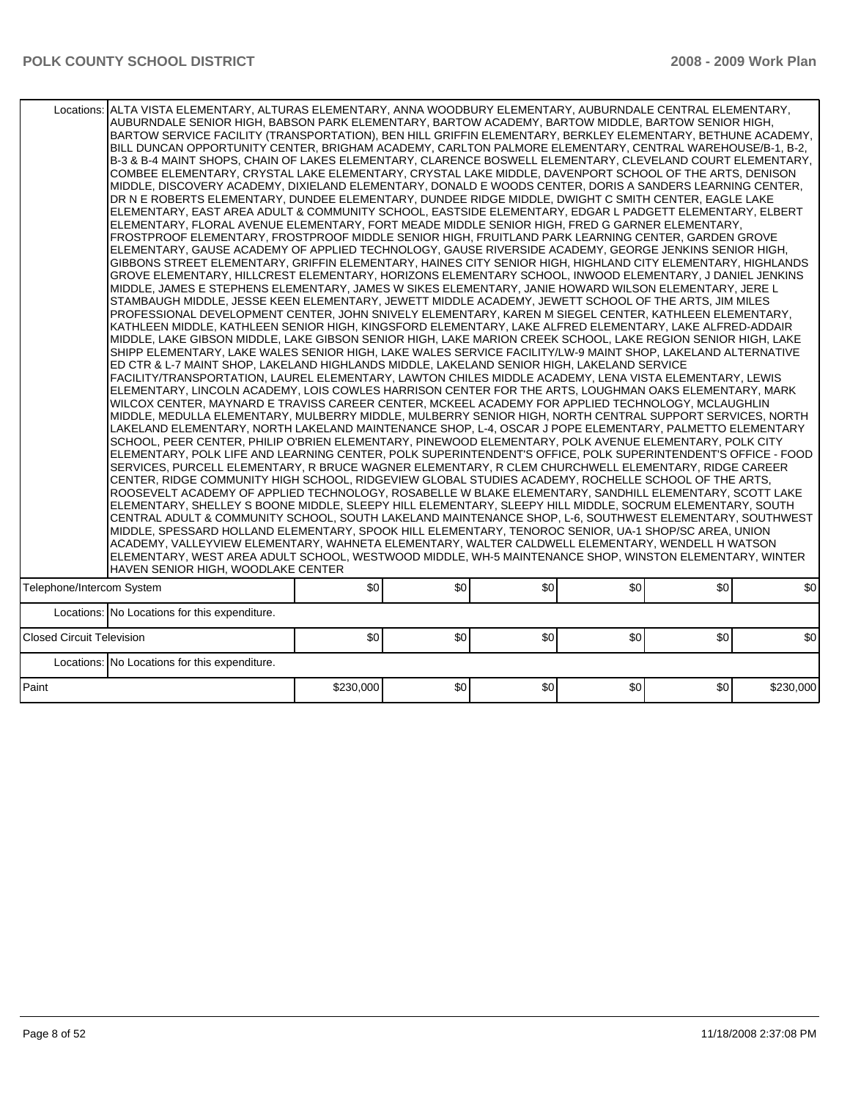|                                  | Locations: ALTA VISTA ELEMENTARY, ALTURAS ELEMENTARY, ANNA WOODBURY ELEMENTARY, AUBURNDALE CENTRAL ELEMENTARY,<br>AUBURNDALE SENIOR HIGH, BABSON PARK ELEMENTARY, BARTOW ACADEMY, BARTOW MIDDLE, BARTOW SENIOR HIGH,<br>BARTOW SERVICE FACILITY (TRANSPORTATION), BEN HILL GRIFFIN ELEMENTARY, BERKLEY ELEMENTARY, BETHUNE ACADEMY,<br>BILL DUNCAN OPPORTUNITY CENTER, BRIGHAM ACADEMY, CARLTON PALMORE ELEMENTARY, CENTRAL WAREHOUSE/B-1, B-2,<br>B-3 & B-4 MAINT SHOPS, CHAIN OF LAKES ELEMENTARY, CLARENCE BOSWELL ELEMENTARY, CLEVELAND COURT ELEMENTARY,<br>COMBEE ELEMENTARY, CRYSTAL LAKE ELEMENTARY, CRYSTAL LAKE MIDDLE, DAVENPORT SCHOOL OF THE ARTS, DENISON<br>MIDDLE, DISCOVERY ACADEMY, DIXIELAND ELEMENTARY, DONALD E WOODS CENTER, DORIS A SANDERS LEARNING CENTER,<br>DR N E ROBERTS ELEMENTARY, DUNDEE ELEMENTARY, DUNDEE RIDGE MIDDLE, DWIGHT C SMITH CENTER, EAGLE LAKE<br>ELEMENTARY, EAST AREA ADULT & COMMUNITY SCHOOL, EASTSIDE ELEMENTARY, EDGAR L PADGETT ELEMENTARY, ELBERT <br>ELEMENTARY, FLORAL AVENUE ELEMENTARY, FORT MEADE MIDDLE SENIOR HIGH, FRED G GARNER ELEMENTARY,<br>FROSTPROOF ELEMENTARY, FROSTPROOF MIDDLE SENIOR HIGH, FRUITLAND PARK LEARNING CENTER, GARDEN GROVE<br>ELEMENTARY, GAUSE ACADEMY OF APPLIED TECHNOLOGY, GAUSE RIVERSIDE ACADEMY, GEORGE JENKINS SENIOR HIGH,<br>GIBBONS STREET ELEMENTARY, GRIFFIN ELEMENTARY, HAINES CITY SENIOR HIGH, HIGHLAND CITY ELEMENTARY, HIGHLANDS<br>GROVE ELEMENTARY, HILLCREST ELEMENTARY, HORIZONS ELEMENTARY SCHOOL, INWOOD ELEMENTARY, J DANIEL JENKINS<br>MIDDLE, JAMES E STEPHENS ELEMENTARY, JAMES W SIKES ELEMENTARY, JANIE HOWARD WILSON ELEMENTARY, JERE L<br>STAMBAUGH MIDDLE, JESSE KEEN ELEMENTARY, JEWETT MIDDLE ACADEMY, JEWETT SCHOOL OF THE ARTS, JIM MILES<br>PROFESSIONAL DEVELOPMENT CENTER, JOHN SNIVELY ELEMENTARY, KAREN M SIEGEL CENTER, KATHLEEN ELEMENTARY,<br>KATHLEEN MIDDLE, KATHLEEN SENIOR HIGH, KINGSFORD ELEMENTARY, LAKE ALFRED ELEMENTARY, LAKE ALFRED-ADDAIR<br>MIDDLE, LAKE GIBSON MIDDLE, LAKE GIBSON SENIOR HIGH, LAKE MARION CREEK SCHOOL, LAKE REGION SENIOR HIGH, LAKE<br>SHIPP ELEMENTARY, LAKE WALES SENIOR HIGH, LAKE WALES SERVICE FACILITY/LW-9 MAINT SHOP, LAKELAND ALTERNATIVE<br>ED CTR & L-7 MAINT SHOP, LAKELAND HIGHLANDS MIDDLE, LAKELAND SENIOR HIGH, LAKELAND SERVICE<br>FACILITY/TRANSPORTATION, LAUREL ELEMENTARY, LAWTON CHILES MIDDLE ACADEMY, LENA VISTA ELEMENTARY, LEWIS<br>ELEMENTARY, LINCOLN ACADEMY, LOIS COWLES HARRISON CENTER FOR THE ARTS, LOUGHMAN OAKS ELEMENTARY, MARK<br>WILCOX CENTER, MAYNARD E TRAVISS CAREER CENTER, MCKEEL ACADEMY FOR APPLIED TECHNOLOGY, MCLAUGHLIN<br>MIDDLE, MEDULLA ELEMENTARY, MULBERRY MIDDLE, MULBERRY SENIOR HIGH, NORTH CENTRAL SUPPORT SERVICES, NORTH<br>LAKELAND ELEMENTARY, NORTH LAKELAND MAINTENANCE SHOP, L-4, OSCAR J POPE ELEMENTARY, PALMETTO ELEMENTARY<br>SCHOOL, PEER CENTER, PHILIP O'BRIEN ELEMENTARY, PINEWOOD ELEMENTARY, POLK AVENUE ELEMENTARY, POLK CITY<br> ELEMENTARY, POLK LIFE AND LEARNING CENTER, POLK SUPERINTENDENT'S OFFICE, POLK SUPERINTENDENT'S OFFICE - FOOD<br>SERVICES, PURCELL ELEMENTARY, R BRUCE WAGNER ELEMENTARY, R CLEM CHURCHWELL ELEMENTARY, RIDGE CAREER<br>CENTER, RIDGE COMMUNITY HIGH SCHOOL, RIDGEVIEW GLOBAL STUDIES ACADEMY, ROCHELLE SCHOOL OF THE ARTS,<br>ROOSEVELT ACADEMY OF APPLIED TECHNOLOGY, ROSABELLE W BLAKE ELEMENTARY, SANDHILL ELEMENTARY, SCOTT LAKE<br>ELEMENTARY, SHELLEY S BOONE MIDDLE, SLEEPY HILL ELEMENTARY, SLEEPY HILL MIDDLE, SOCRUM ELEMENTARY, SOUTH<br>CENTRAL ADULT & COMMUNITY SCHOOL, SOUTH LAKELAND MAINTENANCE SHOP, L-6, SOUTHWEST ELEMENTARY, SOUTHWEST<br>MIDDLE, SPESSARD HOLLAND ELEMENTARY, SPOOK HILL ELEMENTARY, TENOROC SENIOR, UA-1 SHOP/SC AREA, UNION<br>ACADEMY, VALLEYVIEW ELEMENTARY, WAHNETA ELEMENTARY, WALTER CALDWELL ELEMENTARY, WENDELL H WATSON <br>ELEMENTARY, WEST AREA ADULT SCHOOL, WESTWOOD MIDDLE, WH-5 MAINTENANCE SHOP, WINSTON ELEMENTARY, WINTER<br>HAVEN SENIOR HIGH, WOODLAKE CENTER |           |     |     |     |     |           |
|----------------------------------|------------------------------------------------------------------------------------------------------------------------------------------------------------------------------------------------------------------------------------------------------------------------------------------------------------------------------------------------------------------------------------------------------------------------------------------------------------------------------------------------------------------------------------------------------------------------------------------------------------------------------------------------------------------------------------------------------------------------------------------------------------------------------------------------------------------------------------------------------------------------------------------------------------------------------------------------------------------------------------------------------------------------------------------------------------------------------------------------------------------------------------------------------------------------------------------------------------------------------------------------------------------------------------------------------------------------------------------------------------------------------------------------------------------------------------------------------------------------------------------------------------------------------------------------------------------------------------------------------------------------------------------------------------------------------------------------------------------------------------------------------------------------------------------------------------------------------------------------------------------------------------------------------------------------------------------------------------------------------------------------------------------------------------------------------------------------------------------------------------------------------------------------------------------------------------------------------------------------------------------------------------------------------------------------------------------------------------------------------------------------------------------------------------------------------------------------------------------------------------------------------------------------------------------------------------------------------------------------------------------------------------------------------------------------------------------------------------------------------------------------------------------------------------------------------------------------------------------------------------------------------------------------------------------------------------------------------------------------------------------------------------------------------------------------------------------------------------------------------------------------------------------------------------------------------------------------------------------------------------------------------------------------------------------------------------------------------------------------------------------------------------------------------------------------------------------------------------------------------------------------------------------------------------------------------------------------------------------------------------------------------------------------------------------------------------------------------------------------------------------------------------------------------------------------------------------------------------------------------------------------------------------------------------------------------------------------------------------------------------------------------------|-----------|-----|-----|-----|-----|-----------|
| Telephone/Intercom System        |                                                                                                                                                                                                                                                                                                                                                                                                                                                                                                                                                                                                                                                                                                                                                                                                                                                                                                                                                                                                                                                                                                                                                                                                                                                                                                                                                                                                                                                                                                                                                                                                                                                                                                                                                                                                                                                                                                                                                                                                                                                                                                                                                                                                                                                                                                                                                                                                                                                                                                                                                                                                                                                                                                                                                                                                                                                                                                                                                                                                                                                                                                                                                                                                                                                                                                                                                                                                                                                                                                                                                                                                                                                                                                                                                                                                                                                                                                                                                                                                            | \$0       | \$0 | \$0 | \$0 | \$0 | \$0       |
|                                  | Locations: No Locations for this expenditure.                                                                                                                                                                                                                                                                                                                                                                                                                                                                                                                                                                                                                                                                                                                                                                                                                                                                                                                                                                                                                                                                                                                                                                                                                                                                                                                                                                                                                                                                                                                                                                                                                                                                                                                                                                                                                                                                                                                                                                                                                                                                                                                                                                                                                                                                                                                                                                                                                                                                                                                                                                                                                                                                                                                                                                                                                                                                                                                                                                                                                                                                                                                                                                                                                                                                                                                                                                                                                                                                                                                                                                                                                                                                                                                                                                                                                                                                                                                                                              |           |     |     |     |     |           |
| <b>Closed Circuit Television</b> |                                                                                                                                                                                                                                                                                                                                                                                                                                                                                                                                                                                                                                                                                                                                                                                                                                                                                                                                                                                                                                                                                                                                                                                                                                                                                                                                                                                                                                                                                                                                                                                                                                                                                                                                                                                                                                                                                                                                                                                                                                                                                                                                                                                                                                                                                                                                                                                                                                                                                                                                                                                                                                                                                                                                                                                                                                                                                                                                                                                                                                                                                                                                                                                                                                                                                                                                                                                                                                                                                                                                                                                                                                                                                                                                                                                                                                                                                                                                                                                                            | \$0       | \$0 | \$0 | \$0 | \$0 | \$0       |
|                                  | Locations: No Locations for this expenditure.                                                                                                                                                                                                                                                                                                                                                                                                                                                                                                                                                                                                                                                                                                                                                                                                                                                                                                                                                                                                                                                                                                                                                                                                                                                                                                                                                                                                                                                                                                                                                                                                                                                                                                                                                                                                                                                                                                                                                                                                                                                                                                                                                                                                                                                                                                                                                                                                                                                                                                                                                                                                                                                                                                                                                                                                                                                                                                                                                                                                                                                                                                                                                                                                                                                                                                                                                                                                                                                                                                                                                                                                                                                                                                                                                                                                                                                                                                                                                              |           |     |     |     |     |           |
| Paint                            |                                                                                                                                                                                                                                                                                                                                                                                                                                                                                                                                                                                                                                                                                                                                                                                                                                                                                                                                                                                                                                                                                                                                                                                                                                                                                                                                                                                                                                                                                                                                                                                                                                                                                                                                                                                                                                                                                                                                                                                                                                                                                                                                                                                                                                                                                                                                                                                                                                                                                                                                                                                                                                                                                                                                                                                                                                                                                                                                                                                                                                                                                                                                                                                                                                                                                                                                                                                                                                                                                                                                                                                                                                                                                                                                                                                                                                                                                                                                                                                                            | \$230,000 | \$0 | \$0 | \$0 | \$0 | \$230,000 |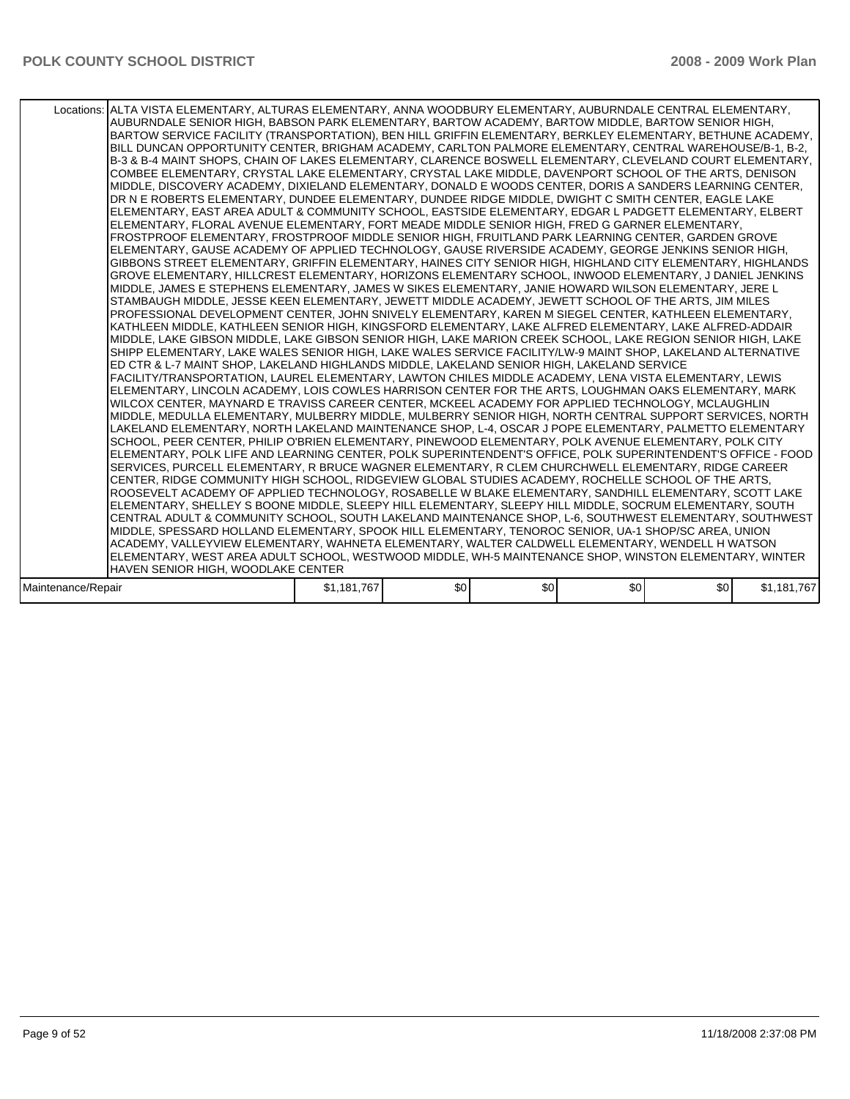| Locations: ALTA VISTA ELEMENTARY, ALTURAS ELEMENTARY, ANNA WOODBURY ELEMENTARY, AUBURNDALE CENTRAL ELEMENTARY,<br>AUBURNDALE SENIOR HIGH, BABSON PARK ELEMENTARY, BARTOW ACADEMY, BARTOW MIDDLE, BARTOW SENIOR HIGH,<br>BARTOW SERVICE FACILITY (TRANSPORTATION), BEN HILL GRIFFIN ELEMENTARY, BERKLEY ELEMENTARY, BETHUNE ACADEMY,<br>BILL DUNCAN OPPORTUNITY CENTER, BRIGHAM ACADEMY, CARLTON PALMORE ELEMENTARY, CENTRAL WAREHOUSE/B-1, B-2,<br>B-3 & B-4 MAINT SHOPS, CHAIN OF LAKES ELEMENTARY, CLARENCE BOSWELL ELEMENTARY, CLEVELAND COURT ELEMENTARY,<br>COMBEE ELEMENTARY, CRYSTAL LAKE ELEMENTARY, CRYSTAL LAKE MIDDLE, DAVENPORT SCHOOL OF THE ARTS, DENISON<br>MIDDLE, DISCOVERY ACADEMY, DIXIELAND ELEMENTARY, DONALD E WOODS CENTER, DORIS A SANDERS LEARNING CENTER,<br>DR N E ROBERTS ELEMENTARY, DUNDEE ELEMENTARY, DUNDEE RIDGE MIDDLE, DWIGHT C SMITH CENTER, EAGLE LAKE<br>ELEMENTARY. EAST AREA ADULT & COMMUNITY SCHOOL. EASTSIDE ELEMENTARY. EDGAR L PADGETT ELEMENTARY. ELBERT<br>ELEMENTARY, FLORAL AVENUE ELEMENTARY, FORT MEADE MIDDLE SENIOR HIGH, FRED G GARNER ELEMENTARY,<br>FROSTPROOF ELEMENTARY, FROSTPROOF MIDDLE SENIOR HIGH, FRUITLAND PARK LEARNING CENTER, GARDEN GROVE<br>ELEMENTARY, GAUSE ACADEMY OF APPLIED TECHNOLOGY, GAUSE RIVERSIDE ACADEMY, GEORGE JENKINS SENIOR HIGH,<br>GIBBONS STREET ELEMENTARY, GRIFFIN ELEMENTARY, HAINES CITY SENIOR HIGH, HIGHLAND CITY ELEMENTARY, HIGHLANDS<br>GROVE ELEMENTARY, HILLCREST ELEMENTARY, HORIZONS ELEMENTARY SCHOOL, INWOOD ELEMENTARY, J DANIEL JENKINS<br>MIDDLE, JAMES E STEPHENS ELEMENTARY, JAMES W SIKES ELEMENTARY, JANIE HOWARD WILSON ELEMENTARY, JERE L<br>STAMBAUGH MIDDLE, JESSE KEEN ELEMENTARY, JEWETT MIDDLE ACADEMY, JEWETT SCHOOL OF THE ARTS, JIM MILES<br>PROFESSIONAL DEVELOPMENT CENTER, JOHN SNIVELY ELEMENTARY, KAREN M SIEGEL CENTER, KATHLEEN ELEMENTARY,<br>KATHLEEN MIDDLE. KATHLEEN SENIOR HIGH, KINGSFORD ELEMENTARY, LAKE ALFRED ELEMENTARY, LAKE ALFRED-ADDAIR<br>MIDDLE, LAKE GIBSON MIDDLE, LAKE GIBSON SENIOR HIGH, LAKE MARION CREEK SCHOOL, LAKE REGION SENIOR HIGH, LAKE<br>SHIPP ELEMENTARY. LAKE WALES SENIOR HIGH, LAKE WALES SERVICE FACILITY/LW-9 MAINT SHOP, LAKELAND ALTERNATIVE<br>ED CTR & L-7 MAINT SHOP, LAKELAND HIGHLANDS MIDDLE, LAKELAND SENIOR HIGH, LAKELAND SERVICE<br>FACILITY/TRANSPORTATION, LAUREL ELEMENTARY, LAWTON CHILES MIDDLE ACADEMY, LENA VISTA ELEMENTARY, LEWIS<br>ELEMENTARY, LINCOLN ACADEMY, LOIS COWLES HARRISON CENTER FOR THE ARTS, LOUGHMAN OAKS ELEMENTARY, MARK<br>WILCOX CENTER, MAYNARD E TRAVISS CAREER CENTER, MCKEEL ACADEMY FOR APPLIED TECHNOLOGY, MCLAUGHLIN<br>MIDDLE, MEDULLA ELEMENTARY, MULBERRY MIDDLE, MULBERRY SENIOR HIGH, NORTH CENTRAL SUPPORT SERVICES, NORTH<br>LAKELAND ELEMENTARY, NORTH LAKELAND MAINTENANCE SHOP, L-4, OSCAR J POPE ELEMENTARY, PALMETTO ELEMENTARY<br>SCHOOL, PEER CENTER, PHILIP O'BRIEN ELEMENTARY, PINEWOOD ELEMENTARY, POLK AVENUE ELEMENTARY, POLK CITY<br>ELEMENTARY, POLK LIFE AND LEARNING CENTER, POLK SUPERINTENDENT'S OFFICE, POLK SUPERINTENDENT'S OFFICE - FOOD<br>SERVICES, PURCELL ELEMENTARY, R BRUCE WAGNER ELEMENTARY, R CLEM CHURCHWELL ELEMENTARY, RIDGE CAREER<br>CENTER, RIDGE COMMUNITY HIGH SCHOOL, RIDGEVIEW GLOBAL STUDIES ACADEMY, ROCHELLE SCHOOL OF THE ARTS,<br>ROOSEVELT ACADEMY OF APPLIED TECHNOLOGY. ROSABELLE W BLAKE ELEMENTARY. SANDHILL ELEMENTARY. SCOTT LAKE<br>ELEMENTARY, SHELLEY S BOONE MIDDLE, SLEEPY HILL ELEMENTARY, SLEEPY HILL MIDDLE, SOCRUM ELEMENTARY, SOUTH<br>CENTRAL ADULT & COMMUNITY SCHOOL, SOUTH LAKELAND MAINTENANCE SHOP, L-6, SOUTHWEST ELEMENTARY, SOUTHWEST<br>MIDDLE, SPESSARD HOLLAND ELEMENTARY, SPOOK HILL ELEMENTARY, TENOROC SENIOR, UA-1 SHOP/SC AREA, UNION<br>ACADEMY, VALLEYVIEW ELEMENTARY, WAHNETA ELEMENTARY, WALTER CALDWELL ELEMENTARY, WENDELL H WATSON<br>ELEMENTARY, WEST AREA ADULT SCHOOL, WESTWOOD MIDDLE, WH-5 MAINTENANCE SHOP, WINSTON ELEMENTARY, WINTER<br>HAVEN SENIOR HIGH, WOODLAKE CENTER |             |     |     |                  |     |             |
|---------------------------------------------------------------------------------------------------------------------------------------------------------------------------------------------------------------------------------------------------------------------------------------------------------------------------------------------------------------------------------------------------------------------------------------------------------------------------------------------------------------------------------------------------------------------------------------------------------------------------------------------------------------------------------------------------------------------------------------------------------------------------------------------------------------------------------------------------------------------------------------------------------------------------------------------------------------------------------------------------------------------------------------------------------------------------------------------------------------------------------------------------------------------------------------------------------------------------------------------------------------------------------------------------------------------------------------------------------------------------------------------------------------------------------------------------------------------------------------------------------------------------------------------------------------------------------------------------------------------------------------------------------------------------------------------------------------------------------------------------------------------------------------------------------------------------------------------------------------------------------------------------------------------------------------------------------------------------------------------------------------------------------------------------------------------------------------------------------------------------------------------------------------------------------------------------------------------------------------------------------------------------------------------------------------------------------------------------------------------------------------------------------------------------------------------------------------------------------------------------------------------------------------------------------------------------------------------------------------------------------------------------------------------------------------------------------------------------------------------------------------------------------------------------------------------------------------------------------------------------------------------------------------------------------------------------------------------------------------------------------------------------------------------------------------------------------------------------------------------------------------------------------------------------------------------------------------------------------------------------------------------------------------------------------------------------------------------------------------------------------------------------------------------------------------------------------------------------------------------------------------------------------------------------------------------------------------------------------------------------------------------------------------------------------------------------------------------------------------------------------------------------------------------------------------------------------------------------------------------------------------------------------------------------------------------------------------------------------------------------------|-------------|-----|-----|------------------|-----|-------------|
| Maintenance/Repair                                                                                                                                                                                                                                                                                                                                                                                                                                                                                                                                                                                                                                                                                                                                                                                                                                                                                                                                                                                                                                                                                                                                                                                                                                                                                                                                                                                                                                                                                                                                                                                                                                                                                                                                                                                                                                                                                                                                                                                                                                                                                                                                                                                                                                                                                                                                                                                                                                                                                                                                                                                                                                                                                                                                                                                                                                                                                                                                                                                                                                                                                                                                                                                                                                                                                                                                                                                                                                                                                                                                                                                                                                                                                                                                                                                                                                                                                                                                                                                      | \$1,181,767 | \$0 | \$0 | \$0 <sub>1</sub> | \$0 | \$1,181,767 |
|                                                                                                                                                                                                                                                                                                                                                                                                                                                                                                                                                                                                                                                                                                                                                                                                                                                                                                                                                                                                                                                                                                                                                                                                                                                                                                                                                                                                                                                                                                                                                                                                                                                                                                                                                                                                                                                                                                                                                                                                                                                                                                                                                                                                                                                                                                                                                                                                                                                                                                                                                                                                                                                                                                                                                                                                                                                                                                                                                                                                                                                                                                                                                                                                                                                                                                                                                                                                                                                                                                                                                                                                                                                                                                                                                                                                                                                                                                                                                                                                         |             |     |     |                  |     |             |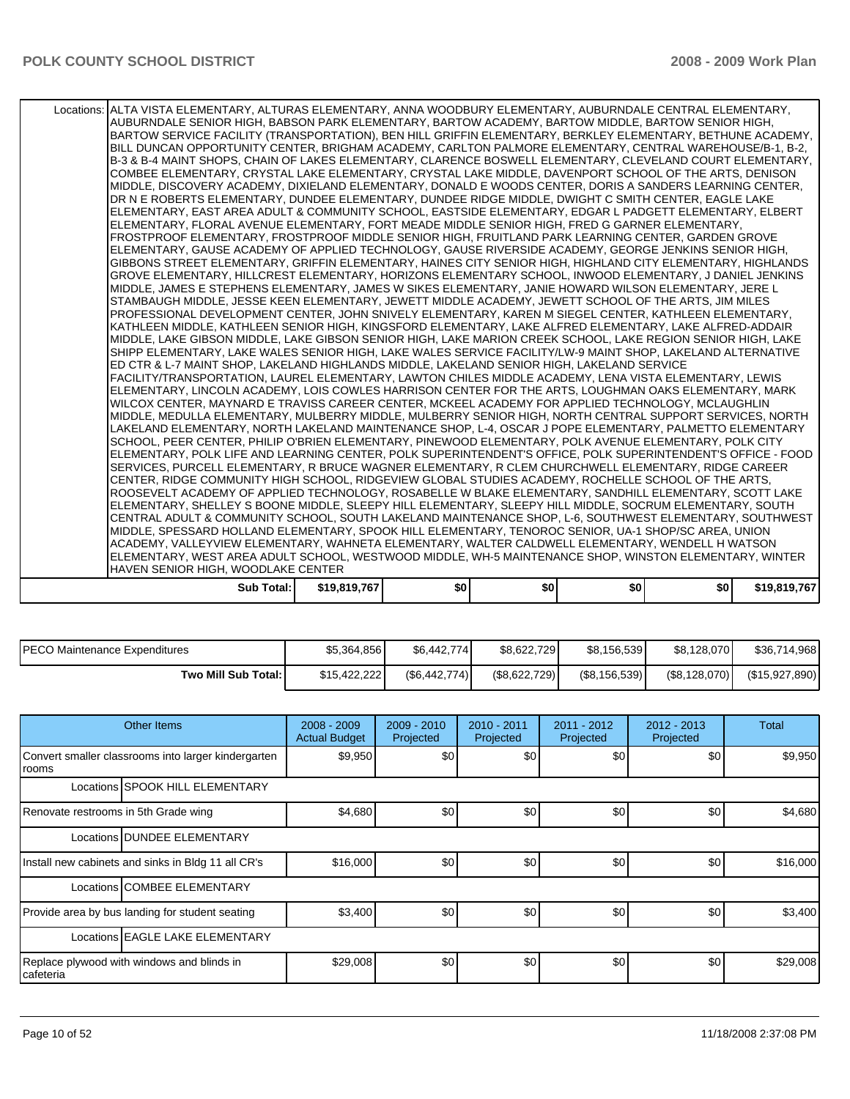| ROOSEVELT ACADEMY OF APPLIED TECHNOLOGY, ROSABELLE W BLAKE ELEMENTARY, SANDHILL ELEMENTARY, SCOTT LAKE<br>ELEMENTARY, SHELLEY S BOONE MIDDLE, SLEEPY HILL ELEMENTARY, SLEEPY HILL MIDDLE, SOCRUM ELEMENTARY, SOUTH<br>CENTRAL ADULT & COMMUNITY SCHOOL, SOUTH LAKELAND MAINTENANCE SHOP, L-6, SOUTHWEST ELEMENTARY, SOUTHWEST<br>MIDDLE, SPESSARD HOLLAND ELEMENTARY, SPOOK HILL ELEMENTARY, TENOROC SENIOR, UA-1 SHOP/SC AREA, UNION<br>ACADEMY, VALLEYVIEW ELEMENTARY, WAHNETA ELEMENTARY, WALTER CALDWELL ELEMENTARY, WENDELL H WATSON |  |  |  |
|-------------------------------------------------------------------------------------------------------------------------------------------------------------------------------------------------------------------------------------------------------------------------------------------------------------------------------------------------------------------------------------------------------------------------------------------------------------------------------------------------------------------------------------------|--|--|--|
|                                                                                                                                                                                                                                                                                                                                                                                                                                                                                                                                           |  |  |  |
|                                                                                                                                                                                                                                                                                                                                                                                                                                                                                                                                           |  |  |  |
|                                                                                                                                                                                                                                                                                                                                                                                                                                                                                                                                           |  |  |  |
|                                                                                                                                                                                                                                                                                                                                                                                                                                                                                                                                           |  |  |  |
| CENTER, RIDGE COMMUNITY HIGH SCHOOL, RIDGEVIEW GLOBAL STUDIES ACADEMY, ROCHELLE SCHOOL OF THE ARTS,                                                                                                                                                                                                                                                                                                                                                                                                                                       |  |  |  |
| SERVICES, PURCELL ELEMENTARY, R BRUCE WAGNER ELEMENTARY, R CLEM CHURCHWELL ELEMENTARY, RIDGE CAREER                                                                                                                                                                                                                                                                                                                                                                                                                                       |  |  |  |
| ELEMENTARY, POLK LIFE AND LEARNING CENTER, POLK SUPERINTENDENT'S OFFICE, POLK SUPERINTENDENT'S OFFICE - FOOD                                                                                                                                                                                                                                                                                                                                                                                                                              |  |  |  |
| SCHOOL, PEER CENTER, PHILIP O'BRIEN ELEMENTARY, PINEWOOD ELEMENTARY, POLK AVENUE ELEMENTARY, POLK CITY                                                                                                                                                                                                                                                                                                                                                                                                                                    |  |  |  |
| LAKELAND ELEMENTARY, NORTH LAKELAND MAINTENANCE SHOP, L-4, OSCAR J POPE ELEMENTARY, PALMETTO ELEMENTARY                                                                                                                                                                                                                                                                                                                                                                                                                                   |  |  |  |
| MIDDLE, MEDULLA ELEMENTARY, MULBERRY MIDDLE, MULBERRY SENIOR HIGH, NORTH CENTRAL SUPPORT SERVICES, NORTH                                                                                                                                                                                                                                                                                                                                                                                                                                  |  |  |  |
| ELEMENTARY, LINCOLN ACADEMY, LOIS COWLES HARRISON CENTER FOR THE ARTS, LOUGHMAN OAKS ELEMENTARY, MARK<br>WILCOX CENTER. MAYNARD E TRAVISS CAREER CENTER. MCKEEL ACADEMY FOR APPLIED TECHNOLOGY. MCLAUGHLIN                                                                                                                                                                                                                                                                                                                                |  |  |  |
| FACILITY/TRANSPORTATION. LAUREL ELEMENTARY. LAWTON CHILES MIDDLE ACADEMY. LENA VISTA ELEMENTARY. LEWIS                                                                                                                                                                                                                                                                                                                                                                                                                                    |  |  |  |
| ED CTR & L-7 MAINT SHOP, LAKELAND HIGHLANDS MIDDLE, LAKELAND SENIOR HIGH, LAKELAND SERVICE                                                                                                                                                                                                                                                                                                                                                                                                                                                |  |  |  |
| SHIPP ELEMENTARY, LAKE WALES SENIOR HIGH, LAKE WALES SERVICE FACILITY/LW-9 MAINT SHOP, LAKELAND ALTERNATIVE                                                                                                                                                                                                                                                                                                                                                                                                                               |  |  |  |
| MIDDLE, LAKE GIBSON MIDDLE, LAKE GIBSON SENIOR HIGH, LAKE MARION CREEK SCHOOL, LAKE REGION SENIOR HIGH, LAKE                                                                                                                                                                                                                                                                                                                                                                                                                              |  |  |  |
| KATHLEEN MIDDLE, KATHLEEN SENIOR HIGH, KINGSFORD ELEMENTARY, LAKE ALFRED ELEMENTARY, LAKE ALFRED-ADDAIR                                                                                                                                                                                                                                                                                                                                                                                                                                   |  |  |  |
| PROFESSIONAL DEVELOPMENT CENTER, JOHN SNIVELY ELEMENTARY, KAREN M SIEGEL CENTER, KATHLEEN ELEMENTARY,                                                                                                                                                                                                                                                                                                                                                                                                                                     |  |  |  |
| STAMBAUGH MIDDLE, JESSE KEEN ELEMENTARY, JEWETT MIDDLE ACADEMY, JEWETT SCHOOL OF THE ARTS, JIM MILES                                                                                                                                                                                                                                                                                                                                                                                                                                      |  |  |  |
| MIDDLE, JAMES E STEPHENS ELEMENTARY, JAMES W SIKES ELEMENTARY, JANIE HOWARD WILSON ELEMENTARY, JERE L                                                                                                                                                                                                                                                                                                                                                                                                                                     |  |  |  |
| GROVE ELEMENTARY, HILLCREST ELEMENTARY, HORIZONS ELEMENTARY SCHOOL, INWOOD ELEMENTARY, J DANIEL JENKINS                                                                                                                                                                                                                                                                                                                                                                                                                                   |  |  |  |
| GIBBONS STREET ELEMENTARY, GRIFFIN ELEMENTARY, HAINES CITY SENIOR HIGH, HIGHLAND CITY ELEMENTARY, HIGHLANDS                                                                                                                                                                                                                                                                                                                                                                                                                               |  |  |  |
| ELEMENTARY, GAUSE ACADEMY OF APPLIED TECHNOLOGY, GAUSE RIVERSIDE ACADEMY, GEORGE JENKINS SENIOR HIGH,                                                                                                                                                                                                                                                                                                                                                                                                                                     |  |  |  |
| FROSTPROOF ELEMENTARY. FROSTPROOF MIDDLE SENIOR HIGH. FRUITLAND PARK LEARNING CENTER. GARDEN GROVE                                                                                                                                                                                                                                                                                                                                                                                                                                        |  |  |  |
| ELEMENTARY. FLORAL AVENUE ELEMENTARY. FORT MEADE MIDDLE SENIOR HIGH. FRED G GARNER ELEMENTARY.                                                                                                                                                                                                                                                                                                                                                                                                                                            |  |  |  |
| IELEMENTARY. EAST AREA ADULT & COMMUNITY SCHOOL. EASTSIDE ELEMENTARY. EDGAR L PADGETT ELEMENTARY. ELBERT                                                                                                                                                                                                                                                                                                                                                                                                                                  |  |  |  |
| DR N E ROBERTS ELEMENTARY, DUNDEE ELEMENTARY, DUNDEE RIDGE MIDDLE, DWIGHT C SMITH CENTER, EAGLE LAKE                                                                                                                                                                                                                                                                                                                                                                                                                                      |  |  |  |
| IMIDDLE. DISCOVERY ACADEMY. DIXIELAND ELEMENTARY. DONALD E WOODS CENTER. DORIS A SANDERS LEARNING CENTER.                                                                                                                                                                                                                                                                                                                                                                                                                                 |  |  |  |
| COMBEE ELEMENTARY, CRYSTAL LAKE ELEMENTARY, CRYSTAL LAKE MIDDLE, DAVENPORT SCHOOL OF THE ARTS, DENISON                                                                                                                                                                                                                                                                                                                                                                                                                                    |  |  |  |
| B-3 & B-4 MAINT SHOPS, CHAIN OF LAKES ELEMENTARY, CLARENCE BOSWELL ELEMENTARY, CLEVELAND COURT ELEMENTARY,                                                                                                                                                                                                                                                                                                                                                                                                                                |  |  |  |
| BILL DUNCAN OPPORTUNITY CENTER, BRIGHAM ACADEMY, CARLTON PALMORE ELEMENTARY, CENTRAL WAREHOUSE/B-1, B-2,                                                                                                                                                                                                                                                                                                                                                                                                                                  |  |  |  |
|                                                                                                                                                                                                                                                                                                                                                                                                                                                                                                                                           |  |  |  |
|                                                                                                                                                                                                                                                                                                                                                                                                                                                                                                                                           |  |  |  |
| Locations: ALTA VISTA ELEMENTARY, ALTURAS ELEMENTARY, ANNA WOODBURY ELEMENTARY, AUBURNDALE CENTRAL ELEMENTARY,<br>AUBURNDALE SENIOR HIGH, BABSON PARK ELEMENTARY, BARTOW ACADEMY, BARTOW MIDDLE, BARTOW SENIOR HIGH,<br>BARTOW SERVICE FACILITY (TRANSPORTATION), BEN HILL GRIFFIN ELEMENTARY, BERKLEY ELEMENTARY, BETHUNE ACADEMY,                                                                                                                                                                                                       |  |  |  |

| PECO Maintenance Expenditures | \$5,364,856  | \$6.442.774    | \$8.622.729  | \$8,156,539    | \$8,128,070   | \$36,714,968   |
|-------------------------------|--------------|----------------|--------------|----------------|---------------|----------------|
| Two Mill Sub Total:           | \$15,422,222 | (S6, 442, 774) | (S8.622.729) | (S8, 156, 539) | (\$8,128,070) | (\$15,927,890) |

| Other Items                                                  | $2008 - 2009$<br><b>Actual Budget</b> | $2009 - 2010$<br>Projected | 2010 - 2011<br>Projected | 2011 - 2012<br>Projected | $2012 - 2013$<br>Projected | <b>Total</b> |  |  |
|--------------------------------------------------------------|---------------------------------------|----------------------------|--------------------------|--------------------------|----------------------------|--------------|--|--|
| Convert smaller classrooms into larger kindergarten<br>rooms | \$9,950                               | \$0                        | \$0                      | \$0                      | \$0                        | \$9,950      |  |  |
| Locations SPOOK HILL ELEMENTARY                              |                                       |                            |                          |                          |                            |              |  |  |
| Renovate restrooms in 5th Grade wing                         | \$4,680                               | \$0                        | \$0                      | \$0                      | \$0                        | \$4,680      |  |  |
| Locations DUNDEE ELEMENTARY                                  |                                       |                            |                          |                          |                            |              |  |  |
| Install new cabinets and sinks in Bldg 11 all CR's           | \$16,000                              | \$0                        | \$0                      | \$0                      | \$0                        | \$16,000     |  |  |
| Locations COMBEE ELEMENTARY                                  |                                       |                            |                          |                          |                            |              |  |  |
| Provide area by bus landing for student seating              | \$3,400                               | \$0                        | \$0                      | \$0                      | \$0                        | \$3,400      |  |  |
| Locations EAGLE LAKE ELEMENTARY                              |                                       |                            |                          |                          |                            |              |  |  |
| Replace plywood with windows and blinds in<br>cafeteria      | \$29,008                              | \$0                        | \$0                      | \$0                      | \$0                        | \$29,008     |  |  |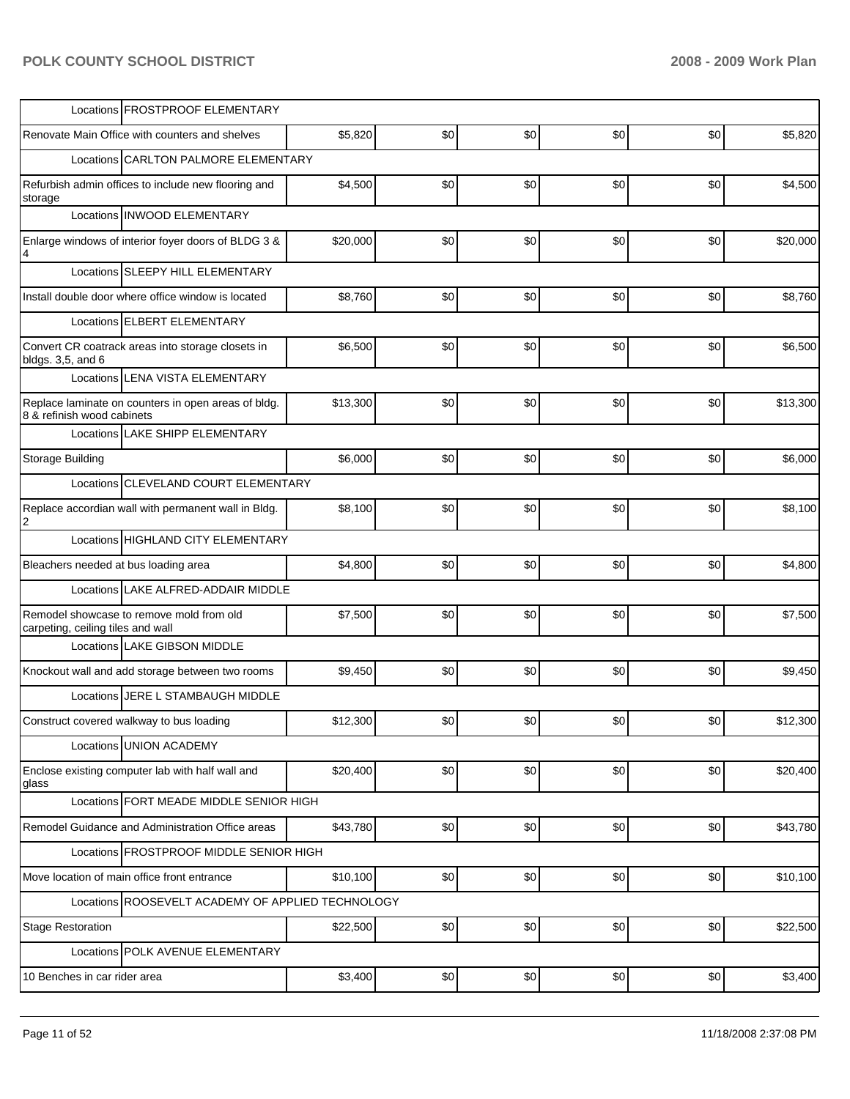| Locations <b>FROSTPROOF ELEMENTARY</b>                                            |          |                  |     |     |                 |          |
|-----------------------------------------------------------------------------------|----------|------------------|-----|-----|-----------------|----------|
| Renovate Main Office with counters and shelves                                    | \$5,820  | \$0              | \$0 | \$0 | \$0             | \$5,820  |
| Locations CARLTON PALMORE ELEMENTARY                                              |          |                  |     |     |                 |          |
| Refurbish admin offices to include new flooring and<br>storage                    | \$4,500  | \$0              | \$0 | \$0 | \$0             | \$4,500  |
| Locations INWOOD ELEMENTARY                                                       |          |                  |     |     |                 |          |
| Enlarge windows of interior foyer doors of BLDG 3 &<br>4                          | \$20,000 | \$0              | \$0 | \$0 | \$0             | \$20,000 |
| Locations SLEEPY HILL ELEMENTARY                                                  |          |                  |     |     |                 |          |
| Install double door where office window is located                                | \$8,760  | \$0              | \$0 | \$0 | \$0             | \$8,760  |
| Locations ELBERT ELEMENTARY                                                       |          |                  |     |     |                 |          |
| Convert CR coatrack areas into storage closets in<br>bldgs. 3,5, and 6            | \$6,500  | \$0              | \$0 | \$0 | \$0             | \$6,500  |
| Locations LENA VISTA ELEMENTARY                                                   |          |                  |     |     |                 |          |
| Replace laminate on counters in open areas of bldg.<br>8 & refinish wood cabinets | \$13,300 | \$0              | \$0 | \$0 | \$0             | \$13,300 |
| Locations LAKE SHIPP ELEMENTARY                                                   |          |                  |     |     |                 |          |
| <b>Storage Building</b>                                                           | \$6,000  | \$0              | \$0 | \$0 | \$0             | \$6,000  |
| Locations CLEVELAND COURT ELEMENTARY                                              |          |                  |     |     |                 |          |
| Replace accordian wall with permanent wall in Bldg.                               | \$8,100  | \$0              | \$0 | \$0 | \$0             | \$8,100  |
| Locations HIGHLAND CITY ELEMENTARY                                                |          |                  |     |     |                 |          |
| Bleachers needed at bus loading area                                              | \$4,800  | \$0              | \$0 | \$0 | \$0             | \$4,800  |
| Locations LAKE ALFRED-ADDAIR MIDDLE                                               |          |                  |     |     |                 |          |
| Remodel showcase to remove mold from old<br>carpeting, ceiling tiles and wall     | \$7,500  | \$0              | \$0 | \$0 | \$0             | \$7,500  |
| Locations LAKE GIBSON MIDDLE                                                      |          |                  |     |     |                 |          |
| Knockout wall and add storage between two rooms                                   | \$9,450  | \$0              | \$0 | \$0 | \$0             | \$9,450  |
| Locations JERE L STAMBAUGH MIDDLE                                                 |          |                  |     |     |                 |          |
| Construct covered walkway to bus loading                                          | \$12,300 | \$0 <sub>1</sub> | \$0 | \$0 | SO <sub>1</sub> | \$12,300 |
| Locations UNION ACADEMY                                                           |          |                  |     |     |                 |          |
| Enclose existing computer lab with half wall and<br>glass                         | \$20,400 | \$0              | \$0 | \$0 | \$0             | \$20,400 |
| Locations FORT MEADE MIDDLE SENIOR HIGH                                           |          |                  |     |     |                 |          |
| Remodel Guidance and Administration Office areas                                  | \$43,780 | \$0              | \$0 | \$0 | \$0             | \$43,780 |
| Locations FROSTPROOF MIDDLE SENIOR HIGH                                           |          |                  |     |     |                 |          |
| Move location of main office front entrance                                       | \$10,100 | \$0              | \$0 | \$0 | \$0             | \$10,100 |
| Locations ROOSEVELT ACADEMY OF APPLIED TECHNOLOGY                                 |          |                  |     |     |                 |          |
| <b>Stage Restoration</b>                                                          | \$22,500 | \$0              | \$0 | \$0 | \$0             | \$22,500 |
| Locations POLK AVENUE ELEMENTARY                                                  |          |                  |     |     |                 |          |
| 10 Benches in car rider area                                                      | \$3,400  | \$0              | \$0 | \$0 | \$0             | \$3,400  |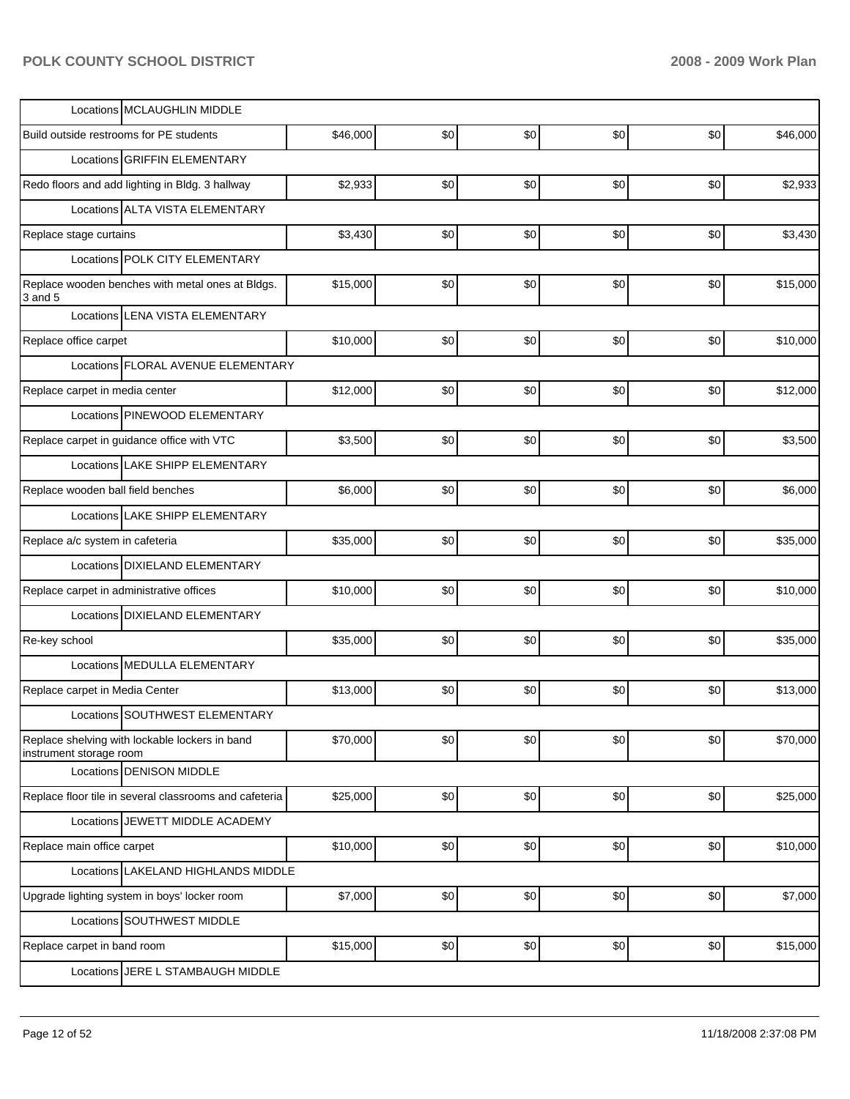| Locations MCLAUGHLIN MIDDLE                                               |          |     |     |     |     |          |
|---------------------------------------------------------------------------|----------|-----|-----|-----|-----|----------|
| Build outside restrooms for PE students                                   | \$46,000 | \$0 | \$0 | \$0 | \$0 | \$46,000 |
| Locations GRIFFIN ELEMENTARY                                              |          |     |     |     |     |          |
| Redo floors and add lighting in Bldg. 3 hallway                           | \$2,933  | \$0 | \$0 | \$0 | \$0 | \$2,933  |
| Locations ALTA VISTA ELEMENTARY                                           |          |     |     |     |     |          |
| Replace stage curtains                                                    | \$3,430  | \$0 | \$0 | \$0 | \$0 | \$3,430  |
| Locations POLK CITY ELEMENTARY                                            |          |     |     |     |     |          |
| Replace wooden benches with metal ones at Bldgs.<br>3 and 5               | \$15,000 | \$0 | \$0 | \$0 | \$0 | \$15,000 |
| Locations LENA VISTA ELEMENTARY                                           |          |     |     |     |     |          |
| Replace office carpet                                                     | \$10,000 | \$0 | \$0 | \$0 | \$0 | \$10,000 |
| Locations FLORAL AVENUE ELEMENTARY                                        |          |     |     |     |     |          |
| Replace carpet in media center                                            | \$12,000 | \$0 | \$0 | \$0 | \$0 | \$12,000 |
| Locations PINEWOOD ELEMENTARY                                             |          |     |     |     |     |          |
| Replace carpet in guidance office with VTC                                | \$3,500  | \$0 | \$0 | \$0 | \$0 | \$3,500  |
| Locations LAKE SHIPP ELEMENTARY                                           |          |     |     |     |     |          |
| Replace wooden ball field benches                                         | \$6,000  | \$0 | \$0 | \$0 | \$0 | \$6,000  |
| Locations LAKE SHIPP ELEMENTARY                                           |          |     |     |     |     |          |
| Replace a/c system in cafeteria                                           | \$35,000 | \$0 | \$0 | \$0 | \$0 | \$35,000 |
| Locations DIXIELAND ELEMENTARY                                            |          |     |     |     |     |          |
| Replace carpet in administrative offices                                  | \$10,000 | \$0 | \$0 | \$0 | \$0 | \$10,000 |
| Locations DIXIELAND ELEMENTARY                                            |          |     |     |     |     |          |
| Re-key school                                                             | \$35,000 | \$0 | \$0 | \$0 | \$0 | \$35,000 |
| Locations MEDULLA ELEMENTARY                                              |          |     |     |     |     |          |
| Replace carpet in Media Center                                            | \$13,000 | \$0 | \$0 | \$0 | \$0 | \$13,000 |
| Locations SOUTHWEST ELEMENTARY                                            |          |     |     |     |     |          |
| Replace shelving with lockable lockers in band<br>instrument storage room | \$70,000 | \$0 | \$0 | \$0 | \$0 | \$70,000 |
| Locations DENISON MIDDLE                                                  |          |     |     |     |     |          |
| Replace floor tile in several classrooms and cafeteria                    | \$25,000 | \$0 | \$0 | \$0 | \$0 | \$25,000 |
| Locations JEWETT MIDDLE ACADEMY                                           |          |     |     |     |     |          |
| Replace main office carpet                                                | \$10,000 | \$0 | \$0 | \$0 | \$0 | \$10,000 |
| Locations LAKELAND HIGHLANDS MIDDLE                                       |          |     |     |     |     |          |
| Upgrade lighting system in boys' locker room                              | \$7,000  | \$0 | \$0 | \$0 | \$0 | \$7,000  |
| Locations SOUTHWEST MIDDLE                                                |          |     |     |     |     |          |
| Replace carpet in band room                                               | \$15,000 | \$0 | \$0 | \$0 | \$0 | \$15,000 |
| Locations JERE L STAMBAUGH MIDDLE                                         |          |     |     |     |     |          |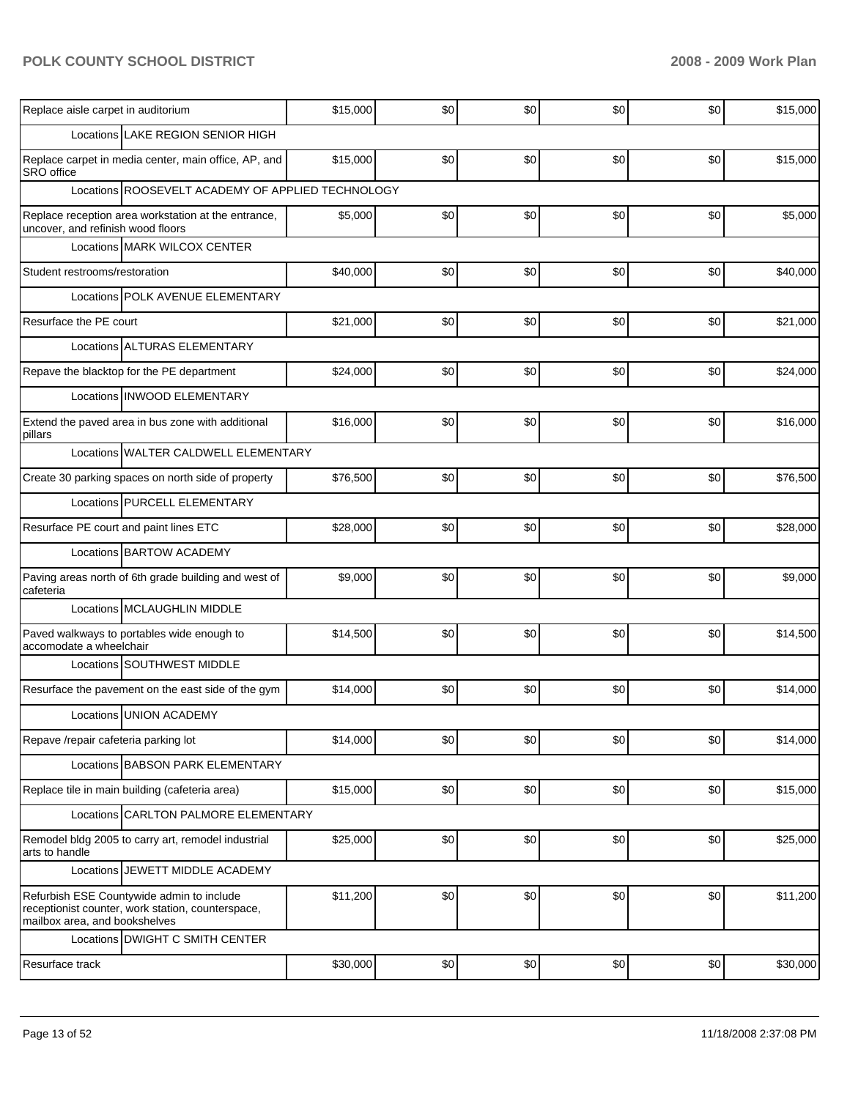| Replace aisle carpet in auditorium                                                                                              | \$15,000 | \$0 | \$0 | \$0 | \$0 | \$15,000 |  |  |  |
|---------------------------------------------------------------------------------------------------------------------------------|----------|-----|-----|-----|-----|----------|--|--|--|
| Locations LAKE REGION SENIOR HIGH                                                                                               |          |     |     |     |     |          |  |  |  |
| Replace carpet in media center, main office, AP, and<br>SRO office                                                              | \$15,000 | \$0 | \$0 | \$0 | \$0 | \$15,000 |  |  |  |
| Locations ROOSEVELT ACADEMY OF APPLIED TECHNOLOGY                                                                               |          |     |     |     |     |          |  |  |  |
| Replace reception area workstation at the entrance,<br>uncover, and refinish wood floors                                        | \$5,000  | \$0 | \$0 | \$0 | \$0 | \$5,000  |  |  |  |
| Locations MARK WILCOX CENTER                                                                                                    |          |     |     |     |     |          |  |  |  |
| Student restrooms/restoration                                                                                                   | \$40,000 | \$0 | \$0 | \$0 | \$0 | \$40,000 |  |  |  |
| Locations POLK AVENUE ELEMENTARY                                                                                                |          |     |     |     |     |          |  |  |  |
| Resurface the PE court                                                                                                          | \$21,000 | \$0 | \$0 | \$0 | \$0 | \$21,000 |  |  |  |
| Locations ALTURAS ELEMENTARY                                                                                                    |          |     |     |     |     |          |  |  |  |
| Repave the blacktop for the PE department                                                                                       | \$24,000 | \$0 | \$0 | \$0 | \$0 | \$24,000 |  |  |  |
| Locations INWOOD ELEMENTARY                                                                                                     |          |     |     |     |     |          |  |  |  |
| Extend the paved area in bus zone with additional<br>pillars                                                                    | \$16,000 | \$0 | \$0 | \$0 | \$0 | \$16,000 |  |  |  |
| Locations WALTER CALDWELL ELEMENTARY                                                                                            |          |     |     |     |     |          |  |  |  |
| Create 30 parking spaces on north side of property                                                                              | \$76,500 | \$0 | \$0 | \$0 | \$0 | \$76,500 |  |  |  |
| Locations PURCELL ELEMENTARY                                                                                                    |          |     |     |     |     |          |  |  |  |
| Resurface PE court and paint lines ETC                                                                                          | \$28,000 | \$0 | \$0 | \$0 | \$0 | \$28,000 |  |  |  |
| Locations BARTOW ACADEMY                                                                                                        |          |     |     |     |     |          |  |  |  |
| Paving areas north of 6th grade building and west of<br>cafeteria                                                               | \$9,000  | \$0 | \$0 | \$0 | \$0 | \$9,000  |  |  |  |
| Locations MCLAUGHLIN MIDDLE                                                                                                     |          |     |     |     |     |          |  |  |  |
| Paved walkways to portables wide enough to<br>accomodate a wheelchair                                                           | \$14,500 | \$0 | \$0 | \$0 | \$0 | \$14,500 |  |  |  |
| Locations SOUTHWEST MIDDLE                                                                                                      |          |     |     |     |     |          |  |  |  |
| Resurface the pavement on the east side of the gym                                                                              | \$14,000 | \$0 | \$0 | \$0 | \$0 | \$14,000 |  |  |  |
| Locations UNION ACADEMY                                                                                                         |          |     |     |     |     |          |  |  |  |
| Repave /repair cafeteria parking lot                                                                                            | \$14,000 | \$0 | \$0 | \$0 | \$0 | \$14,000 |  |  |  |
| Locations BABSON PARK ELEMENTARY                                                                                                |          |     |     |     |     |          |  |  |  |
| Replace tile in main building (cafeteria area)                                                                                  | \$15,000 | \$0 | \$0 | \$0 | \$0 | \$15,000 |  |  |  |
| Locations CARLTON PALMORE ELEMENTARY                                                                                            |          |     |     |     |     |          |  |  |  |
| Remodel bldg 2005 to carry art, remodel industrial<br>arts to handle                                                            | \$25,000 | \$0 | \$0 | \$0 | \$0 | \$25,000 |  |  |  |
| Locations JEWETT MIDDLE ACADEMY                                                                                                 |          |     |     |     |     |          |  |  |  |
| Refurbish ESE Countywide admin to include<br>receptionist counter, work station, counterspace,<br>mailbox area, and bookshelves | \$11,200 | \$0 | \$0 | \$0 | \$0 | \$11,200 |  |  |  |
| Locations DWIGHT C SMITH CENTER                                                                                                 |          |     |     |     |     |          |  |  |  |
| Resurface track                                                                                                                 | \$30,000 | \$0 | \$0 | \$0 | \$0 | \$30,000 |  |  |  |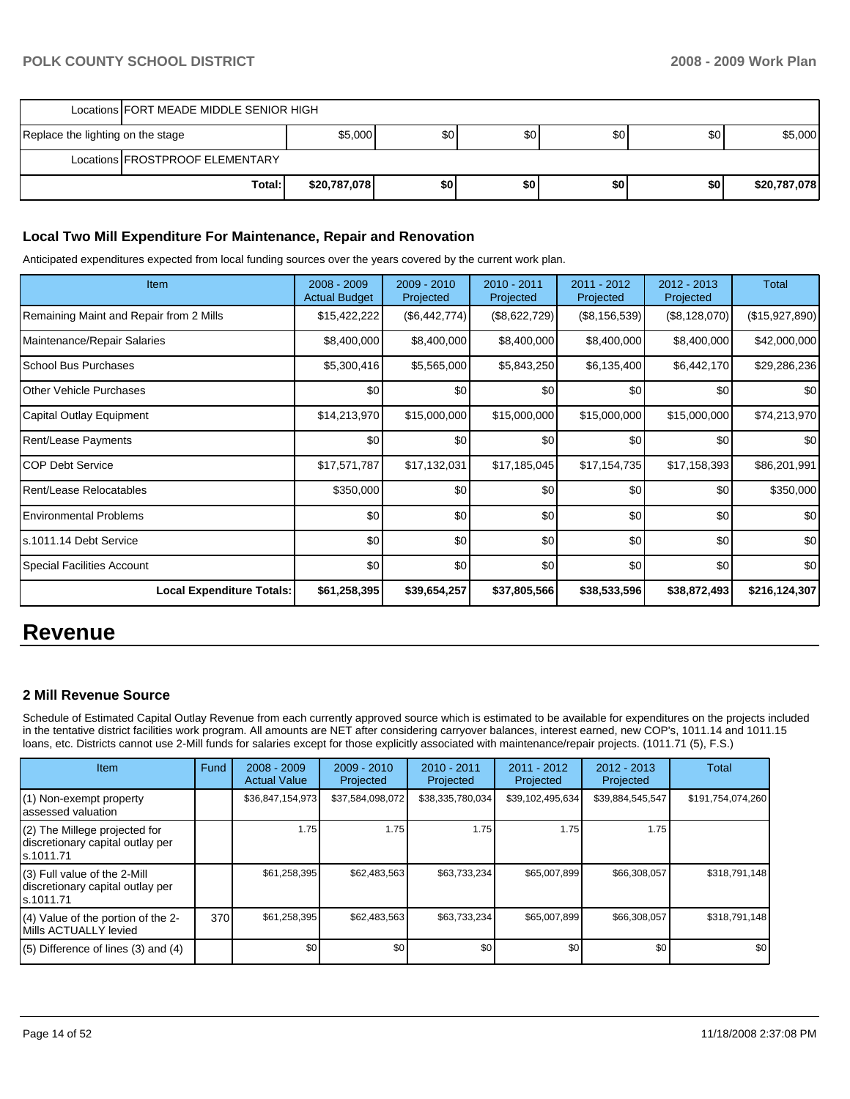|                                   | Locations   FORT MEADE MIDDLE SENIOR HIGH |              |     |     |                  |     |              |  |
|-----------------------------------|-------------------------------------------|--------------|-----|-----|------------------|-----|--------------|--|
| Replace the lighting on the stage |                                           | \$5,000      | \$0 | \$0 | \$0              | \$0 | \$5,000      |  |
|                                   | Locations FROSTPROOF ELEMENTARY           |              |     |     |                  |     |              |  |
|                                   | Total:                                    | \$20,787,078 | \$O | \$0 | \$0 <sub>1</sub> | \$0 | \$20,787,078 |  |

#### **Local Two Mill Expenditure For Maintenance, Repair and Renovation**

Anticipated expenditures expected from local funding sources over the years covered by the current work plan.

| <b>Item</b>                             | $2008 - 2009$<br><b>Actual Budget</b> | $2009 - 2010$<br>Projected | 2010 - 2011<br>Projected | 2011 - 2012<br>Projected | $2012 - 2013$<br>Projected | Total          |
|-----------------------------------------|---------------------------------------|----------------------------|--------------------------|--------------------------|----------------------------|----------------|
| Remaining Maint and Repair from 2 Mills | \$15,422,222                          | (\$6,442,774)              | (\$8,622,729)            | (\$8,156,539)            | (\$8,128,070)              | (\$15,927,890) |
| Maintenance/Repair Salaries             | \$8,400,000                           | \$8,400,000                | \$8,400,000              | \$8,400,000              | \$8,400,000                | \$42,000,000   |
| School Bus Purchases                    | \$5,300,416                           | \$5,565,000                | \$5,843,250              | \$6,135,400              | \$6,442,170                | \$29,286,236   |
| <b>Other Vehicle Purchases</b>          | \$0                                   | \$0                        | \$0                      | \$0                      | \$0                        | \$0            |
| Capital Outlay Equipment                | \$14,213,970                          | \$15,000,000               | \$15,000,000             | \$15,000,000             | \$15,000,000               | \$74,213,970   |
| Rent/Lease Payments                     | \$0                                   | \$0                        | \$0                      | \$0                      | \$0                        | \$0            |
| <b>COP Debt Service</b>                 | \$17,571,787                          | \$17,132,031               | \$17,185,045             | \$17,154,735             | \$17,158,393               | \$86,201,991   |
| Rent/Lease Relocatables                 | \$350,000                             | \$0                        | \$0                      | \$0                      | \$0                        | \$350,000      |
| <b>Environmental Problems</b>           | \$0                                   | \$0                        | \$0                      | \$0                      | \$0                        | \$0            |
| s.1011.14 Debt Service                  | \$0                                   | \$0                        | \$0                      | \$0                      | \$0                        | \$0            |
| <b>Special Facilities Account</b>       | \$0 <sub>1</sub>                      | \$0                        | \$0                      | \$0                      | \$0                        | \$0            |
| <b>Local Expenditure Totals:</b>        | \$61,258,395                          | \$39,654,257               | \$37,805,566             | \$38,533,596             | \$38,872,493               | \$216,124,307  |

# **Revenue**

#### **2 Mill Revenue Source**

Schedule of Estimated Capital Outlay Revenue from each currently approved source which is estimated to be available for expenditures on the projects included in the tentative district facilities work program. All amounts are NET after considering carryover balances, interest earned, new COP's, 1011.14 and 1011.15 loans, etc. Districts cannot use 2-Mill funds for salaries except for those explicitly associated with maintenance/repair projects. (1011.71 (5), F.S.)

| <b>Item</b>                                                                     | Fund | $2008 - 2009$<br><b>Actual Value</b> | $2009 - 2010$<br>Projected | $2010 - 2011$<br>Projected | $2011 - 2012$<br>Projected | 2012 - 2013<br>Projected | <b>Total</b>      |
|---------------------------------------------------------------------------------|------|--------------------------------------|----------------------------|----------------------------|----------------------------|--------------------------|-------------------|
| (1) Non-exempt property<br>lassessed valuation                                  |      | \$36,847,154,973                     | \$37,584,098,072           | \$38,335,780,034           | \$39,102,495,634           | \$39,884,545,547         | \$191,754,074,260 |
| (2) The Millege projected for<br>discretionary capital outlay per<br>ls.1011.71 |      | 1.75                                 | 1.75                       | 1.75                       | 1.75                       | 1.75                     |                   |
| (3) Full value of the 2-Mill<br>discretionary capital outlay per<br>ls.1011.71  |      | \$61,258,395                         | \$62,483,563               | \$63,733,234               | \$65,007,899               | \$66,308,057             | \$318,791,148     |
| (4) Value of the portion of the 2-<br>Mills ACTUALLY levied                     | 370  | \$61,258,395                         | \$62,483,563               | \$63,733,234               | \$65,007,899               | \$66,308,057             | \$318,791,148     |
| $(5)$ Difference of lines $(3)$ and $(4)$                                       |      | \$0                                  | \$0                        | \$0                        | \$0                        | \$0                      | \$0               |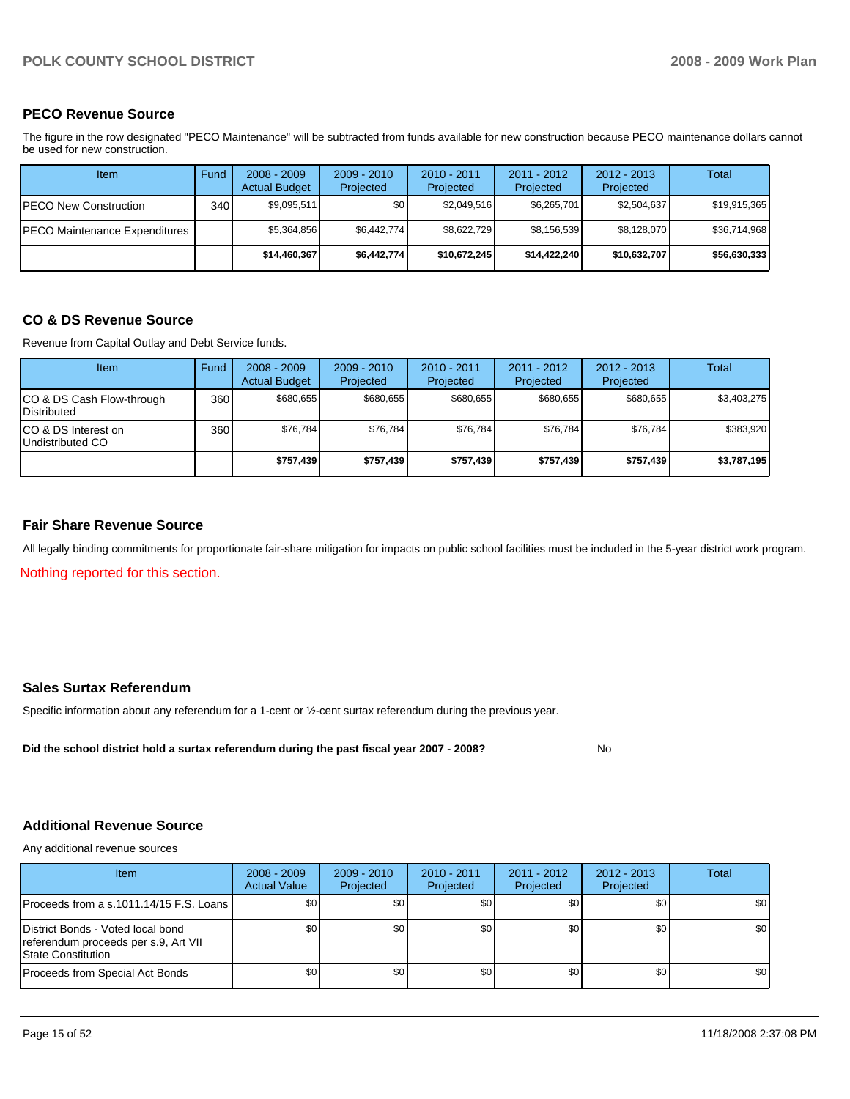### **PECO Revenue Source**

The figure in the row designated "PECO Maintenance" will be subtracted from funds available for new construction because PECO maintenance dollars cannot be used for new construction.

| Item                          | Fund         | $2008 - 2009$<br><b>Actual Budget</b> | $2009 - 2010$<br>Projected | $2010 - 2011$<br>Projected | $2011 - 2012$<br>Projected | $2012 - 2013$<br>Projected | Total        |
|-------------------------------|--------------|---------------------------------------|----------------------------|----------------------------|----------------------------|----------------------------|--------------|
| IPECO New Construction        | 340 <b>I</b> | \$9.095.511                           | \$0 <sub>1</sub>           | \$2,049,516                | \$6,265,701                | \$2,504,637                | \$19,915,365 |
| PECO Maintenance Expenditures |              | \$5.364.856                           | \$6.442.774                | \$8.622.729                | \$8,156,539                | \$8,128,070                | \$36,714,968 |
|                               |              | \$14,460,367                          | \$6,442,774                | \$10,672,245               | \$14,422,240               | \$10,632,707               | \$56,630,333 |

#### **CO & DS Revenue Source**

Revenue from Capital Outlay and Debt Service funds.

| Item                                            | Fund  | $2008 - 2009$<br><b>Actual Budget</b> | $2009 - 2010$<br>Projected | $2010 - 2011$<br>Projected | $2011 - 2012$<br>Projected | $2012 - 2013$<br>Projected | Total       |
|-------------------------------------------------|-------|---------------------------------------|----------------------------|----------------------------|----------------------------|----------------------------|-------------|
| CO & DS Cash Flow-through<br><b>Distributed</b> | 360 l | \$680.655                             | \$680.655                  | \$680.655                  | \$680.655                  | \$680.655                  | \$3,403,275 |
| CO & DS Interest on<br>Undistributed CO         | 360   | \$76.784                              | \$76.784                   | \$76,784                   | \$76.784                   | \$76,784                   | \$383,920   |
|                                                 |       | \$757,439                             | \$757,439                  | \$757,439                  | \$757,439                  | \$757,439                  | \$3,787,195 |

#### **Fair Share Revenue Source**

All legally binding commitments for proportionate fair-share mitigation for impacts on public school facilities must be included in the 5-year district work program.

Nothing reported for this section.

### **Sales Surtax Referendum**

Specific information about any referendum for a 1-cent or ½-cent surtax referendum during the previous year.

Did the school district hold a surtax referendum during the past fiscal year 2007 - 2008? No

### **Additional Revenue Source**

Any additional revenue sources

| Item                                                                                              | $2008 - 2009$<br><b>Actual Value</b> | $2009 - 2010$<br>Projected | $2010 - 2011$<br>Projected | $2011 - 2012$<br>Projected | $2012 - 2013$<br>Projected | Total            |
|---------------------------------------------------------------------------------------------------|--------------------------------------|----------------------------|----------------------------|----------------------------|----------------------------|------------------|
| IProceeds from a s.1011.14/15 F.S. Loans I                                                        | \$0                                  | \$0                        | \$0                        | \$0                        | \$0                        | \$0 <sub>1</sub> |
| District Bonds - Voted local bond<br>referendum proceeds per s.9, Art VII<br>l State Constitution | \$0 <sub>1</sub>                     | \$0                        | \$0                        | \$0                        | \$0                        | \$0              |
| Proceeds from Special Act Bonds                                                                   | \$0                                  | \$0                        | \$0                        | \$0                        | \$0                        | \$0              |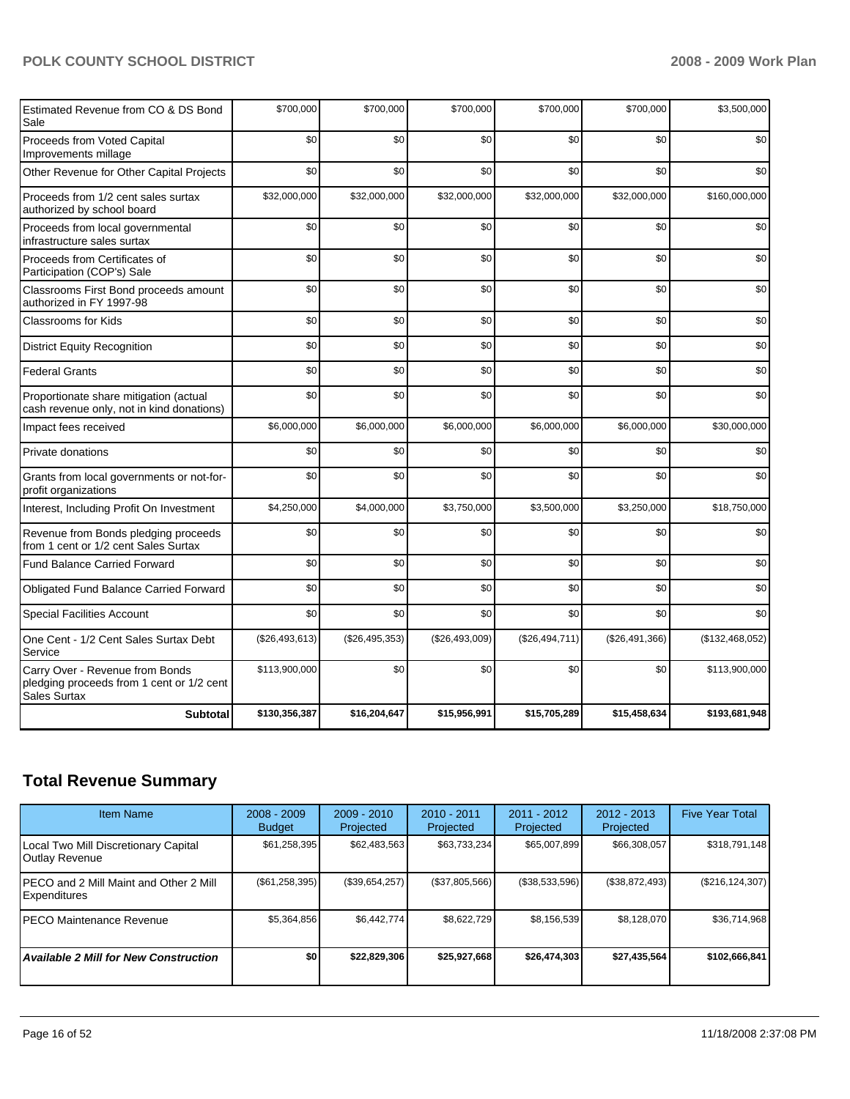| Estimated Revenue from CO & DS Bond<br>Sale                                                  | \$700,000      | \$700,000      | \$700,000      | \$700,000      | \$700,000      | \$3,500,000     |
|----------------------------------------------------------------------------------------------|----------------|----------------|----------------|----------------|----------------|-----------------|
| Proceeds from Voted Capital<br>Improvements millage                                          | \$0            | \$0            | \$0            | \$0            | \$0            | \$0             |
| Other Revenue for Other Capital Projects                                                     | \$0            | \$0            | \$0            | \$0            | \$0            | \$0             |
| Proceeds from 1/2 cent sales surtax<br>authorized by school board                            | \$32,000,000   | \$32,000,000   | \$32,000,000   | \$32,000,000   | \$32,000,000   | \$160,000,000   |
| Proceeds from local governmental<br>infrastructure sales surtax                              | \$0            | \$0            | \$0            | \$0            | \$0            | \$0             |
| Proceeds from Certificates of<br>Participation (COP's) Sale                                  | \$0            | \$0            | \$0            | \$0            | \$0            | \$0             |
| Classrooms First Bond proceeds amount<br>authorized in FY 1997-98                            | \$0            | \$0            | \$0            | \$0            | \$0            | \$0             |
| <b>Classrooms for Kids</b>                                                                   | \$0            | \$0            | \$0            | \$0            | \$0            | \$0             |
| <b>District Equity Recognition</b>                                                           | \$0            | \$0            | \$0            | \$0            | \$0            | \$0             |
| <b>Federal Grants</b>                                                                        | \$0            | \$0            | \$0            | \$0            | \$0            | \$0             |
| Proportionate share mitigation (actual<br>cash revenue only, not in kind donations)          | \$0            | \$0            | \$0            | \$0            | \$0            | \$0             |
| Impact fees received                                                                         | \$6,000,000    | \$6,000,000    | \$6,000,000    | \$6,000,000    | \$6,000,000    | \$30,000,000    |
| <b>Private donations</b>                                                                     | \$0            | \$0            | \$0            | \$0            | \$0            | \$0             |
| Grants from local governments or not-for-<br>profit organizations                            | \$0            | \$0            | \$0            | \$0            | \$0            | \$0             |
| Interest, Including Profit On Investment                                                     | \$4,250,000    | \$4,000,000    | \$3,750,000    | \$3,500,000    | \$3,250,000    | \$18,750,000    |
| Revenue from Bonds pledging proceeds<br>from 1 cent or 1/2 cent Sales Surtax                 | \$0            | \$0            | \$0            | \$0            | \$0            | \$0             |
| <b>Fund Balance Carried Forward</b>                                                          | \$0            | \$0            | \$0            | \$0            | \$0            | \$0             |
| <b>Obligated Fund Balance Carried Forward</b>                                                | \$0            | \$0            | \$0            | \$0            | \$0            | \$0             |
| <b>Special Facilities Account</b>                                                            | \$0            | \$0            | \$0            | \$0            | \$0            | \$0             |
| One Cent - 1/2 Cent Sales Surtax Debt<br>Service                                             | (\$26,493,613) | (\$26,495,353) | (\$26,493,009) | (\$26,494,711) | (\$26,491,366) | (\$132,468,052) |
| Carry Over - Revenue from Bonds<br>pledging proceeds from 1 cent or 1/2 cent<br>Sales Surtax | \$113,900,000  | \$0            | \$0            | \$0            | \$0            | \$113,900,000   |
| <b>Subtotal</b>                                                                              | \$130,356,387  | \$16,204,647   | \$15,956,991   | \$15,705,289   | \$15,458,634   | \$193,681,948   |

# **Total Revenue Summary**

| <b>Item Name</b>                                              | $2008 - 2009$<br><b>Budget</b> | $2009 - 2010$<br>Projected | $2010 - 2011$<br>Projected | $2011 - 2012$<br>Projected | $2012 - 2013$<br>Projected | <b>Five Year Total</b> |
|---------------------------------------------------------------|--------------------------------|----------------------------|----------------------------|----------------------------|----------------------------|------------------------|
| Local Two Mill Discretionary Capital<br>Outlay Revenue        | \$61,258,395                   | \$62,483,563               | \$63,733,234               | \$65,007,899               | \$66,308,057               | \$318,791,148          |
| PECO and 2 Mill Maint and Other 2 Mill<br><b>Expenditures</b> | $(\$61,258,395)$               | (\$39,654,257)             | (\$37,805,566)             | (\$38,533,596)             | (\$38,872,493)             | $(\$216, 124, 307)$    |
| <b>PECO Maintenance Revenue</b>                               | \$5,364,856                    | \$6.442.774                | \$8,622,729                | \$8,156,539                | \$8,128,070                | \$36,714,968           |
| <b>Available 2 Mill for New Construction</b>                  | \$0                            | \$22,829,306               | \$25,927,668               | \$26,474.303               | \$27.435.564               | \$102,666,841          |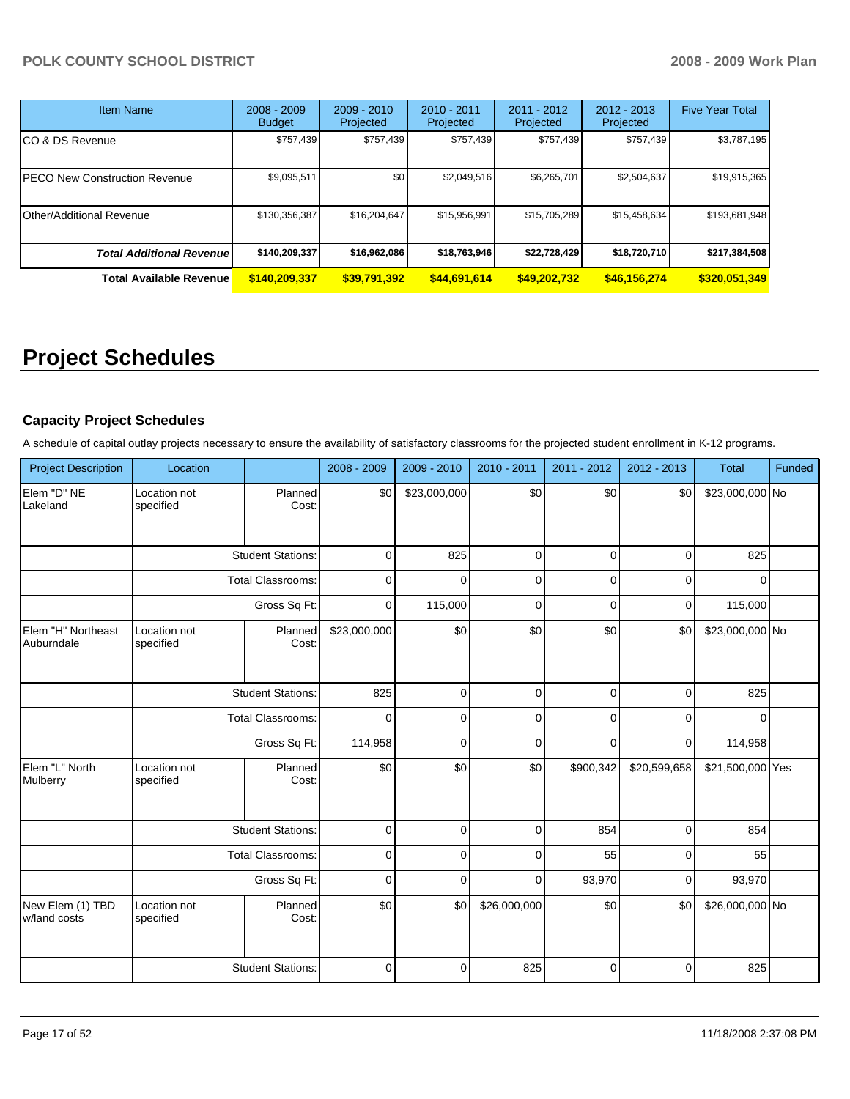| <b>Item Name</b>                 | $2008 - 2009$<br><b>Budget</b> | $2009 - 2010$<br>Projected | $2010 - 2011$<br>Projected | 2011 - 2012<br>Projected | 2012 - 2013<br>Projected | <b>Five Year Total</b> |
|----------------------------------|--------------------------------|----------------------------|----------------------------|--------------------------|--------------------------|------------------------|
| CO & DS Revenue                  | \$757,439                      | \$757,439                  | \$757.439                  | \$757,439                | \$757,439                | \$3,787,195            |
| PECO New Construction Revenue    | \$9,095,511                    | \$0                        | \$2,049,516                | \$6,265,701              | \$2,504,637              | \$19,915,365           |
| Other/Additional Revenue         | \$130,356,387                  | \$16,204,647               | \$15,956,991               | \$15,705,289             | \$15,458,634             | \$193,681,948          |
| <b>Total Additional Revenuel</b> | \$140,209,337                  | \$16,962,086               | \$18,763,946               | \$22,728,429             | \$18,720,710             | \$217,384,508          |
| <b>Total Available Revenue</b>   | \$140,209,337                  | \$39,791,392               | \$44,691,614               | \$49,202,732             | \$46,156,274             | \$320,051,349          |

# **Project Schedules**

## **Capacity Project Schedules**

A schedule of capital outlay projects necessary to ensure the availability of satisfactory classrooms for the projected student enrollment in K-12 programs.

| <b>Project Description</b>       | Location                  |                          | 2008 - 2009  | 2009 - 2010  | 2010 - 2011  | 2011 - 2012 | 2012 - 2013  | <b>Total</b>     | Funded |
|----------------------------------|---------------------------|--------------------------|--------------|--------------|--------------|-------------|--------------|------------------|--------|
| Elem "D" NE<br>Lakeland          | Location not<br>specified | Planned<br>Cost:         | \$0          | \$23,000,000 | \$0          | \$0         | \$0          | \$23,000,000 No  |        |
|                                  |                           | <b>Student Stations:</b> | $\mathbf 0$  | 825          | $\mathbf 0$  | $\mathbf 0$ | $\mathbf 0$  | 825              |        |
|                                  |                           | <b>Total Classrooms:</b> |              | $\Omega$     | $\mathbf 0$  | 0           | $\mathbf 0$  | $\Omega$         |        |
|                                  |                           | Gross Sq Ft:             |              | 115,000      | $\mathbf 0$  | 0           | $\mathbf 0$  | 115,000          |        |
| Elem "H" Northeast<br>Auburndale | Location not<br>specified | Planned<br>Cost:         | \$23,000,000 | \$0          | \$0          | \$0         | \$0          | \$23,000,000 No  |        |
|                                  |                           | <b>Student Stations:</b> | 825          | $\mathbf 0$  | $\mathbf 0$  | $\mathbf 0$ | $\mathbf 0$  | 825              |        |
|                                  |                           | <b>Total Classrooms:</b> | $\Omega$     | $\Omega$     | $\mathbf 0$  | $\Omega$    | $\Omega$     | $\Omega$         |        |
|                                  | Gross Sq Ft:              |                          | 114,958      | 0            | $\mathbf 0$  | $\Omega$    | $\mathbf 0$  | 114,958          |        |
| Elem "L" North<br>Mulberry       | Location not<br>specified | Planned<br>Cost:         | \$0          | \$0          | \$0          | \$900,342   | \$20,599,658 | \$21,500,000 Yes |        |
|                                  |                           | <b>Student Stations:</b> | $\mathbf 0$  | 0            | $\mathbf 0$  | 854         | $\mathbf 0$  | 854              |        |
|                                  |                           | <b>Total Classrooms:</b> | 0            | 0            | $\mathbf 0$  | 55          | $\mathbf 0$  | 55               |        |
|                                  |                           | Gross Sq Ft:             | $\mathbf 0$  | $\mathbf 0$  | $\mathbf 0$  | 93,970      | $\mathbf 0$  | 93,970           |        |
| New Elem (1) TBD<br>w/land costs | Location not<br>specified | Planned<br>Cost:         | \$0          | \$0          | \$26,000,000 | \$0         | \$0          | \$26,000,000 No  |        |
|                                  |                           | <b>Student Stations:</b> | 0            | $\Omega$     | 825          | 0           | $\Omega$     | 825              |        |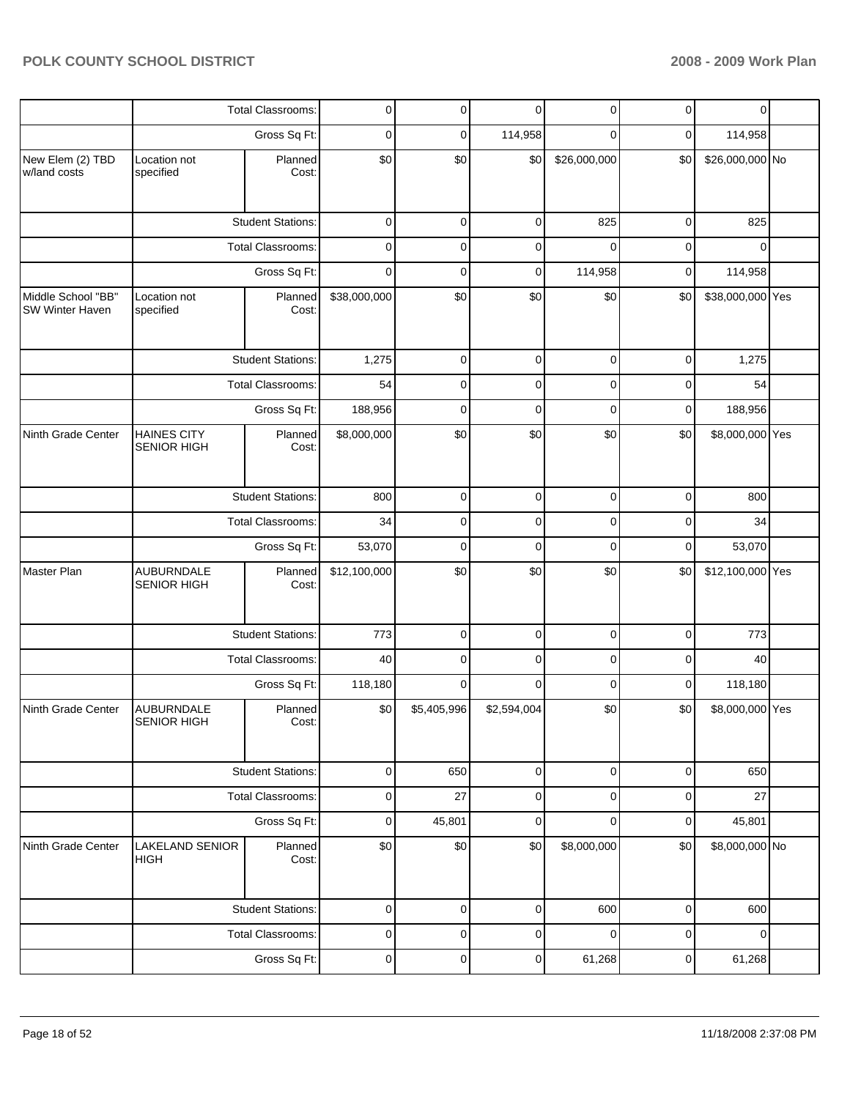|                                       |                                          | Total Classrooms:        | 0            | 0           | $\mathbf 0$ | 0            | $\mathbf 0$ | $\mathbf 0$      |  |
|---------------------------------------|------------------------------------------|--------------------------|--------------|-------------|-------------|--------------|-------------|------------------|--|
|                                       |                                          | Gross Sq Ft:             | 0            | 0           | 114,958     | 0            | $\mathbf 0$ | 114,958          |  |
| New Elem (2) TBD<br>w/land costs      | Location not<br>specified                | Planned<br>Cost:         | \$0          | \$0         | \$0         | \$26,000,000 | \$0         | \$26,000,000 No  |  |
|                                       |                                          | <b>Student Stations:</b> | $\mathbf 0$  | $\mathbf 0$ | $\mathbf 0$ | 825          | $\mathbf 0$ | 825              |  |
|                                       |                                          | Total Classrooms:        | $\mathbf 0$  | 0           | 0           | $\mathbf 0$  | $\mathbf 0$ | $\Omega$         |  |
|                                       |                                          | Gross Sq Ft:             | 0            | 0           | $\mathbf 0$ | 114,958      | $\mathbf 0$ | 114,958          |  |
| Middle School "BB"<br>SW Winter Haven | Location not<br>specified                | Planned<br>Cost:         | \$38,000,000 | \$0         | \$0         | \$0          | \$0         | \$38,000,000 Yes |  |
|                                       |                                          | <b>Student Stations:</b> | 1,275        | 0           | $\mathbf 0$ | 0            | $\mathbf 0$ | 1,275            |  |
|                                       | <b>Total Classrooms:</b>                 |                          | 54           | 0           | 0           | 0            | 0           | 54               |  |
|                                       |                                          | Gross Sq Ft:             | 188,956      | 0           | 0           | 0            | 0           | 188,956          |  |
| Ninth Grade Center                    | <b>HAINES CITY</b><br><b>SENIOR HIGH</b> | Planned<br>Cost:         | \$8,000,000  | \$0         | \$0         | \$0          | \$0         | \$8,000,000 Yes  |  |
|                                       |                                          | <b>Student Stations:</b> | 800          | 0           | $\mathbf 0$ | 0            | $\mathbf 0$ | 800              |  |
|                                       | <b>Total Classrooms:</b>                 |                          | 34           | 0           | $\mathbf 0$ | 0            | 0           | 34               |  |
|                                       |                                          | Gross Sq Ft:             | 53,070       | $\mathbf 0$ | $\mathbf 0$ | $\mathbf 0$  | $\mathbf 0$ | 53,070           |  |
| Master Plan                           | <b>AUBURNDALE</b><br><b>SENIOR HIGH</b>  | Planned<br>Cost:         | \$12,100,000 | \$0         | \$0         | \$0          | \$0         | \$12,100,000 Yes |  |
|                                       |                                          | <b>Student Stations:</b> | 773          | 0           | 0           | 0            | 0           | 773              |  |
|                                       |                                          | Total Classrooms:        | 40           | 0           | 0           | 0            | 0           | 40               |  |
|                                       |                                          | Gross Sq Ft:             | 118,180      | 0           | 0           | 0            | 0           | 118,180          |  |
| Ninth Grade Center                    | <b>AUBURNDALE</b><br>SENIOR HIGH         | Planned<br>Cost:         | \$0          | \$5,405,996 | \$2,594,004 | \$0          | \$0         | \$8,000,000 Yes  |  |
|                                       |                                          | <b>Student Stations:</b> | $\pmb{0}$    | 650         | $\mathbf 0$ | $\pmb{0}$    | $\mathbf 0$ | 650              |  |
|                                       |                                          | <b>Total Classrooms:</b> | $\pmb{0}$    | 27          | $\pmb{0}$   | 0            | $\mathbf 0$ | 27               |  |
|                                       |                                          | Gross Sq Ft:             | $\mathbf 0$  | 45,801      | $\mathbf 0$ | 0            | $\mathbf 0$ | 45,801           |  |
| Ninth Grade Center                    | <b>LAKELAND SENIOR</b><br>HIGH           | Planned<br>Cost:         | \$0          | $\$0$       | \$0         | \$8,000,000  | \$0         | \$8,000,000 No   |  |
|                                       |                                          | <b>Student Stations:</b> | $\mathbf 0$  | 0           | $\mathbf 0$ | 600          | $\mathbf 0$ | 600              |  |
|                                       |                                          | Total Classrooms:        | 0            | 0           | 0           | 0            | 0           | $\mathbf 0$      |  |
|                                       |                                          | Gross Sq Ft:             | $\pmb{0}$    | 0           | 0           | 61,268       | $\pmb{0}$   | 61,268           |  |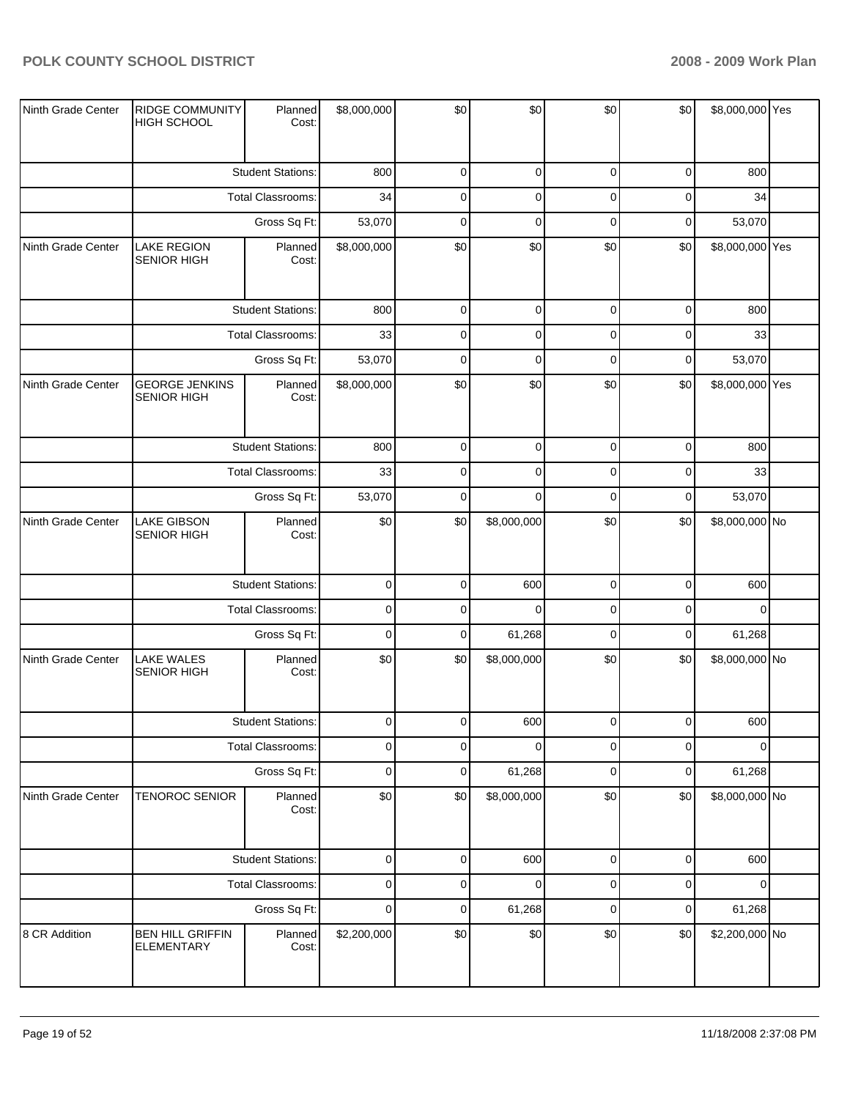| Ninth Grade Center | RIDGE COMMUNITY<br><b>HIGH SCHOOL</b>        | Planned<br>Cost:         | \$8,000,000 | \$0         | \$0         | \$0         | \$0         | \$8,000,000 Yes |  |
|--------------------|----------------------------------------------|--------------------------|-------------|-------------|-------------|-------------|-------------|-----------------|--|
|                    |                                              | <b>Student Stations:</b> | 800         | 0           | $\pmb{0}$   | $\mathbf 0$ | 0           | 800             |  |
|                    |                                              | Total Classrooms:        | 34          | 0           | $\pmb{0}$   | $\mathbf 0$ | 0           | 34              |  |
|                    |                                              | Gross Sq Ft:             | 53,070      | $\pmb{0}$   | $\pmb{0}$   | $\mathbf 0$ | 0           | 53,070          |  |
| Ninth Grade Center | <b>LAKE REGION</b><br><b>SENIOR HIGH</b>     | Planned<br>Cost:         | \$8,000,000 | \$0         | \$0         | \$0         | \$0         | \$8,000,000 Yes |  |
|                    |                                              | <b>Student Stations:</b> | 800         | $\mathbf 0$ | $\pmb{0}$   | $\mathbf 0$ | $\mathbf 0$ | 800             |  |
|                    |                                              | Total Classrooms:        | 33          | $\pmb{0}$   | $\pmb{0}$   | $\mathbf 0$ | 0           | 33              |  |
|                    |                                              | Gross Sq Ft:             | 53,070      | $\mathbf 0$ | $\mathbf 0$ | $\mathbf 0$ | 0           | 53,070          |  |
| Ninth Grade Center | <b>GEORGE JENKINS</b><br><b>SENIOR HIGH</b>  | Planned<br>Cost:         | \$8,000,000 | \$0         | \$0         | \$0         | \$0         | \$8,000,000 Yes |  |
|                    |                                              | <b>Student Stations:</b> | 800         | 0           | $\pmb{0}$   | 0           | 0           | 800             |  |
|                    |                                              | Total Classrooms:        | 33          | $\pmb{0}$   | $\pmb{0}$   | $\mathbf 0$ | 0           | 33              |  |
|                    |                                              | Gross Sq Ft:             | 53,070      | $\mathbf 0$ | $\mathbf 0$ | $\mathbf 0$ | 0           | 53,070          |  |
| Ninth Grade Center | <b>LAKE GIBSON</b><br><b>SENIOR HIGH</b>     | Planned<br>Cost:         | \$0         | \$0         | \$8,000,000 | \$0         | \$0         | \$8,000,000 No  |  |
|                    |                                              | <b>Student Stations:</b> | $\pmb{0}$   | $\pmb{0}$   | 600         | $\mathbf 0$ | 0           | 600             |  |
|                    |                                              | Total Classrooms:        | $\pmb{0}$   | $\mathbf 0$ | $\mathbf 0$ | $\mathbf 0$ | 0           | $\Omega$        |  |
|                    |                                              | Gross Sq Ft:             | $\mathsf 0$ | $\pmb{0}$   | 61,268      | $\mathbf 0$ | 0           | 61,268          |  |
| Ninth Grade Center | <b>LAKE WALES</b><br><b>SENIOR HIGH</b>      | Planned<br>Cost:         | \$0         | \$0         | \$8,000,000 | \$0         | \$0         | \$8,000,000 No  |  |
|                    |                                              | <b>Student Stations:</b> | $\Omega$    | $\Omega$    | 600         | $\Omega$    | 0           | 600             |  |
|                    |                                              | Total Classrooms:        | $\pmb{0}$   | $\mathbf 0$ | $\mathbf 0$ | 0           | 0           | $\Omega$        |  |
|                    |                                              | Gross Sq Ft:             | $\pmb{0}$   | $\pmb{0}$   | 61,268      | $\mathbf 0$ | 0           | 61,268          |  |
| Ninth Grade Center | <b>TENOROC SENIOR</b>                        | Planned<br>Cost:         | \$0         | \$0         | \$8,000,000 | \$0         | \$0         | \$8,000,000 No  |  |
|                    |                                              | <b>Student Stations:</b> | $\mathbf 0$ | $\mathsf 0$ | 600         | $\mathbf 0$ | 0           | 600             |  |
|                    |                                              | Total Classrooms:        | $\mathsf 0$ | $\pmb{0}$   | $\pmb{0}$   | $\mathbf 0$ | 0           | 0               |  |
|                    |                                              | Gross Sq Ft:             | $\pmb{0}$   | $\pmb{0}$   | 61,268      | $\mathbf 0$ | 0           | 61,268          |  |
| 8 CR Addition      | <b>BEN HILL GRIFFIN</b><br><b>ELEMENTARY</b> | Planned<br>Cost:         | \$2,200,000 | \$0         | \$0         | \$0         | \$0         | \$2,200,000 No  |  |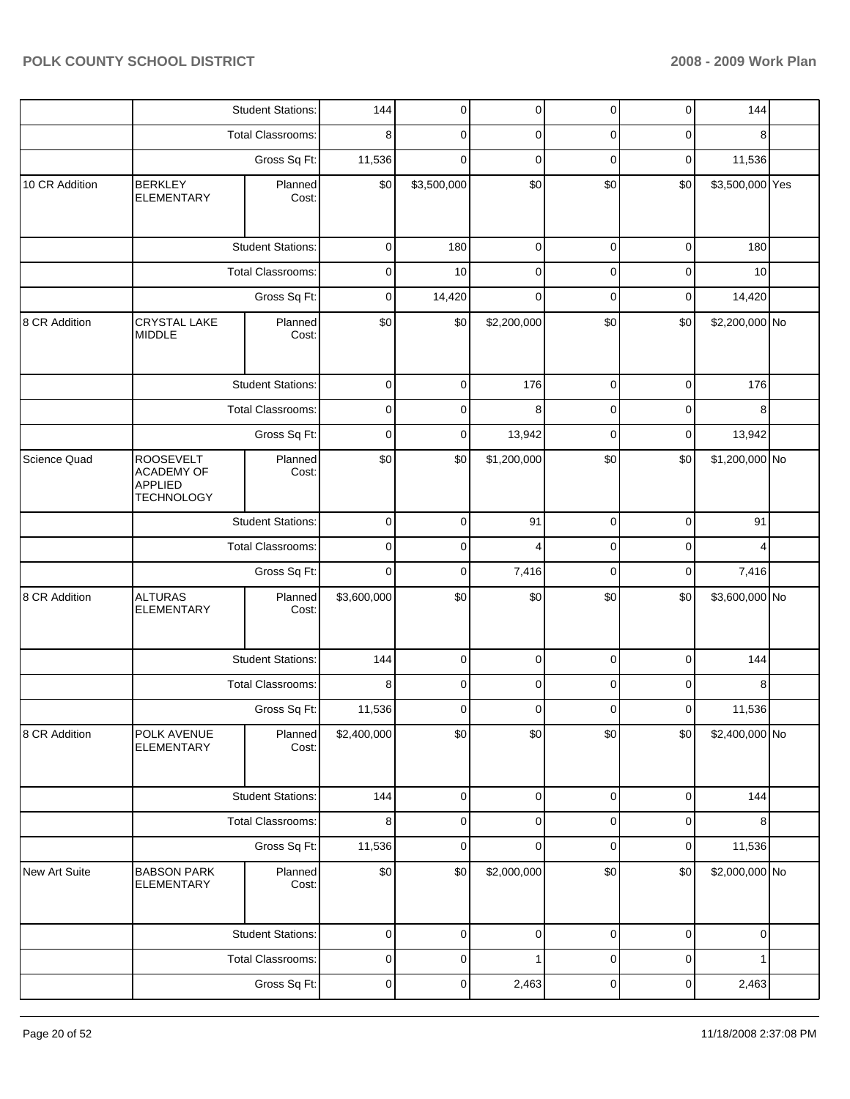|                |                                                                              | <b>Student Stations:</b> | 144         | $\mathbf 0$ | $\pmb{0}$   | $\pmb{0}$   | $\mathbf 0$ | 144             |  |
|----------------|------------------------------------------------------------------------------|--------------------------|-------------|-------------|-------------|-------------|-------------|-----------------|--|
|                |                                                                              | <b>Total Classrooms:</b> | 8           | 0           | 0           | 0           | 0           | 8               |  |
|                |                                                                              | Gross Sq Ft:             | 11,536      | 0           | 0           | 0           | $\mathbf 0$ | 11,536          |  |
| 10 CR Addition | <b>BERKLEY</b><br><b>ELEMENTARY</b>                                          | Planned<br>Cost:         | \$0         | \$3,500,000 | \$0         | \$0         | \$0         | \$3,500,000 Yes |  |
|                |                                                                              | <b>Student Stations:</b> | $\pmb{0}$   | 180         | $\mathbf 0$ | $\mathbf 0$ | $\mathbf 0$ | 180             |  |
|                |                                                                              | <b>Total Classrooms:</b> | 0           | 10          | $\mathbf 0$ | $\mathbf 0$ | $\mathbf 0$ | 10              |  |
|                |                                                                              | Gross Sq Ft:             | $\mathbf 0$ | 14,420      | $\mathbf 0$ | $\mathbf 0$ | $\mathbf 0$ | 14,420          |  |
| 8 CR Addition  | CRYSTAL LAKE<br><b>MIDDLE</b>                                                | Planned<br>Cost:         | \$0         | \$0         | \$2,200,000 | \$0         | \$0         | \$2,200,000 No  |  |
|                |                                                                              | <b>Student Stations:</b> |             | 0           | 176         | $\mathbf 0$ | $\mathbf 0$ | 176             |  |
|                |                                                                              | <b>Total Classrooms:</b> | 0           | 0           | 8           | 0           | $\mathbf 0$ | 8               |  |
|                |                                                                              | Gross Sq Ft:             | 0           | 0           | 13,942      | $\mathbf 0$ | $\mathbf 0$ | 13,942          |  |
| Science Quad   | <b>ROOSEVELT</b><br><b>ACADEMY OF</b><br><b>APPLIED</b><br><b>TECHNOLOGY</b> | Planned<br>Cost:         | \$0         | \$0         | \$1,200,000 | \$0         | \$0         | \$1,200,000 No  |  |
|                |                                                                              | <b>Student Stations:</b> | $\pmb{0}$   | $\mathbf 0$ | 91          | $\mathbf 0$ | $\mathbf 0$ | 91              |  |
|                |                                                                              | Total Classrooms:        | $\mathbf 0$ | 0           | 4           | 0           | $\mathbf 0$ | 4               |  |
|                |                                                                              | Gross Sq Ft:             | $\mathbf 0$ | 0           | 7,416       | $\mathbf 0$ | $\mathbf 0$ | 7,416           |  |
| 8 CR Addition  | <b>ALTURAS</b><br><b>ELEMENTARY</b>                                          | Planned<br>Cost:         | \$3,600,000 | \$0         | \$0         | \$0         | \$0         | \$3,600,000 No  |  |
|                |                                                                              | <b>Student Stations:</b> | 144         | 0           | $\mathbf 0$ | $\mathbf 0$ | $\mathbf 0$ | 144             |  |
|                |                                                                              | Total Classrooms:        | 8           | 0           | 0           | 0           | 0           | 8               |  |
|                |                                                                              | Gross Sq Ft:             | 11,536      | 0           | $\mathbf 0$ | 0           | $\mathbf 0$ | 11,536          |  |
| 8 CR Addition  | POLK AVENUE<br><b>ELEMENTARY</b>                                             | Planned<br>Cost:         | \$2,400,000 | \$0         | \$0         | \$0         | \$0         | \$2,400,000 No  |  |
|                |                                                                              | <b>Student Stations:</b> | 144         | $\pmb{0}$   | $\pmb{0}$   | $\mathbf 0$ | $\mathbf 0$ | 144             |  |
|                |                                                                              | Total Classrooms:        | 8           | 0           | $\mathbf 0$ | 0           | $\mathbf 0$ | 8               |  |
|                |                                                                              | Gross Sq Ft:             | 11,536      | 0           | $\mathbf 0$ | $\mathbf 0$ | $\pmb{0}$   | 11,536          |  |
| New Art Suite  | <b>BABSON PARK</b><br><b>ELEMENTARY</b>                                      | Planned<br>Cost:         | \$0         | \$0         | \$2,000,000 | \$0         | \$0         | \$2,000,000 No  |  |
|                |                                                                              | <b>Student Stations:</b> | 0           | 0           | $\mathbf 0$ | $\mathbf 0$ | $\pmb{0}$   | $\mathbf 0$     |  |
|                |                                                                              | Total Classrooms:        | $\mathbf 0$ | 0           | 1           | 0           | $\pmb{0}$   | 1               |  |
|                |                                                                              | Gross Sq Ft:             | 0           | $\pmb{0}$   | 2,463       | $\pmb{0}$   | $\pmb{0}$   | 2,463           |  |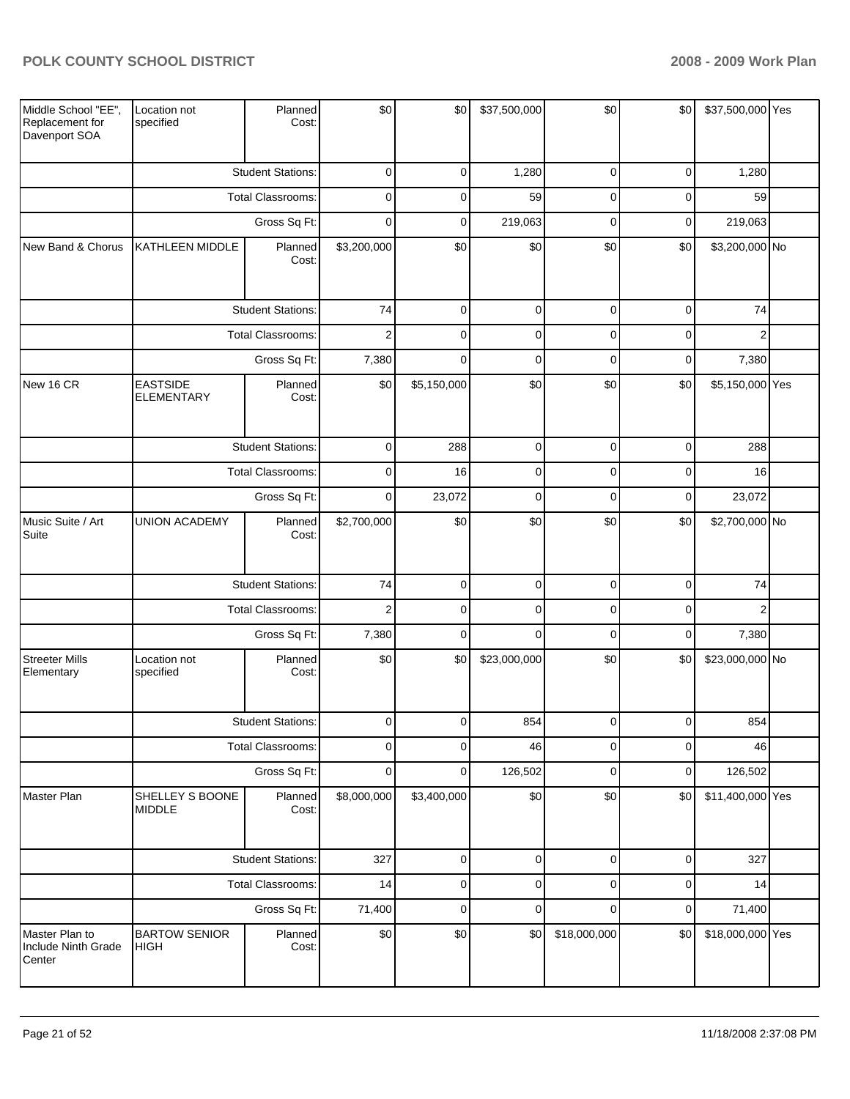| Middle School "EE",<br>Replacement for<br>Davenport SOA | Location not<br>specified            | Planned<br>Cost:         | \$0                     | \$0         | \$37,500,000 | \$0            | \$0         | \$37,500,000 Yes |  |
|---------------------------------------------------------|--------------------------------------|--------------------------|-------------------------|-------------|--------------|----------------|-------------|------------------|--|
|                                                         |                                      | <b>Student Stations:</b> | 0                       | $\mathbf 0$ | 1,280        | 0              | $\mathbf 0$ | 1,280            |  |
|                                                         |                                      | <b>Total Classrooms:</b> | 0                       | 0           | 59           | 0              | $\mathbf 0$ | 59               |  |
|                                                         |                                      | Gross Sq Ft:             | 0                       | $\mathbf 0$ | 219,063      | $\mathbf 0$    | 0           | 219,063          |  |
| New Band & Chorus                                       | KATHLEEN MIDDLE                      | Planned<br>Cost:         | \$3,200,000             | \$0         | \$0          | \$0            | \$0         | \$3,200,000 No   |  |
|                                                         |                                      | <b>Student Stations:</b> | 74                      | $\mathbf 0$ | $\pmb{0}$    | $\mathbf 0$    | $\mathbf 0$ | 74               |  |
|                                                         |                                      | Total Classrooms:        | $\sqrt{2}$              | $\mathbf 0$ | $\pmb{0}$    | $\pmb{0}$      | $\mathbf 0$ | $\overline{2}$   |  |
|                                                         |                                      | Gross Sq Ft:             | 7,380                   | $\mathbf 0$ | $\mathbf 0$  | $\mathbf 0$    | $\mathbf 0$ | 7,380            |  |
| New 16 CR                                               | <b>EASTSIDE</b><br><b>ELEMENTARY</b> | Planned<br>Cost:         | \$0                     | \$5,150,000 | \$0          | \$0            | \$0         | \$5,150,000 Yes  |  |
|                                                         |                                      | <b>Student Stations:</b> | 0                       | 288         | 0            | 0              | 0           | 288              |  |
|                                                         |                                      | <b>Total Classrooms:</b> | $\mathbf 0$             | 16          | $\pmb{0}$    | $\mathbf 0$    | $\mathbf 0$ | 16               |  |
|                                                         | Gross Sq Ft:                         |                          | $\mathbf 0$             | 23,072      | 0            | $\mathbf 0$    | 0           | 23,072           |  |
| Music Suite / Art<br>Suite                              | <b>UNION ACADEMY</b>                 | Planned<br>Cost:         | \$2,700,000             | \$0         | \$0          | \$0            | \$0         | \$2,700,000 No   |  |
|                                                         |                                      | <b>Student Stations:</b> | 74                      | 0           | $\pmb{0}$    | $\pmb{0}$      | $\mathbf 0$ | 74               |  |
|                                                         |                                      | <b>Total Classrooms:</b> | $\overline{\mathbf{c}}$ | $\mathbf 0$ | $\mathbf 0$  | $\mathbf 0$    | $\mathbf 0$ | 2                |  |
|                                                         |                                      | Gross Sq Ft:             | 7,380                   | $\mathbf 0$ | $\mathbf 0$  | $\mathbf 0$    | 0           | 7,380            |  |
| <b>Streeter Mills</b><br>Elementary                     | Location not<br>specified            | Planned<br>Cost:         | \$0                     | \$0         | \$23,000,000 | \$0            | \$0         | \$23,000,000 No  |  |
|                                                         |                                      | <b>Student Stations:</b> | $\Omega$                | $\Omega$    | 854          | $\overline{0}$ | $\Omega$    | 854              |  |
|                                                         |                                      | Total Classrooms:        | $\mathbf 0$             | 0           | 46           | $\pmb{0}$      | $\mathbf 0$ | 46               |  |
|                                                         |                                      | Gross Sq Ft:             | 0                       | $\mathbf 0$ | 126,502      | $\pmb{0}$      | $\mathbf 0$ | 126,502          |  |
| Master Plan                                             | SHELLEY S BOONE<br><b>MIDDLE</b>     | Planned<br>Cost:         | \$8,000,000             | \$3,400,000 | \$0          | \$0            | \$0         | \$11,400,000 Yes |  |
|                                                         |                                      | <b>Student Stations:</b> | 327                     | 0           | $\pmb{0}$    | $\pmb{0}$      | $\pmb{0}$   | 327              |  |
|                                                         |                                      | Total Classrooms:        | 14                      | 0           | $\pmb{0}$    | $\pmb{0}$      | $\mathbf 0$ | 14               |  |
|                                                         |                                      | Gross Sq Ft:             | 71,400                  | $\pmb{0}$   | $\pmb{0}$    | $\mathbf 0$    | 0           | 71,400           |  |
| Master Plan to<br>Include Ninth Grade<br>Center         | <b>BARTOW SENIOR</b><br><b>HIGH</b>  | Planned<br>Cost:         | \$0                     | \$0         | \$0          | \$18,000,000   | \$0         | \$18,000,000 Yes |  |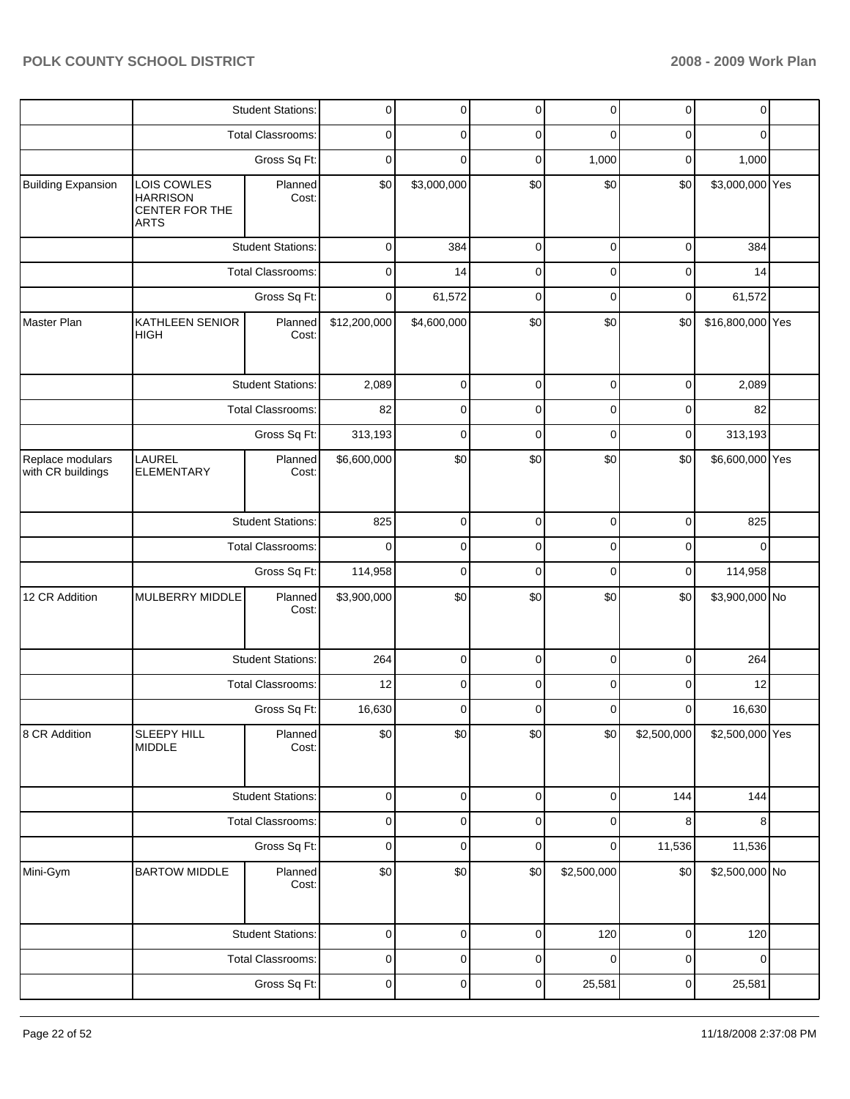|                                       |                                                                        | <b>Student Stations:</b> | 0            | 0           | 0           | 0           | $\mathbf 0$ | 0                |  |
|---------------------------------------|------------------------------------------------------------------------|--------------------------|--------------|-------------|-------------|-------------|-------------|------------------|--|
|                                       |                                                                        | <b>Total Classrooms:</b> | 0            | 0           | 0           | 0           | 0           | 0                |  |
|                                       |                                                                        | Gross Sq Ft:             | 0            | 0           | 0           | 1,000       | $\mathbf 0$ | 1,000            |  |
| <b>Building Expansion</b>             | LOIS COWLES<br><b>HARRISON</b><br><b>CENTER FOR THE</b><br><b>ARTS</b> | Planned<br>Cost:         | \$0          | \$3,000,000 | \$0         | \$0         | \$0         | \$3,000,000 Yes  |  |
|                                       |                                                                        | <b>Student Stations:</b> | $\pmb{0}$    | 384         | $\mathbf 0$ | $\mathbf 0$ | $\mathbf 0$ | 384              |  |
|                                       |                                                                        | <b>Total Classrooms:</b> | 0            | 14          | $\mathbf 0$ | $\mathbf 0$ | 0           | 14               |  |
|                                       |                                                                        | Gross Sq Ft:             | 0            | 61,572      | $\mathbf 0$ | $\mathbf 0$ | $\mathbf 0$ | 61,572           |  |
| Master Plan                           | KATHLEEN SENIOR<br><b>HIGH</b>                                         | Planned<br>Cost:         | \$12,200,000 | \$4,600,000 | \$0         | \$0         | \$0         | \$16,800,000 Yes |  |
|                                       |                                                                        | <b>Student Stations:</b> | 2,089        | 0           | $\mathbf 0$ | 0           | $\mathbf 0$ | 2,089            |  |
|                                       |                                                                        | <b>Total Classrooms:</b> | 82           | 0           | 0           | 0           | 0           | 82               |  |
|                                       |                                                                        | Gross Sq Ft:             | 313,193      | 0           | 0           | 0           | $\mathbf 0$ | 313,193          |  |
| Replace modulars<br>with CR buildings | LAUREL<br><b>ELEMENTARY</b>                                            | Planned<br>Cost:         | \$6,600,000  | \$0         | \$0         | \$0         | \$0         | \$6,600,000 Yes  |  |
|                                       |                                                                        | <b>Student Stations:</b> | 825          | $\mathbf 0$ | $\mathbf 0$ | $\mathbf 0$ | $\mathbf 0$ | 825              |  |
|                                       |                                                                        | Total Classrooms:        | $\Omega$     | 0           | $\mathbf 0$ | 0           | $\mathbf 0$ | $\mathbf 0$      |  |
|                                       |                                                                        | Gross Sq Ft:             | 114,958      | $\mathbf 0$ | $\mathbf 0$ | $\mathbf 0$ | $\mathbf 0$ | 114,958          |  |
| 12 CR Addition                        | MULBERRY MIDDLE                                                        | Planned<br>Cost:         | \$3,900,000  | \$0         | \$0         | \$0         | \$0         | \$3,900,000 No   |  |
|                                       |                                                                        | <b>Student Stations:</b> | 264          | $\mathbf 0$ | $\mathbf 0$ | 0           | $\mathbf 0$ | 264              |  |
|                                       |                                                                        | Total Classrooms:        | 12           | 0           | 0           | 0           | 0           | 12               |  |
|                                       |                                                                        | Gross Sq Ft:             | 16,630       | $\mathbf 0$ | 0           | $\mathbf 0$ | $\mathbf 0$ | 16,630           |  |
| 8 CR Addition                         | SLEEPY HILL<br><b>MIDDLE</b>                                           | Planned<br>Cost:         | \$0          | \$0         | \$0         | \$0         | \$2,500,000 | \$2,500,000 Yes  |  |
|                                       |                                                                        | <b>Student Stations:</b> | $\pmb{0}$    | $\pmb{0}$   | $\pmb{0}$   | $\mathbf 0$ | 144         | 144              |  |
|                                       |                                                                        | <b>Total Classrooms:</b> | $\mathbf 0$  | $\mathbf 0$ | $\pmb{0}$   | 0           | 8           | 8                |  |
|                                       |                                                                        | Gross Sq Ft:             | $\pmb{0}$    | $\pmb{0}$   | $\pmb{0}$   | 0           | 11,536      | 11,536           |  |
| Mini-Gym                              | <b>BARTOW MIDDLE</b>                                                   | Planned<br>Cost:         | \$0          | \$0         | \$0         | \$2,500,000 | \$0         | \$2,500,000 No   |  |
|                                       |                                                                        | <b>Student Stations:</b> | 0            | 0           | $\pmb{0}$   | 120         | $\pmb{0}$   | 120              |  |
|                                       |                                                                        | Total Classrooms:        | 0            | 0           | $\pmb{0}$   | $\mathbf 0$ | $\pmb{0}$   | 0                |  |
|                                       |                                                                        | Gross Sq Ft:             | $\mathbf 0$  | 0           | $\pmb{0}$   | 25,581      | $\pmb{0}$   | 25,581           |  |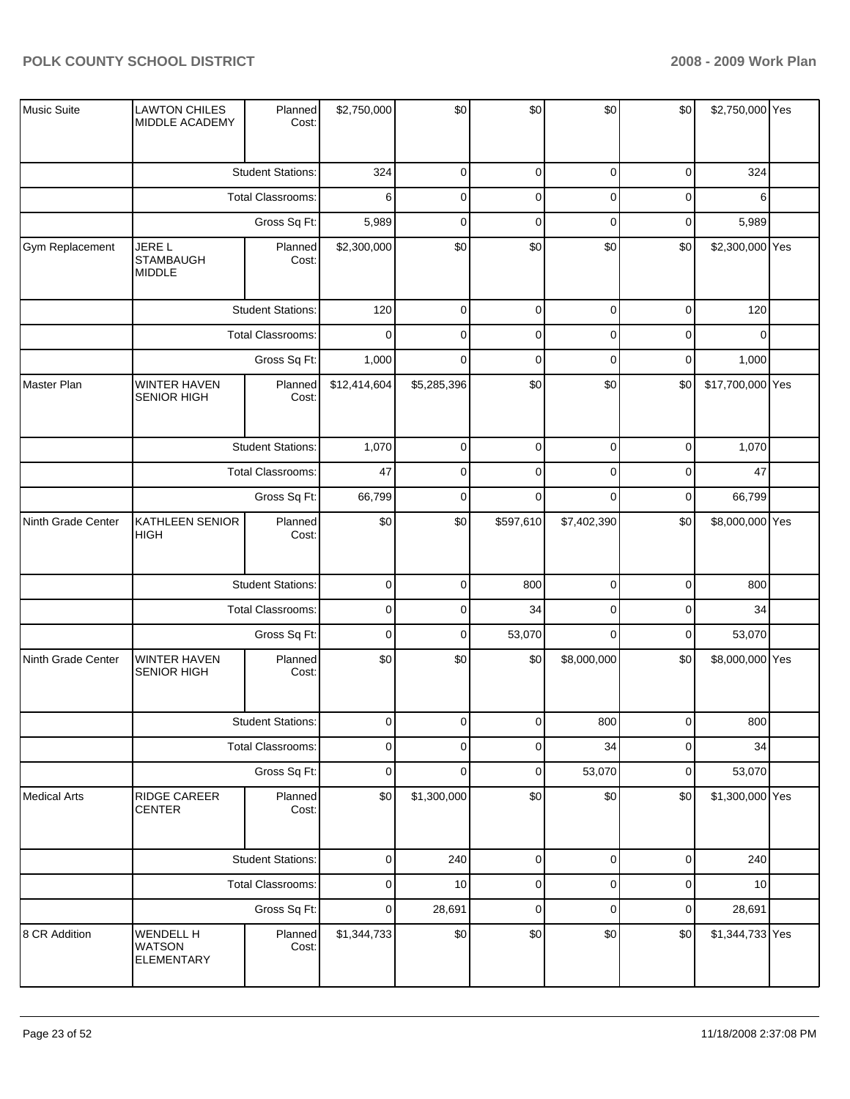| Music Suite         | <b>LAWTON CHILES</b><br>MIDDLE ACADEMY             | Planned<br>Cost:         | \$2,750,000  | \$0         | \$0         | \$0         | \$0 | \$2,750,000 Yes  |  |
|---------------------|----------------------------------------------------|--------------------------|--------------|-------------|-------------|-------------|-----|------------------|--|
|                     |                                                    | <b>Student Stations:</b> | 324          | $\mathbf 0$ | $\pmb{0}$   | $\mathbf 0$ | 0   | 324              |  |
|                     |                                                    | Total Classrooms:        | 6            | $\mathbf 0$ | $\pmb{0}$   | $\mathbf 0$ | 0   | 6                |  |
|                     |                                                    | Gross Sq Ft:             | 5,989        | $\mathbf 0$ | $\pmb{0}$   | $\mathbf 0$ | 0   | 5,989            |  |
| Gym Replacement     | <b>JERE L</b><br><b>STAMBAUGH</b><br><b>MIDDLE</b> | Planned<br>Cost:         | \$2,300,000  | \$0         | \$0         | \$0         | \$0 | \$2,300,000 Yes  |  |
|                     |                                                    | <b>Student Stations:</b> | 120          | $\mathbf 0$ | $\pmb{0}$   | $\mathbf 0$ | 0   | 120              |  |
|                     |                                                    | Total Classrooms:        | $\mathbf 0$  | $\mathbf 0$ | $\pmb{0}$   | $\mathbf 0$ | 0   | $\Omega$         |  |
|                     |                                                    | Gross Sq Ft:             | 1,000        | $\Omega$    | $\mathbf 0$ | $\mathbf 0$ | 0   | 1,000            |  |
| Master Plan         | WINTER HAVEN<br><b>SENIOR HIGH</b>                 | Planned<br>Cost:         | \$12,414,604 | \$5,285,396 | \$0         | \$0         | \$0 | \$17,700,000 Yes |  |
|                     |                                                    | <b>Student Stations:</b> | 1,070        | $\pmb{0}$   | $\pmb{0}$   | $\mathbf 0$ | 0   | 1,070            |  |
|                     |                                                    | Total Classrooms:        | 47           | $\mathbf 0$ | $\pmb{0}$   | $\mathbf 0$ | 0   | 47               |  |
|                     | Gross Sq Ft:                                       |                          | 66,799       | $\pmb{0}$   | $\mathbf 0$ | $\mathbf 0$ | 0   | 66,799           |  |
| Ninth Grade Center  | KATHLEEN SENIOR<br><b>HIGH</b>                     | Planned<br>Cost:         | \$0          | \$0         | \$597,610   | \$7,402,390 | \$0 | \$8,000,000 Yes  |  |
|                     |                                                    | <b>Student Stations:</b> | $\pmb{0}$    | $\mathbf 0$ | 800         | $\mathbf 0$ | 0   | 800              |  |
|                     |                                                    | Total Classrooms:        | $\pmb{0}$    | $\mathbf 0$ | 34          | $\mathbf 0$ | 0   | 34               |  |
|                     |                                                    | Gross Sq Ft:             | $\pmb{0}$    | $\mathbf 0$ | 53,070      | $\mathbf 0$ | 0   | 53,070           |  |
| Ninth Grade Center  | <b>WINTER HAVEN</b><br><b>SENIOR HIGH</b>          | Planned<br>Cost:         | \$0          | \$0         | \$0         | \$8,000,000 | \$0 | \$8,000,000 Yes  |  |
|                     |                                                    | <b>Student Stations:</b> | $\pmb{0}$    | $\mathbf 0$ | $\pmb{0}$   | 800         | 0   | 800              |  |
|                     |                                                    | Total Classrooms:        | $\pmb{0}$    | $\mathbf 0$ | $\mathbf 0$ | 34          | 0   | 34               |  |
|                     |                                                    | Gross Sq Ft:             | $\pmb{0}$    | $\mathbf 0$ | $\pmb{0}$   | 53,070      | 0   | 53,070           |  |
| <b>Medical Arts</b> | RIDGE CAREER<br><b>CENTER</b>                      | Planned<br>Cost:         | \$0          | \$1,300,000 | \$0         | \$0         | \$0 | \$1,300,000 Yes  |  |
|                     |                                                    | <b>Student Stations:</b> | $\pmb{0}$    | 240         | $\pmb{0}$   | $\mathbf 0$ | 0   | 240              |  |
|                     |                                                    | Total Classrooms:        | $\pmb{0}$    | 10          | $\pmb{0}$   | $\mathbf 0$ | 0   | 10               |  |
|                     |                                                    | Gross Sq Ft:             | $\pmb{0}$    | 28,691      | $\pmb{0}$   | $\mathbf 0$ | 0   | 28,691           |  |
| 8 CR Addition       | <b>WENDELL H</b><br><b>WATSON</b><br>ELEMENTARY    | Planned<br>Cost:         | \$1,344,733  | \$0         | \$0         | \$0         | \$0 | \$1,344,733 Yes  |  |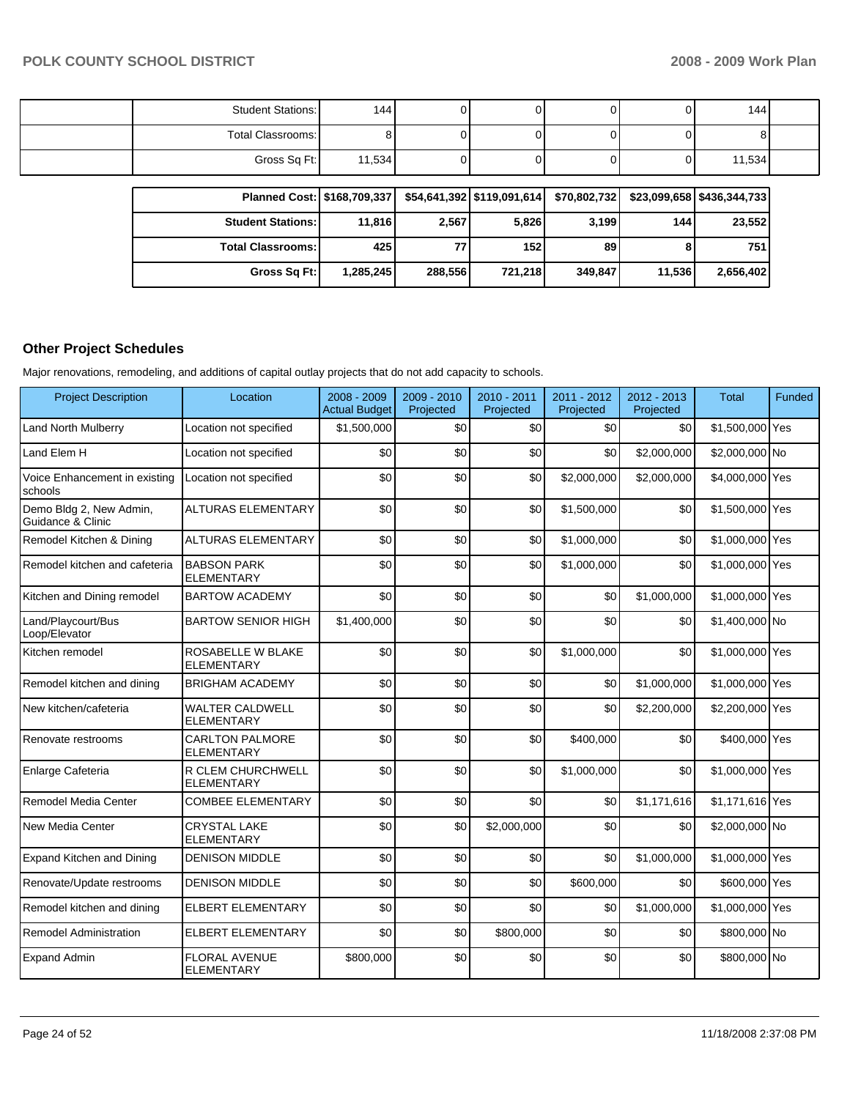| <b>Student Stations:</b> | 144    |  |  | 144    |  |
|--------------------------|--------|--|--|--------|--|
| Total Classrooms:        |        |  |  |        |  |
| Gross Sq Ft:             | 11,534 |  |  | 11,534 |  |

| Planned Cost:   \$168,709,337 |           |         | \$54,641,392 \$119,091,614 | \$70,802,732 |        | $$23,099,658$ $$436,344,733$ |
|-------------------------------|-----------|---------|----------------------------|--------------|--------|------------------------------|
| <b>Student Stations:</b>      | 11.816    | 2,567   | 5,826                      | 3,199        | 144    | 23,552                       |
| <b>Total Classrooms:</b>      | 425       | 77      | 152                        | 89           |        | 751                          |
| Gross Sq Ft:                  | 1,285,245 | 288,556 | 721.218                    | 349,847      | 11.536 | 2,656,402                    |

## **Other Project Schedules**

Major renovations, remodeling, and additions of capital outlay projects that do not add capacity to schools.

| <b>Project Description</b>                   | Location                                    | 2008 - 2009<br><b>Actual Budget</b> | 2009 - 2010<br>Projected | 2010 - 2011<br>Projected | 2011 - 2012<br>Projected | 2012 - 2013<br>Projected | <b>Total</b>    | Funded |
|----------------------------------------------|---------------------------------------------|-------------------------------------|--------------------------|--------------------------|--------------------------|--------------------------|-----------------|--------|
| Land North Mulberry                          | Location not specified                      | \$1,500,000                         | \$0                      | \$0                      | \$0                      | \$0                      | \$1,500,000 Yes |        |
| Land Elem H                                  | Location not specified                      | \$0                                 | \$0                      | \$0                      | \$0                      | \$2,000,000              | \$2,000,000 No  |        |
| Voice Enhancement in existing<br>schools     | Location not specified                      | \$0                                 | \$0                      | \$0                      | \$2,000.000              | \$2,000,000              | \$4,000,000 Yes |        |
| Demo Bldg 2, New Admin,<br>Guidance & Clinic | <b>ALTURAS ELEMENTARY</b>                   | \$0                                 | \$0                      | \$0                      | \$1,500,000              | \$0                      | \$1,500,000 Yes |        |
| Remodel Kitchen & Dining                     | <b>ALTURAS ELEMENTARY</b>                   | \$0                                 | \$0                      | \$0                      | \$1,000,000              | \$0                      | \$1,000,000 Yes |        |
| Remodel kitchen and cafeteria                | <b>BABSON PARK</b><br><b>ELEMENTARY</b>     | \$0                                 | \$0                      | \$0                      | \$1,000,000              | \$0                      | \$1,000,000 Yes |        |
| Kitchen and Dining remodel                   | <b>BARTOW ACADEMY</b>                       | \$0                                 | \$0                      | \$0                      | \$0                      | \$1,000,000              | \$1,000,000 Yes |        |
| Land/Playcourt/Bus<br>Loop/Elevator          | <b>BARTOW SENIOR HIGH</b>                   | \$1,400,000                         | \$0                      | \$0                      | \$0                      | \$0                      | \$1,400,000 No  |        |
| Kitchen remodel                              | ROSABELLE W BLAKE<br><b>ELEMENTARY</b>      | \$0                                 | \$0                      | \$0                      | \$1,000.000              | \$0                      | \$1,000,000 Yes |        |
| Remodel kitchen and dining                   | <b>BRIGHAM ACADEMY</b>                      | \$0                                 | \$0                      | \$0                      | \$0                      | \$1,000,000              | \$1,000,000 Yes |        |
| New kitchen/cafeteria                        | <b>WALTER CALDWELL</b><br><b>ELEMENTARY</b> | \$0                                 | \$0                      | \$0                      | \$0                      | \$2,200,000              | \$2,200,000 Yes |        |
| Renovate restrooms                           | <b>CARLTON PALMORE</b><br><b>ELEMENTARY</b> | \$0                                 | \$0                      | \$0                      | \$400,000                | \$0                      | \$400,000 Yes   |        |
| Enlarge Cafeteria                            | R CLEM CHURCHWELL<br><b>ELEMENTARY</b>      | \$0                                 | \$0                      | \$0                      | \$1,000,000              | \$0                      | \$1,000,000 Yes |        |
| Remodel Media Center                         | <b>COMBEE ELEMENTARY</b>                    | \$0                                 | \$0                      | \$0                      | \$0                      | \$1,171,616              | \$1,171,616 Yes |        |
| New Media Center                             | <b>CRYSTAL LAKE</b><br><b>ELEMENTARY</b>    | \$0                                 | \$0                      | \$2,000,000              | \$0                      | \$0                      | \$2,000,000 No  |        |
| Expand Kitchen and Dining                    | <b>DENISON MIDDLE</b>                       | \$0                                 | \$0                      | \$0                      | \$0                      | \$1,000,000              | \$1,000,000 Yes |        |
| Renovate/Update restrooms                    | <b>DENISON MIDDLE</b>                       | \$0                                 | \$0                      | \$0                      | \$600,000                | \$0                      | \$600,000 Yes   |        |
| Remodel kitchen and dining                   | <b>ELBERT ELEMENTARY</b>                    | \$0                                 | \$0                      | \$0                      | \$0                      | \$1,000,000              | \$1,000,000 Yes |        |
| <b>Remodel Administration</b>                | <b>ELBERT ELEMENTARY</b>                    | \$0                                 | \$0                      | \$800,000                | \$0                      | \$0                      | \$800,000 No    |        |
| <b>Expand Admin</b>                          | <b>FLORAL AVENUE</b><br><b>ELEMENTARY</b>   | \$800,000                           | \$0                      | \$0                      | \$0                      | \$0                      | \$800,000 No    |        |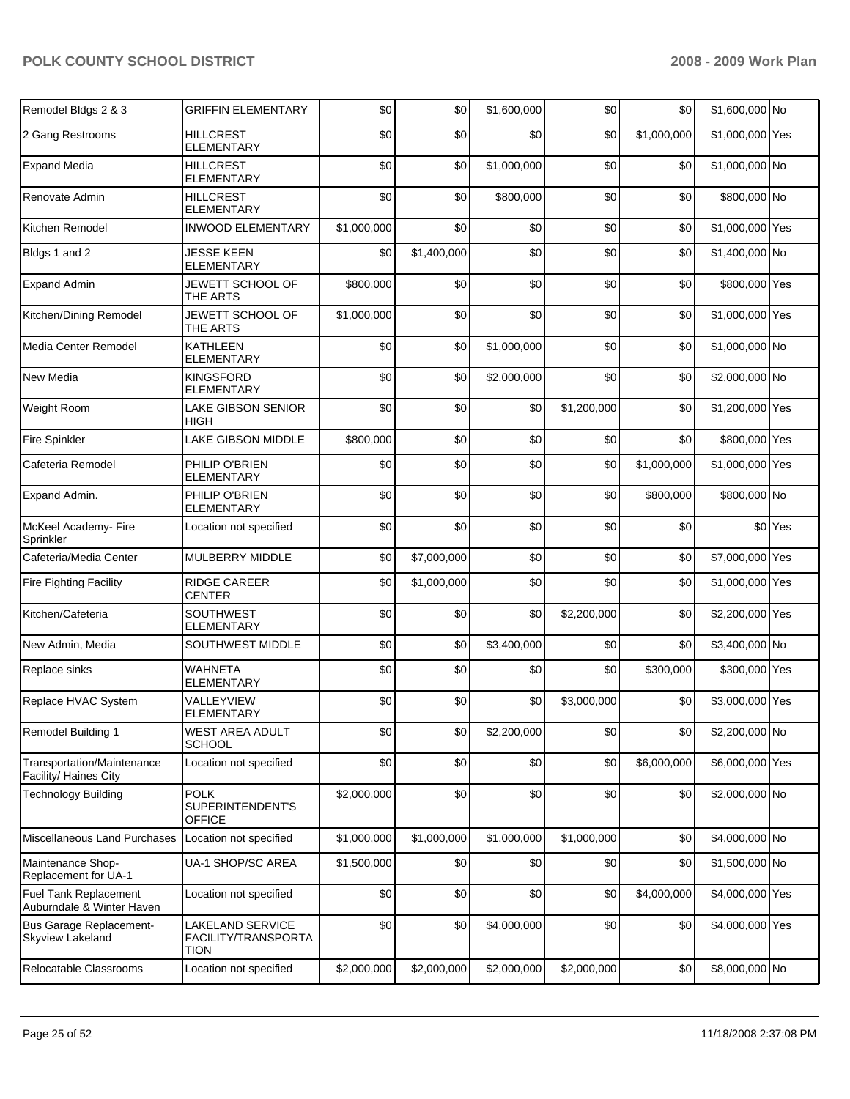| Remodel Bldgs 2 & 3                                 | <b>GRIFFIN ELEMENTARY</b>                              | \$0         | \$0         | \$1,600,000 | \$0         | \$0         | \$1,600,000 No  |         |
|-----------------------------------------------------|--------------------------------------------------------|-------------|-------------|-------------|-------------|-------------|-----------------|---------|
| 2 Gang Restrooms                                    | <b>HILLCREST</b><br><b>ELEMENTARY</b>                  | \$0         | \$0         | \$0         | \$0         | \$1,000,000 | \$1,000,000 Yes |         |
| <b>Expand Media</b>                                 | <b>HILLCREST</b><br><b>ELEMENTARY</b>                  | \$0         | \$0         | \$1,000,000 | \$0         | \$0         | \$1,000,000 No  |         |
| Renovate Admin                                      | <b>HILLCREST</b><br><b>ELEMENTARY</b>                  | \$0         | \$0         | \$800,000   | \$0         | \$0         | \$800,000 No    |         |
| Kitchen Remodel                                     | <b>INWOOD ELEMENTARY</b>                               | \$1,000,000 | \$0         | \$0         | \$0         | \$0         | \$1,000,000 Yes |         |
| Bldgs 1 and 2                                       | <b>JESSE KEEN</b><br><b>ELEMENTARY</b>                 | \$0         | \$1,400,000 | \$0         | \$0         | \$0         | \$1,400,000 No  |         |
| <b>Expand Admin</b>                                 | JEWETT SCHOOL OF<br>THE ARTS                           | \$800,000   | \$0         | \$0         | \$0         | \$0         | \$800,000 Yes   |         |
| Kitchen/Dining Remodel                              | JEWETT SCHOOL OF<br>THE ARTS                           | \$1,000,000 | \$0         | \$0         | \$0         | \$0         | \$1,000,000 Yes |         |
| Media Center Remodel                                | <b>KATHLEEN</b><br><b>ELEMENTARY</b>                   | \$0         | \$0         | \$1,000,000 | \$0         | \$0         | \$1,000,000 No  |         |
| New Media                                           | <b>KINGSFORD</b><br><b>ELEMENTARY</b>                  | \$0         | \$0         | \$2,000,000 | \$0         | \$0         | \$2,000,000 No  |         |
| Weight Room                                         | <b>LAKE GIBSON SENIOR</b><br>HIGH                      | \$0         | \$0         | \$0         | \$1,200,000 | \$0         | \$1,200,000 Yes |         |
| Fire Spinkler                                       | LAKE GIBSON MIDDLE                                     | \$800,000   | \$0         | \$0         | \$0         | \$0         | \$800,000 Yes   |         |
| Cafeteria Remodel                                   | PHILIP O'BRIEN<br><b>ELEMENTARY</b>                    | \$0         | \$0         | \$0         | \$0         | \$1,000,000 | \$1,000,000 Yes |         |
| Expand Admin.                                       | PHILIP O'BRIEN<br>ELEMENTARY                           | \$0         | \$0         | \$0         | \$0         | \$800,000   | \$800,000 No    |         |
| McKeel Academy- Fire<br>Sprinkler                   | Location not specified                                 | \$0         | \$0         | \$0         | \$0         | \$0         |                 | \$0 Yes |
| Cafeteria/Media Center                              | MULBERRY MIDDLE                                        | \$0         | \$7,000,000 | \$0         | \$0         | \$0         | \$7,000,000 Yes |         |
| Fire Fighting Facility                              | <b>RIDGE CAREER</b><br><b>CENTER</b>                   | \$0         | \$1,000,000 | \$0         | \$0         | \$0         | \$1,000,000 Yes |         |
| Kitchen/Cafeteria                                   | <b>SOUTHWEST</b><br><b>ELEMENTARY</b>                  | \$0         | \$0         | \$0         | \$2,200,000 | \$0         | \$2,200,000 Yes |         |
| New Admin, Media                                    | SOUTHWEST MIDDLE                                       | \$0         | \$0         | \$3,400,000 | \$0         | \$0         | \$3,400,000 No  |         |
| Replace sinks                                       | WAHNETA<br>ELEMENTARY                                  | \$0         | \$0         | \$0         | \$0         | \$300,000   | \$300,000 Yes   |         |
| Replace HVAC System                                 | VALLEYVIEW<br><b>ELEMENTARY</b>                        | \$0         | \$0         | \$0         | \$3,000,000 | \$0         | \$3,000,000 Yes |         |
| Remodel Building 1                                  | <b>WEST AREA ADULT</b><br><b>SCHOOL</b>                | \$0         | \$0         | \$2,200,000 | \$0         | \$0         | \$2,200,000 No  |         |
| Transportation/Maintenance<br>Facility/ Haines City | Location not specified                                 | \$0         | \$0         | \$0         | \$0         | \$6,000,000 | \$6,000,000 Yes |         |
| <b>Technology Building</b>                          | <b>POLK</b><br>SUPERINTENDENT'S<br><b>OFFICE</b>       | \$2,000,000 | \$0         | \$0         | \$0         | \$0         | \$2,000,000 No  |         |
| Miscellaneous Land Purchases                        | Location not specified                                 | \$1,000,000 | \$1,000,000 | \$1,000,000 | \$1,000,000 | \$0         | \$4,000,000 No  |         |
| Maintenance Shop-<br>Replacement for UA-1           | UA-1 SHOP/SC AREA                                      | \$1,500,000 | \$0         | \$0         | \$0         | \$0         | \$1,500,000 No  |         |
| Fuel Tank Replacement<br>Auburndale & Winter Haven  | Location not specified                                 | \$0         | \$0         | \$0         | \$0         | \$4,000,000 | \$4,000,000 Yes |         |
| <b>Bus Garage Replacement-</b><br>Skyview Lakeland  | LAKELAND SERVICE<br>FACILITY/TRANSPORTA<br><b>TION</b> | \$0         | \$0         | \$4,000,000 | \$0         | \$0         | \$4,000,000 Yes |         |
| Relocatable Classrooms                              | Location not specified                                 | \$2,000,000 | \$2,000,000 | \$2,000,000 | \$2,000,000 | \$0         | \$8,000,000 No  |         |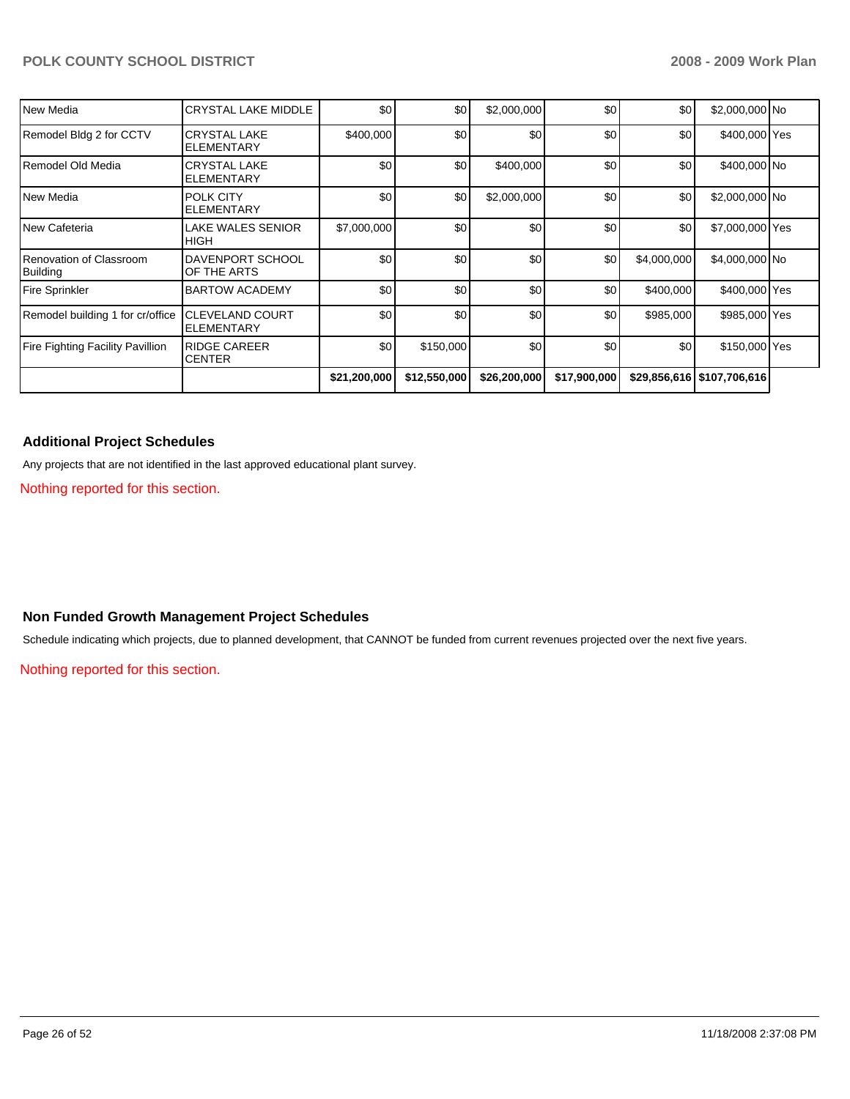| New Media                                  | <b>CRYSTAL LAKE MIDDLE</b>                    | \$0          | \$0          | \$2,000,000  | \$0          | \$0         | \$2,000,000 No               |  |
|--------------------------------------------|-----------------------------------------------|--------------|--------------|--------------|--------------|-------------|------------------------------|--|
| Remodel Bldg 2 for CCTV                    | <b>CRYSTAL LAKE</b><br><b>ELEMENTARY</b>      | \$400,000    | \$0          | \$0          | \$0          | \$0         | \$400,000 Yes                |  |
| Remodel Old Media                          | <b>CRYSTAL LAKE</b><br><b>ELEMENTARY</b>      | \$0          | \$0          | \$400,000    | \$0          | \$0         | \$400,000 No                 |  |
| New Media                                  | <b>POLK CITY</b><br><b>ELEMENTARY</b>         | \$0          | \$0          | \$2,000,000  | \$0          | \$0         | \$2,000,000 No               |  |
| New Cafeteria                              | LAKE WALES SENIOR<br><b>HIGH</b>              | \$7,000,000  | \$0          | \$0          | \$0          | \$0         | \$7,000,000 Yes              |  |
| Renovation of Classroom<br><b>Building</b> | <b>DAVENPORT SCHOOL</b><br>OF THE ARTS        | \$0          | \$0          | \$0          | \$0          | \$4,000,000 | \$4,000,000 No               |  |
| <b>Fire Sprinkler</b>                      | <b>BARTOW ACADEMY</b>                         | \$0          | \$0          | \$0          | \$0          | \$400,000   | \$400,000 Yes                |  |
| Remodel building 1 for cr/office           | <b>CLEVELAND COURT</b><br><b>I</b> ELEMENTARY | \$0          | \$0          | \$0          | \$0          | \$985,000   | \$985,000 Yes                |  |
| <b>Fire Fighting Facility Pavillion</b>    | <b>RIDGE CAREER</b><br><b>CENTER</b>          | \$0          | \$150,000    | \$0          | \$0          | \$0         | \$150,000 Yes                |  |
|                                            |                                               | \$21,200,000 | \$12,550,000 | \$26,200,000 | \$17,900,000 |             | \$29,856,616   \$107,706,616 |  |

## **Additional Project Schedules**

Any projects that are not identified in the last approved educational plant survey.

Nothing reported for this section.

### **Non Funded Growth Management Project Schedules**

Schedule indicating which projects, due to planned development, that CANNOT be funded from current revenues projected over the next five years.

Nothing reported for this section.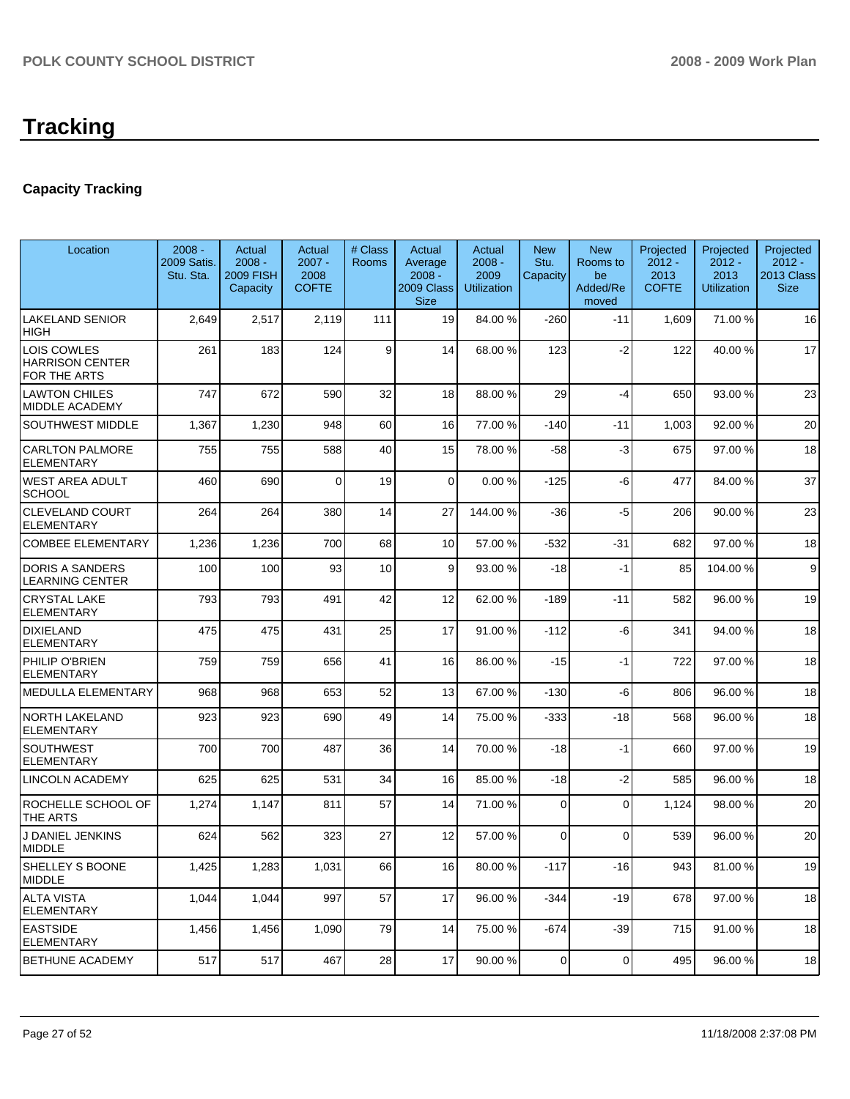# **Capacity Tracking**

| Location                                              | $2008 -$<br>2009 Satis.<br>Stu. Sta. | Actual<br>$2008 -$<br><b>2009 FISH</b><br>Capacity | Actual<br>$2007 -$<br>2008<br><b>COFTE</b> | # Class<br>Rooms | Actual<br>Average<br>$2008 -$<br>2009 Class<br><b>Size</b> | Actual<br>$2008 -$<br>2009<br><b>Utilization</b> | <b>New</b><br>Stu.<br>Capacity | <b>New</b><br>Rooms to<br>be<br>Added/Re<br>moved | Projected<br>$2012 -$<br>2013<br><b>COFTE</b> | Projected<br>$2012 -$<br>2013<br><b>Utilization</b> | Projected<br>$2012 -$<br>2013 Class<br><b>Size</b> |
|-------------------------------------------------------|--------------------------------------|----------------------------------------------------|--------------------------------------------|------------------|------------------------------------------------------------|--------------------------------------------------|--------------------------------|---------------------------------------------------|-----------------------------------------------|-----------------------------------------------------|----------------------------------------------------|
| <b>LAKELAND SENIOR</b><br>HIGH                        | 2,649                                | 2,517                                              | 2,119                                      | 111              | 19                                                         | 84.00 %                                          | -260                           | $-11$                                             | 1,609                                         | 71.00 %                                             | 16                                                 |
| LOIS COWLES<br><b>HARRISON CENTER</b><br>FOR THE ARTS | 261                                  | 183                                                | 124                                        | 9                | 14                                                         | 68.00 %                                          | 123                            | $-2$                                              | 122                                           | 40.00 %                                             | 17                                                 |
| <b>LAWTON CHILES</b><br>MIDDLE ACADEMY                | 747                                  | 672                                                | 590                                        | 32               | 18                                                         | 88.00 %                                          | 29                             | $-4$                                              | 650                                           | 93.00 %                                             | 23                                                 |
| SOUTHWEST MIDDLE                                      | 1,367                                | 1,230                                              | 948                                        | 60               | 16                                                         | 77.00 %                                          | $-140$                         | $-11$                                             | 1,003                                         | 92.00 %                                             | 20                                                 |
| <b>CARLTON PALMORE</b><br>ELEMENTARY                  | 755                                  | 755                                                | 588                                        | 40               | 15                                                         | 78.00 %                                          | $-58$                          | -3                                                | 675                                           | 97.00 %                                             | 18                                                 |
| WEST AREA ADULT<br><b>SCHOOL</b>                      | 460                                  | 690                                                | $\Omega$                                   | 19               | $\overline{0}$                                             | 0.00%                                            | -125                           | -6                                                | 477                                           | 84.00 %                                             | 37                                                 |
| <b>CLEVELAND COURT</b><br><b>ELEMENTARY</b>           | 264                                  | 264                                                | 380                                        | 14               | 27                                                         | 144.00 %                                         | $-36$                          | $-5$                                              | 206                                           | 90.00 %                                             | 23                                                 |
| <b>COMBEE ELEMENTARY</b>                              | 1,236                                | 1,236                                              | 700                                        | 68               | 10 <sup>1</sup>                                            | 57.00 %                                          | $-532$                         | $-31$                                             | 682                                           | 97.00 %                                             | 18                                                 |
| <b>DORIS A SANDERS</b><br>LEARNING CENTER             | 100                                  | 100                                                | 93                                         | 10               | 9                                                          | 93.00 %                                          | -18                            | $-1$                                              | 85                                            | 104.00 %                                            | 9                                                  |
| <b>CRYSTAL LAKE</b><br>ELEMENTARY                     | 793                                  | 793                                                | 491                                        | 42               | 12                                                         | 62.00 %                                          | $-189$                         | $-11$                                             | 582                                           | 96.00 %                                             | 19                                                 |
| <b>DIXIELAND</b><br><b>ELEMENTARY</b>                 | 475                                  | 475                                                | 431                                        | 25               | 17                                                         | 91.00 %                                          | -112                           | -6                                                | 341                                           | 94.00 %                                             | 18                                                 |
| PHILIP O'BRIEN<br><b>ELEMENTARY</b>                   | 759                                  | 759                                                | 656                                        | 41               | 16                                                         | 86.00 %                                          | $-15$                          | $-1$                                              | 722                                           | 97.00 %                                             | 18                                                 |
| <b>MEDULLA ELEMENTARY</b>                             | 968                                  | 968                                                | 653                                        | 52               | 13                                                         | 67.00 %                                          | -130                           | -6                                                | 806                                           | 96.00 %                                             | 18                                                 |
| NORTH LAKELAND<br>ELEMENTARY                          | 923                                  | 923                                                | 690                                        | 49               | 14                                                         | 75.00 %                                          | -333                           | -18                                               | 568                                           | 96.00 %                                             | 18                                                 |
| SOUTHWEST<br>ELEMENTARY                               | 700                                  | 700                                                | 487                                        | 36               | 14                                                         | 70.00 %                                          | $-18$                          | $-1$                                              | 660                                           | 97.00 %                                             | 19                                                 |
| LINCOLN ACADEMY                                       | 625                                  | 625                                                | 531                                        | 34               | 16                                                         | 85.00 %                                          | $-18$                          | $-2$                                              | 585                                           | 96.00 %                                             | 18                                                 |
| ROCHELLE SCHOOL OF<br>THE ARTS                        | 1,274                                | 1,147                                              | 811                                        | 57               | 14                                                         | 71.00 %                                          | $\Omega$                       | 0                                                 | 1,124                                         | 98.00 %                                             | 20                                                 |
| J DANIEL JENKINS<br><b>MIDDLE</b>                     | 624                                  | 562                                                | 323                                        | 27               | 12                                                         | 57.00 %                                          | $\Omega$                       | 0                                                 | 539                                           | 96.00 %                                             | 20                                                 |
| SHELLEY S BOONE<br><b>MIDDLE</b>                      | 1,425                                | 1,283                                              | 1,031                                      | 66               | 16 <sup>1</sup>                                            | 80.00 %                                          | -117                           | $-16$                                             | 943                                           | 81.00 %                                             | 19                                                 |
| <b>ALTA VISTA</b><br><b>ELEMENTARY</b>                | 1,044                                | 1,044                                              | 997                                        | 57               | 17                                                         | 96.00 %                                          | -344                           | $-19$                                             | 678                                           | 97.00 %                                             | 18                                                 |
| <b>EASTSIDE</b><br><b>ELEMENTARY</b>                  | 1,456                                | 1,456                                              | 1,090                                      | 79               | 14                                                         | 75.00 %                                          | -674                           | $-39$                                             | 715                                           | 91.00 %                                             | 18                                                 |
| BETHUNE ACADEMY                                       | 517                                  | 517                                                | 467                                        | 28               | 17                                                         | 90.00 %                                          | $\mathbf 0$                    | 0                                                 | 495                                           | 96.00 %                                             | 18                                                 |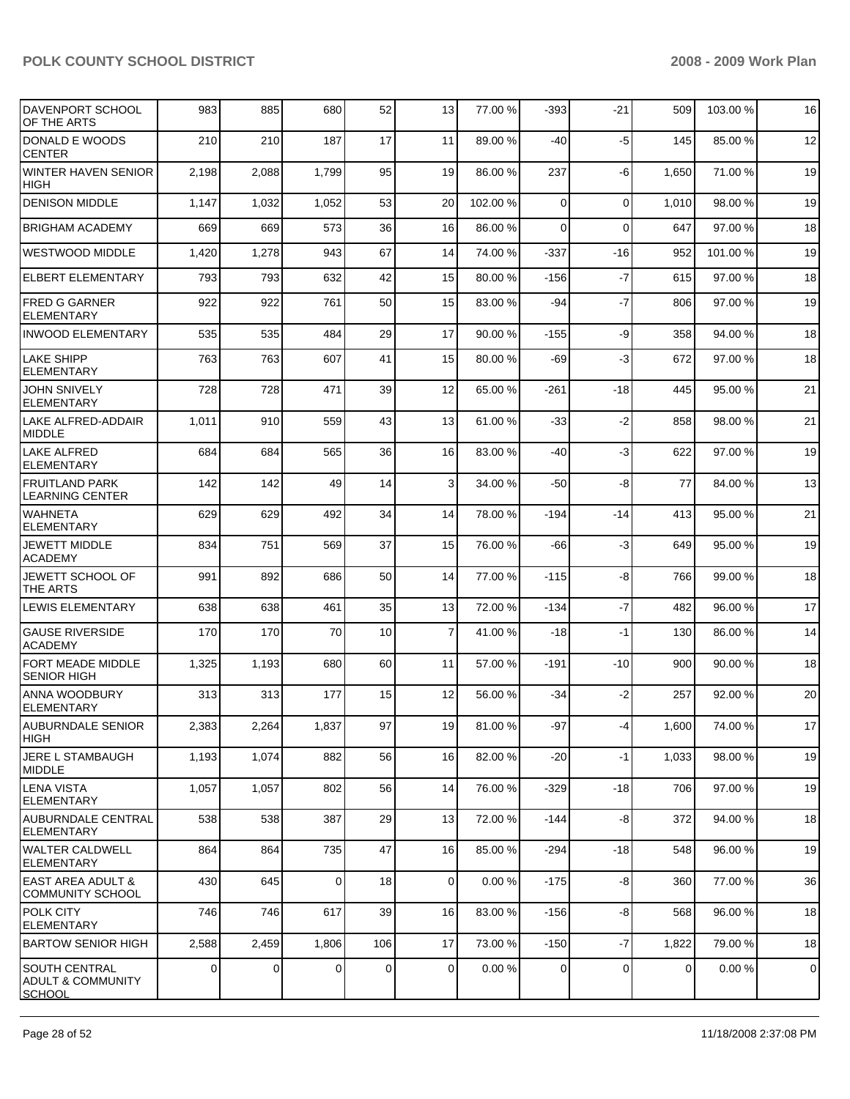| DAVENPORT SCHOOL<br>OF THE ARTS                         | 983   | 885   | 680            | 52  | 13             | 77.00 % | $-393$         | $-21$    | 509         | 103.00 % | 16        |
|---------------------------------------------------------|-------|-------|----------------|-----|----------------|---------|----------------|----------|-------------|----------|-----------|
| DONALD E WOODS<br><b>CENTER</b>                         | 210   | 210   | 187            | 17  | 11             | 89.00 % | $-40$          | $-5$     | 145         | 85.00 %  | 12        |
| <b>WINTER HAVEN SENIOR</b><br><b>HIGH</b>               | 2,198 | 2,088 | 1,799          | 95  | 19             | 86.00 % | 237            | -6       | 1,650       | 71.00 %  | 19        |
| <b>DENISON MIDDLE</b>                                   | 1,147 | 1,032 | 1,052          | 53  | 20             | 102.00% | $\Omega$       | $\Omega$ | 1,010       | 98.00 %  | 19        |
| <b>BRIGHAM ACADEMY</b>                                  | 669   | 669   | 573            | 36  | 16             | 86.00 % | $\Omega$       | $\Omega$ | 647         | 97.00 %  | 18        |
| <b>WESTWOOD MIDDLE</b>                                  | 1,420 | 1,278 | 943            | 67  | 14             | 74.00 % | -337           | $-16$    | 952         | 101.00 % | 19        |
| <b>ELBERT ELEMENTARY</b>                                | 793   | 793   | 632            | 42  | 15             | 80.00 % | $-156$         | $-7$     | 615         | 97.00 %  | 18        |
| <b>FRED G GARNER</b><br><b>ELEMENTARY</b>               | 922   | 922   | 761            | 50  | 15             | 83.00 % | $-94$          | $-7$     | 806         | 97.00 %  | 19        |
| <b>INWOOD ELEMENTARY</b>                                | 535   | 535   | 484            | 29  | 17             | 90.00 % | $-155$         | -9       | 358         | 94.00 %  | 18        |
| <b>LAKE SHIPP</b><br><b>ELEMENTARY</b>                  | 763   | 763   | 607            | 41  | 15             | 80.00 % | -69            | -3       | 672         | 97.00 %  | 18        |
| <b>JOHN SNIVELY</b><br><b>ELEMENTARY</b>                | 728   | 728   | 471            | 39  | 12             | 65.00 % | $-261$         | $-18$    | 445         | 95.00 %  | 21        |
| LAKE ALFRED-ADDAIR<br><b>MIDDLE</b>                     | 1,011 | 910   | 559            | 43  | 13             | 61.00 % | $-33$          | $-2$     | 858         | 98.00 %  | 21        |
| <b>LAKE ALFRED</b><br><b>ELEMENTARY</b>                 | 684   | 684   | 565            | 36  | 16             | 83.00 % | $-40$          | $-3$     | 622         | 97.00 %  | 19        |
| <b>FRUITLAND PARK</b><br><b>LEARNING CENTER</b>         | 142   | 142   | 49             | 14  | $\mathbf{3}$   | 34.00 % | $-50$          | -8       | 77          | 84.00 %  | 13        |
| <b>WAHNETA</b><br><b>ELEMENTARY</b>                     | 629   | 629   | 492            | 34  | 14             | 78.00 % | $-194$         | $-14$    | 413         | 95.00 %  | 21        |
| <b>JEWETT MIDDLE</b><br><b>ACADEMY</b>                  | 834   | 751   | 569            | 37  | 15             | 76.00 % | -66            | -3       | 649         | 95.00 %  | 19        |
| JEWETT SCHOOL OF<br>THE ARTS                            | 991   | 892   | 686            | 50  | 14             | 77.00 % | $-115$         | -8       | 766         | 99.00 %  | 18        |
| <b>LEWIS ELEMENTARY</b>                                 | 638   | 638   | 461            | 35  | 13             | 72.00 % | $-134$         | $-7$     | 482         | 96.00 %  | 17        |
| <b>GAUSE RIVERSIDE</b><br>ACADEMY                       | 170   | 170   | 70             | 10  | $\overline{7}$ | 41.00 % | $-18$          | -1       | 130         | 86.00 %  | 14        |
| FORT MEADE MIDDLE<br><b>SENIOR HIGH</b>                 | 1,325 | 1,193 | 680            | 60  | 11             | 57.00 % | -191           | $-10$    | 900         | 90.00 %  | 18        |
| IANNA WOODBURY<br><b>ELEMENTARY</b>                     | 313   | 313   | 177            | 15  | 12             | 56.00 % | $-34$          | $-2$     | 257         | 92.00 %  | 20        |
| AUBURNDALE SENIOR<br>HIGH                               | 2,383 | 2,264 | 1,837          | 97  | 19             | 81.00 % | -97            | $-4$     | 1,600       | 74.00 %  | 17        |
| JERE L STAMBAUGH<br>MIDDLE                              | 1,193 | 1,074 | 882            | 56  | 16             | 82.00 % | $-20$          | -1       | 1,033       | 98.00 %  | 19        |
| <b>LENA VISTA</b><br><b>ELEMENTARY</b>                  | 1,057 | 1,057 | 802            | 56  | 14             | 76.00 % | $-329$         | $-18$    | 706         | 97.00 %  | 19        |
| AUBURNDALE CENTRAL<br><b>ELEMENTARY</b>                 | 538   | 538   | 387            | 29  | 13             | 72.00 % | $-144$         | -8       | 372         | 94.00 %  | 18        |
| WALTER CALDWELL<br><b>ELEMENTARY</b>                    | 864   | 864   | 735            | 47  | 16             | 85.00 % | $-294$         | -18      | 548         | 96.00 %  | 19        |
| <b>EAST AREA ADULT &amp;</b><br><b>COMMUNITY SCHOOL</b> | 430   | 645   | $\overline{0}$ | 18  | $\overline{0}$ | 0.00%   | $-175$         | -8       | 360         | 77.00 %  | 36        |
| <b>POLK CITY</b><br>ELEMENTARY                          | 746   | 746   | 617            | 39  | 16             | 83.00 % | $-156$         | -8       | 568         | 96.00 %  | 18        |
| <b>BARTOW SENIOR HIGH</b>                               | 2,588 | 2,459 | 1,806          | 106 | 17             | 73.00 % | $-150$         | $-7$     | 1,822       | 79.00 %  | 18        |
| SOUTH CENTRAL<br><b>ADULT &amp; COMMUNITY</b><br>SCHOOL | 0     | 0     | $\Omega$       | 0   | $\overline{0}$ | 0.00%   | $\overline{0}$ | 0        | $\mathbf 0$ | 0.00%    | $\pmb{0}$ |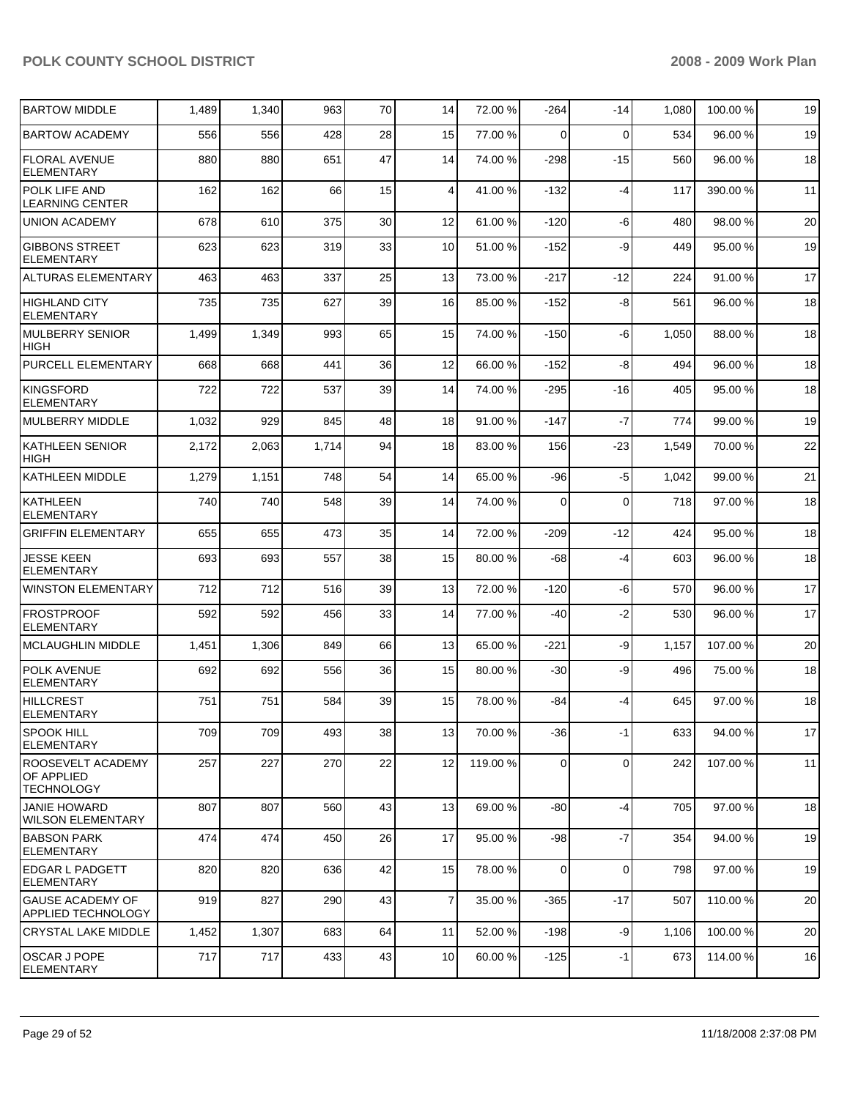| <b>BARTOW MIDDLE</b>                                        | 1,489 | 1,340 | 963   | 70 | 14             | 72.00 %  | $-264$ | $-14$       | 1,080 | 100.00 % | 19 |
|-------------------------------------------------------------|-------|-------|-------|----|----------------|----------|--------|-------------|-------|----------|----|
| <b>BARTOW ACADEMY</b>                                       | 556   | 556   | 428   | 28 | 15             | 77.00 %  | 0      | $\Omega$    | 534   | 96.00 %  | 19 |
| <b>FLORAL AVENUE</b><br><b>ELEMENTARY</b>                   | 880   | 880   | 651   | 47 | 14             | 74.00 %  | $-298$ | $-15$       | 560   | 96.00 %  | 18 |
| POLK LIFE AND<br><b>LEARNING CENTER</b>                     | 162   | 162   | 66    | 15 | 4              | 41.00 %  | $-132$ | $-4$        | 117   | 390.00 % | 11 |
| <b>UNION ACADEMY</b>                                        | 678   | 610   | 375   | 30 | 12             | 61.00 %  | -120   | -6          | 480   | 98.00 %  | 20 |
| <b>GIBBONS STREET</b><br><b>ELEMENTARY</b>                  | 623   | 623   | 319   | 33 | 10             | 51.00 %  | $-152$ | -9          | 449   | 95.00 %  | 19 |
| <b>ALTURAS ELEMENTARY</b>                                   | 463   | 463   | 337   | 25 | 13             | 73.00 %  | $-217$ | $-12$       | 224   | 91.00 %  | 17 |
| <b>HIGHLAND CITY</b><br><b>ELEMENTARY</b>                   | 735   | 735   | 627   | 39 | 16             | 85.00 %  | $-152$ | -8          | 561   | 96.00 %  | 18 |
| <b>MULBERRY SENIOR</b><br>HIGH                              | 1,499 | 1,349 | 993   | 65 | 15             | 74.00 %  | $-150$ | -6          | 1,050 | 88.00 %  | 18 |
| PURCELL ELEMENTARY                                          | 668   | 668   | 441   | 36 | 12             | 66.00 %  | $-152$ | -8          | 494   | 96.00 %  | 18 |
| KINGSFORD<br><b>ELEMENTARY</b>                              | 722   | 722   | 537   | 39 | 14             | 74.00 %  | $-295$ | $-16$       | 405   | 95.00 %  | 18 |
| <b>MULBERRY MIDDLE</b>                                      | 1,032 | 929   | 845   | 48 | 18             | 91.00 %  | $-147$ | $-7$        | 774   | 99.00 %  | 19 |
| <b>KATHLEEN SENIOR</b><br><b>HIGH</b>                       | 2,172 | 2,063 | 1,714 | 94 | 18             | 83.00 %  | 156    | $-23$       | 1,549 | 70.00 %  | 22 |
| KATHLEEN MIDDLE                                             | 1,279 | 1,151 | 748   | 54 | 14             | 65.00 %  | $-96$  | $-5$        | 1,042 | 99.00 %  | 21 |
| KATHLEEN<br><b>ELEMENTARY</b>                               | 740   | 740   | 548   | 39 | 14             | 74.00 %  | 0      | $\mathbf 0$ | 718   | 97.00 %  | 18 |
| <b>GRIFFIN ELEMENTARY</b>                                   | 655   | 655   | 473   | 35 | 14             | 72.00 %  | $-209$ | $-12$       | 424   | 95.00 %  | 18 |
| <b>JESSE KEEN</b><br><b>ELEMENTARY</b>                      | 693   | 693   | 557   | 38 | 15             | 80.00 %  | -68    | $-4$        | 603   | 96.00 %  | 18 |
| <b>WINSTON ELEMENTARY</b>                                   | 712   | 712   | 516   | 39 | 13             | 72.00 %  | $-120$ | -6          | 570   | 96.00 %  | 17 |
| <b>FROSTPROOF</b><br><b>ELEMENTARY</b>                      | 592   | 592   | 456   | 33 | 14             | 77.00 %  | -40    | $-2$        | 530   | 96.00 %  | 17 |
| <b>MCLAUGHLIN MIDDLE</b>                                    | 1,451 | 1,306 | 849   | 66 | 13             | 65.00 %  | $-221$ | -9          | 1,157 | 107.00%  | 20 |
| POLK AVENUE<br><b>ELEMENTARY</b>                            | 692   | 692   | 556   | 36 | 15             | 80.00 %  | $-30$  | -9          | 496   | 75.00 %  | 18 |
| <b>HILLCREST</b><br><b>ELEMENTARY</b>                       | 751   | 751   | 584   | 39 | 15             | 78.00 %  | -84    | -4          | 645   | 97.00 %  | 18 |
| <b>SPOOK HILL</b><br><b>ELEMENTARY</b>                      | 709   | 709   | 493   | 38 | 13             | 70.00 %  | $-36$  | $-1$        | 633   | 94.00 %  | 17 |
| ROOSEVELT ACADEMY<br><b>OF APPLIED</b><br><b>TECHNOLOGY</b> | 257   | 227   | 270   | 22 | 12             | 119.00 % | 0      | $\mathbf 0$ | 242   | 107.00 % | 11 |
| <b>JANIE HOWARD</b><br>WILSON ELEMENTARY                    | 807   | 807   | 560   | 43 | 13             | 69.00 %  | -80    | $-4$        | 705   | 97.00 %  | 18 |
| <b>BABSON PARK</b><br><b>ELEMENTARY</b>                     | 474   | 474   | 450   | 26 | 17             | 95.00 %  | -98    | $-7$        | 354   | 94.00 %  | 19 |
| <b>EDGAR L PADGETT</b><br><b>ELEMENTARY</b>                 | 820   | 820   | 636   | 42 | 15             | 78.00 %  | 0      | $\mathbf 0$ | 798   | 97.00 %  | 19 |
| <b>GAUSE ACADEMY OF</b><br>APPLIED TECHNOLOGY               | 919   | 827   | 290   | 43 | $\overline{7}$ | 35.00 %  | $-365$ | $-17$       | 507   | 110.00 % | 20 |
| <b>CRYSTAL LAKE MIDDLE</b>                                  | 1,452 | 1,307 | 683   | 64 | 11             | 52.00 %  | $-198$ | -9          | 1,106 | 100.00 % | 20 |
| <b>OSCAR J POPE</b><br><b>ELEMENTARY</b>                    | 717   | 717   | 433   | 43 | 10             | 60.00 %  | $-125$ | $-1$        | 673   | 114.00 % | 16 |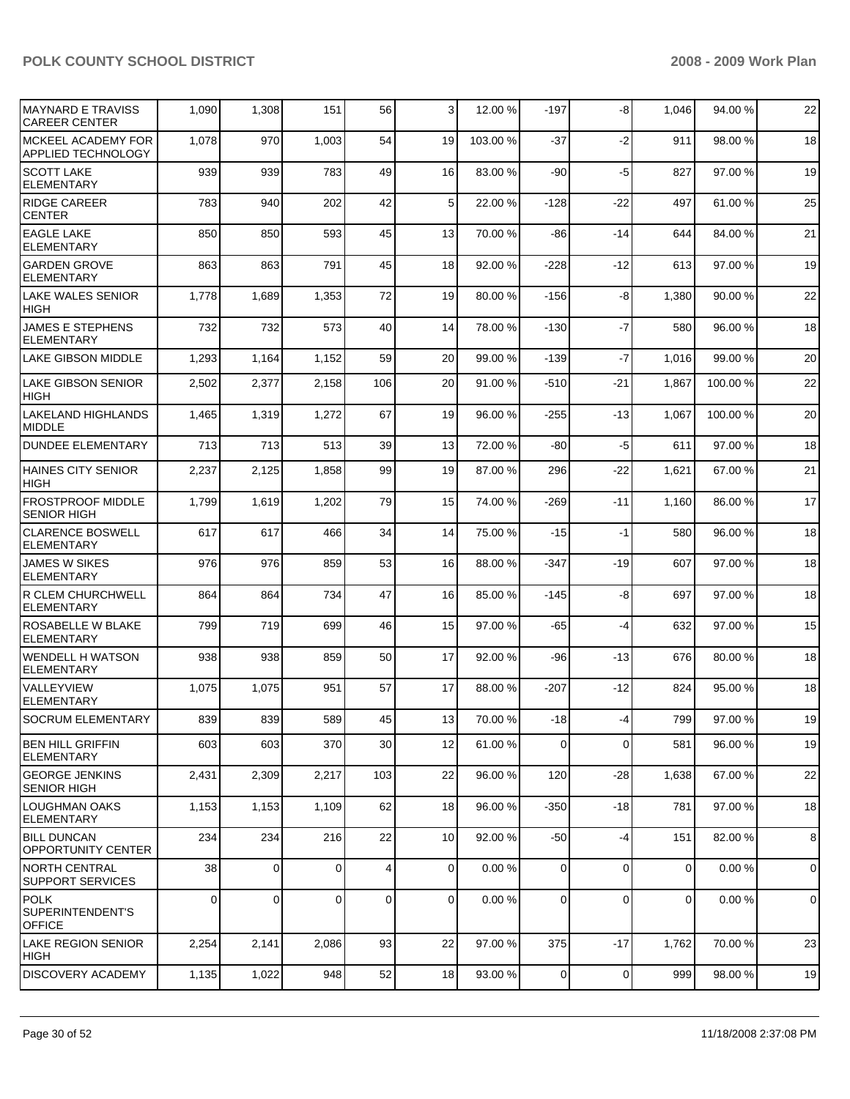| <b>MAYNARD E TRAVISS</b><br><b>CAREER CENTER</b>       | 1,090    | 1,308    | 151      | 56           | 3           | 12.00 %  | $-197$      | -8          | 1,046          | 94.00 %  | 22             |
|--------------------------------------------------------|----------|----------|----------|--------------|-------------|----------|-------------|-------------|----------------|----------|----------------|
| <b>MCKEEL ACADEMY FOR</b><br><b>APPLIED TECHNOLOGY</b> | 1,078    | 970      | 1,003    | 54           | 19          | 103.00 % | $-37$       | $-2$        | 911            | 98.00 %  | 18             |
| <b>SCOTT LAKE</b><br><b>ELEMENTARY</b>                 | 939      | 939      | 783      | 49           | 16          | 83.00 %  | -90         | -5          | 827            | 97.00 %  | 19             |
| <b>RIDGE CAREER</b><br><b>CENTER</b>                   | 783      | 940      | 202      | 42           | 5           | 22.00 %  | -128        | $-22$       | 497            | 61.00 %  | 25             |
| <b>EAGLE LAKE</b><br><b>ELEMENTARY</b>                 | 850      | 850      | 593      | 45           | 13          | 70.00 %  | -86         | $-14$       | 644            | 84.00 %  | 21             |
| <b>GARDEN GROVE</b><br><b>ELEMENTARY</b>               | 863      | 863      | 791      | 45           | 18          | 92.00 %  | $-228$      | $-12$       | 613            | 97.00 %  | 19             |
| <b>LAKE WALES SENIOR</b><br><b>HIGH</b>                | 1,778    | 1,689    | 1,353    | 72           | 19          | 80.00 %  | $-156$      | -8          | 1,380          | 90.00 %  | 22             |
| <b>JAMES E STEPHENS</b><br><b>ELEMENTARY</b>           | 732      | 732      | 573      | 40           | 14          | 78.00 %  | $-130$      | $-7$        | 580            | 96.00 %  | 18             |
| <b>LAKE GIBSON MIDDLE</b>                              | 1,293    | 1,164    | 1,152    | 59           | 20          | 99.00 %  | $-139$      | $-7$        | 1,016          | 99.00 %  | 20             |
| <b>LAKE GIBSON SENIOR</b><br><b>HIGH</b>               | 2,502    | 2,377    | 2,158    | 106          | 20          | 91.00 %  | -510        | $-21$       | 1,867          | 100.00%  | 22             |
| <b>LAKELAND HIGHLANDS</b><br><b>MIDDLE</b>             | 1,465    | 1,319    | 1,272    | 67           | 19          | 96.00 %  | $-255$      | $-13$       | 1,067          | 100.00 % | 20             |
| <b>DUNDEE ELEMENTARY</b>                               | 713      | 713      | 513      | 39           | 13          | 72.00 %  | $-80$       | $-5$        | 611            | 97.00 %  | 18             |
| <b>HAINES CITY SENIOR</b><br><b>HIGH</b>               | 2,237    | 2,125    | 1,858    | 99           | 19          | 87.00 %  | 296         | $-22$       | 1,621          | 67.00 %  | 21             |
| <b>FROSTPROOF MIDDLE</b><br><b>SENIOR HIGH</b>         | 1,799    | 1,619    | 1,202    | 79           | 15          | 74.00 %  | $-269$      | $-11$       | 1,160          | 86.00 %  | 17             |
| <b>CLARENCE BOSWELL</b><br><b>ELEMENTARY</b>           | 617      | 617      | 466      | 34           | 14          | 75.00 %  | $-15$       | $-1$        | 580            | 96.00 %  | 18             |
| <b>JAMES W SIKES</b><br><b>ELEMENTARY</b>              | 976      | 976      | 859      | 53           | 16          | 88.00 %  | -347        | $-19$       | 607            | 97.00 %  | 18             |
| <b>R CLEM CHURCHWELL</b><br><b>ELEMENTARY</b>          | 864      | 864      | 734      | 47           | 16          | 85.00 %  | $-145$      | -8          | 697            | 97.00 %  | 18             |
| ROSABELLE W BLAKE<br><b>ELEMENTARY</b>                 | 799      | 719      | 699      | 46           | 15          | 97.00 %  | -65         | $-4$        | 632            | 97.00 %  | 15             |
| <b>WENDELL H WATSON</b><br><b>ELEMENTARY</b>           | 938      | 938      | 859      | 50           | 17          | 92.00 %  | -96         | $-13$       | 676            | 80.00 %  | 18             |
| VALLEYVIEW<br><b>ELEMENTARY</b>                        | 1,075    | 1,075    | 951      | 57           | 17          | 88.00 %  | $-207$      | $-12$       | 824            | 95.00 %  | 18             |
| SOCRUM ELEMENTARY                                      | 839      | 839      | 589      | 45           | 13          | 70.00 %  | $-18$       | $-4$        | 799            | 97.00 %  | 19             |
| BEN HILL GRIFFIN<br>ELEMENTARY                         | 603      | 603      | 370      | 30           | 12          | 61.00 %  | 0           | $\mathbf 0$ | 581            | 96.00 %  | 19             |
| <b>GEORGE JENKINS</b><br><b>SENIOR HIGH</b>            | 2,431    | 2,309    | 2,217    | 103          | 22          | 96.00 %  | 120         | $-28$       | 1,638          | 67.00 %  | 22             |
| LOUGHMAN OAKS<br><b>ELEMENTARY</b>                     | 1,153    | 1,153    | 1,109    | 62           | 18          | 96.00 %  | $-350$      | $-18$       | 781            | 97.00 %  | 18             |
| <b>BILL DUNCAN</b><br><b>OPPORTUNITY CENTER</b>        | 234      | 234      | 216      | 22           | 10          | 92.00 %  | $-50$       | $-4$        | 151            | 82.00 %  | 8              |
| <b>NORTH CENTRAL</b><br><b>SUPPORT SERVICES</b>        | 38       | 0        | $\Omega$ | 4            | $\mathbf 0$ | 0.00%    | $\mathbf 0$ | $\mathbf 0$ | $\mathbf 0$    | 0.00%    | $\overline{0}$ |
| <b>POLK</b><br>SUPERINTENDENT'S<br><b>OFFICE</b>       | $\Omega$ | $\Omega$ | $\Omega$ | $\mathbf{0}$ | $\Omega$    | 0.00%    | $\Omega$    | $\Omega$    | $\overline{0}$ | 0.00%    | $\overline{0}$ |
| LAKE REGION SENIOR<br> HIGH                            | 2,254    | 2,141    | 2,086    | 93           | 22          | 97.00 %  | 375         | $-17$       | 1,762          | 70.00 %  | 23             |
| <b>DISCOVERY ACADEMY</b>                               | 1,135    | 1,022    | 948      | 52           | 18          | 93.00 %  | 0           | 0           | 999            | 98.00 %  | 19             |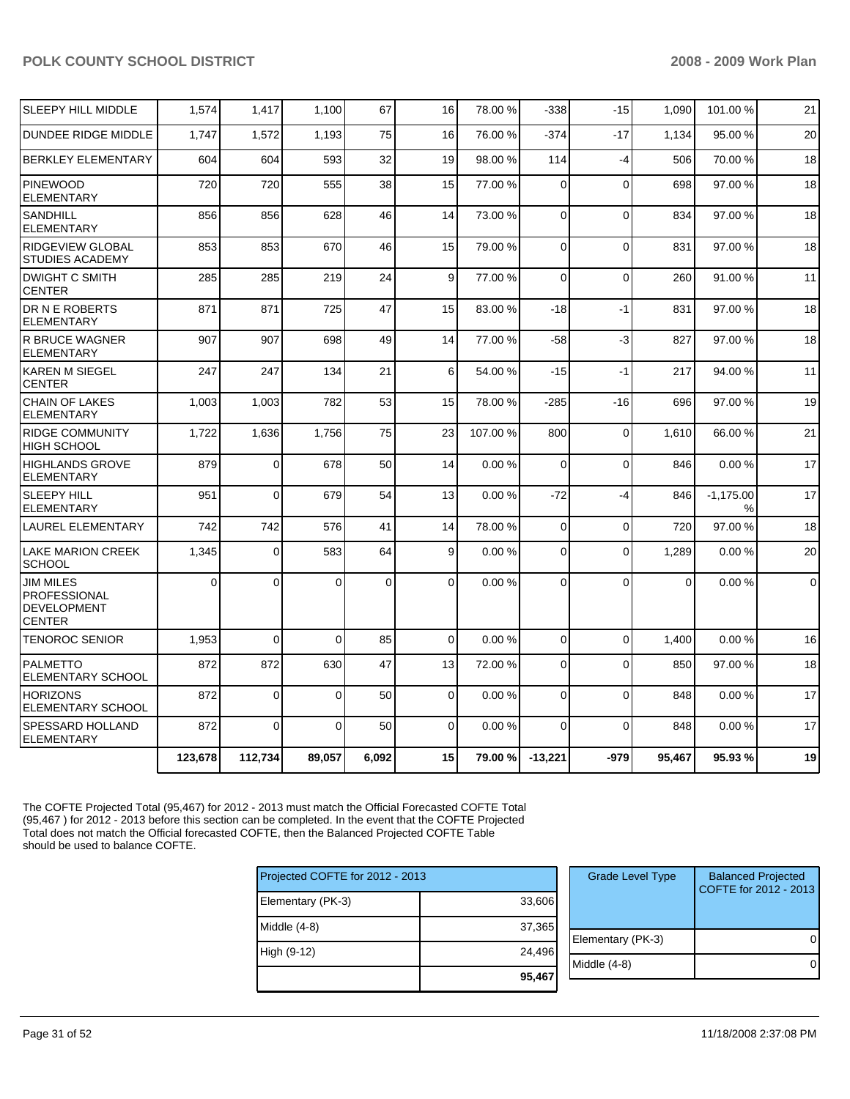| <b>SLEEPY HILL MIDDLE</b>                                               | 1,574    | 1,417    | 1,100    | 67          | 16       | 78.00 %  | $-338$      | $-15$       | 1,090    | 101.00 %         | 21          |
|-------------------------------------------------------------------------|----------|----------|----------|-------------|----------|----------|-------------|-------------|----------|------------------|-------------|
| <b>DUNDEE RIDGE MIDDLE</b>                                              | 1,747    | 1,572    | 1,193    | 75          | 16       | 76.00 %  | $-374$      | $-17$       | 1,134    | 95.00 %          | 20          |
| <b>BERKLEY ELEMENTARY</b>                                               | 604      | 604      | 593      | 32          | 19       | 98.00 %  | 114         | $-4$        | 506      | 70.00 %          | 18          |
| <b>PINEWOOD</b><br><b>ELEMENTARY</b>                                    | 720      | 720      | 555      | 38          | 15       | 77.00 %  | $\Omega$    | $\Omega$    | 698      | 97.00 %          | 18          |
| <b>SANDHILL</b><br><b>ELEMENTARY</b>                                    | 856      | 856      | 628      | 46          | 14       | 73.00 %  | $\mathbf 0$ | $\Omega$    | 834      | 97.00 %          | 18          |
| <b>RIDGEVIEW GLOBAL</b><br><b>STUDIES ACADEMY</b>                       | 853      | 853      | 670      | 46          | 15       | 79.00 %  | $\Omega$    | $\Omega$    | 831      | 97.00 %          | 18          |
| <b>DWIGHT C SMITH</b><br><b>CENTER</b>                                  | 285      | 285      | 219      | 24          | 9        | 77.00 %  | $\mathbf 0$ | $\Omega$    | 260      | 91.00 %          | 11          |
| DR N E ROBERTS<br><b>ELEMENTARY</b>                                     | 871      | 871      | 725      | 47          | 15       | 83.00 %  | $-18$       | $-1$        | 831      | 97.00 %          | 18          |
| <b>R BRUCE WAGNER</b><br><b>ELEMENTARY</b>                              | 907      | 907      | 698      | 49          | 14       | 77.00 %  | -58         | $-3$        | 827      | 97.00 %          | 18          |
| <b>KAREN M SIEGEL</b><br><b>CENTER</b>                                  | 247      | 247      | 134      | 21          | 6        | 54.00 %  | $-15$       | $-1$        | 217      | 94.00 %          | 11          |
| <b>CHAIN OF LAKES</b><br><b>ELEMENTARY</b>                              | 1,003    | 1,003    | 782      | 53          | 15       | 78.00 %  | $-285$      | -16         | 696      | 97.00 %          | 19          |
| <b>RIDGE COMMUNITY</b><br><b>HIGH SCHOOL</b>                            | 1,722    | 1,636    | 1,756    | 75          | 23       | 107.00 % | 800         | $\mathbf 0$ | 1,610    | 66.00 %          | 21          |
| <b>HIGHLANDS GROVE</b><br><b>ELEMENTARY</b>                             | 879      | 0        | 678      | 50          | 14       | 0.00%    | $\Omega$    | $\Omega$    | 846      | 0.00%            | 17          |
| <b>SLEEPY HILL</b><br><b>ELEMENTARY</b>                                 | 951      | 0        | 679      | 54          | 13       | 0.00%    | $-72$       | $-4$        | 846      | $-1,175.00$<br>% | 17          |
| LAUREL ELEMENTARY                                                       | 742      | 742      | 576      | 41          | 14       | 78.00 %  | $\Omega$    | $\Omega$    | 720      | 97.00 %          | 18          |
| <b>LAKE MARION CREEK</b><br><b>SCHOOL</b>                               | 1,345    | 0        | 583      | 64          | 9        | 0.00%    | 0           | $\Omega$    | 1,289    | 0.00%            | 20          |
| <b>JIM MILES</b><br><b>PROFESSIONAL</b><br>DEVELOPMENT<br><b>CENTER</b> | $\Omega$ | $\Omega$ | 0        | $\mathbf 0$ | 0        | 0.00%    | $\Omega$    | $\Omega$    | $\Omega$ | 0.00%            | $\mathbf 0$ |
| <b>TENOROC SENIOR</b>                                                   | 1,953    | $\Omega$ | 0        | 85          | $\Omega$ | 0.00%    | $\Omega$    | $\Omega$    | 1.400    | 0.00%            | 16          |
| <b>PALMETTO</b><br><b>ELEMENTARY SCHOOL</b>                             | 872      | 872      | 630      | 47          | 13       | 72.00 %  | $\Omega$    | $\Omega$    | 850      | 97.00 %          | 18          |
| <b>HORIZONS</b><br>ELEMENTARY SCHOOL                                    | 872      | $\Omega$ | $\Omega$ | 50          | $\Omega$ | 0.00%    | $\Omega$    | $\Omega$    | 848      | 0.00%            | 17          |
| SPESSARD HOLLAND<br><b>ELEMENTARY</b>                                   | 872      | $\Omega$ | $\Omega$ | 50          | $\Omega$ | 0.00%    | $\Omega$    | $\Omega$    | 848      | 0.00%            | 17          |
|                                                                         | 123,678  | 112,734  | 89.057   | 6.092       | 15       | 79.00 %  | $-13.221$   | $-979$      | 95.467   | 95.93 %          | 19          |

The COFTE Projected Total (95,467) for 2012 - 2013 must match the Official Forecasted COFTE Total (95,467 ) for 2012 - 2013 before this section can be completed. In the event that the COFTE Projected Total does not match the Official forecasted COFTE, then the Balanced Projected COFTE Table should be used to balance COFTE.

| Projected COFTE for 2012 - 2013 |        | <b>Grade Level Type</b> | <b>Balanced Projected</b><br>COFTE for 2012 - 2013 |
|---------------------------------|--------|-------------------------|----------------------------------------------------|
| Elementary (PK-3)               | 33,606 |                         |                                                    |
| Middle $(4-8)$                  | 37,365 |                         |                                                    |
|                                 |        | Elementary (PK-3)       | $\Omega$                                           |
| High (9-12)                     | 24,496 |                         |                                                    |
|                                 |        | $Middle (4-8)$          | $\overline{0}$                                     |
|                                 | 95,467 |                         |                                                    |
|                                 |        |                         |                                                    |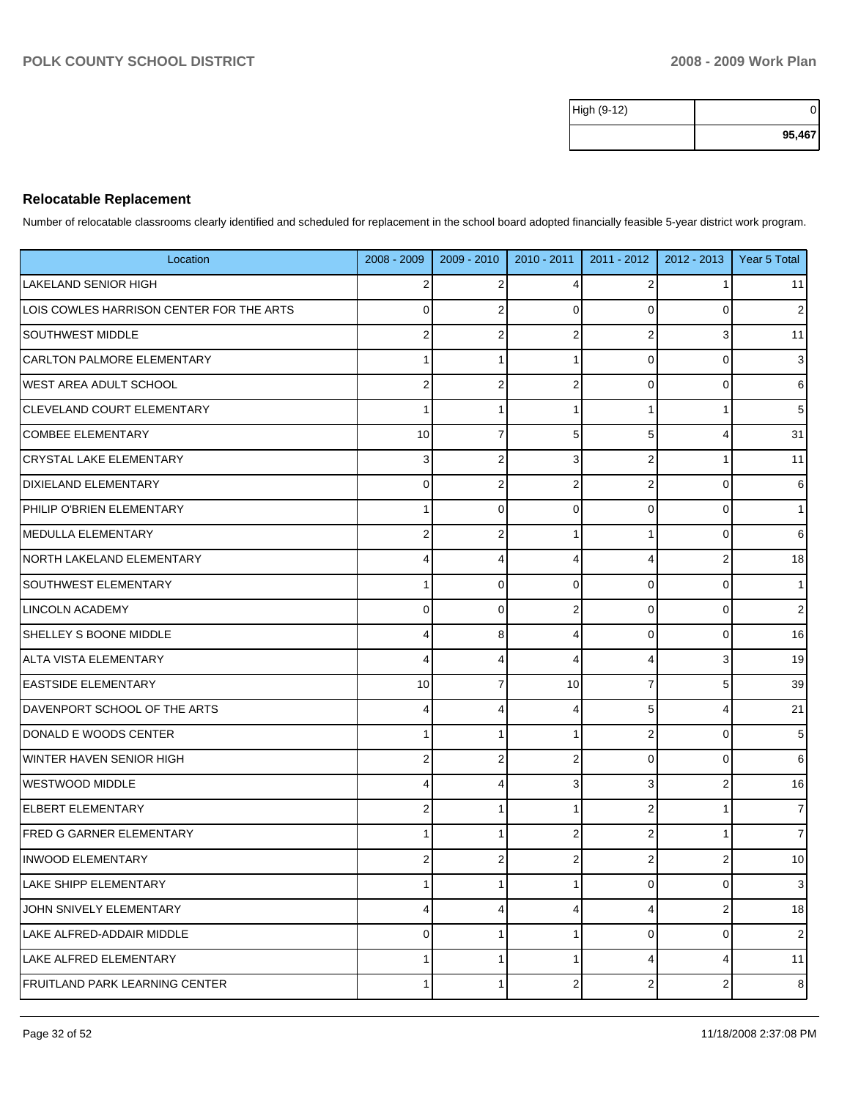| High (9-12) |        |
|-------------|--------|
|             | 95,467 |

### **Relocatable Replacement**

Number of relocatable classrooms clearly identified and scheduled for replacement in the school board adopted financially feasible 5-year district work program.

| Location                                 | $2008 - 2009$  | 2009 - 2010    | $2010 - 2011$  | 2011 - 2012      | $2012 - 2013$  | Year 5 Total   |
|------------------------------------------|----------------|----------------|----------------|------------------|----------------|----------------|
| <b>LAKELAND SENIOR HIGH</b>              | $\overline{2}$ | 2              | 4              | 2                | 1              | 11             |
| LOIS COWLES HARRISON CENTER FOR THE ARTS | $\mathbf 0$    | $\overline{2}$ | $\Omega$       | $\mathbf 0$      | 0              | $\overline{2}$ |
| <b>SOUTHWEST MIDDLE</b>                  | $\overline{2}$ | $\overline{2}$ |                | $\overline{c}$   | 3              | 11             |
| CARLTON PALMORE ELEMENTARY               | 1              | 1              |                | $\mathbf 0$      | 0              | $\sqrt{3}$     |
| WEST AREA ADULT SCHOOL                   | $\overline{2}$ | 2              | 2              | $\mathbf 0$      | 0              | $6 \,$         |
| <b>CLEVELAND COURT ELEMENTARY</b>        | 1              | 1              |                | $\mathbf{1}$     |                | 5              |
| <b>COMBEE ELEMENTARY</b>                 | 10             | $\overline{7}$ | 5              | 5                | 4              | 31             |
| <b>CRYSTAL LAKE ELEMENTARY</b>           | 3              | $\overline{2}$ | 3              | $\boldsymbol{2}$ | 1              | 11             |
| <b>DIXIELAND ELEMENTARY</b>              | $\mathbf 0$    | $\overline{2}$ | 2              | $\boldsymbol{2}$ | 0              | 6              |
| PHILIP O'BRIEN ELEMENTARY                | 1              | $\Omega$       | 0              | $\mathbf 0$      | 0              | $\mathbf{1}$   |
| <b>IMEDULLA ELEMENTARY</b>               | $\overline{2}$ | $\overline{2}$ |                | $\mathbf{1}$     | 0              | 6              |
| NORTH LAKELAND ELEMENTARY                | 4              | 4              | 4              | 4                | 2              | 18             |
| <b>SOUTHWEST ELEMENTARY</b>              | 1              | $\mathbf 0$    | $\Omega$       | $\mathbf 0$      | 0              | $\mathbf{1}$   |
| LINCOLN ACADEMY                          | $\mathbf 0$    | $\mathbf 0$    |                | $\mathbf 0$      | 0              | $\sqrt{2}$     |
| <b>SHELLEY S BOONE MIDDLE</b>            | 4              | 8              | 4              | $\mathbf 0$      | 0              | 16             |
| <b>ALTA VISTA ELEMENTARY</b>             | 4              | 4              | 4              | 4                | 3              | 19             |
| <b>EASTSIDE ELEMENTARY</b>               | 10             | $\overline{7}$ | 10             | $\overline{7}$   | 5              | 39             |
| DAVENPORT SCHOOL OF THE ARTS             | 4              | 4              | 4              | 5                | 4              | 21             |
| DONALD E WOODS CENTER                    | 1              | 1              |                | $\boldsymbol{2}$ | 0              | $\sqrt{5}$     |
| WINTER HAVEN SENIOR HIGH                 | $\overline{2}$ | 2              |                | $\mathbf 0$      | 0              | 6              |
| <b>WESTWOOD MIDDLE</b>                   | 4              | $\overline{4}$ | 3              | 3                | 2              | 16             |
| ELBERT ELEMENTARY                        | 2              | 1              |                | $\boldsymbol{2}$ | 1              | $\overline{7}$ |
| <b>FRED G GARNER ELEMENTARY</b>          | 1              | 1              |                | $\boldsymbol{2}$ |                | $\overline{7}$ |
| <b>INWOOD ELEMENTARY</b>                 | 2              | $\overline{2}$ |                | 2                | $\overline{2}$ | 10             |
| <b>LAKE SHIPP ELEMENTARY</b>             | 1              | $\mathbf{1}$   |                | $\pmb{0}$        | 0              | 3              |
| JOHN SNIVELY ELEMENTARY                  | 4              | $\overline{4}$ | 4              | 4                | $\overline{2}$ | 18             |
| LAKE ALFRED-ADDAIR MIDDLE                | $\mathbf 0$    | 1              |                | $\pmb{0}$        | 0              | $\overline{2}$ |
| <b>LAKE ALFRED ELEMENTARY</b>            | 1              | $\mathbf{1}$   | 1              | 4                | 4              | 11             |
| <b>FRUITLAND PARK LEARNING CENTER</b>    | 1              | $\mathbf{1}$   | $\overline{2}$ | $\boldsymbol{2}$ | $\overline{a}$ | 8              |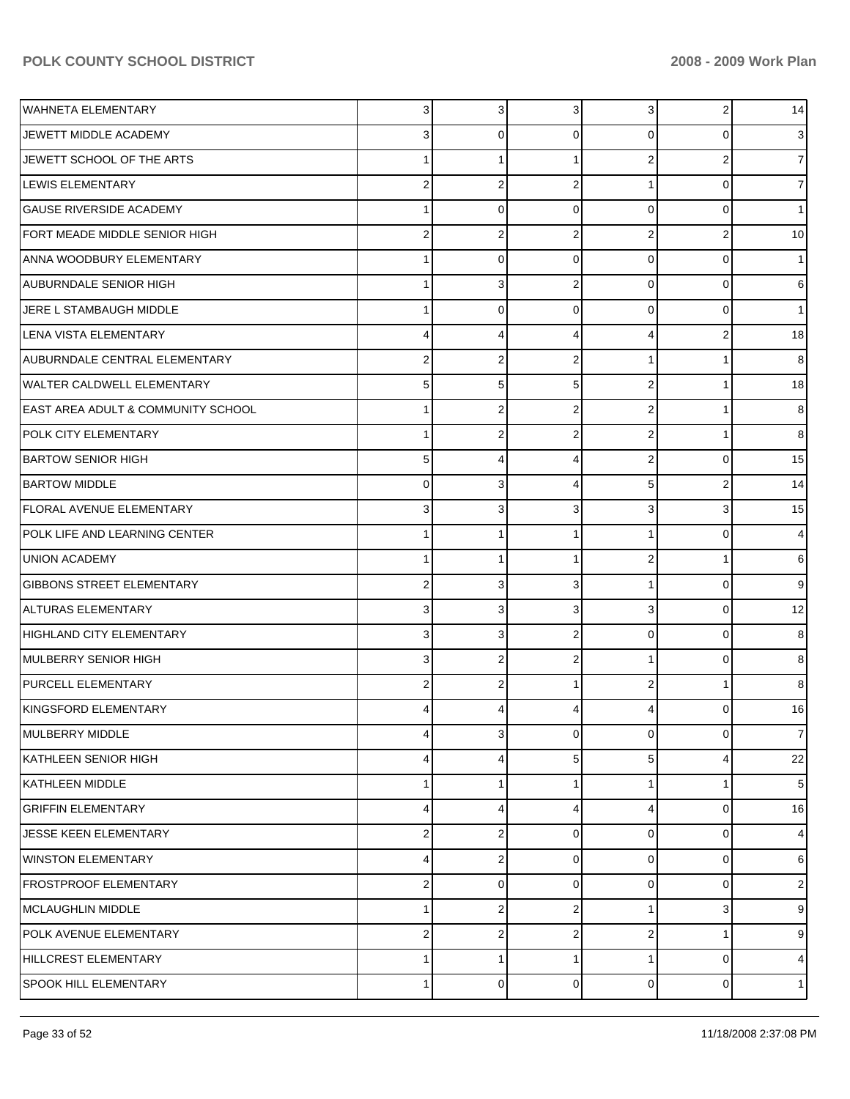| WAHNETA ELEMENTARY                            | 3                       | 3                       | 3              | 3              | $\overline{a}$ | 14             |
|-----------------------------------------------|-------------------------|-------------------------|----------------|----------------|----------------|----------------|
| JEWETT MIDDLE ACADEMY                         | 3                       | $\mathbf 0$             | 0              | 0              | 0              | 3              |
| JEWETT SCHOOL OF THE ARTS                     | 1                       | 1                       |                | $\overline{2}$ | 2              | 7              |
| LEWIS ELEMENTARY                              | $\mathbf 2$             | $\overline{\mathbf{c}}$ | $\overline{2}$ |                | 0              |                |
| <b>GAUSE RIVERSIDE ACADEMY</b>                | 1                       | $\mathbf 0$             | 0              | $\Omega$       | 0              |                |
| FORT MEADE MIDDLE SENIOR HIGH                 | $\mathbf 2$             | $\overline{\mathbf{c}}$ | $\overline{2}$ | $\overline{2}$ | 2              | 10             |
| ANNA WOODBURY ELEMENTARY                      | 1                       | 0                       | 0              | $\Omega$       | 0              |                |
| AUBURNDALE SENIOR HIGH                        | 1                       | 3                       | $\overline{2}$ | 0              | 0              | 6              |
| JERE L STAMBAUGH MIDDLE                       | 1                       | $\mathbf 0$             | 0              | $\Omega$       | 0              |                |
| LENA VISTA ELEMENTARY                         | 4                       | 4                       | 4              | 4              | 2              | 18             |
| AUBURNDALE CENTRAL ELEMENTARY                 | $\overline{\mathbf{c}}$ | 2                       | $\overline{2}$ |                |                | 8              |
| <b>WALTER CALDWELL ELEMENTARY</b>             | 5                       | 5                       | 5              | $\overline{2}$ |                | 18             |
| <b>EAST AREA ADULT &amp; COMMUNITY SCHOOL</b> | 1                       | $\overline{2}$          | $\overline{2}$ | $\overline{2}$ |                | 8              |
| <b>POLK CITY ELEMENTARY</b>                   | 1                       | $\overline{2}$          | $\overline{2}$ | $\overline{2}$ |                | 8              |
| <b>BARTOW SENIOR HIGH</b>                     | 5                       | 4                       | 4              | $\overline{2}$ | 0              | 15             |
| <b>BARTOW MIDDLE</b>                          | $\mathbf 0$             | 3                       | 4              | 5              | 2              | 14             |
| FLORAL AVENUE ELEMENTARY                      | 3                       | 3                       | 3              | 3              | 3              | 15             |
| POLK LIFE AND LEARNING CENTER                 | 1                       | 1                       |                |                | 0              | 4              |
| UNION ACADEMY                                 | 1                       | 1                       |                | $\overline{2}$ |                | 6              |
| <b>GIBBONS STREET ELEMENTARY</b>              | $\mathbf 2$             | 3                       | 3              | 1              | $\mathbf 0$    | 9              |
| ALTURAS ELEMENTARY                            | 3                       | 3                       | 3              | 3              | 0              | 12             |
| HIGHLAND CITY ELEMENTARY                      | 3                       | 3                       | $\overline{2}$ | 0              | 0              | 8              |
| MULBERRY SENIOR HIGH                          | 3                       | $\overline{2}$          | $\overline{2}$ |                | 0              | 8              |
| <b>PURCELL ELEMENTARY</b>                     | $\mathbf 2$             | $\overline{2}$          |                | $\overline{2}$ |                | 8              |
| KINGSFORD ELEMENTARY                          | 4                       | 4                       |                | 4              | 0              | 16             |
| MULBERRY MIDDLE                               | 4                       | 3                       | $\mathbf 0$    | $\mathbf 0$    | $\mathbf 0$    | $\overline{7}$ |
| KATHLEEN SENIOR HIGH                          | 4                       | 4                       | 5              | 5              | 4              | 22             |
| KATHLEEN MIDDLE                               | 1                       |                         |                |                |                | 5              |
| <b>GRIFFIN ELEMENTARY</b>                     | 4                       | 4                       | 4              | 4              | 0              | 16             |
| JESSE KEEN ELEMENTARY                         | $\mathbf 2$             | 2                       | 0              | $\Omega$       | 0              | 4              |
| <b>WINSTON ELEMENTARY</b>                     | 4                       | $\overline{\mathbf{c}}$ | $\mathbf 0$    | 0              | 0              | 6              |
| <b>FROSTPROOF ELEMENTARY</b>                  | $\mathbf 2$             | $\mathbf 0$             | $\mathbf 0$    | $\Omega$       | 0              | 2              |
| MCLAUGHLIN MIDDLE                             | 1                       | $\overline{\mathbf{c}}$ | $\overline{2}$ | 1              | 3              | 9              |
| POLK AVENUE ELEMENTARY                        | $\mathbf 2$             | $\overline{2}$          | $\overline{2}$ | 2              |                | 9              |
| HILLCREST ELEMENTARY                          | 1                       | 1                       | -1             | 1              | 0              | 4              |
| <b>SPOOK HILL ELEMENTARY</b>                  | 1                       | 0                       | 0              | $\overline{0}$ | 0              | $\mathbf{1}$   |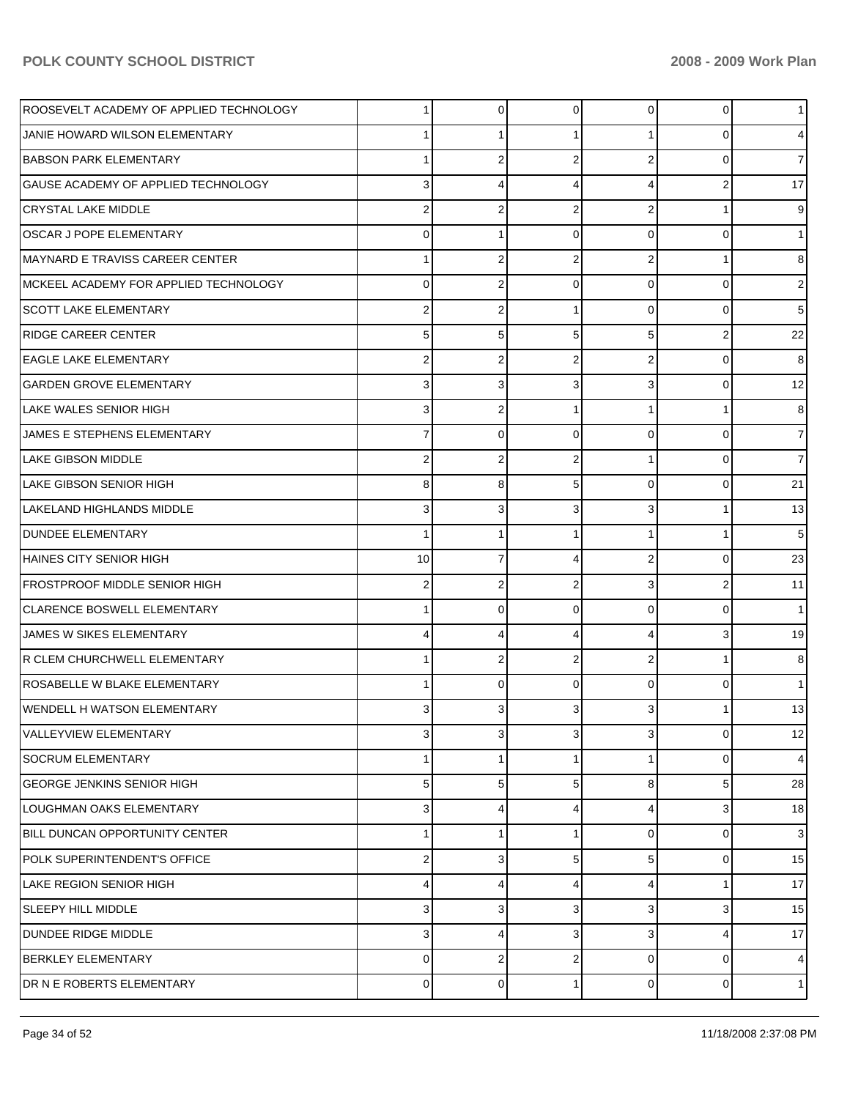| ROOSEVELT ACADEMY OF APPLIED TECHNOLOGY | 1  | 0 | $\Omega$       | $\Omega$       | 0 |                |
|-----------------------------------------|----|---|----------------|----------------|---|----------------|
| JANIE HOWARD WILSON ELEMENTARY          |    |   |                |                | 0 |                |
| <b>BABSON PARK ELEMENTARY</b>           |    | 2 | $\overline{2}$ | 2              | 0 |                |
| GAUSE ACADEMY OF APPLIED TECHNOLOGY     | 3  | 4 | 4              | 4              | 2 | 17             |
| <b>CRYSTAL LAKE MIDDLE</b>              | 2  | 2 | 2              | 2              |   | 9              |
| <b>OSCAR J POPE ELEMENTARY</b>          | 0  |   | $\Omega$       | 0              | 0 |                |
| <b>MAYNARD E TRAVISS CAREER CENTER</b>  |    | 2 | $\overline{2}$ | 2              |   | 8              |
| MCKEEL ACADEMY FOR APPLIED TECHNOLOGY   | 0  | 2 | $\Omega$       | 0              | 0 | 2              |
| <b>SCOTT LAKE ELEMENTARY</b>            | 2  | 2 |                | 0              | 0 | 5              |
| <b>RIDGE CAREER CENTER</b>              | 5  | 5 | 5              | 5              | 2 | 22             |
| <b>EAGLE LAKE ELEMENTARY</b>            | 2  | 2 | 2              | 2              | 0 | 8              |
| <b>GARDEN GROVE ELEMENTARY</b>          | 3  | 3 | 3              | 3              | 0 | 12             |
| LAKE WALES SENIOR HIGH                  | 3  | 2 |                |                |   | 8              |
| JAMES E STEPHENS ELEMENTARY             | 7  | 0 | $\Omega$       | 0              | 0 | 7              |
| <b>LAKE GIBSON MIDDLE</b>               | 2  | 2 | 2              |                | 0 | 7              |
| LAKE GIBSON SENIOR HIGH                 | 8  | 8 | 5              | 0              | 0 | 21             |
| LAKELAND HIGHLANDS MIDDLE               | 3  | 3 | 3              | 3              |   | 13             |
| <b>DUNDEE ELEMENTARY</b>                | 1  |   |                |                |   | 5              |
| <b>HAINES CITY SENIOR HIGH</b>          | 10 | 7 | 4              | 2              | 0 | 23             |
| <b>FROSTPROOF MIDDLE SENIOR HIGH</b>    | 2  | 2 | 2              | 3              | 2 | 11             |
| <b>CLARENCE BOSWELL ELEMENTARY</b>      |    | 0 | $\Omega$       | 0              | 0 |                |
| JAMES W SIKES ELEMENTARY                | 4  | 4 | 4              | 4              | 3 | 19             |
| R CLEM CHURCHWELL ELEMENTARY            |    | 2 | 2              | $\overline{2}$ |   | 8              |
| ROSABELLE W BLAKE ELEMENTARY            |    | 0 | $\Omega$       | 0              | 0 |                |
| <b>WENDELL H WATSON ELEMENTARY</b>      | 3  | 3 |                | 3              |   | 13             |
| <b>VALLEYVIEW ELEMENTARY</b>            | 3  | 3 | 3              | 3              | 0 | 12             |
| SOCRUM ELEMENTARY                       | 1  |   |                |                | 0 | $\overline{4}$ |
| <b>GEORGE JENKINS SENIOR HIGH</b>       | 5  | 5 | 5              | 8              | 5 | 28             |
| <b>LOUGHMAN OAKS ELEMENTARY</b>         | 3  | 4 | 4              | 4              | 3 | 18             |
| BILL DUNCAN OPPORTUNITY CENTER          | 1  |   |                | 0              | 0 | 3              |
| POLK SUPERINTENDENT'S OFFICE            | 2  | 3 | 5              | 5              | 0 | 15             |
| LAKE REGION SENIOR HIGH                 | 4  | 4 | 4              | 4              |   | 17             |
| <b>SLEEPY HILL MIDDLE</b>               | 3  | 3 | 3              | 3              | 3 | 15             |
| DUNDEE RIDGE MIDDLE                     | 3  | 4 | 3              | 3              | 4 | 17             |
| <b>BERKLEY ELEMENTARY</b>               | 0  | 2 | 2              | 0              | 0 | $\overline{4}$ |
| DR N E ROBERTS ELEMENTARY               | 0  | 0 |                | $\overline{0}$ | 0 | 1 <sup>1</sup> |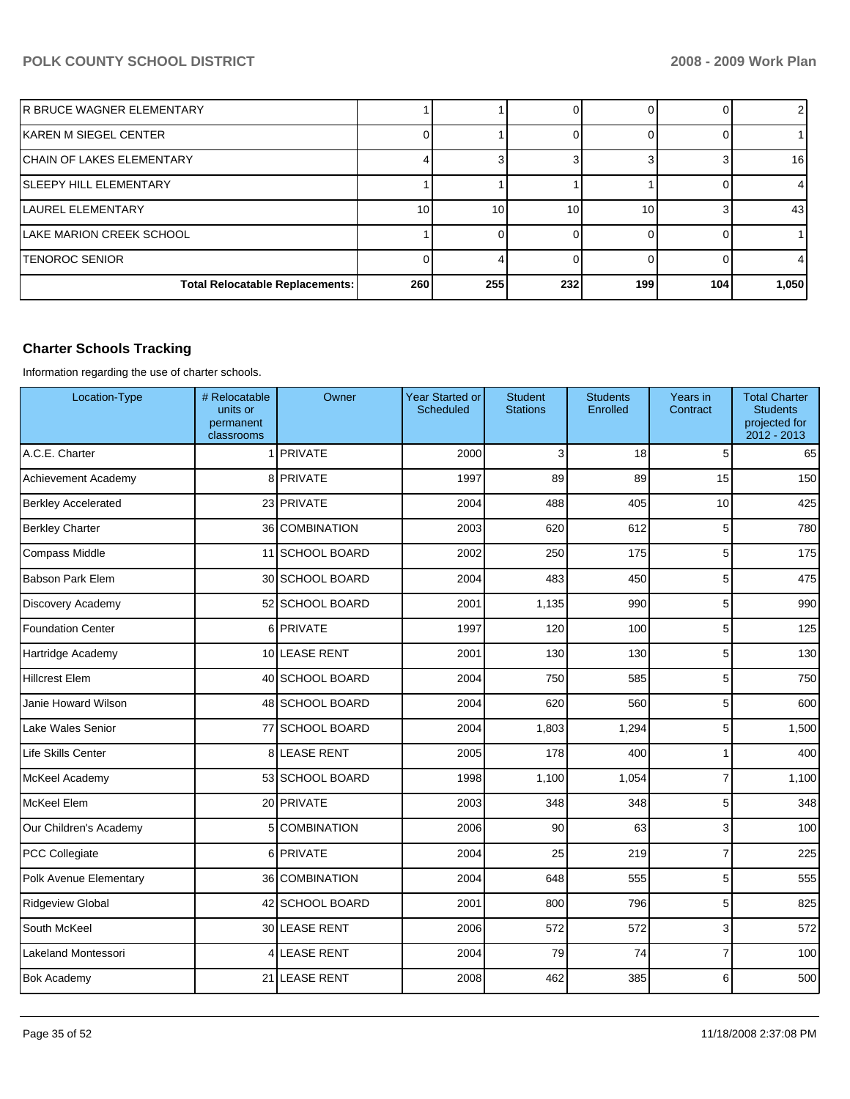| IR BRUCE WAGNER ELEMENTARY             |            |     |     |     |     |       |
|----------------------------------------|------------|-----|-----|-----|-----|-------|
| IKAREN M SIEGEL CENTER                 |            |     |     |     |     |       |
| <b>ICHAIN OF LAKES ELEMENTARY</b>      |            |     |     |     |     | 16    |
| ISLEEPY HILL ELEMENTARY                |            |     |     |     |     |       |
| <b>ILAUREL ELEMENTARY</b>              | 10         | 10  | 10  | 10  |     | 43    |
| ILAKE MARION CREEK SCHOOL              |            |     |     |     |     |       |
| ITENOROC SENIOR                        |            |     |     |     |     |       |
| <b>Total Relocatable Replacements:</b> | <b>260</b> | 255 | 232 | 199 | 104 | 1,050 |

## **Charter Schools Tracking**

Information regarding the use of charter schools.

| Location-Type              | # Relocatable<br>units or<br>permanent<br>classrooms | Owner           | <b>Year Started or</b><br>Scheduled | <b>Student</b><br><b>Stations</b> | <b>Students</b><br>Enrolled | Years in<br>Contract | <b>Total Charter</b><br><b>Students</b><br>projected for<br>2012 - 2013 |
|----------------------------|------------------------------------------------------|-----------------|-------------------------------------|-----------------------------------|-----------------------------|----------------------|-------------------------------------------------------------------------|
| A.C.E. Charter             |                                                      | 1 PRIVATE       | 2000                                | 3                                 | 18                          | 5                    | 65                                                                      |
| Achievement Academy        |                                                      | 8 PRIVATE       | 1997                                | 89                                | 89                          | 15                   | 150                                                                     |
| <b>Berkley Accelerated</b> |                                                      | 23 PRIVATE      | 2004                                | 488                               | 405                         | 10                   | 425                                                                     |
| <b>Berkley Charter</b>     |                                                      | 36 COMBINATION  | 2003                                | 620                               | 612                         | 5                    | 780                                                                     |
| Compass Middle             |                                                      | 11 SCHOOL BOARD | 2002                                | 250                               | 175                         | 5                    | 175                                                                     |
| <b>Babson Park Elem</b>    |                                                      | 30 SCHOOL BOARD | 2004                                | 483                               | 450                         | 5                    | 475                                                                     |
| Discovery Academy          |                                                      | 52 SCHOOL BOARD | 2001                                | 1,135                             | 990                         | 5                    | 990                                                                     |
| <b>Foundation Center</b>   |                                                      | 6 PRIVATE       | 1997                                | 120                               | 100                         | 5                    | 125                                                                     |
| Hartridge Academy          |                                                      | 10 LEASE RENT   | 2001                                | 130                               | 130                         | 5                    | 130                                                                     |
| <b>Hillcrest Elem</b>      |                                                      | 40 SCHOOL BOARD | 2004                                | 750                               | 585                         | 5                    | 750                                                                     |
| Janie Howard Wilson        |                                                      | 48 SCHOOL BOARD | 2004                                | 620                               | 560                         | 5                    | 600                                                                     |
| Lake Wales Senior          |                                                      | 77 SCHOOL BOARD | 2004                                | 1,803                             | 1,294                       | 5                    | 1,500                                                                   |
| Life Skills Center         |                                                      | 8 LEASE RENT    | 2005                                | 178                               | 400                         | 1                    | 400                                                                     |
| McKeel Academy             |                                                      | 53 SCHOOL BOARD | 1998                                | 1,100                             | 1,054                       | $\overline{7}$       | 1,100                                                                   |
| McKeel Elem                |                                                      | 20 PRIVATE      | 2003                                | 348                               | 348                         | 5                    | 348                                                                     |
| Our Children's Academy     |                                                      | 5 COMBINATION   | 2006                                | 90                                | 63                          | 3                    | 100                                                                     |
| PCC Collegiate             |                                                      | 6 PRIVATE       | 2004                                | 25                                | 219                         | $\overline{7}$       | 225                                                                     |
| Polk Avenue Elementary     |                                                      | 36 COMBINATION  | 2004                                | 648                               | 555                         | 5                    | 555                                                                     |
| <b>Ridgeview Global</b>    |                                                      | 42 SCHOOL BOARD | 2001                                | 800                               | 796                         | 5                    | 825                                                                     |
| South McKeel               |                                                      | 30 LEASE RENT   | 2006                                | 572                               | 572                         | 3                    | 572                                                                     |
| Lakeland Montessori        |                                                      | 4 LEASE RENT    | 2004                                | 79                                | 74                          | $\overline{7}$       | 100                                                                     |
| <b>Bok Academy</b>         |                                                      | 21 LEASE RENT   | 2008                                | 462                               | 385                         | 6                    | 500                                                                     |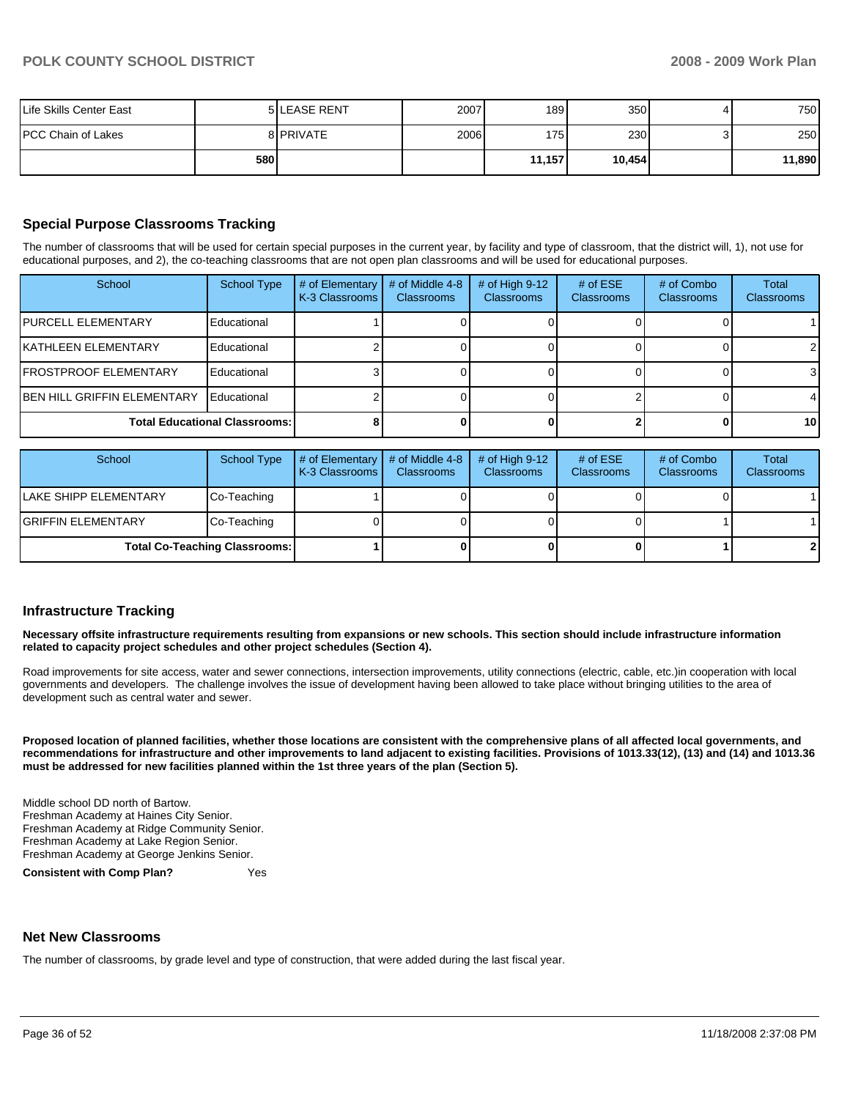| Life Skills Center East |     | <b>5 LEASE RENT</b> | 2007 | 189              | 350 <sup>1</sup> |   | 750    |
|-------------------------|-----|---------------------|------|------------------|------------------|---|--------|
| PCC Chain of Lakes      |     | 8 PRIVATE           | 2006 | 175 <sup>1</sup> | 230              | ຈ | 250    |
|                         | 580 |                     |      | 11,157           | 10,454           |   | 11,890 |

## **Special Purpose Classrooms Tracking**

The number of classrooms that will be used for certain special purposes in the current year, by facility and type of classroom, that the district will, 1), not use for educational purposes, and 2), the co-teaching classrooms that are not open plan classrooms and will be used for educational purposes.

| School                               | <b>School Type</b> | # of Elementary<br>K-3 Classrooms | # of Middle 4-8<br><b>Classrooms</b> | $#$ of High 9-12<br><b>Classrooms</b> | # of $ESE$<br><b>Classrooms</b> | # of Combo<br><b>Classrooms</b> | <b>Total</b><br><b>Classrooms</b> |
|--------------------------------------|--------------------|-----------------------------------|--------------------------------------|---------------------------------------|---------------------------------|---------------------------------|-----------------------------------|
| <b>IPURCELL ELEMENTARY</b>           | Educational        |                                   |                                      |                                       |                                 |                                 |                                   |
| <b>IKATHLEEN ELEMENTARY</b>          | Educational        |                                   |                                      |                                       |                                 |                                 | $\overline{2}$                    |
| <b>IFROSTPROOF ELEMENTARY</b>        | Educational        |                                   |                                      |                                       |                                 |                                 | 3                                 |
| <b>BEN HILL GRIFFIN ELEMENTARY</b>   | Educational        |                                   |                                      |                                       |                                 |                                 | 4                                 |
| <b>Total Educational Classrooms:</b> |                    |                                   |                                      |                                       |                                 |                                 | 10 <sup>1</sup>                   |

| School                               | School Type | # of Elementary $\vert$ # of Middle 4-8<br><b>K-3 Classrooms</b> | <b>Classrooms</b> | # of High $9-12$<br><b>Classrooms</b> | # of $ESE$<br><b>Classrooms</b> | # of Combo<br><b>Classrooms</b> | Total<br><b>Classrooms</b> |
|--------------------------------------|-------------|------------------------------------------------------------------|-------------------|---------------------------------------|---------------------------------|---------------------------------|----------------------------|
| <b>ILAKE SHIPP ELEMENTARY</b>        | Co-Teaching |                                                                  |                   |                                       |                                 |                                 |                            |
| <b>IGRIFFIN ELEMENTARY</b>           | Co-Teaching |                                                                  |                   |                                       |                                 |                                 |                            |
| <b>Total Co-Teaching Classrooms:</b> |             |                                                                  |                   |                                       |                                 |                                 | 2                          |

#### **Infrastructure Tracking**

**Necessary offsite infrastructure requirements resulting from expansions or new schools. This section should include infrastructure information related to capacity project schedules and other project schedules (Section 4).** 

Road improvements for site access, water and sewer connections, intersection improvements, utility connections (electric, cable, etc.)in cooperation with local governments and developers. The challenge involves the issue of development having been allowed to take place without bringing utilities to the area of development such as central water and sewer.

**Proposed location of planned facilities, whether those locations are consistent with the comprehensive plans of all affected local governments, and recommendations for infrastructure and other improvements to land adjacent to existing facilities. Provisions of 1013.33(12), (13) and (14) and 1013.36 must be addressed for new facilities planned within the 1st three years of the plan (Section 5).** 

Middle school DD north of Bartow. Freshman Academy at Haines City Senior. Freshman Academy at Ridge Community Senior. Freshman Academy at Lake Region Senior. Freshman Academy at George Jenkins Senior.

**Consistent with Comp Plan?** Yes

#### **Net New Classrooms**

The number of classrooms, by grade level and type of construction, that were added during the last fiscal year.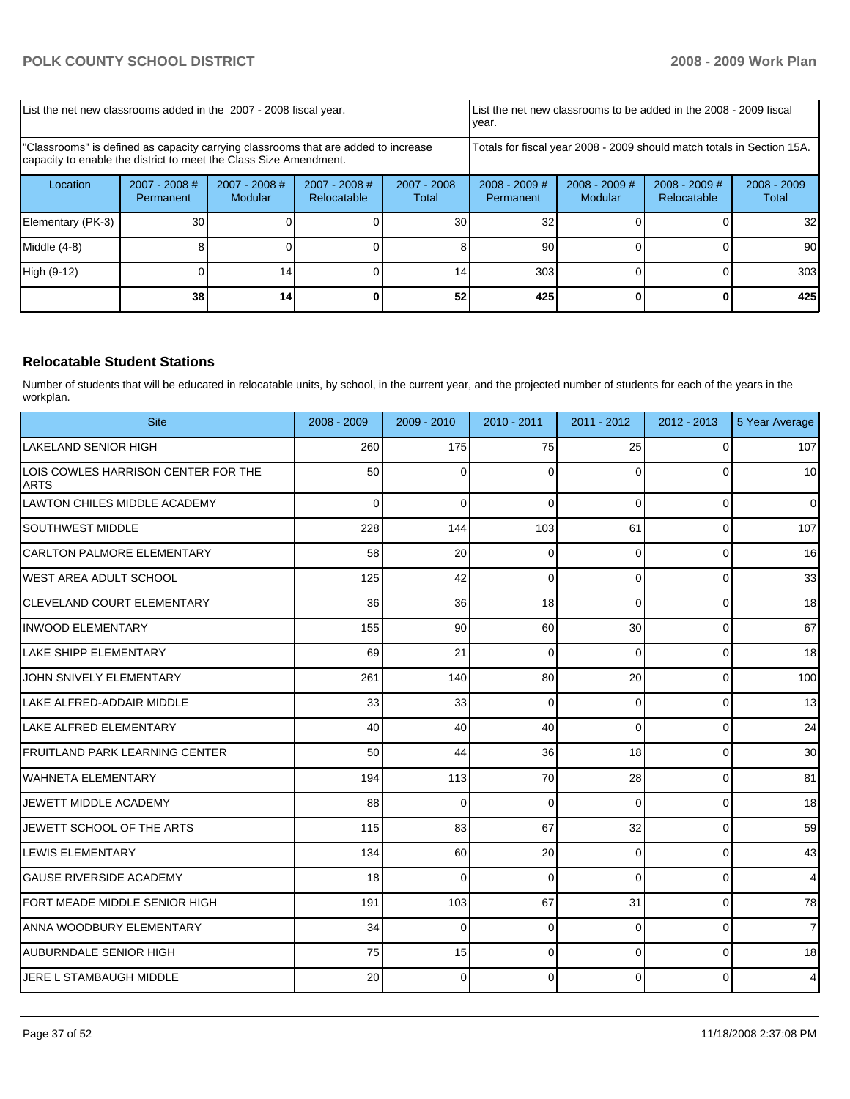| List the net new classrooms added in the 2007 - 2008 fiscal year.                                                                                       |                              |                            |                                                                        |                      | year.                        | List the net new classrooms to be added in the 2008 - 2009 fiscal |                                |                        |  |
|---------------------------------------------------------------------------------------------------------------------------------------------------------|------------------------------|----------------------------|------------------------------------------------------------------------|----------------------|------------------------------|-------------------------------------------------------------------|--------------------------------|------------------------|--|
| "Classrooms" is defined as capacity carrying classrooms that are added to increase<br>capacity to enable the district to meet the Class Size Amendment. |                              |                            | Totals for fiscal year 2008 - 2009 should match totals in Section 15A. |                      |                              |                                                                   |                                |                        |  |
| Location                                                                                                                                                | $2007 - 2008$ #<br>Permanent | $2007 - 2008$ #<br>Modular | $2007 - 2008$ #<br>Relocatable                                         | 2007 - 2008<br>Total | $2008 - 2009$ #<br>Permanent | $2008 - 2009$ #<br><b>Modular</b>                                 | $2008 - 2009$ #<br>Relocatable | $2008 - 2009$<br>Total |  |
| Elementary (PK-3)                                                                                                                                       | 30                           |                            |                                                                        | 30                   | 32                           |                                                                   |                                | 32                     |  |
| Middle (4-8)                                                                                                                                            |                              |                            |                                                                        |                      | 90                           |                                                                   |                                | 90                     |  |
| High (9-12)                                                                                                                                             |                              | 14 <sub>1</sub>            |                                                                        | 14ı                  | 303                          |                                                                   |                                | 303                    |  |
|                                                                                                                                                         | 38                           | 14 <sub>1</sub>            |                                                                        | 52                   | 425                          |                                                                   |                                | 425                    |  |

## **Relocatable Student Stations**

Number of students that will be educated in relocatable units, by school, in the current year, and the projected number of students for each of the years in the workplan.

| <b>Site</b>                                        | 2008 - 2009    | $2009 - 2010$ | $2010 - 2011$ | 2011 - 2012    | 2012 - 2013 | 5 Year Average |
|----------------------------------------------------|----------------|---------------|---------------|----------------|-------------|----------------|
| <b>LAKELAND SENIOR HIGH</b>                        | 260            | 175           | 75            | 25             | $\Omega$    | 107            |
| LOIS COWLES HARRISON CENTER FOR THE<br><b>ARTS</b> | 50             | $\Omega$      | $\Omega$      | $\Omega$       | $\Omega$    | 10             |
| <b>LAWTON CHILES MIDDLE ACADEMY</b>                | $\overline{0}$ | $\mathbf 0$   | $\mathbf 0$   | $\overline{0}$ | 0           | $\overline{0}$ |
| <b>SOUTHWEST MIDDLE</b>                            | 228            | 144           | 103           | 61             | $\Omega$    | 107            |
| <b>CARLTON PALMORE ELEMENTARY</b>                  | 58             | 20            | $\mathbf 0$   | $\Omega$       | 0           | 16             |
| <b>WEST AREA ADULT SCHOOL</b>                      | 125            | 42            | $\Omega$      | $\Omega$       | 0           | 33             |
| <b>CLEVELAND COURT ELEMENTARY</b>                  | 36             | 36            | 18            | $\Omega$       | 0           | 18             |
| <b>INWOOD ELEMENTARY</b>                           | 155            | 90            | 60            | 30             | $\mathbf 0$ | 67             |
| LAKE SHIPP ELEMENTARY                              | 69             | 21            | $\Omega$      | $\Omega$       | $\Omega$    | 18             |
| JOHN SNIVELY ELEMENTARY                            | 261            | 140           | 80            | 20             | $\Omega$    | 100            |
| LAKE ALFRED-ADDAIR MIDDLE                          | 33             | 33            | $\Omega$      | $\Omega$       | $\Omega$    | 13             |
| LAKE ALFRED ELEMENTARY                             | 40             | 40            | 40            | $\Omega$       | $\Omega$    | 24             |
| <b>FRUITLAND PARK LEARNING CENTER</b>              | 50             | 44            | 36            | 18             | $\Omega$    | 30             |
| WAHNETA ELEMENTARY                                 | 194            | 113           | 70            | 28             | $\Omega$    | 81             |
| JEWETT MIDDLE ACADEMY                              | 88             | $\Omega$      | $\Omega$      | $\Omega$       | $\Omega$    | 18             |
| JEWETT SCHOOL OF THE ARTS                          | 115            | 83            | 67            | 32             | $\Omega$    | 59             |
| <b>LEWIS ELEMENTARY</b>                            | 134            | 60            | 20            | $\Omega$       | $\Omega$    | 43             |
| <b>GAUSE RIVERSIDE ACADEMY</b>                     | 18             | $\Omega$      | $\Omega$      | $\Omega$       | 0           | $\overline{4}$ |
| FORT MEADE MIDDLE SENIOR HIGH                      | 191            | 103           | 67            | 31             | $\Omega$    | 78             |
| <b>ANNA WOODBURY ELEMENTARY</b>                    | 34             | $\Omega$      | $\Omega$      | $\Omega$       | $\Omega$    | $\overline{7}$ |
| <b>AUBURNDALE SENIOR HIGH</b>                      | 75             | 15            | $\Omega$      | $\Omega$       | $\Omega$    | 18             |
| JERE L STAMBAUGH MIDDLE                            | 20             | $\Omega$      | 0             | $\Omega$       | 0           | $\overline{4}$ |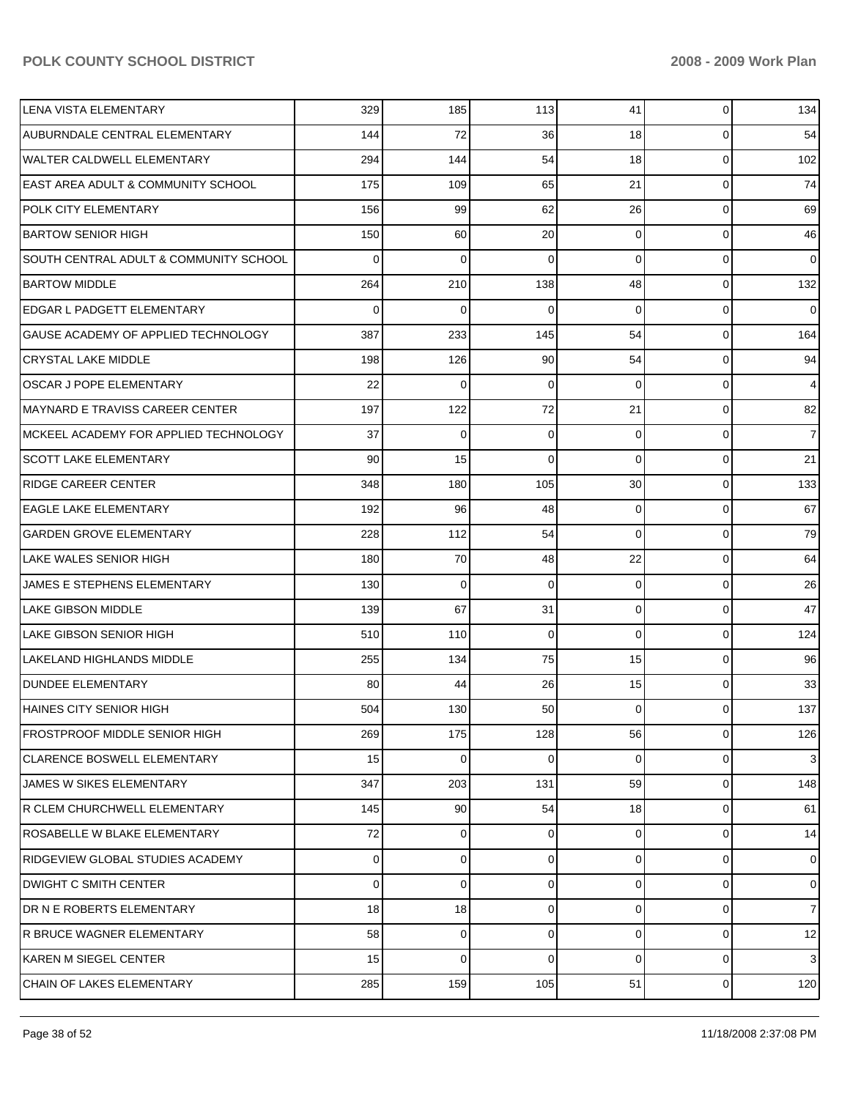| LENA VISTA ELEMENTARY                         | 329 | 185         | 113      | 41       | $\mathbf 0$ | 134            |
|-----------------------------------------------|-----|-------------|----------|----------|-------------|----------------|
| AUBURNDALE CENTRAL ELEMENTARY                 | 144 | 72          | 36       | 18       | 0           | 54             |
| <b>WALTER CALDWELL ELEMENTARY</b>             | 294 | 144         | 54       | 18       | $\mathbf 0$ | 102            |
| <b>EAST AREA ADULT &amp; COMMUNITY SCHOOL</b> | 175 | 109         | 65       | 21       | $\mathbf 0$ | 74             |
| POLK CITY ELEMENTARY                          | 156 | 99          | 62       | 26       | $\mathbf 0$ | 69             |
| <b>BARTOW SENIOR HIGH</b>                     | 150 | 60          | 20       | $\Omega$ | $\mathbf 0$ | 46             |
| SOUTH CENTRAL ADULT & COMMUNITY SCHOOL        | 0   | 0           | 0        | $\Omega$ | $\mathbf 0$ | $\overline{0}$ |
| <b>BARTOW MIDDLE</b>                          | 264 | 210         | 138      | 48       | $\mathbf 0$ | 132            |
| <b>EDGAR L PADGETT ELEMENTARY</b>             | 0   | 0           | 0        | $\Omega$ | $\mathbf 0$ | $\overline{0}$ |
| GAUSE ACADEMY OF APPLIED TECHNOLOGY           | 387 | 233         | 145      | 54       | $\mathbf 0$ | 164            |
| <b>CRYSTAL LAKE MIDDLE</b>                    | 198 | 126         | 90       | 54       | $\mathbf 0$ | 94             |
| OSCAR J POPE ELEMENTARY                       | 22  | 0           | 0        | $\Omega$ | $\mathbf 0$ | $\overline{4}$ |
| <b>MAYNARD E TRAVISS CAREER CENTER</b>        | 197 | 122         | 72       | 21       | $\mathbf 0$ | 82             |
| MCKEEL ACADEMY FOR APPLIED TECHNOLOGY         | 37  | 0           | 0        | $\Omega$ | $\mathbf 0$ | 7 <sup>1</sup> |
| <b>SCOTT LAKE ELEMENTARY</b>                  | 90  | 15          | $\Omega$ | $\Omega$ | $\mathbf 0$ | 21             |
| <b>RIDGE CAREER CENTER</b>                    | 348 | 180         | 105      | 30       | $\mathbf 0$ | 133            |
| <b>EAGLE LAKE ELEMENTARY</b>                  | 192 | 96          | 48       | $\Omega$ | $\mathbf 0$ | 67             |
| <b>GARDEN GROVE ELEMENTARY</b>                | 228 | 112         | 54       | $\Omega$ | $\mathbf 0$ | 79             |
| LAKE WALES SENIOR HIGH                        | 180 | 70          | 48       | 22       | $\mathbf 0$ | 64             |
| JAMES E STEPHENS ELEMENTARY                   | 130 | $\mathbf 0$ | 0        | $\Omega$ | $\mathbf 0$ | 26             |
| LAKE GIBSON MIDDLE                            | 139 | 67          | 31       | $\Omega$ | $\mathbf 0$ | 47             |
| LAKE GIBSON SENIOR HIGH                       | 510 | 110         | 0        | $\Omega$ | $\mathbf 0$ | 124            |
| LAKELAND HIGHLANDS MIDDLE                     | 255 | 134         | 75       | 15       | $\mathbf 0$ | 96             |
| <b>DUNDEE ELEMENTARY</b>                      | 80  | 44          | 26       | 15       | $\mathbf 0$ | 33             |
| <b>HAINES CITY SENIOR HIGH</b>                | 504 | 130         | 50       | 0        | $\Omega$    | 137            |
| FROSTPROOF MIDDLE SENIOR HIGH                 | 269 | 175         | 128      | 56       | 0           | 126            |
| <b>CLARENCE BOSWELL ELEMENTARY</b>            | 15  | 0           | 0        | $\Omega$ | $\mathbf 0$ | 3 <sub>l</sub> |
| JAMES W SIKES ELEMENTARY                      | 347 | 203         | 131      | 59       | $\mathbf 0$ | 148            |
| R CLEM CHURCHWELL ELEMENTARY                  | 145 | 90          | 54       | 18       | $\mathbf 0$ | 61             |
| ROSABELLE W BLAKE ELEMENTARY                  | 72  | 0           | 0        | 0        | $\mathbf 0$ | 14             |
| RIDGEVIEW GLOBAL STUDIES ACADEMY              | 0   | 0           | 0        | $\Omega$ | $\mathbf 0$ | $\overline{0}$ |
| <b>DWIGHT C SMITH CENTER</b>                  | 0   | $\mathbf 0$ | 0        | 0        | $\mathbf 0$ | $\overline{0}$ |
| DR N E ROBERTS ELEMENTARY                     | 18  | 18          | 0        | $\Omega$ | $\mathbf 0$ | 7 <sup>1</sup> |
| R BRUCE WAGNER ELEMENTARY                     | 58  | 0           | 0        | 0        | $\mathbf 0$ | 12             |
| KAREN M SIEGEL CENTER                         | 15  | $\mathbf 0$ | 0        | $\Omega$ | $\mathbf 0$ | 3 <sup>1</sup> |
| CHAIN OF LAKES ELEMENTARY                     | 285 | 159         | 105      | 51       | 0           | 120            |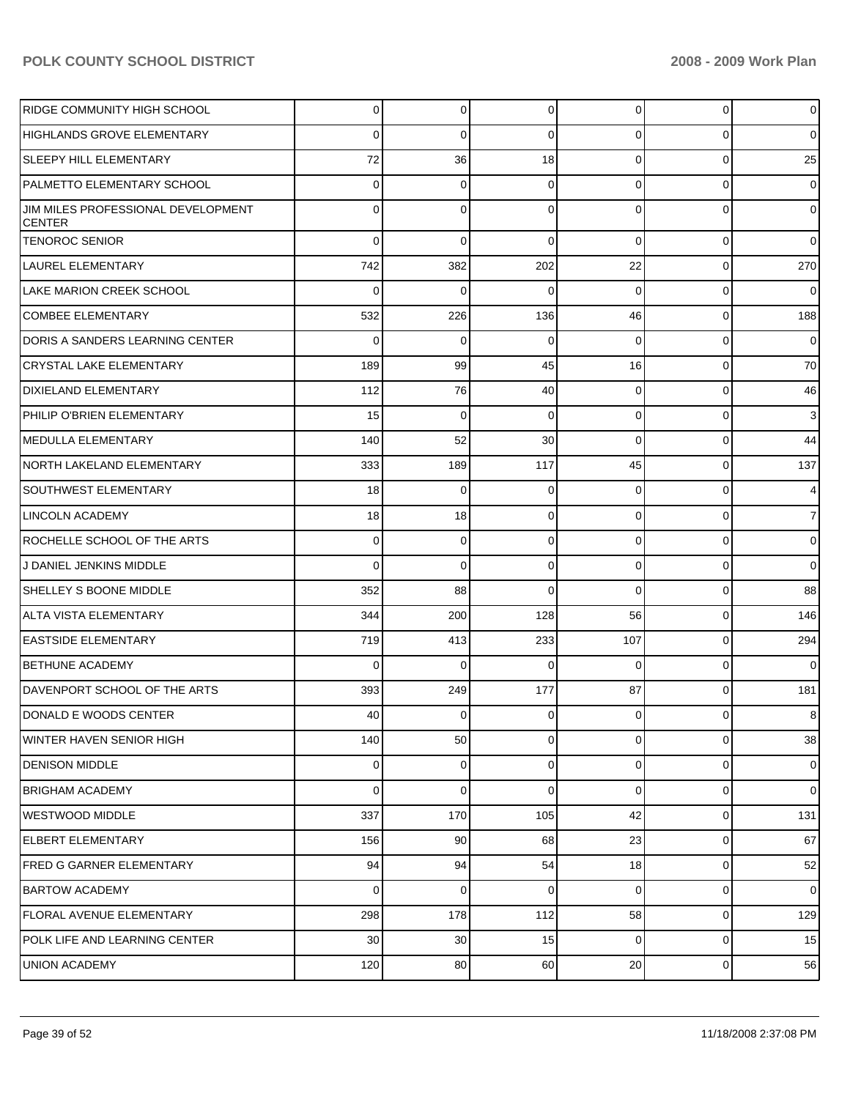| <b>RIDGE COMMUNITY HIGH SCHOOL</b>                  | $\overline{0}$ | 0           | $\overline{0}$ | $\overline{0}$  | $\mathbf 0$ | $\overline{0}$ |
|-----------------------------------------------------|----------------|-------------|----------------|-----------------|-------------|----------------|
| HIGHLANDS GROVE ELEMENTARY                          | $\Omega$       | $\Omega$    | $\Omega$       | $\Omega$        | $\Omega$    | $\overline{0}$ |
| <b>SLEEPY HILL ELEMENTARY</b>                       | 72             | 36          | 18             | $\Omega$        | $\Omega$    | 25             |
| PALMETTO ELEMENTARY SCHOOL                          | $\Omega$       | 0           | $\Omega$       | $\Omega$        | $\Omega$    | $\overline{0}$ |
| JIM MILES PROFESSIONAL DEVELOPMENT<br><b>CENTER</b> | $\Omega$       | $\Omega$    | $\Omega$       | $\Omega$        | $\Omega$    | $\overline{0}$ |
| <b>TENOROC SENIOR</b>                               | $\Omega$       | $\Omega$    | $\Omega$       | $\Omega$        | $\mathbf 0$ | $\mathbf 0$    |
| LAUREL ELEMENTARY                                   | 742            | 382         | 202            | 22              | $\mathbf 0$ | 270            |
| LAKE MARION CREEK SCHOOL                            | $\Omega$       | 0           | $\Omega$       | $\Omega$        | 0           | $\mathbf 0$    |
| COMBEE ELEMENTARY                                   | 532            | 226         | 136            | 46              | $\mathbf 0$ | 188            |
| DORIS A SANDERS LEARNING CENTER                     | $\Omega$       | 0           | $\Omega$       | $\Omega$        | 0           | $\mathbf 0$    |
| CRYSTAL LAKE ELEMENTARY                             | 189            | 99          | 45             | 16              | $\mathbf 0$ | 70             |
| <b>DIXIELAND ELEMENTARY</b>                         | 112            | 76          | 40             | $\Omega$        | $\mathbf 0$ | 46             |
| PHILIP O'BRIEN ELEMENTARY                           | 15             | 0           | $\Omega$       | $\Omega$        | $\mathbf 0$ | 3              |
| IMEDULLA ELEMENTARY                                 | 140            | 52          | 30             | $\Omega$        | 0           | 44             |
| NORTH LAKELAND ELEMENTARY                           | 333            | 189         | 117            | 45              | $\mathbf 0$ | 137            |
| SOUTHWEST ELEMENTARY                                | 18             | 0           | 0              | $\Omega$        | 0           | $\overline{4}$ |
| LINCOLN ACADEMY                                     | 18             | 18          | 0              | $\Omega$        | $\mathbf 0$ | $\overline{7}$ |
| ROCHELLE SCHOOL OF THE ARTS                         | $\overline{0}$ | 0           | 0              | $\Omega$        | 0           | $\overline{0}$ |
| J DANIEL JENKINS MIDDLE                             | $\Omega$       | 0           | 0              | $\Omega$        | $\Omega$    | $\mathbf 0$    |
| SHELLEY S BOONE MIDDLE                              | 352            | 88          | $\Omega$       | $\Omega$        | 0           | 88             |
| ALTA VISTA ELEMENTARY                               | 344            | 200         | 128            | 56              | $\mathbf 0$ | 146            |
| EASTSIDE ELEMENTARY                                 | 719            | 413         | 233            | 107             | $\mathbf 0$ | 294            |
| <b>BETHUNE ACADEMY</b>                              | $\Omega$       | 0           | $\Omega$       | $\Omega$        | $\mathbf 0$ | 0              |
| DAVENPORT SCHOOL OF THE ARTS                        | 393            | 249         | 177            | 87              | $\mathbf 0$ | 181            |
| DONALD E WOODS CENTER                               | 40             | 0           | 0              | $\overline{0}$  | 0           | 8              |
| WINTER HAVEN SENIOR HIGH                            | 140            | 50          | $\mathbf 0$    | $\overline{0}$  | $\mathbf 0$ | 38             |
| DENISON MIDDLE                                      | $\overline{0}$ | 0           | $\overline{0}$ | $\overline{0}$  | $\mathbf 0$ | $\overline{0}$ |
| <b>BRIGHAM ACADEMY</b>                              | $\Omega$       | $\mathbf 0$ | $\mathbf 0$    | $\overline{0}$  | $\mathbf 0$ | $\overline{0}$ |
| WESTWOOD MIDDLE                                     | 337            | 170         | 105            | 42              | 0           | 131            |
| ELBERT ELEMENTARY                                   | 156            | 90          | 68             | 23              | 0           | 67             |
| <b>FRED G GARNER ELEMENTARY</b>                     | 94             | 94          | 54             | 18 <sup>1</sup> | 0           | 52             |
| <b>BARTOW ACADEMY</b>                               | $\Omega$       | $\mathbf 0$ | $\mathbf 0$    | $\overline{0}$  | $\mathbf 0$ | $\overline{0}$ |
| FLORAL AVENUE ELEMENTARY                            | 298            | 178         | 112            | 58              | 0           | 129            |
| POLK LIFE AND LEARNING CENTER                       | 30             | 30          | 15             | $\overline{0}$  | $\mathbf 0$ | 15             |
| <b>UNION ACADEMY</b>                                | 120            | 80          | 60             | 20              | 0           | 56             |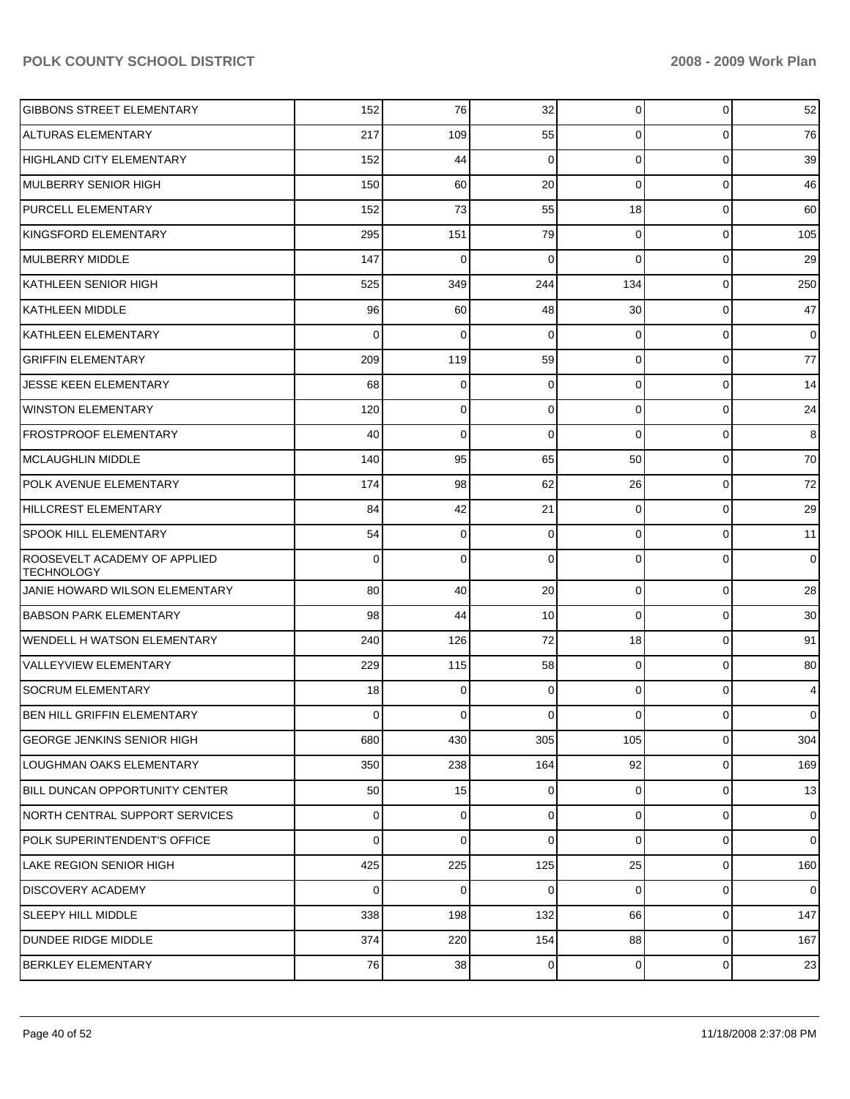| <b>GIBBONS STREET ELEMENTARY</b>                         | 152         | 76          | 32          | 0              | 0           | 52             |
|----------------------------------------------------------|-------------|-------------|-------------|----------------|-------------|----------------|
| <b>ALTURAS ELEMENTARY</b>                                | 217         | 109         | 55          | 0              | 0           | 76             |
| <b>HIGHLAND CITY ELEMENTARY</b>                          | 152         | 44          | $\mathbf 0$ | 0              | 0           | 39             |
| MULBERRY SENIOR HIGH                                     | 150         | 60          | 20          | 0              | 0           | 46             |
| PURCELL ELEMENTARY                                       | 152         | 73          | 55          | 18             | 0           | 60             |
| KINGSFORD ELEMENTARY                                     | 295         | 151         | 79          | 0              | 0           | 105            |
| MULBERRY MIDDLE                                          | 147         | 0           | $\mathbf 0$ | $\Omega$       | 0           | 29             |
| KATHLEEN SENIOR HIGH                                     | 525         | 349         | 244         | 134            | 0           | 250            |
| <b>KATHLEEN MIDDLE</b>                                   | 96          | 60          | 48          | 30             | 0           | 47             |
| <b>KATHLEEN ELEMENTARY</b>                               | 0           | 0           | $\mathbf 0$ | 0              | 0           | $\overline{0}$ |
| <b>GRIFFIN ELEMENTARY</b>                                | 209         | 119         | 59          | 0              | 0           | 77             |
| JESSE KEEN ELEMENTARY                                    | 68          | 0           | $\mathbf 0$ | 0              | 0           | 14             |
| <b>WINSTON ELEMENTARY</b>                                | 120         | 0           | 0           | 0              | 0           | 24             |
| <b>FROSTPROOF ELEMENTARY</b>                             | 40          | 0           | 0           | $\Omega$       | 0           | 8              |
| <b>MCLAUGHLIN MIDDLE</b>                                 | 140         | 95          | 65          | 50             | 0           | 70             |
| POLK AVENUE ELEMENTARY                                   | 174         | 98          | 62          | 26             | 0           | 72             |
| HILLCREST ELEMENTARY                                     | 84          | 42          | 21          | 0              | 0           | 29             |
| <b>SPOOK HILL ELEMENTARY</b>                             | 54          | 0           | 0           | 0              | 0           | 11             |
| <b>ROOSEVELT ACADEMY OF APPLIED</b><br><b>TECHNOLOGY</b> | 0           | 0           | $\mathbf 0$ | 0              | 0           | $\overline{0}$ |
| JANIE HOWARD WILSON ELEMENTARY                           | 80          | 40          | 20          | $\mathbf 0$    | $\mathbf 0$ | 28             |
| <b>BABSON PARK ELEMENTARY</b>                            | 98          | 44          | 10          | $\mathbf 0$    | $\mathbf 0$ | $30\,$         |
| <b>WENDELL H WATSON ELEMENTARY</b>                       | 240         | 126         | 72          | 18             | $\mathbf 0$ | 91             |
| VALLEYVIEW ELEMENTARY                                    | 229         | 115         | 58          | $\mathbf 0$    | $\mathbf 0$ | 80             |
| <b>SOCRUM ELEMENTARY</b>                                 | 18          | 0           | 0           | 0              | $\mathbf 0$ | $\overline{4}$ |
| <b>IBEN HILL GRIFFIN ELEMENTARY</b>                      | 0           | 0           | $\mathbf 0$ | $\overline{0}$ | $\mathbf 0$ | $\overline{0}$ |
| <b>GEORGE JENKINS SENIOR HIGH</b>                        | 680         | 430         | 305         | 105            | $\mathbf 0$ | 304            |
| LOUGHMAN OAKS ELEMENTARY                                 | 350         | 238         | 164         | 92             | $\mathbf 0$ | 169            |
| BILL DUNCAN OPPORTUNITY CENTER                           | 50          | 15          | 0           | $\overline{0}$ | $\mathbf 0$ | 13             |
| NORTH CENTRAL SUPPORT SERVICES                           | 0           | $\mathbf 0$ | 0           | $\overline{0}$ | $\mathbf 0$ | $\overline{0}$ |
| POLK SUPERINTENDENT'S OFFICE                             | 0           | $\mathbf 0$ | 0           | 0              | $\mathbf 0$ | $\overline{0}$ |
| LAKE REGION SENIOR HIGH                                  | 425         | 225         | 125         | 25             | $\mathbf 0$ | 160            |
| DISCOVERY ACADEMY                                        | $\mathbf 0$ | $\mathbf 0$ | 0           | $\overline{0}$ | $\mathbf 0$ | $\overline{0}$ |
| <b>SLEEPY HILL MIDDLE</b>                                | 338         | 198         | 132         | 66             | $\mathbf 0$ | 147            |
| DUNDEE RIDGE MIDDLE                                      | 374         | 220         | 154         | 88             | $\mathbf 0$ | 167            |
| <b>BERKLEY ELEMENTARY</b>                                | 76          | 38          | 0           | $\overline{0}$ | $\pmb{0}$   | $23\,$         |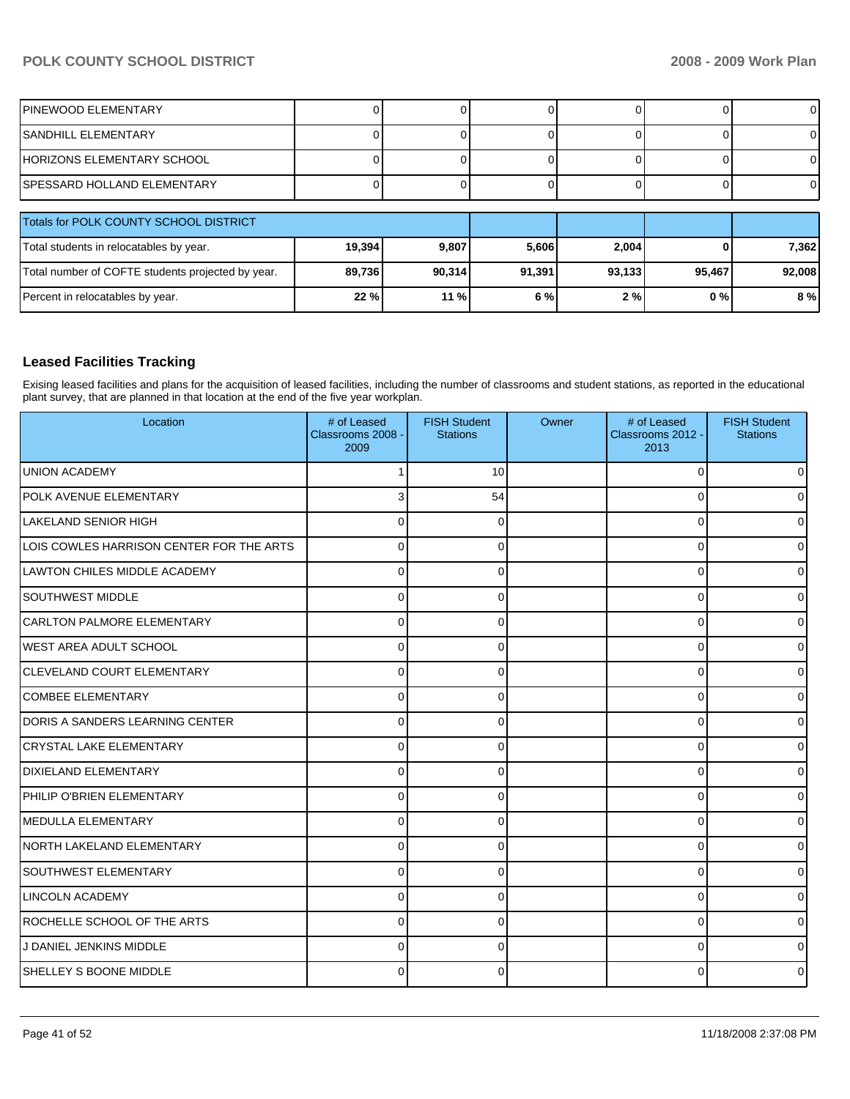| <b>IPINEWOOD ELEMENTARY</b>                       |        |        |        |        |        | 0      |
|---------------------------------------------------|--------|--------|--------|--------|--------|--------|
| <b>ISANDHILL ELEMENTARY</b>                       |        |        |        |        |        |        |
| <b>IHORIZONS ELEMENTARY SCHOOL</b>                |        |        |        |        |        |        |
| ISPESSARD HOLLAND ELEMENTARY                      |        |        |        |        |        | ΟI     |
|                                                   |        |        |        |        |        |        |
| Totals for POLK COUNTY SCHOOL DISTRICT            |        |        |        |        |        |        |
| Total students in relocatables by year.           | 19,394 | 9,807  | 5,606  | 2.004  |        | 7,362  |
| Total number of COFTE students projected by year. | 89,736 | 90,314 | 91,391 | 93,133 | 95,467 | 92,008 |
| Percent in relocatables by year.                  | 22 %   | 11 %   | 6 %    | 2%     | 0%     | 8 %    |

## **Leased Facilities Tracking**

Exising leased facilities and plans for the acquisition of leased facilities, including the number of classrooms and student stations, as reported in the educational plant survey, that are planned in that location at the end of the five year workplan.

| Location                                 | # of Leased<br>Classrooms 2008 -<br>2009 | <b>FISH Student</b><br><b>Stations</b> | Owner | # of Leased<br>Classrooms 2012 -<br>2013 | <b>FISH Student</b><br><b>Stations</b> |
|------------------------------------------|------------------------------------------|----------------------------------------|-------|------------------------------------------|----------------------------------------|
| <b>UNION ACADEMY</b>                     |                                          | 10                                     |       | $\Omega$                                 | 0                                      |
| POLK AVENUE ELEMENTARY                   | 3                                        | 54                                     |       | $\Omega$                                 | U                                      |
| ILAKELAND SENIOR HIGH                    | C                                        | 0                                      |       | 0                                        | 0                                      |
| LOIS COWLES HARRISON CENTER FOR THE ARTS | $\Omega$                                 | 0                                      |       | 0                                        | 0                                      |
| LAWTON CHILES MIDDLE ACADEMY             | $\Omega$                                 | $\Omega$                               |       | $\Omega$                                 | 0                                      |
| <b>SOUTHWEST MIDDLE</b>                  | 0                                        | 0                                      |       | 0                                        | 0                                      |
| <b>CARLTON PALMORE ELEMENTARY</b>        | C                                        | 0                                      |       | $\Omega$                                 | 0                                      |
| <b>WEST AREA ADULT SCHOOL</b>            | $\Omega$                                 | 0                                      |       | 0                                        | 0                                      |
| <b>CLEVELAND COURT ELEMENTARY</b>        | $\Omega$                                 | 0                                      |       | 0                                        | 0                                      |
| COMBEE ELEMENTARY                        | 0                                        | 0                                      |       | 0                                        | 0                                      |
| DORIS A SANDERS LEARNING CENTER          | C                                        | 0                                      |       | 0                                        | 0                                      |
| <b>CRYSTAL LAKE ELEMENTARY</b>           | C                                        | $\Omega$                               |       | 0                                        | οI                                     |
| <b>DIXIELAND ELEMENTARY</b>              | $\Omega$                                 | 0                                      |       | $\Omega$                                 | 0                                      |
| PHILIP O'BRIEN ELEMENTARY                | $\Omega$                                 | 0                                      |       | 0                                        | 0                                      |
| <b>IMEDULLA ELEMENTARY</b>               | C                                        | 0                                      |       | 0                                        | 0                                      |
| NORTH LAKELAND ELEMENTARY                | $\Omega$                                 | $\Omega$                               |       | 0                                        | ΟI                                     |
| <b>SOUTHWEST ELEMENTARY</b>              | $\Omega$                                 | $\Omega$                               |       | $\Omega$                                 | 0                                      |
| LINCOLN ACADEMY                          | $\Omega$                                 | $\Omega$                               |       | $\Omega$                                 | 0                                      |
| ROCHELLE SCHOOL OF THE ARTS              | $\Omega$                                 | $\Omega$                               |       | $\Omega$                                 | 0                                      |
| J DANIEL JENKINS MIDDLE                  | $\Omega$                                 | <sup>0</sup>                           |       | $\Omega$                                 | 0                                      |
| <b>SHELLEY S BOONE MIDDLE</b>            |                                          | $\Omega$                               |       | ŋ                                        | 0                                      |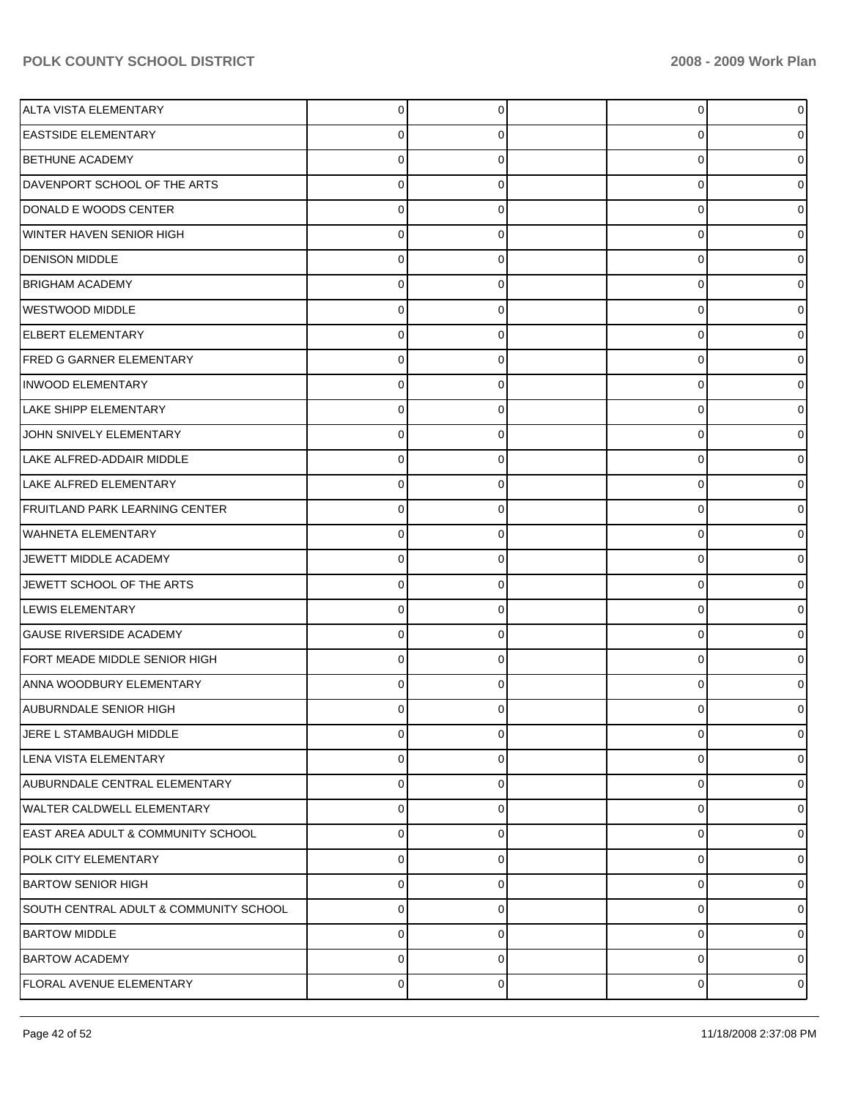| <b>ALTA VISTA ELEMENTARY</b>                  | $\overline{0}$ | 0           | 0        | o              |
|-----------------------------------------------|----------------|-------------|----------|----------------|
| <b>EASTSIDE ELEMENTARY</b>                    | 0              | 0           | 0        |                |
| <b>BETHUNE ACADEMY</b>                        | $\Omega$       | $\Omega$    | 0        |                |
| DAVENPORT SCHOOL OF THE ARTS                  | $\mathbf 0$    | 0           | 0        |                |
| DONALD E WOODS CENTER                         | $\mathbf 0$    | $\Omega$    | $\Omega$ |                |
| <b>WINTER HAVEN SENIOR HIGH</b>               | $\mathbf 0$    | 0           | 0        |                |
| <b>DENISON MIDDLE</b>                         | $\mathbf 0$    | $\Omega$    | 0        |                |
| <b>BRIGHAM ACADEMY</b>                        | $\mathbf 0$    | 0           | 0        |                |
| <b>WESTWOOD MIDDLE</b>                        | $\mathbf 0$    | $\Omega$    | $\Omega$ |                |
| <b>ELBERT ELEMENTARY</b>                      | $\mathbf 0$    | 0           | 0        |                |
| <b>FRED G GARNER ELEMENTARY</b>               | $\mathbf 0$    | $\Omega$    | 0        |                |
| <b>INWOOD ELEMENTARY</b>                      | $\mathbf 0$    | 0           | 0        |                |
| <b>LAKE SHIPP ELEMENTARY</b>                  | $\mathbf 0$    | $\Omega$    | $\Omega$ |                |
| JOHN SNIVELY ELEMENTARY                       | $\mathbf 0$    | 0           | 0        |                |
| LAKE ALFRED-ADDAIR MIDDLE                     | $\mathbf 0$    | $\Omega$    | 0        |                |
| <b>LAKE ALFRED ELEMENTARY</b>                 | $\mathbf 0$    | 0           | 0        |                |
| <b>FRUITLAND PARK LEARNING CENTER</b>         | $\mathbf 0$    | $\Omega$    | $\Omega$ |                |
| <b>WAHNETA ELEMENTARY</b>                     | $\mathbf 0$    | 0           | 0        |                |
| JEWETT MIDDLE ACADEMY                         | $\mathbf 0$    | $\Omega$    | 0        |                |
| JEWETT SCHOOL OF THE ARTS                     | $\mathbf 0$    | $\Omega$    | 0        |                |
| <b>LEWIS ELEMENTARY</b>                       | $\mathbf 0$    | $\Omega$    | $\Omega$ |                |
| <b>GAUSE RIVERSIDE ACADEMY</b>                | $\mathbf 0$    | $\Omega$    | 0        |                |
| FORT MEADE MIDDLE SENIOR HIGH                 | $\mathbf 0$    | $\Omega$    | 0        |                |
| <b>ANNA WOODBURY ELEMENTARY</b>               | $\Omega$       | $\Omega$    | $\Omega$ |                |
| <b>AUBURNDALE SENIOR HIGH</b>                 | $\Omega$       | ∩           | U        |                |
| JERE L STAMBAUGH MIDDLE                       | $\mathbf 0$    | $\mathbf 0$ | 0        | 0              |
| LENA VISTA ELEMENTARY                         | $\mathbf 0$    | 0           | 0        | $\Omega$       |
| AUBURNDALE CENTRAL ELEMENTARY                 | $\mathbf 0$    | $\Omega$    | 0        | $\Omega$       |
| WALTER CALDWELL ELEMENTARY                    | $\mathbf 0$    | $\Omega$    | 0        | $\Omega$       |
| <b>EAST AREA ADULT &amp; COMMUNITY SCHOOL</b> | $\mathbf 0$    | $\Omega$    | 0        | $\Omega$       |
| POLK CITY ELEMENTARY                          | $\mathbf 0$    | 0           | 0        | $\Omega$       |
| <b>BARTOW SENIOR HIGH</b>                     | $\mathbf 0$    | $\Omega$    | 0        | $\Omega$       |
| SOUTH CENTRAL ADULT & COMMUNITY SCHOOL        | $\mathbf 0$    | $\Omega$    | 0        | $\Omega$       |
| <b>BARTOW MIDDLE</b>                          | $\mathbf 0$    | $\Omega$    | 0        | $\Omega$       |
| <b>BARTOW ACADEMY</b>                         | $\mathbf 0$    | 0           | 0        | 0              |
| <b>FLORAL AVENUE ELEMENTARY</b>               | $\mathbf 0$    | 0           | 0        | $\overline{0}$ |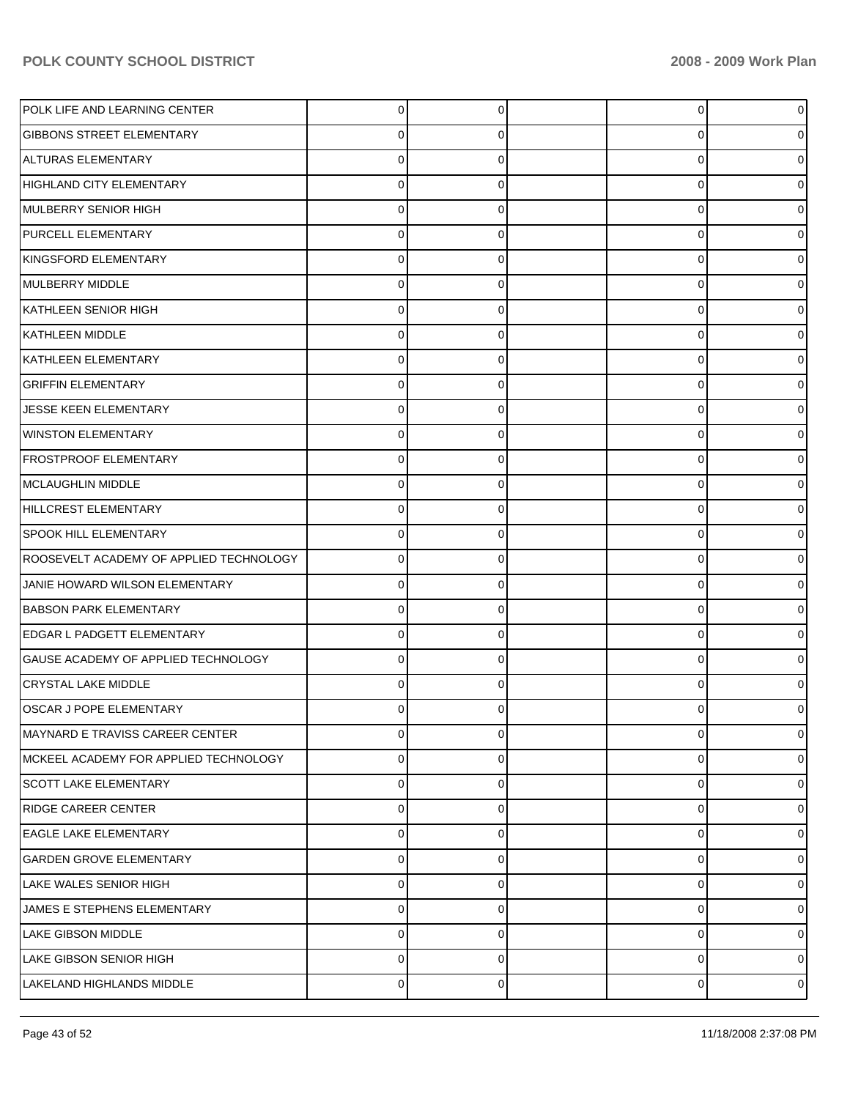| POLK LIFE AND LEARNING CENTER           | $\Omega$ | 0 | 0        |                |
|-----------------------------------------|----------|---|----------|----------------|
| <b>GIBBONS STREET ELEMENTARY</b>        | 0        | 0 | 0        |                |
| ALTURAS ELEMENTARY                      | $\Omega$ | 0 | 0        |                |
| HIGHLAND CITY ELEMENTARY                | $\Omega$ | 0 | 0        |                |
| MULBERRY SENIOR HIGH                    | $\Omega$ | 0 | 0        |                |
| <b>PURCELL ELEMENTARY</b>               | $\Omega$ | 0 | 0        |                |
| KINGSFORD ELEMENTARY                    | $\Omega$ | 0 | 0        |                |
| MULBERRY MIDDLE                         | $\Omega$ | 0 | 0        |                |
| KATHLEEN SENIOR HIGH                    | $\Omega$ | 0 | 0        |                |
| KATHLEEN MIDDLE                         | $\Omega$ | 0 | 0        |                |
| KATHLEEN ELEMENTARY                     | $\Omega$ | 0 | 0        |                |
| <b>GRIFFIN ELEMENTARY</b>               | $\Omega$ | 0 | 0        |                |
| JESSE KEEN ELEMENTARY                   | $\Omega$ | 0 | 0        |                |
| <b>WINSTON ELEMENTARY</b>               | $\Omega$ | 0 | 0        |                |
| <b>FROSTPROOF ELEMENTARY</b>            | $\Omega$ | 0 | 0        |                |
| MCLAUGHLIN MIDDLE                       | $\Omega$ | 0 | 0        |                |
| HILLCREST ELEMENTARY                    | $\Omega$ | 0 | 0        |                |
| <b>SPOOK HILL ELEMENTARY</b>            | $\Omega$ | 0 | 0        |                |
| ROOSEVELT ACADEMY OF APPLIED TECHNOLOGY | $\Omega$ | 0 | 0        |                |
| JANIE HOWARD WILSON ELEMENTARY          | $\Omega$ | 0 | 0        |                |
| <b>BABSON PARK ELEMENTARY</b>           | $\Omega$ | 0 | 0        |                |
| <b>EDGAR L PADGETT ELEMENTARY</b>       | $\Omega$ | 0 | 0        |                |
| GAUSE ACADEMY OF APPLIED TECHNOLOGY     | $\Omega$ | 0 | 0        |                |
| <b>CRYSTAL LAKE MIDDLE</b>              | $\Omega$ | 0 | $\Omega$ |                |
| OSCAR J POPE ELEMENTARY                 |          | 0 | O        |                |
| IMAYNARD E TRAVISS CAREER CENTER        | 0        | 0 | 0        | 0              |
| MCKEEL ACADEMY FOR APPLIED TECHNOLOGY   | 0        | 0 | 0        | $\Omega$       |
| <b>SCOTT LAKE ELEMENTARY</b>            | $\Omega$ | 0 | 0        | $\Omega$       |
| <b>RIDGE CAREER CENTER</b>              | $\Omega$ | 0 | 0        | $\Omega$       |
| <b>EAGLE LAKE ELEMENTARY</b>            | $\Omega$ | 0 | 0        | $\Omega$       |
| <b>GARDEN GROVE ELEMENTARY</b>          | $\Omega$ | 0 | 0        | $\Omega$       |
| LAKE WALES SENIOR HIGH                  | $\Omega$ | 0 | 0        | $\Omega$       |
| JAMES E STEPHENS ELEMENTARY             | $\Omega$ | 0 | 0        | $\Omega$       |
| <b>LAKE GIBSON MIDDLE</b>               | $\Omega$ | 0 | 0        | $\Omega$       |
| <b>LAKE GIBSON SENIOR HIGH</b>          | $\Omega$ | 0 | 0        | $\Omega$       |
| LAKELAND HIGHLANDS MIDDLE               | 0        | 0 | 0        | $\overline{0}$ |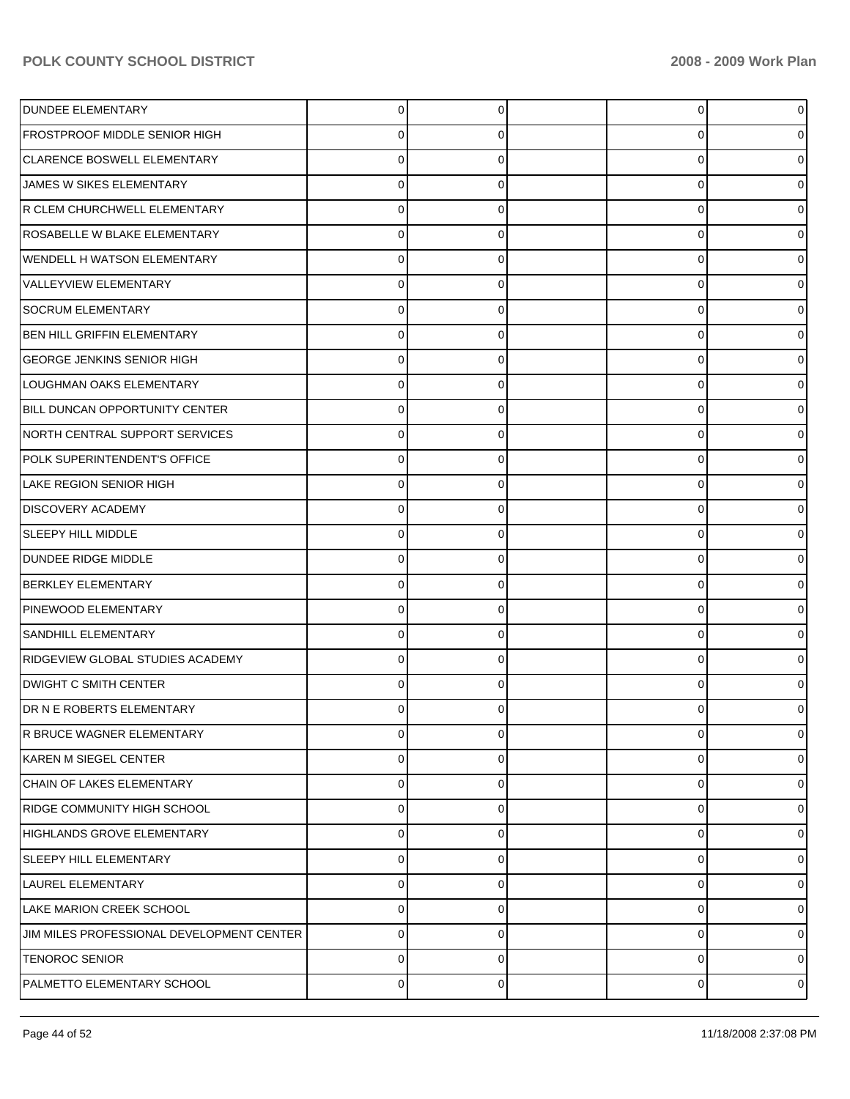| <b>DUNDEE ELEMENTARY</b>                  | 0 |   | $\overline{0}$ |                |
|-------------------------------------------|---|---|----------------|----------------|
| FROSTPROOF MIDDLE SENIOR HIGH             | 0 |   | 0              |                |
| CLARENCE BOSWELL ELEMENTARY               | U |   | 0              |                |
| JAMES W SIKES ELEMENTARY                  | 0 | O | 0              |                |
| R CLEM CHURCHWELL ELEMENTARY              | O |   | 0              |                |
| ROSABELLE W BLAKE ELEMENTARY              | 0 | O | 0              |                |
| WENDELL H WATSON ELEMENTARY               | 0 |   | 0              |                |
| <b>VALLEYVIEW ELEMENTARY</b>              | 0 | O | 0              |                |
| <b>SOCRUM ELEMENTARY</b>                  | O |   | 0              |                |
| <b>BEN HILL GRIFFIN ELEMENTARY</b>        | 0 | O | 0              |                |
| <b>GEORGE JENKINS SENIOR HIGH</b>         | U |   | 0              |                |
| LOUGHMAN OAKS ELEMENTARY                  | 0 | O | 0              |                |
| BILL DUNCAN OPPORTUNITY CENTER            | 0 |   | 0              |                |
| NORTH CENTRAL SUPPORT SERVICES            | 0 | O | 0              |                |
| POLK SUPERINTENDENT'S OFFICE              | U |   | 0              |                |
| LAKE REGION SENIOR HIGH                   | 0 | O | 0              |                |
| <b>DISCOVERY ACADEMY</b>                  | U |   | 0              |                |
| <b>SLEEPY HILL MIDDLE</b>                 | 0 | O | 0              |                |
| DUNDEE RIDGE MIDDLE                       | O |   | 0              |                |
| <b>BERKLEY ELEMENTARY</b>                 | 0 | O | 0              |                |
| PINEWOOD ELEMENTARY                       | U |   | 0              |                |
| <b>SANDHILL ELEMENTARY</b>                | 0 |   | 0              |                |
| RIDGEVIEW GLOBAL STUDIES ACADEMY          | U |   | 0              |                |
| <b>DWIGHT C SMITH CENTER</b>              | 0 |   | 0              |                |
| DR N E ROBERTS ELEMENTARY                 | 0 |   | 0              |                |
| IR BRUCE WAGNER ELEMENTARY                | 0 | U | 0              | 0              |
| KAREN M SIEGEL CENTER                     | 0 | 0 | 0              | o              |
| CHAIN OF LAKES ELEMENTARY                 | 0 |   | 0              |                |
| RIDGE COMMUNITY HIGH SCHOOL               | 0 | 0 | 0              | 0              |
| HIGHLANDS GROVE ELEMENTARY                | 0 |   | 0              | 0              |
| <b>SLEEPY HILL ELEMENTARY</b>             | 0 | 0 | $\mathbf 0$    | 0              |
| LAUREL ELEMENTARY                         | 0 | O | 0              | 0              |
| LAKE MARION CREEK SCHOOL                  | 0 | 0 | 0              | 0              |
| JIM MILES PROFESSIONAL DEVELOPMENT CENTER | 0 | O | 0              | o              |
| <b>TENOROC SENIOR</b>                     | 0 | 0 | 0              | 0              |
| PALMETTO ELEMENTARY SCHOOL                | 0 | 0 | 0              | $\overline{0}$ |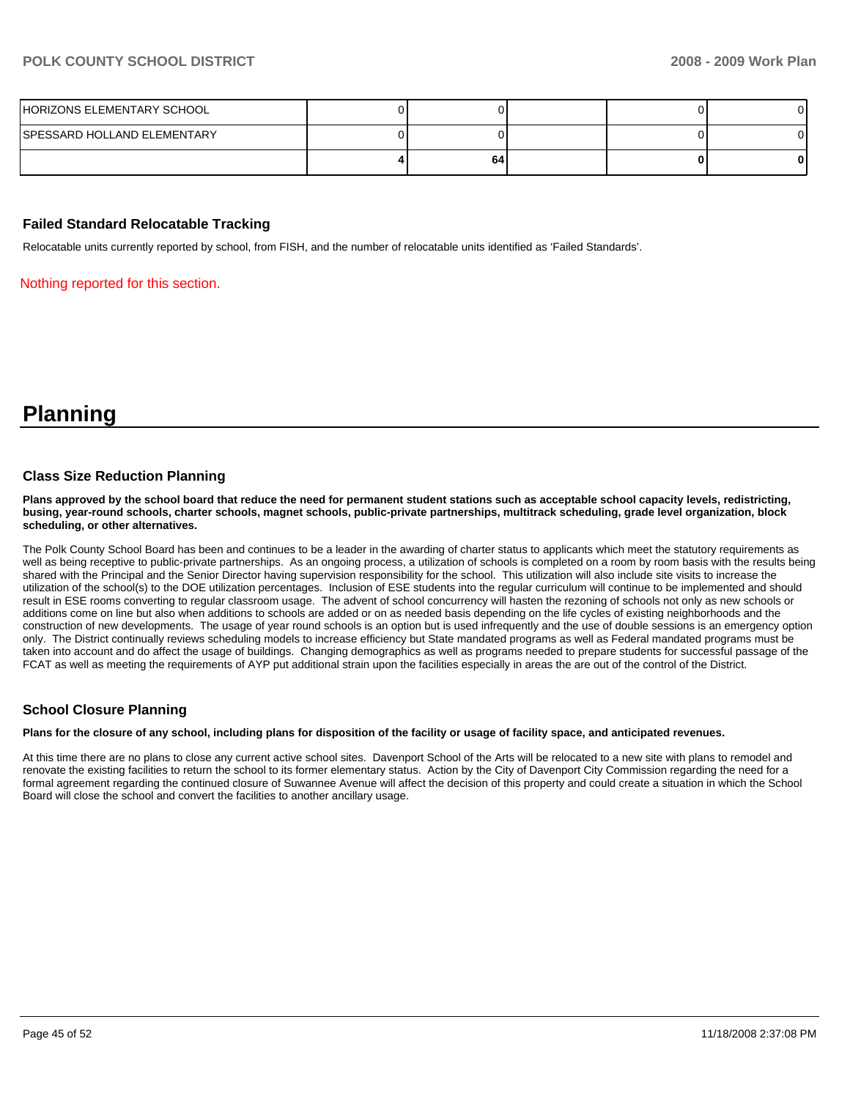| HORIZONS ELEMENTARY SCHOOL         |    |  |    |
|------------------------------------|----|--|----|
| <b>SPESSARD HOLLAND ELEMENTARY</b> |    |  |    |
|                                    | 64 |  | 01 |

#### **Failed Standard Relocatable Tracking**

Relocatable units currently reported by school, from FISH, and the number of relocatable units identified as 'Failed Standards'.

Nothing reported for this section.

**Planning** 

#### **Class Size Reduction Planning**

**Plans approved by the school board that reduce the need for permanent student stations such as acceptable school capacity levels, redistricting, busing, year-round schools, charter schools, magnet schools, public-private partnerships, multitrack scheduling, grade level organization, block scheduling, or other alternatives.** 

The Polk County School Board has been and continues to be a leader in the awarding of charter status to applicants which meet the statutory requirements as well as being receptive to public-private partnerships. As an ongoing process, a utilization of schools is completed on a room by room basis with the results being shared with the Principal and the Senior Director having supervision responsibility for the school. This utilization will also include site visits to increase the utilization of the school(s) to the DOE utilization percentages. Inclusion of ESE students into the regular curriculum will continue to be implemented and should result in ESE rooms converting to regular classroom usage. The advent of school concurrency will hasten the rezoning of schools not only as new schools or additions come on line but also when additions to schools are added or on as needed basis depending on the life cycles of existing neighborhoods and the construction of new developments. The usage of year round schools is an option but is used infrequently and the use of double sessions is an emergency option only. The District continually reviews scheduling models to increase efficiency but State mandated programs as well as Federal mandated programs must be taken into account and do affect the usage of buildings. Changing demographics as well as programs needed to prepare students for successful passage of the FCAT as well as meeting the requirements of AYP put additional strain upon the facilities especially in areas the are out of the control of the District.

#### **School Closure Planning**

**Plans for the closure of any school, including plans for disposition of the facility or usage of facility space, and anticipated revenues.** 

At this time there are no plans to close any current active school sites. Davenport School of the Arts will be relocated to a new site with plans to remodel and renovate the existing facilities to return the school to its former elementary status. Action by the City of Davenport City Commission regarding the need for a formal agreement regarding the continued closure of Suwannee Avenue will affect the decision of this property and could create a situation in which the School Board will close the school and convert the facilities to another ancillary usage.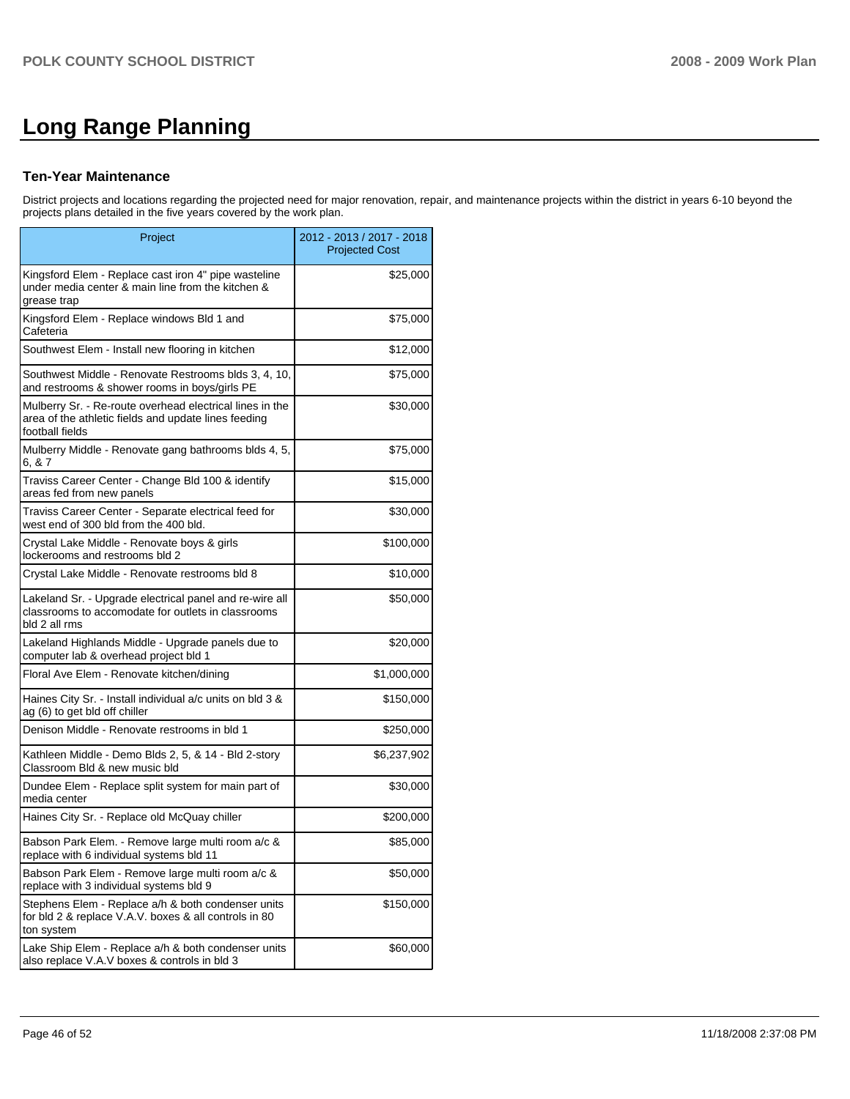# **Long Range Planning**

#### **Ten-Year Maintenance**

District projects and locations regarding the projected need for major renovation, repair, and maintenance projects within the district in years 6-10 beyond the projects plans detailed in the five years covered by the work plan.

| Project                                                                                                                             | 2012 - 2013 / 2017 - 2018<br><b>Projected Cost</b> |
|-------------------------------------------------------------------------------------------------------------------------------------|----------------------------------------------------|
| Kingsford Elem - Replace cast iron 4" pipe wasteline<br>under media center & main line from the kitchen &<br>grease trap            | \$25,000                                           |
| Kingsford Elem - Replace windows Bld 1 and<br>Cafeteria                                                                             | \$75,000                                           |
| Southwest Elem - Install new flooring in kitchen                                                                                    | \$12,000                                           |
| Southwest Middle - Renovate Restrooms blds 3, 4, 10,<br>and restrooms & shower rooms in boys/girls PE                               | \$75,000                                           |
| Mulberry Sr. - Re-route overhead electrical lines in the<br>area of the athletic fields and update lines feeding<br>football fields | \$30,000                                           |
| Mulberry Middle - Renovate gang bathrooms blds 4, 5,<br>6. & 7                                                                      | \$75,000                                           |
| Traviss Career Center - Change Bld 100 & identify<br>areas fed from new panels                                                      | \$15,000                                           |
| Traviss Career Center - Separate electrical feed for<br>west end of 300 bld from the 400 bld.                                       | \$30,000                                           |
| Crystal Lake Middle - Renovate boys & girls<br>lockerooms and restrooms bld 2                                                       | \$100,000                                          |
| Crystal Lake Middle - Renovate restrooms bld 8                                                                                      | \$10,000                                           |
| Lakeland Sr. - Upgrade electrical panel and re-wire all<br>classrooms to accomodate for outlets in classrooms<br>bld 2 all rms      | \$50,000                                           |
| Lakeland Highlands Middle - Upgrade panels due to<br>computer lab & overhead project bld 1                                          | \$20,000                                           |
| Floral Ave Elem - Renovate kitchen/dining                                                                                           | \$1,000,000                                        |
| Haines City Sr. - Install individual a/c units on bld 3 &<br>ag (6) to get bld off chiller                                          | \$150,000                                          |
| Denison Middle - Renovate restrooms in bld 1                                                                                        | \$250,000                                          |
| Kathleen Middle - Demo Blds 2, 5, & 14 - Bld 2-story<br>Classroom Bld & new music bld                                               | \$6,237,902                                        |
| Dundee Elem - Replace split system for main part of<br>media center                                                                 | \$30,000                                           |
| Haines City Sr. - Replace old McQuay chiller                                                                                        | \$200,000                                          |
| Babson Park Elem. - Remove large multi room a/c &<br>replace with 6 individual systems bld 11                                       | \$85,000                                           |
| Babson Park Elem - Remove large multi room a/c &<br>replace with 3 individual systems bld 9                                         | \$50,000                                           |
| Stephens Elem - Replace a/h & both condenser units<br>for bld 2 & replace V.A.V. boxes & all controls in 80<br>ton system           | \$150,000                                          |
| Lake Ship Elem - Replace a/h & both condenser units<br>also replace V.A.V boxes & controls in bld 3                                 | \$60,000                                           |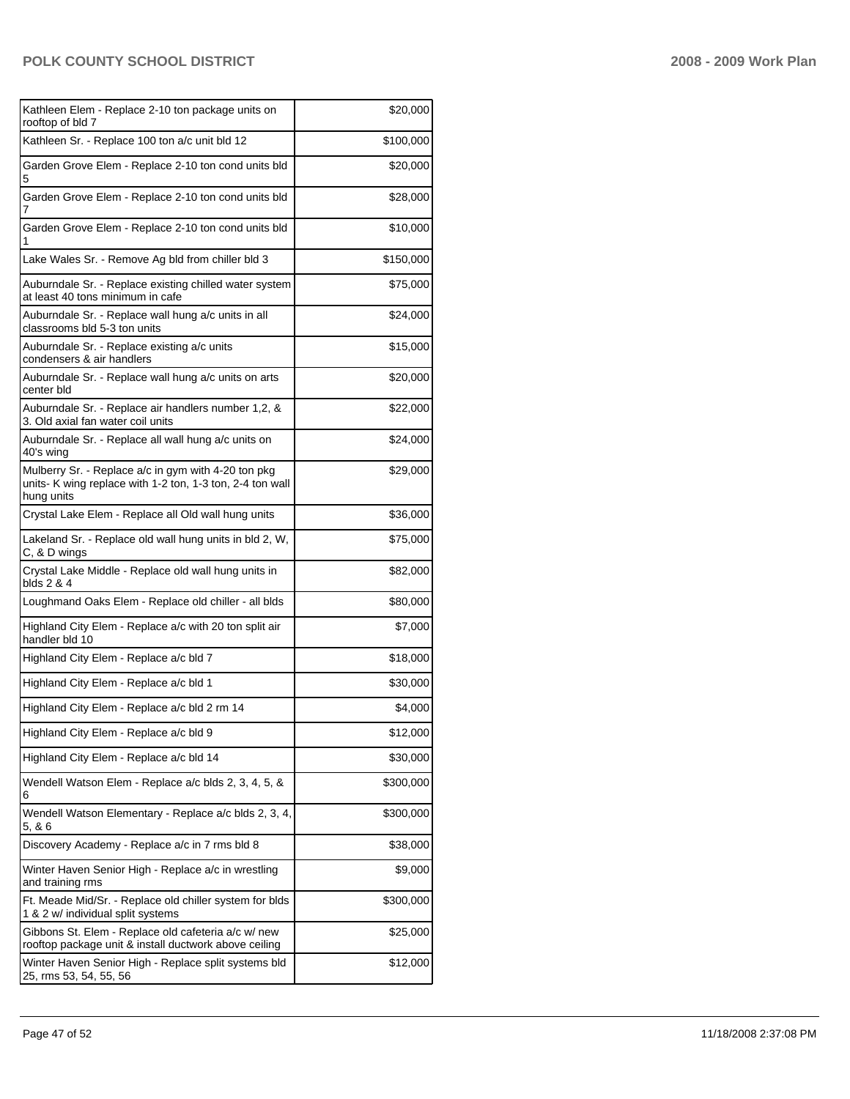| Kathleen Elem - Replace 2-10 ton package units on<br>rooftop of bld 7                                                          | \$20,000  |
|--------------------------------------------------------------------------------------------------------------------------------|-----------|
| Kathleen Sr. - Replace 100 ton a/c unit bld 12                                                                                 | \$100,000 |
| Garden Grove Elem - Replace 2-10 ton cond units bld<br>5                                                                       | \$20,000  |
| Garden Grove Elem - Replace 2-10 ton cond units bld<br>7                                                                       | \$28,000  |
| Garden Grove Elem - Replace 2-10 ton cond units bld<br>1                                                                       | \$10,000  |
| Lake Wales Sr. - Remove Ag bld from chiller bld 3                                                                              | \$150,000 |
| Auburndale Sr. - Replace existing chilled water system<br>at least 40 tons minimum in cafe                                     | \$75,000  |
| Auburndale Sr. - Replace wall hung a/c units in all<br>classrooms bld 5-3 ton units                                            | \$24,000  |
| Auburndale Sr. - Replace existing a/c units<br>condensers & air handlers                                                       | \$15,000  |
| Auburndale Sr. - Replace wall hung a/c units on arts<br>center bld                                                             | \$20,000  |
| Auburndale Sr. - Replace air handlers number 1,2, &<br>3. Old axial fan water coil units                                       | \$22,000  |
| Auburndale Sr. - Replace all wall hung a/c units on<br>40's wing                                                               | \$24,000  |
| Mulberry Sr. - Replace a/c in gym with 4-20 ton pkg<br>units- K wing replace with 1-2 ton, 1-3 ton, 2-4 ton wall<br>hung units | \$29,000  |
| Crystal Lake Elem - Replace all Old wall hung units                                                                            | \$36,000  |
| Lakeland Sr. - Replace old wall hung units in bld 2, W,<br>C, & D wings                                                        | \$75,000  |
| Crystal Lake Middle - Replace old wall hung units in<br>blds 2 & 4                                                             | \$82,000  |
| Loughmand Oaks Elem - Replace old chiller - all blds                                                                           | \$80,000  |
| Highland City Elem - Replace a/c with 20 ton split air<br>handler bld 10                                                       | \$7,000   |
| Highland City Elem - Replace a/c bld 7                                                                                         | \$18,000  |
| Highland City Elem - Replace a/c bld 1                                                                                         | \$30,000  |
| Highland City Elem - Replace a/c bld 2 rm 14                                                                                   | \$4,000   |
| Highland City Elem - Replace a/c bld 9                                                                                         | \$12,000  |
| Highland City Elem - Replace a/c bld 14                                                                                        | \$30,000  |
| Wendell Watson Elem - Replace a/c blds 2, 3, 4, 5, &<br>6                                                                      | \$300,000 |
| Wendell Watson Elementary - Replace a/c blds 2, 3, 4,<br>5, 86                                                                 | \$300,000 |
| Discovery Academy - Replace a/c in 7 rms bld 8                                                                                 | \$38,000  |
| Winter Haven Senior High - Replace a/c in wrestling<br>and training rms                                                        | \$9,000   |
| Ft. Meade Mid/Sr. - Replace old chiller system for blds<br>1 & 2 w/ individual split systems                                   | \$300,000 |
| Gibbons St. Elem - Replace old cafeteria a/c w/ new<br>rooftop package unit & install ductwork above ceiling                   | \$25,000  |
| Winter Haven Senior High - Replace split systems bld<br>25, rms 53, 54, 55, 56                                                 | \$12,000  |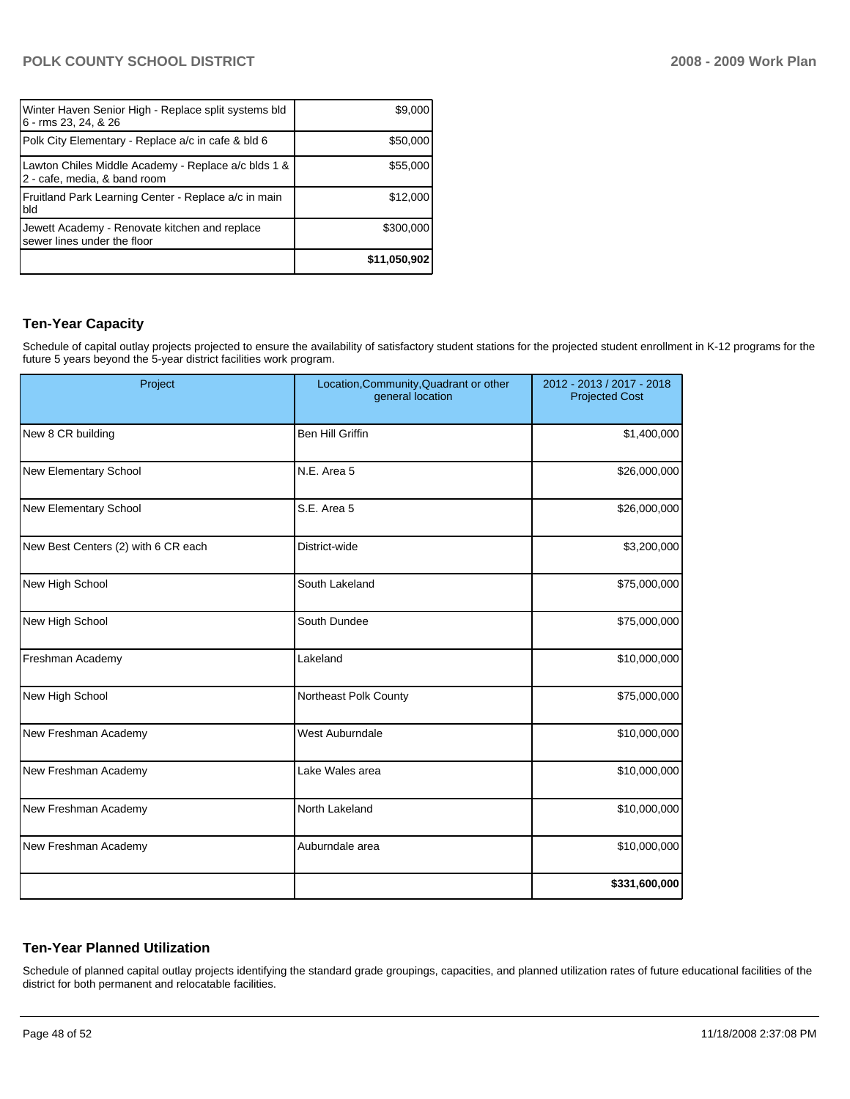| Winter Haven Senior High - Replace split systems bld<br>6 - rms 23, 24, & 26        | \$9,000      |
|-------------------------------------------------------------------------------------|--------------|
| Polk City Elementary - Replace a/c in cafe & bld 6                                  | \$50,000     |
| Lawton Chiles Middle Academy - Replace a/c blds 1 &<br>2 - cafe, media, & band room | \$55,000     |
| Fruitland Park Learning Center - Replace a/c in main<br>bld                         | \$12,000     |
| Jewett Academy - Renovate kitchen and replace<br>sewer lines under the floor        | \$300,000    |
|                                                                                     | \$11,050,902 |

#### **Ten-Year Capacity**

Schedule of capital outlay projects projected to ensure the availability of satisfactory student stations for the projected student enrollment in K-12 programs for the future 5 years beyond the 5-year district facilities work program.

| Project                             | Location, Community, Quadrant or other<br>general location | 2012 - 2013 / 2017 - 2018<br><b>Projected Cost</b> |
|-------------------------------------|------------------------------------------------------------|----------------------------------------------------|
| New 8 CR building                   | <b>Ben Hill Griffin</b>                                    | \$1,400,000                                        |
| New Elementary School               | N.E. Area 5                                                | \$26,000,000                                       |
| New Elementary School               | S.E. Area 5                                                | \$26,000,000                                       |
| New Best Centers (2) with 6 CR each | District-wide                                              | \$3,200,000                                        |
| New High School                     | South Lakeland                                             | \$75,000,000                                       |
| New High School                     | South Dundee                                               | \$75,000,000                                       |
| Freshman Academy                    | Lakeland                                                   | \$10,000,000                                       |
| New High School                     | Northeast Polk County                                      | \$75,000,000                                       |
| New Freshman Academy                | <b>West Auburndale</b>                                     | \$10,000,000                                       |
| New Freshman Academy                | Lake Wales area                                            | \$10,000,000                                       |
| New Freshman Academy                | North Lakeland                                             | \$10,000,000                                       |
| New Freshman Academy                | Auburndale area                                            | \$10,000,000                                       |
|                                     |                                                            | \$331,600,000                                      |

## **Ten-Year Planned Utilization**

Schedule of planned capital outlay projects identifying the standard grade groupings, capacities, and planned utilization rates of future educational facilities of the district for both permanent and relocatable facilities.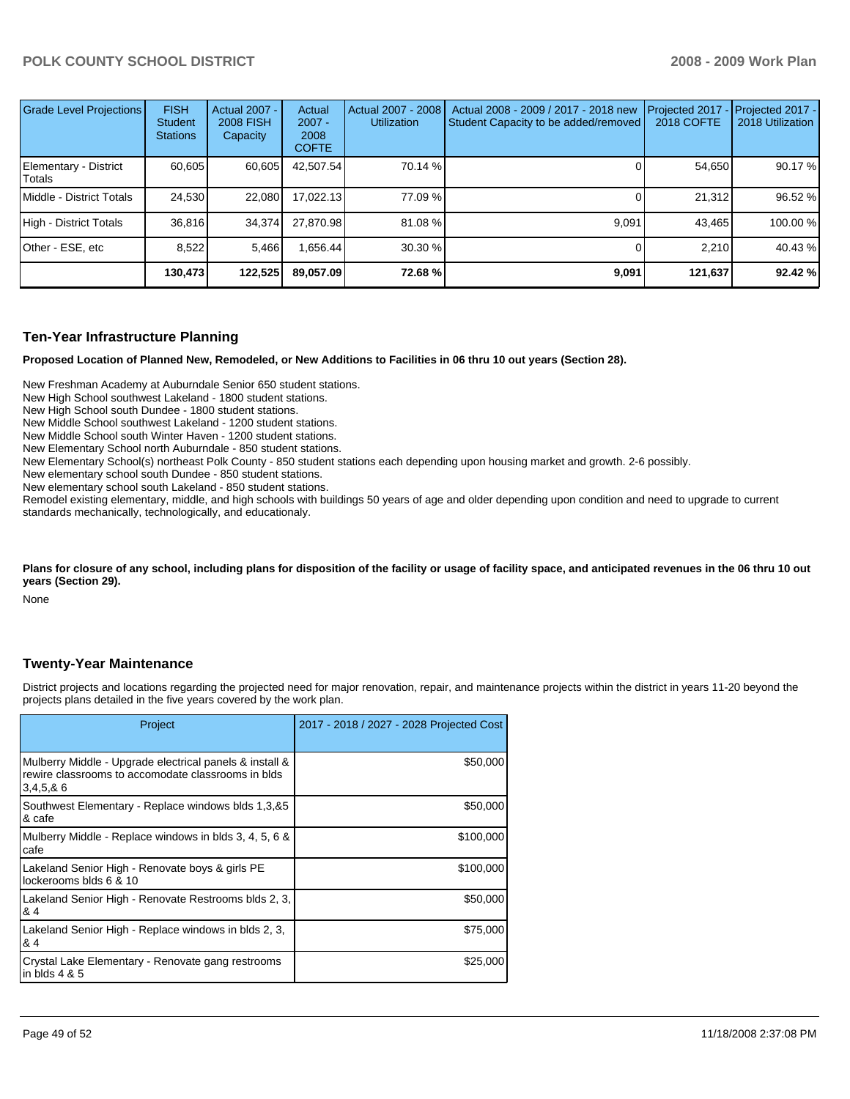| Grade Level Projections         | <b>FISH</b><br><b>Student</b><br><b>Stations</b> | <b>Actual 2007 -</b><br><b>2008 FISH</b><br>Capacity | Actual<br>$2007 -$<br>2008<br><b>COFTE</b> | Actual 2007 - 2008<br><b>Utilization</b> | Actual 2008 - 2009 / 2017 - 2018 new<br>Student Capacity to be added/removed | Projected 2017<br><b>2018 COFTE</b> | $-$ Projected 2017 -<br>2018 Utilization |
|---------------------------------|--------------------------------------------------|------------------------------------------------------|--------------------------------------------|------------------------------------------|------------------------------------------------------------------------------|-------------------------------------|------------------------------------------|
| Elementary - District<br>Totals | 60.605                                           | 60,605                                               | 42,507.54                                  | 70.14 %                                  |                                                                              | 54,650                              | 90.17 %                                  |
| I Middle - District Totals      | 24.530                                           | 22,080                                               | 17.022.13                                  | 77.09 %                                  |                                                                              | 21.312                              | 96.52 %                                  |
| High - District Totals          | 36.816                                           | 34.374                                               | 27.870.98                                  | 81.08 %                                  | 9,091                                                                        | 43.465                              | 100.00 %                                 |
| Other - ESE, etc                | 8.522                                            | 5.466                                                | .656.44                                    | 30.30 %                                  |                                                                              | 2.210                               | 40.43 %                                  |
|                                 | 130,4731                                         | 122,525                                              | 89,057.09                                  | 72.68%                                   | 9,091                                                                        | 121,637                             | 92.42 %                                  |

#### **Ten-Year Infrastructure Planning**

**Proposed Location of Planned New, Remodeled, or New Additions to Facilities in 06 thru 10 out years (Section 28).** 

New Freshman Academy at Auburndale Senior 650 student stations.

New High School southwest Lakeland - 1800 student stations.

New High School south Dundee - 1800 student stations.

New Middle School southwest Lakeland - 1200 student stations.

New Middle School south Winter Haven - 1200 student stations.

New Elementary School north Auburndale - 850 student stations.

New Elementary School(s) northeast Polk County - 850 student stations each depending upon housing market and growth. 2-6 possibly.

New elementary school south Dundee - 850 student stations.

New elementary school south Lakeland - 850 student stations.

Remodel existing elementary, middle, and high schools with buildings 50 years of age and older depending upon condition and need to upgrade to current standards mechanically, technologically, and educationaly.

#### Plans for closure of any school, including plans for disposition of the facility or usage of facility space, and anticipated revenues in the 06 thru 10 out **years (Section 29).**

None

#### **Twenty-Year Maintenance**

District projects and locations regarding the projected need for major renovation, repair, and maintenance projects within the district in years 11-20 beyond the projects plans detailed in the five years covered by the work plan.

| Project                                                                                                                   | 2017 - 2018 / 2027 - 2028 Projected Cost |
|---------------------------------------------------------------------------------------------------------------------------|------------------------------------------|
| Mulberry Middle - Upgrade electrical panels & install &<br>rewire classrooms to accomodate classrooms in blds<br>3,4,5,86 | \$50,000                                 |
| Southwest Elementary - Replace windows blds 1,3,&5<br>& cafe                                                              | \$50,000                                 |
| Mulberry Middle - Replace windows in blds 3, 4, 5, 6 &<br>cafe                                                            | \$100,000                                |
| Lakeland Senior High - Renovate boys & girls PE<br>lockerooms blds 6 & 10                                                 | \$100,000                                |
| Lakeland Senior High - Renovate Restrooms blds 2, 3,<br>& 4                                                               | \$50,000                                 |
| Lakeland Senior High - Replace windows in blds 2, 3,<br>& 4                                                               | \$75,000                                 |
| Crystal Lake Elementary - Renovate gang restrooms<br>in blds $4 & 5$                                                      | \$25,000                                 |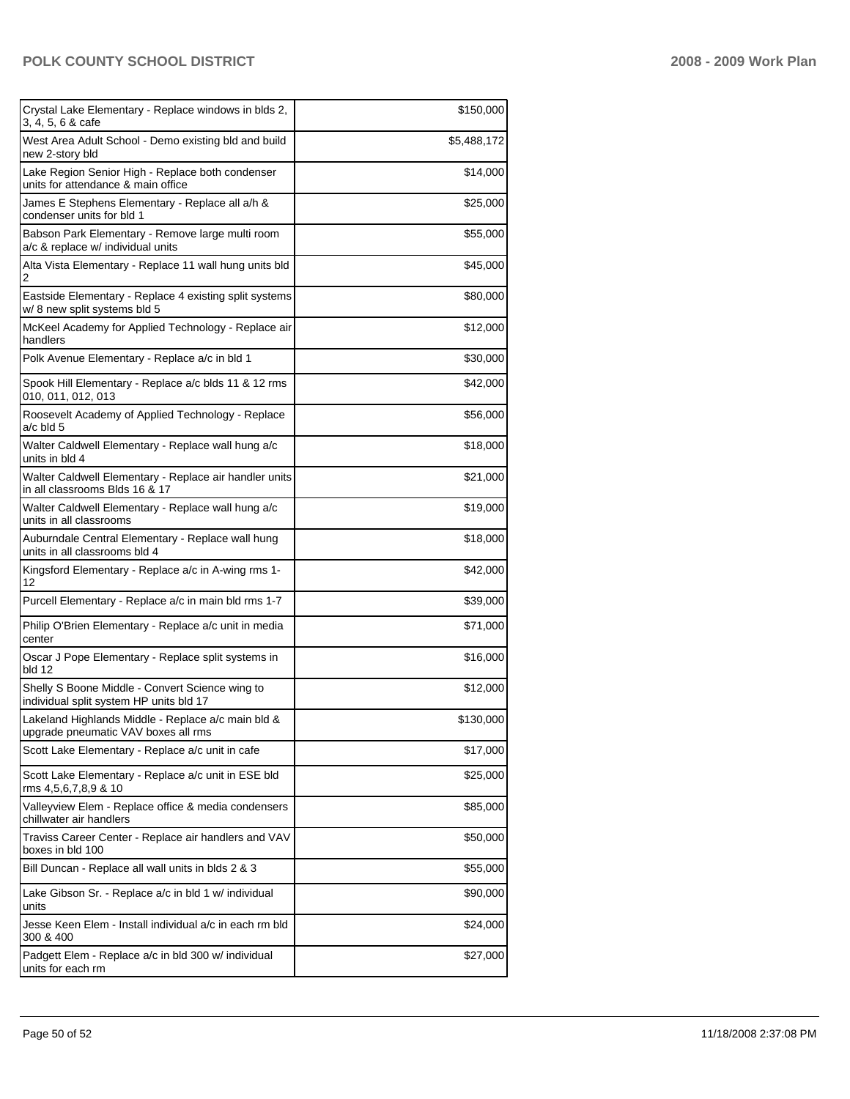| Crystal Lake Elementary - Replace windows in blds 2,<br>3, 4, 5, 6 & cafe                  | \$150,000   |
|--------------------------------------------------------------------------------------------|-------------|
| West Area Adult School - Demo existing bld and build<br>new 2-story bld                    | \$5,488,172 |
| Lake Region Senior High - Replace both condenser<br>units for attendance & main office     | \$14,000    |
| James E Stephens Elementary - Replace all a/h &<br>condenser units for bld 1               | \$25,000    |
| Babson Park Elementary - Remove large multi room<br>a/c & replace w/ individual units      | \$55,000    |
| Alta Vista Elementary - Replace 11 wall hung units bld<br>2                                | \$45,000    |
| Eastside Elementary - Replace 4 existing split systems<br>w/8 new split systems bld 5      | \$80,000    |
| McKeel Academy for Applied Technology - Replace air<br>handlers                            | \$12,000    |
| Polk Avenue Elementary - Replace a/c in bld 1                                              | \$30,000    |
| Spook Hill Elementary - Replace a/c blds 11 & 12 rms<br>010, 011, 012, 013                 | \$42,000    |
| Roosevelt Academy of Applied Technology - Replace<br>a/c bld 5                             | \$56,000    |
| Walter Caldwell Elementary - Replace wall hung a/c<br>units in bld 4                       | \$18,000    |
| Walter Caldwell Elementary - Replace air handler units<br>in all classrooms Blds 16 & 17   | \$21,000    |
| Walter Caldwell Elementary - Replace wall hung a/c<br>units in all classrooms              | \$19,000    |
| Auburndale Central Elementary - Replace wall hung<br>units in all classrooms bld 4         | \$18,000    |
| Kingsford Elementary - Replace a/c in A-wing rms 1-<br>12                                  | \$42,000    |
| Purcell Elementary - Replace a/c in main bld rms 1-7                                       | \$39,000    |
| Philip O'Brien Elementary - Replace a/c unit in media<br>center                            | \$71,000    |
| Oscar J Pope Elementary - Replace split systems in<br>bld 12                               | \$16,000    |
| Shelly S Boone Middle - Convert Science wing to<br>individual split system HP units bld 17 | \$12,000    |
| Lakeland Highlands Middle - Replace a/c main bld &<br>upgrade pneumatic VAV boxes all rms  | \$130,000   |
| Scott Lake Elementary - Replace a/c unit in cafe                                           | \$17,000    |
| Scott Lake Elementary - Replace a/c unit in ESE bld<br>rms 4,5,6,7,8,9 & 10                | \$25,000    |
| Valleyview Elem - Replace office & media condensers<br>chillwater air handlers             | \$85,000    |
| Traviss Career Center - Replace air handlers and VAV<br>boxes in bld 100                   | \$50,000    |
| Bill Duncan - Replace all wall units in blds 2 & 3                                         | \$55,000    |
| Lake Gibson Sr. - Replace a/c in bld 1 w/ individual<br>units                              | \$90,000    |
| Jesse Keen Elem - Install individual a/c in each rm bld<br>300 & 400                       | \$24,000    |
| Padgett Elem - Replace a/c in bld 300 w/ individual<br>units for each rm                   | \$27,000    |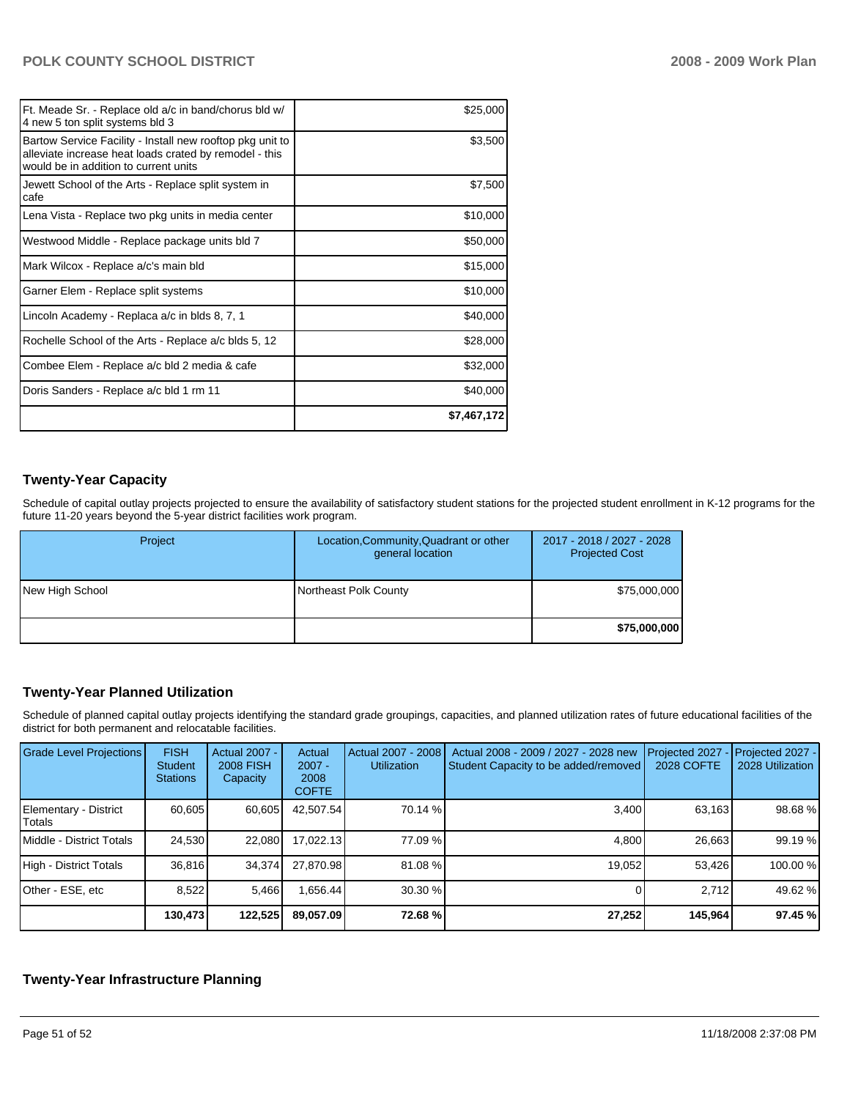| Ft. Meade Sr. - Replace old a/c in band/chorus bld w/<br>4 new 5 ton split systems bld 3                                                                     | \$25,000    |
|--------------------------------------------------------------------------------------------------------------------------------------------------------------|-------------|
| Bartow Service Facility - Install new rooftop pkg unit to<br>alleviate increase heat loads crated by remodel - this<br>would be in addition to current units | \$3,500     |
| Jewett School of the Arts - Replace split system in<br>cafe                                                                                                  | \$7,500     |
| Lena Vista - Replace two pkg units in media center                                                                                                           | \$10,000    |
| Westwood Middle - Replace package units bld 7                                                                                                                | \$50,000    |
| Mark Wilcox - Replace a/c's main bld                                                                                                                         | \$15,000    |
| Garner Elem - Replace split systems                                                                                                                          | \$10,000    |
| Lincoln Academy - Replaca a/c in blds 8, 7, 1                                                                                                                | \$40,000    |
| Rochelle School of the Arts - Replace a/c blds 5, 12                                                                                                         | \$28,000    |
| Combee Elem - Replace a/c bld 2 media & cafe                                                                                                                 | \$32,000    |
| Doris Sanders - Replace a/c bld 1 rm 11                                                                                                                      | \$40,000    |
|                                                                                                                                                              | \$7,467,172 |

## **Twenty-Year Capacity**

Schedule of capital outlay projects projected to ensure the availability of satisfactory student stations for the projected student enrollment in K-12 programs for the future 11-20 years beyond the 5-year district facilities work program.

| Project         | Location, Community, Quadrant or other<br>general location | 2017 - 2018 / 2027 - 2028<br><b>Projected Cost</b> |
|-----------------|------------------------------------------------------------|----------------------------------------------------|
| New High School | Northeast Polk County                                      | \$75,000,000                                       |
|                 |                                                            | \$75,000,000                                       |

## **Twenty-Year Planned Utilization**

Schedule of planned capital outlay projects identifying the standard grade groupings, capacities, and planned utilization rates of future educational facilities of the district for both permanent and relocatable facilities.

| <b>Grade Level Projections</b>  | <b>FISH</b><br><b>Student</b><br><b>Stations</b> | <b>Actual 2007 -</b><br><b>2008 FISH</b><br>Capacity | Actual<br>$2007 -$<br>2008<br><b>COFTE</b> | Actual 2007 - 2008<br><b>Utilization</b> | Actual 2008 - 2009 / 2027 - 2028 new<br>Student Capacity to be added/removed | Projected 2027<br>2028 COFTE | Projected 2027 -<br>2028 Utilization |
|---------------------------------|--------------------------------------------------|------------------------------------------------------|--------------------------------------------|------------------------------------------|------------------------------------------------------------------------------|------------------------------|--------------------------------------|
| Elementary - District<br>Totals | 60.605                                           | 60,605                                               | 42,507.54                                  | 70.14 %                                  | 3,400                                                                        | 63,163                       | 98.68%                               |
| Middle - District Totals        | 24,530                                           | 22,080                                               | 17.022.13                                  | 77.09 %                                  | 4.800                                                                        | 26,663                       | 99.19 %                              |
| High - District Totals          | 36,816                                           | 34,374                                               | 27.870.98                                  | 81.08 %                                  | 19,052                                                                       | 53.426                       | 100.00 %                             |
| Other - ESE, etc                | 8,522                                            | 5.466                                                | .656.44                                    | 30.30 %                                  |                                                                              | 2.712                        | 49.62 %                              |
|                                 | 130,473                                          | 122,525                                              | 89,057.09                                  | 72.68 %                                  | 27,252                                                                       | 145,964                      | 97.45 %                              |

## **Twenty-Year Infrastructure Planning**